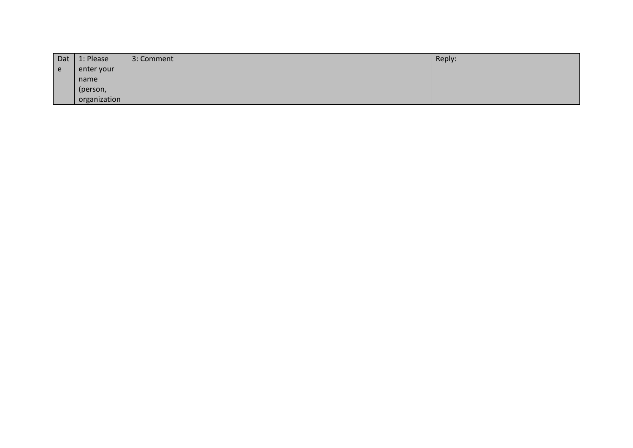| Dat | 1: Please    | 3: Comment | Reply: |
|-----|--------------|------------|--------|
| e   | enter your   |            |        |
|     | name         |            |        |
|     | (person,     |            |        |
|     | organization |            |        |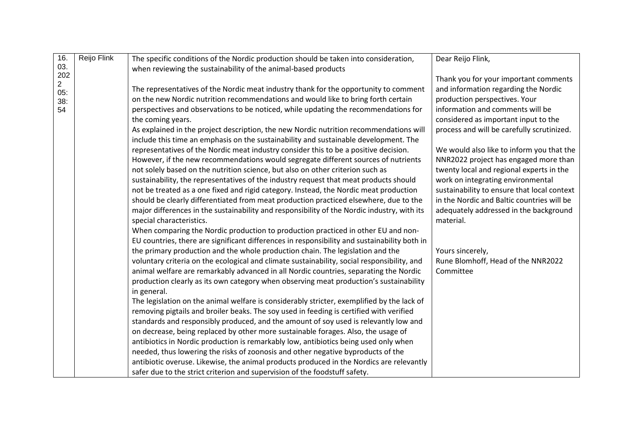| 16.                   | Reijo Flink | The specific conditions of the Nordic production should be taken into consideration,         | Dear Reijo Flink,                           |
|-----------------------|-------------|----------------------------------------------------------------------------------------------|---------------------------------------------|
| 03.                   |             | when reviewing the sustainability of the animal-based products                               |                                             |
| 202                   |             |                                                                                              | Thank you for your important comments       |
| $\overline{2}$<br>05: |             | The representatives of the Nordic meat industry thank for the opportunity to comment         | and information regarding the Nordic        |
| 38:                   |             | on the new Nordic nutrition recommendations and would like to bring forth certain            | production perspectives. Your               |
| 54                    |             | perspectives and observations to be noticed, while updating the recommendations for          | information and comments will be            |
|                       |             | the coming years.                                                                            | considered as important input to the        |
|                       |             | As explained in the project description, the new Nordic nutrition recommendations will       | process and will be carefully scrutinized.  |
|                       |             | include this time an emphasis on the sustainability and sustainable development. The         |                                             |
|                       |             | representatives of the Nordic meat industry consider this to be a positive decision.         | We would also like to inform you that the   |
|                       |             | However, if the new recommendations would segregate different sources of nutrients           | NNR2022 project has engaged more than       |
|                       |             | not solely based on the nutrition science, but also on other criterion such as               | twenty local and regional experts in the    |
|                       |             | sustainability, the representatives of the industry request that meat products should        | work on integrating environmental           |
|                       |             | not be treated as a one fixed and rigid category. Instead, the Nordic meat production        | sustainability to ensure that local context |
|                       |             | should be clearly differentiated from meat production practiced elsewhere, due to the        | in the Nordic and Baltic countries will be  |
|                       |             | major differences in the sustainability and responsibility of the Nordic industry, with its  | adequately addressed in the background      |
|                       |             | special characteristics.                                                                     | material.                                   |
|                       |             | When comparing the Nordic production to production practiced in other EU and non-            |                                             |
|                       |             | EU countries, there are significant differences in responsibility and sustainability both in |                                             |
|                       |             | the primary production and the whole production chain. The legislation and the               | Yours sincerely,                            |
|                       |             | voluntary criteria on the ecological and climate sustainability, social responsibility, and  | Rune Blomhoff, Head of the NNR2022          |
|                       |             | animal welfare are remarkably advanced in all Nordic countries, separating the Nordic        | Committee                                   |
|                       |             | production clearly as its own category when observing meat production's sustainability       |                                             |
|                       |             | in general.                                                                                  |                                             |
|                       |             | The legislation on the animal welfare is considerably stricter, exemplified by the lack of   |                                             |
|                       |             | removing pigtails and broiler beaks. The soy used in feeding is certified with verified      |                                             |
|                       |             | standards and responsibly produced, and the amount of soy used is relevantly low and         |                                             |
|                       |             | on decrease, being replaced by other more sustainable forages. Also, the usage of            |                                             |
|                       |             | antibiotics in Nordic production is remarkably low, antibiotics being used only when         |                                             |
|                       |             | needed, thus lowering the risks of zoonosis and other negative byproducts of the             |                                             |
|                       |             | antibiotic overuse. Likewise, the animal products produced in the Nordics are relevantly     |                                             |
|                       |             | safer due to the strict criterion and supervision of the foodstuff safety.                   |                                             |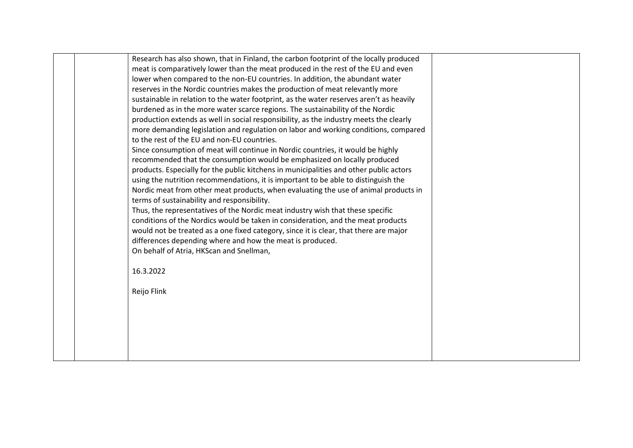| Research has also shown, that in Finland, the carbon footprint of the locally produced  |  |
|-----------------------------------------------------------------------------------------|--|
| meat is comparatively lower than the meat produced in the rest of the EU and even       |  |
| lower when compared to the non-EU countries. In addition, the abundant water            |  |
| reserves in the Nordic countries makes the production of meat relevantly more           |  |
| sustainable in relation to the water footprint, as the water reserves aren't as heavily |  |
| burdened as in the more water scarce regions. The sustainability of the Nordic          |  |
| production extends as well in social responsibility, as the industry meets the clearly  |  |
| more demanding legislation and regulation on labor and working conditions, compared     |  |
| to the rest of the EU and non-EU countries.                                             |  |
| Since consumption of meat will continue in Nordic countries, it would be highly         |  |
| recommended that the consumption would be emphasized on locally produced                |  |
| products. Especially for the public kitchens in municipalities and other public actors  |  |
| using the nutrition recommendations, it is important to be able to distinguish the      |  |
| Nordic meat from other meat products, when evaluating the use of animal products in     |  |
| terms of sustainability and responsibility.                                             |  |
| Thus, the representatives of the Nordic meat industry wish that these specific          |  |
| conditions of the Nordics would be taken in consideration, and the meat products        |  |
| would not be treated as a one fixed category, since it is clear, that there are major   |  |
| differences depending where and how the meat is produced.                               |  |
| On behalf of Atria, HKScan and Snellman,                                                |  |
| 16.3.2022                                                                               |  |
|                                                                                         |  |
| Reijo Flink                                                                             |  |
|                                                                                         |  |
|                                                                                         |  |
|                                                                                         |  |
|                                                                                         |  |
|                                                                                         |  |
|                                                                                         |  |
|                                                                                         |  |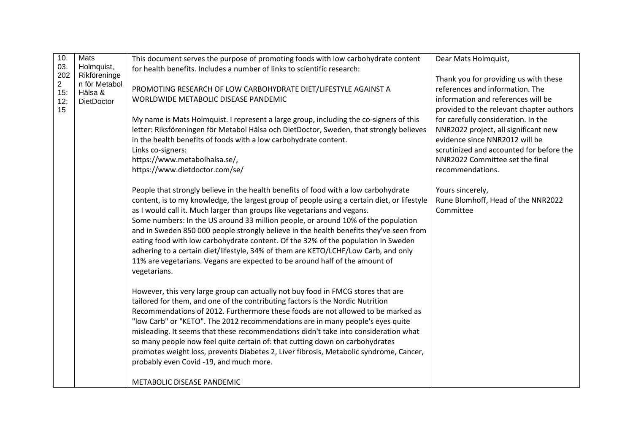| 10.            | <b>Mats</b>                | This document serves the purpose of promoting foods with low carbohydrate content                                                                                           | Dear Mats Holmquist,                                                        |
|----------------|----------------------------|-----------------------------------------------------------------------------------------------------------------------------------------------------------------------------|-----------------------------------------------------------------------------|
| 03.<br>202     | Holmquist,<br>Rikföreninge | for health benefits. Includes a number of links to scientific research:                                                                                                     |                                                                             |
| $\overline{2}$ | n för Metabol              | PROMOTING RESEARCH OF LOW CARBOHYDRATE DIET/LIFESTYLE AGAINST A                                                                                                             | Thank you for providing us with these<br>references and information. The    |
| 15:<br>12:     | Hälsa &<br>DietDoctor      | WORLDWIDE METABOLIC DISEASE PANDEMIC                                                                                                                                        | information and references will be                                          |
| 15             |                            |                                                                                                                                                                             | provided to the relevant chapter authors                                    |
|                |                            | My name is Mats Holmquist. I represent a large group, including the co-signers of this                                                                                      | for carefully consideration. In the                                         |
|                |                            | letter: Riksföreningen för Metabol Hälsa och DietDoctor, Sweden, that strongly believes                                                                                     | NNR2022 project, all significant new                                        |
|                |                            | in the health benefits of foods with a low carbohydrate content.                                                                                                            | evidence since NNR2012 will be                                              |
|                |                            | Links co-signers:<br>https://www.metabolhalsa.se/,                                                                                                                          | scrutinized and accounted for before the<br>NNR2022 Committee set the final |
|                |                            | https://www.dietdoctor.com/se/                                                                                                                                              | recommendations.                                                            |
|                |                            |                                                                                                                                                                             |                                                                             |
|                |                            | People that strongly believe in the health benefits of food with a low carbohydrate                                                                                         | Yours sincerely,                                                            |
|                |                            | content, is to my knowledge, the largest group of people using a certain diet, or lifestyle                                                                                 | Rune Blomhoff, Head of the NNR2022                                          |
|                |                            | as I would call it. Much larger than groups like vegetarians and vegans.                                                                                                    | Committee                                                                   |
|                |                            | Some numbers: In the US around 33 million people, or around 10% of the population<br>and in Sweden 850 000 people strongly believe in the health benefits they've seen from |                                                                             |
|                |                            | eating food with low carbohydrate content. Of the 32% of the population in Sweden                                                                                           |                                                                             |
|                |                            | adhering to a certain diet/lifestyle, 34% of them are KETO/LCHF/Low Carb, and only                                                                                          |                                                                             |
|                |                            | 11% are vegetarians. Vegans are expected to be around half of the amount of                                                                                                 |                                                                             |
|                |                            | vegetarians.                                                                                                                                                                |                                                                             |
|                |                            |                                                                                                                                                                             |                                                                             |
|                |                            | However, this very large group can actually not buy food in FMCG stores that are<br>tailored for them, and one of the contributing factors is the Nordic Nutrition          |                                                                             |
|                |                            | Recommendations of 2012. Furthermore these foods are not allowed to be marked as                                                                                            |                                                                             |
|                |                            | "low Carb" or "KETO". The 2012 recommendations are in many people's eyes quite                                                                                              |                                                                             |
|                |                            | misleading. It seems that these recommendations didn't take into consideration what                                                                                         |                                                                             |
|                |                            | so many people now feel quite certain of: that cutting down on carbohydrates                                                                                                |                                                                             |
|                |                            | promotes weight loss, prevents Diabetes 2, Liver fibrosis, Metabolic syndrome, Cancer,                                                                                      |                                                                             |
|                |                            | probably even Covid -19, and much more.                                                                                                                                     |                                                                             |
|                |                            | METABOLIC DISEASE PANDEMIC                                                                                                                                                  |                                                                             |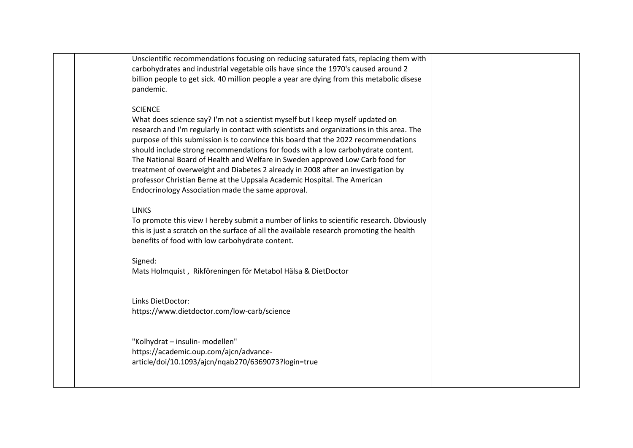Unscientific recommendations focusing on reducing saturated fats, replacing them with carbohydrates and industrial vegetable oils have since the 1970's caused around 2 billion people to get sick. 40 million people a year are dying from this metabolic disese pandemic. **SCIENCE** What does science say? I'm not a scientist myself but I keep myself updated on research and I'm regularly in contact with scientists and organizations in this area. The purpose of this submission is to convince this board that the 2022 recommendations should include strong recommendations for foods with a low carbohydrate content. The National Board of Health and Welfare in Sweden approved Low Carb food for treatment of overweight and Diabetes 2 already in 2008 after an investigation by professor Christian Berne at the Uppsala Academic Hospital. The American Endocrinology Association made the same approval. LINKS To promote this view I hereby submit a number of links to scientific research. Obviously this is just a scratch on the surface of all the available research promoting the health benefits of food with low carbohydrate content. Signed: Mats Holmquist , Rikföreningen för Metabol Hälsa & DietDoctor Links DietDoctor: https://www.dietdoctor.com/low-carb/science "Kolhydrat – insulin- modellen" https://academic.oup.com/ajcn/advancearticle/doi/10.1093/ajcn/nqab270/6369073?login=true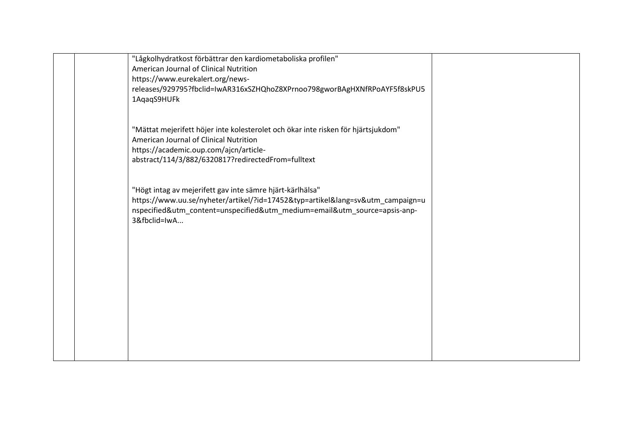| "Lågkolhydratkost förbättrar den kardiometaboliska profilen"                      |  |
|-----------------------------------------------------------------------------------|--|
| American Journal of Clinical Nutrition                                            |  |
| https://www.eurekalert.org/news-                                                  |  |
| releases/929795?fbclid=IwAR316xSZHQhoZ8XPrnoo798gworBAgHXNfRPoAYF5f8skPU5         |  |
| 1AqaqS9HUFk                                                                       |  |
|                                                                                   |  |
|                                                                                   |  |
| "Mättat mejerifett höjer inte kolesterolet och ökar inte risken för hjärtsjukdom" |  |
| American Journal of Clinical Nutrition                                            |  |
| https://academic.oup.com/ajcn/article-                                            |  |
| abstract/114/3/882/6320817?redirectedFrom=fulltext                                |  |
|                                                                                   |  |
|                                                                                   |  |
| "Högt intag av mejerifett gav inte sämre hjärt-kärlhälsa"                         |  |
| https://www.uu.se/nyheter/artikel/?id=17452&typ=artikel⟨=sv&utm_campaign=u        |  |
| nspecified&utm_content=unspecified&utm_medium=email&utm_source=apsis-anp-         |  |
| 3&fbclid=IwA                                                                      |  |
|                                                                                   |  |
|                                                                                   |  |
|                                                                                   |  |
|                                                                                   |  |
|                                                                                   |  |
|                                                                                   |  |
|                                                                                   |  |
|                                                                                   |  |
|                                                                                   |  |
|                                                                                   |  |
|                                                                                   |  |
|                                                                                   |  |
|                                                                                   |  |
|                                                                                   |  |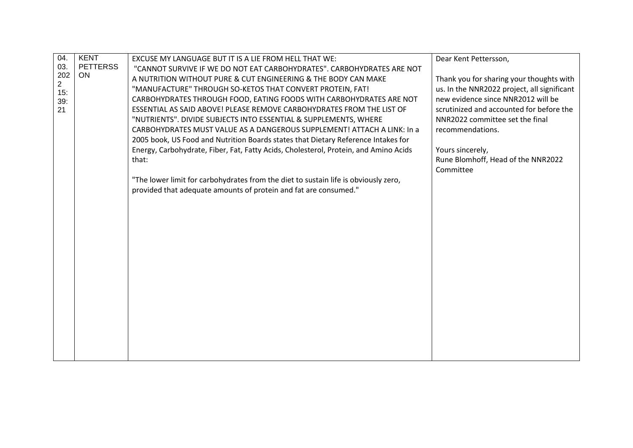| 04.                   | <b>KENT</b>     | EXCUSE MY LANGUAGE BUT IT IS A LIE FROM HELL THAT WE:                                | Dear Kent Pettersson,                       |
|-----------------------|-----------------|--------------------------------------------------------------------------------------|---------------------------------------------|
| 03.                   | <b>PETTERSS</b> | "CANNOT SURVIVE IF WE DO NOT EAT CARBOHYDRATES". CARBOHYDRATES ARE NOT               |                                             |
| 202                   | ON              | A NUTRITION WITHOUT PURE & CUT ENGINEERING & THE BODY CAN MAKE                       | Thank you for sharing your thoughts with    |
| $\overline{2}$<br>15: |                 | "MANUFACTURE" THROUGH SO-KETOS THAT CONVERT PROTEIN, FAT!                            | us. In the NNR2022 project, all significant |
| 39:                   |                 | CARBOHYDRATES THROUGH FOOD, EATING FOODS WITH CARBOHYDRATES ARE NOT                  | new evidence since NNR2012 will be          |
| 21                    |                 | ESSENTIAL AS SAID ABOVE! PLEASE REMOVE CARBOHYDRATES FROM THE LIST OF                | scrutinized and accounted for before the    |
|                       |                 | "NUTRIENTS". DIVIDE SUBJECTS INTO ESSENTIAL & SUPPLEMENTS, WHERE                     | NNR2022 committee set the final             |
|                       |                 | CARBOHYDRATES MUST VALUE AS A DANGEROUS SUPPLEMENT! ATTACH A LINK: In a              | recommendations.                            |
|                       |                 | 2005 book, US Food and Nutrition Boards states that Dietary Reference Intakes for    |                                             |
|                       |                 | Energy, Carbohydrate, Fiber, Fat, Fatty Acids, Cholesterol, Protein, and Amino Acids | Yours sincerely,                            |
|                       |                 | that:                                                                                | Rune Blomhoff, Head of the NNR2022          |
|                       |                 |                                                                                      | Committee                                   |
|                       |                 | "The lower limit for carbohydrates from the diet to sustain life is obviously zero,  |                                             |
|                       |                 | provided that adequate amounts of protein and fat are consumed."                     |                                             |
|                       |                 |                                                                                      |                                             |
|                       |                 |                                                                                      |                                             |
|                       |                 |                                                                                      |                                             |
|                       |                 |                                                                                      |                                             |
|                       |                 |                                                                                      |                                             |
|                       |                 |                                                                                      |                                             |
|                       |                 |                                                                                      |                                             |
|                       |                 |                                                                                      |                                             |
|                       |                 |                                                                                      |                                             |
|                       |                 |                                                                                      |                                             |
|                       |                 |                                                                                      |                                             |
|                       |                 |                                                                                      |                                             |
|                       |                 |                                                                                      |                                             |
|                       |                 |                                                                                      |                                             |
|                       |                 |                                                                                      |                                             |
|                       |                 |                                                                                      |                                             |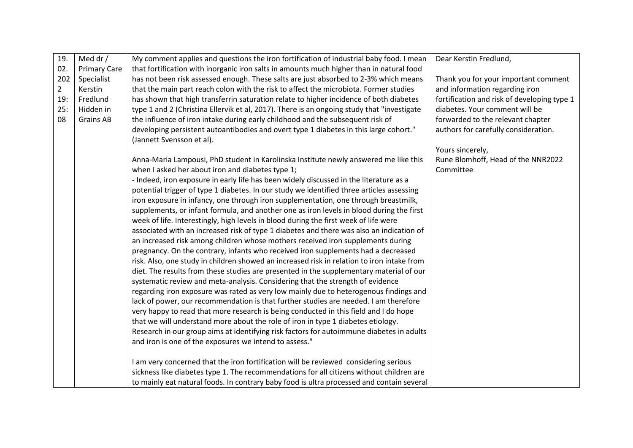| 19.            | Med dr /            | My comment applies and questions the iron fortification of industrial baby food. I mean                            | Dear Kerstin Fredlund,                      |
|----------------|---------------------|--------------------------------------------------------------------------------------------------------------------|---------------------------------------------|
| 02.            | <b>Primary Care</b> | that fortification with inorganic iron salts in amounts much higher than in natural food                           |                                             |
| 202            | Specialist          | has not been risk assessed enough. These salts are just absorbed to 2-3% which means                               | Thank you for your important comment        |
| $\overline{2}$ | Kerstin             | that the main part reach colon with the risk to affect the microbiota. Former studies                              | and information regarding iron              |
| 19:            | Fredlund            | has shown that high transferrin saturation relate to higher incidence of both diabetes                             | fortification and risk of developing type 1 |
| 25:            | Hidden in           | type 1 and 2 (Christina Ellervik et al, 2017). There is an ongoing study that "investigate                         | diabetes. Your comment will be              |
| 08             | <b>Grains AB</b>    | the influence of iron intake during early childhood and the subsequent risk of                                     | forwarded to the relevant chapter           |
|                |                     | developing persistent autoantibodies and overt type 1 diabetes in this large cohort."<br>(Jannett Svensson et al). | authors for carefully consideration.        |
|                |                     |                                                                                                                    | Yours sincerely,                            |
|                |                     | Anna-Maria Lampousi, PhD student in Karolinska Institute newly answered me like this                               | Rune Blomhoff, Head of the NNR2022          |
|                |                     | when I asked her about iron and diabetes type 1;                                                                   | Committee                                   |
|                |                     | - Indeed, iron exposure in early life has been widely discussed in the literature as a                             |                                             |
|                |                     | potential trigger of type 1 diabetes. In our study we identified three articles assessing                          |                                             |
|                |                     | iron exposure in infancy, one through iron supplementation, one through breastmilk,                                |                                             |
|                |                     | supplements, or infant formula, and another one as iron levels in blood during the first                           |                                             |
|                |                     | week of life. Interestingly, high levels in blood during the first week of life were                               |                                             |
|                |                     | associated with an increased risk of type 1 diabetes and there was also an indication of                           |                                             |
|                |                     | an increased risk among children whose mothers received iron supplements during                                    |                                             |
|                |                     | pregnancy. On the contrary, infants who received iron supplements had a decreased                                  |                                             |
|                |                     | risk. Also, one study in children showed an increased risk in relation to iron intake from                         |                                             |
|                |                     | diet. The results from these studies are presented in the supplementary material of our                            |                                             |
|                |                     | systematic review and meta-analysis. Considering that the strength of evidence                                     |                                             |
|                |                     | regarding iron exposure was rated as very low mainly due to heterogenous findings and                              |                                             |
|                |                     | lack of power, our recommendation is that further studies are needed. I am therefore                               |                                             |
|                |                     | very happy to read that more research is being conducted in this field and I do hope                               |                                             |
|                |                     | that we will understand more about the role of iron in type 1 diabetes etiology.                                   |                                             |
|                |                     | Research in our group aims at identifying risk factors for autoimmune diabetes in adults                           |                                             |
|                |                     | and iron is one of the exposures we intend to assess."                                                             |                                             |
|                |                     | I am very concerned that the iron fortification will be reviewed considering serious                               |                                             |
|                |                     | sickness like diabetes type 1. The recommendations for all citizens without children are                           |                                             |
|                |                     | to mainly eat natural foods. In contrary baby food is ultra processed and contain several                          |                                             |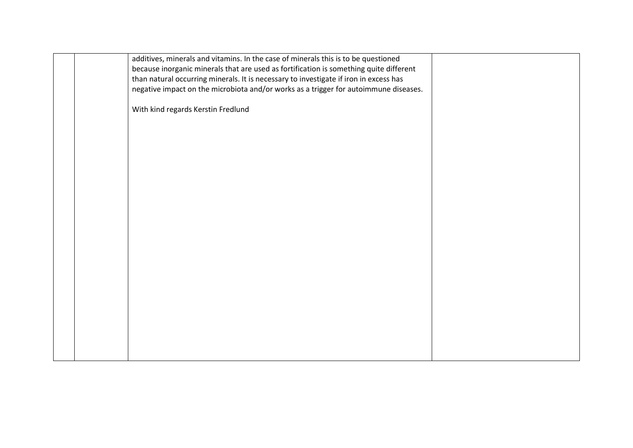|  | additives, minerals and vitamins. In the case of minerals this is to be questioned<br>because inorganic minerals that are used as fortification is something quite different<br>than natural occurring minerals. It is necessary to investigate if iron in excess has<br>negative impact on the microbiota and/or works as a trigger for autoimmune diseases. |  |
|--|---------------------------------------------------------------------------------------------------------------------------------------------------------------------------------------------------------------------------------------------------------------------------------------------------------------------------------------------------------------|--|
|  | With kind regards Kerstin Fredlund                                                                                                                                                                                                                                                                                                                            |  |
|  |                                                                                                                                                                                                                                                                                                                                                               |  |
|  |                                                                                                                                                                                                                                                                                                                                                               |  |
|  |                                                                                                                                                                                                                                                                                                                                                               |  |
|  |                                                                                                                                                                                                                                                                                                                                                               |  |
|  |                                                                                                                                                                                                                                                                                                                                                               |  |
|  |                                                                                                                                                                                                                                                                                                                                                               |  |
|  |                                                                                                                                                                                                                                                                                                                                                               |  |
|  |                                                                                                                                                                                                                                                                                                                                                               |  |
|  |                                                                                                                                                                                                                                                                                                                                                               |  |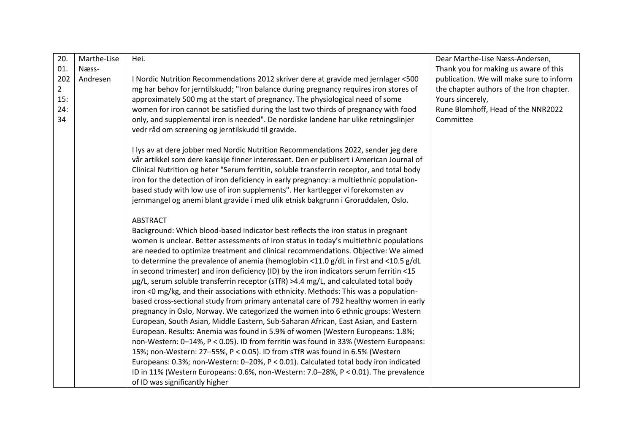| 20.            | Marthe-Lise | Hei.                                                                                                                                                                                  | Dear Marthe-Lise Næss-Andersen,          |
|----------------|-------------|---------------------------------------------------------------------------------------------------------------------------------------------------------------------------------------|------------------------------------------|
| 01.            | Næss-       |                                                                                                                                                                                       | Thank you for making us aware of this    |
| 202            | Andresen    | I Nordic Nutrition Recommendations 2012 skriver dere at gravide med jernlager <500                                                                                                    | publication. We will make sure to inform |
| $\overline{2}$ |             | mg har behov for jerntilskudd; "Iron balance during pregnancy requires iron stores of                                                                                                 | the chapter authors of the Iron chapter. |
| 15:            |             | approximately 500 mg at the start of pregnancy. The physiological need of some                                                                                                        | Yours sincerely,                         |
| 24:            |             | women for iron cannot be satisfied during the last two thirds of pregnancy with food                                                                                                  | Rune Blomhoff, Head of the NNR2022       |
| 34             |             | only, and supplemental iron is needed". De nordiske landene har ulike retningslinjer                                                                                                  | Committee                                |
|                |             | vedr råd om screening og jerntilskudd til gravide.                                                                                                                                    |                                          |
|                |             |                                                                                                                                                                                       |                                          |
|                |             | I lys av at dere jobber med Nordic Nutrition Recommendations 2022, sender jeg dere                                                                                                    |                                          |
|                |             | vår artikkel som dere kanskje finner interessant. Den er publisert i American Journal of<br>Clinical Nutrition og heter "Serum ferritin, soluble transferrin receptor, and total body |                                          |
|                |             | iron for the detection of iron deficiency in early pregnancy: a multiethnic population-                                                                                               |                                          |
|                |             | based study with low use of iron supplements". Her kartlegger vi forekomsten av                                                                                                       |                                          |
|                |             | jernmangel og anemi blant gravide i med ulik etnisk bakgrunn i Groruddalen, Oslo.                                                                                                     |                                          |
|                |             |                                                                                                                                                                                       |                                          |
|                |             | <b>ABSTRACT</b>                                                                                                                                                                       |                                          |
|                |             | Background: Which blood-based indicator best reflects the iron status in pregnant                                                                                                     |                                          |
|                |             | women is unclear. Better assessments of iron status in today's multiethnic populations                                                                                                |                                          |
|                |             | are needed to optimize treatment and clinical recommendations. Objective: We aimed                                                                                                    |                                          |
|                |             | to determine the prevalence of anemia (hemoglobin <11.0 g/dL in first and <10.5 g/dL                                                                                                  |                                          |
|                |             | in second trimester) and iron deficiency (ID) by the iron indicators serum ferritin <15                                                                                               |                                          |
|                |             | µg/L, serum soluble transferrin receptor (sTfR) >4.4 mg/L, and calculated total body                                                                                                  |                                          |
|                |             | iron <0 mg/kg, and their associations with ethnicity. Methods: This was a population-                                                                                                 |                                          |
|                |             | based cross-sectional study from primary antenatal care of 792 healthy women in early                                                                                                 |                                          |
|                |             | pregnancy in Oslo, Norway. We categorized the women into 6 ethnic groups: Western                                                                                                     |                                          |
|                |             | European, South Asian, Middle Eastern, Sub-Saharan African, East Asian, and Eastern                                                                                                   |                                          |
|                |             | European. Results: Anemia was found in 5.9% of women (Western Europeans: 1.8%;                                                                                                        |                                          |
|                |             | non-Western: 0-14%, P < 0.05). ID from ferritin was found in 33% (Western Europeans:                                                                                                  |                                          |
|                |             | 15%; non-Western: 27-55%, P < 0.05). ID from sTfR was found in 6.5% (Western                                                                                                          |                                          |
|                |             | Europeans: 0.3%; non-Western: 0-20%, P < 0.01). Calculated total body iron indicated                                                                                                  |                                          |
|                |             | ID in 11% (Western Europeans: 0.6%, non-Western: 7.0-28%, P < 0.01). The prevalence                                                                                                   |                                          |
|                |             | of ID was significantly higher                                                                                                                                                        |                                          |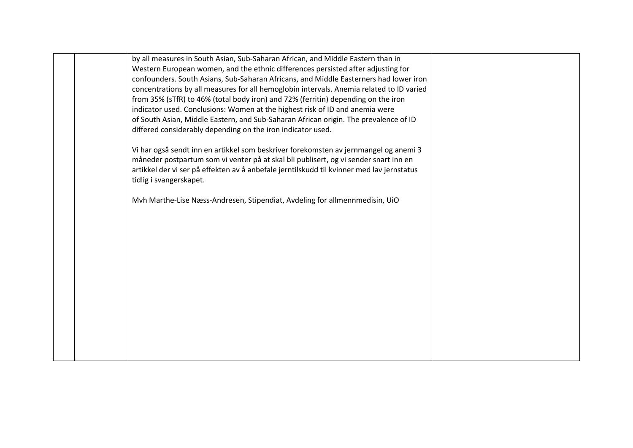| by all measures in South Asian, Sub-Saharan African, and Middle Eastern than in           |  |
|-------------------------------------------------------------------------------------------|--|
| Western European women, and the ethnic differences persisted after adjusting for          |  |
| confounders. South Asians, Sub-Saharan Africans, and Middle Easterners had lower iron     |  |
| concentrations by all measures for all hemoglobin intervals. Anemia related to ID varied  |  |
| from 35% (sTfR) to 46% (total body iron) and 72% (ferritin) depending on the iron         |  |
| indicator used. Conclusions: Women at the highest risk of ID and anemia were              |  |
| of South Asian, Middle Eastern, and Sub-Saharan African origin. The prevalence of ID      |  |
| differed considerably depending on the iron indicator used.                               |  |
| Vi har også sendt inn en artikkel som beskriver forekomsten av jernmangel og anemi 3      |  |
| måneder postpartum som vi venter på at skal bli publisert, og vi sender snart inn en      |  |
| artikkel der vi ser på effekten av å anbefale jerntilskudd til kvinner med lav jernstatus |  |
| tidlig i svangerskapet.                                                                   |  |
|                                                                                           |  |
| Mvh Marthe-Lise Næss-Andresen, Stipendiat, Avdeling for allmennmedisin, UiO               |  |
|                                                                                           |  |
|                                                                                           |  |
|                                                                                           |  |
|                                                                                           |  |
|                                                                                           |  |
|                                                                                           |  |
|                                                                                           |  |
|                                                                                           |  |
|                                                                                           |  |
|                                                                                           |  |
|                                                                                           |  |
|                                                                                           |  |
|                                                                                           |  |
|                                                                                           |  |
|                                                                                           |  |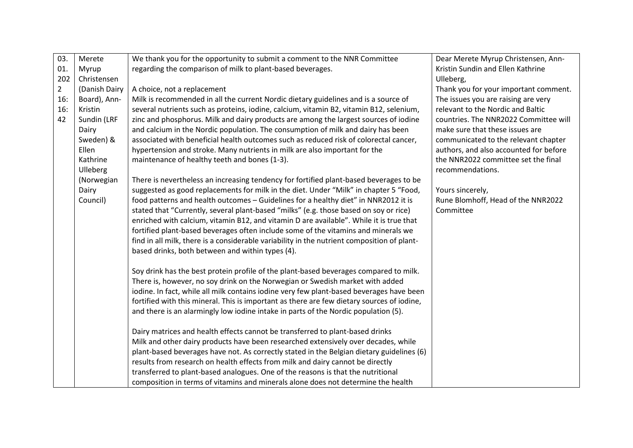| 03.            | Merete        | We thank you for the opportunity to submit a comment to the NNR Committee                   | Dear Merete Myrup Christensen, Ann-    |
|----------------|---------------|---------------------------------------------------------------------------------------------|----------------------------------------|
| 01.            | Myrup         | regarding the comparison of milk to plant-based beverages.                                  | Kristin Sundin and Ellen Kathrine      |
| 202            | Christensen   |                                                                                             | Ulleberg,                              |
| $\overline{2}$ | (Danish Dairy | A choice, not a replacement                                                                 | Thank you for your important comment.  |
| 16:            | Board), Ann-  | Milk is recommended in all the current Nordic dietary guidelines and is a source of         | The issues you are raising are very    |
| 16:            | Kristin       | several nutrients such as proteins, iodine, calcium, vitamin B2, vitamin B12, selenium,     | relevant to the Nordic and Baltic      |
| 42             | Sundin (LRF   | zinc and phosphorus. Milk and dairy products are among the largest sources of iodine        | countries. The NNR2022 Committee will  |
|                | Dairy         | and calcium in the Nordic population. The consumption of milk and dairy has been            | make sure that these issues are        |
|                | Sweden) &     | associated with beneficial health outcomes such as reduced risk of colorectal cancer,       | communicated to the relevant chapter   |
|                | Ellen         | hypertension and stroke. Many nutrients in milk are also important for the                  | authors, and also accounted for before |
|                | Kathrine      | maintenance of healthy teeth and bones (1-3).                                               | the NNR2022 committee set the final    |
|                | Ulleberg      |                                                                                             | recommendations.                       |
|                | (Norwegian    | There is nevertheless an increasing tendency for fortified plant-based beverages to be      |                                        |
|                | Dairy         | suggested as good replacements for milk in the diet. Under "Milk" in chapter 5 "Food,       | Yours sincerely,                       |
|                | Council)      | food patterns and health outcomes - Guidelines for a healthy diet" in NNR2012 it is         | Rune Blomhoff, Head of the NNR2022     |
|                |               | stated that "Currently, several plant-based "milks" (e.g. those based on soy or rice)       | Committee                              |
|                |               | enriched with calcium, vitamin B12, and vitamin D are available". While it is true that     |                                        |
|                |               | fortified plant-based beverages often include some of the vitamins and minerals we          |                                        |
|                |               | find in all milk, there is a considerable variability in the nutrient composition of plant- |                                        |
|                |               | based drinks, both between and within types (4).                                            |                                        |
|                |               | Soy drink has the best protein profile of the plant-based beverages compared to milk.       |                                        |
|                |               | There is, however, no soy drink on the Norwegian or Swedish market with added               |                                        |
|                |               | iodine. In fact, while all milk contains iodine very few plant-based beverages have been    |                                        |
|                |               | fortified with this mineral. This is important as there are few dietary sources of iodine,  |                                        |
|                |               | and there is an alarmingly low iodine intake in parts of the Nordic population (5).         |                                        |
|                |               | Dairy matrices and health effects cannot be transferred to plant-based drinks               |                                        |
|                |               | Milk and other dairy products have been researched extensively over decades, while          |                                        |
|                |               | plant-based beverages have not. As correctly stated in the Belgian dietary guidelines (6)   |                                        |
|                |               | results from research on health effects from milk and dairy cannot be directly              |                                        |
|                |               | transferred to plant-based analogues. One of the reasons is that the nutritional            |                                        |
|                |               | composition in terms of vitamins and minerals alone does not determine the health           |                                        |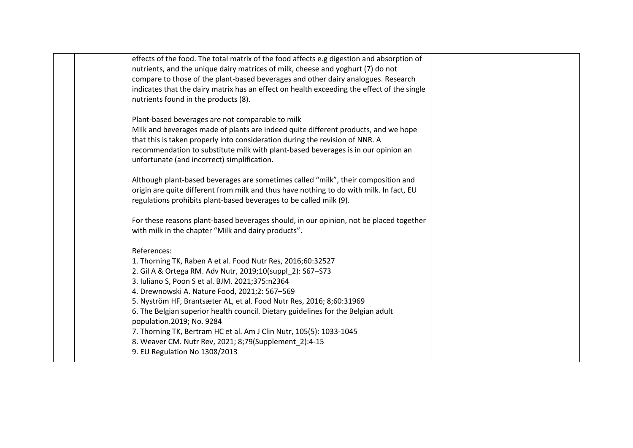| effects of the food. The total matrix of the food affects e.g digestion and absorption of  |  |
|--------------------------------------------------------------------------------------------|--|
| nutrients, and the unique dairy matrices of milk, cheese and yoghurt (7) do not            |  |
| compare to those of the plant-based beverages and other dairy analogues. Research          |  |
| indicates that the dairy matrix has an effect on health exceeding the effect of the single |  |
| nutrients found in the products (8).                                                       |  |
|                                                                                            |  |
| Plant-based beverages are not comparable to milk                                           |  |
| Milk and beverages made of plants are indeed quite different products, and we hope         |  |
| that this is taken properly into consideration during the revision of NNR. A               |  |
| recommendation to substitute milk with plant-based beverages is in our opinion an          |  |
| unfortunate (and incorrect) simplification.                                                |  |
|                                                                                            |  |
| Although plant-based beverages are sometimes called "milk", their composition and          |  |
| origin are quite different from milk and thus have nothing to do with milk. In fact, EU    |  |
| regulations prohibits plant-based beverages to be called milk (9).                         |  |
|                                                                                            |  |
| For these reasons plant-based beverages should, in our opinion, not be placed together     |  |
| with milk in the chapter "Milk and dairy products".                                        |  |
|                                                                                            |  |
| References:                                                                                |  |
| 1. Thorning TK, Raben A et al. Food Nutr Res, 2016;60:32527                                |  |
| 2. Gil A & Ortega RM. Adv Nutr, 2019;10(suppl 2): S67-S73                                  |  |
| 3. Iuliano S, Poon S et al. BJM. 2021;375:n2364                                            |  |
| 4. Drewnowski A. Nature Food, 2021;2: 567-569                                              |  |
| 5. Nyström HF, Brantsæter AL, et al. Food Nutr Res, 2016; 8;60:31969                       |  |
| 6. The Belgian superior health council. Dietary guidelines for the Belgian adult           |  |
| population.2019; No. 9284                                                                  |  |
| 7. Thorning TK, Bertram HC et al. Am J Clin Nutr, 105(5): 1033-1045                        |  |
| 8. Weaver CM. Nutr Rev, 2021; 8;79(Supplement_2):4-15                                      |  |
| 9. EU Regulation No 1308/2013                                                              |  |
|                                                                                            |  |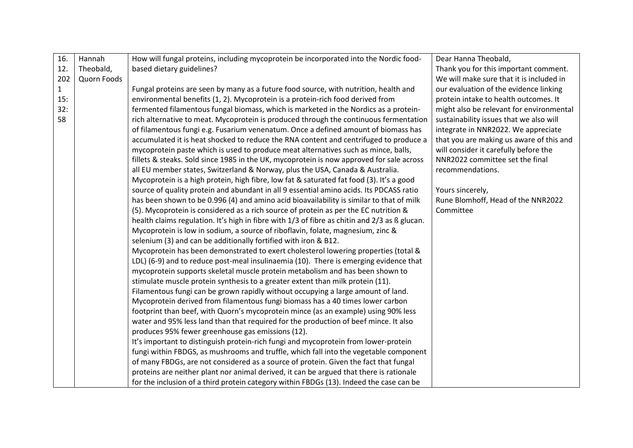| 16.          | Hannah      | How will fungal proteins, including mycoprotein be incorporated into the Nordic food-         | Dear Hanna Theobald,                     |
|--------------|-------------|-----------------------------------------------------------------------------------------------|------------------------------------------|
| 12.          | Theobald,   | based dietary guidelines?                                                                     | Thank you for this important comment.    |
| 202          | Quorn Foods |                                                                                               | We will make sure that it is included in |
| $\mathbf{1}$ |             | Fungal proteins are seen by many as a future food source, with nutrition, health and          | our evaluation of the evidence linking   |
| 15:          |             | environmental benefits (1, 2). Mycoprotein is a protein-rich food derived from                | protein intake to health outcomes. It    |
| 32:          |             | fermented filamentous fungal biomass, which is marketed in the Nordics as a protein-          | might also be relevant for environmental |
| 58           |             | rich alternative to meat. Mycoprotein is produced through the continuous fermentation         | sustainability issues that we also will  |
|              |             | of filamentous fungi e.g. Fusarium venenatum. Once a defined amount of biomass has            | integrate in NNR2022. We appreciate      |
|              |             | accumulated it is heat shocked to reduce the RNA content and centrifuged to produce a         | that you are making us aware of this and |
|              |             | mycoprotein paste which is used to produce meat alternatives such as mince, balls,            | will consider it carefully before the    |
|              |             | fillets & steaks. Sold since 1985 in the UK, mycoprotein is now approved for sale across      | NNR2022 committee set the final          |
|              |             | all EU member states, Switzerland & Norway, plus the USA, Canada & Australia.                 | recommendations.                         |
|              |             | Mycoprotein is a high protein, high fibre, low fat & saturated fat food (3). It's a good      |                                          |
|              |             | source of quality protein and abundant in all 9 essential amino acids. Its PDCASS ratio       | Yours sincerely,                         |
|              |             | has been shown to be 0.996 (4) and amino acid bioavailability is similar to that of milk      | Rune Blomhoff, Head of the NNR2022       |
|              |             | (5). Mycoprotein is considered as a rich source of protein as per the EC nutrition &          | Committee                                |
|              |             | health claims regulation. It's high in fibre with 1/3 of fibre as chitin and 2/3 as ß glucan. |                                          |
|              |             | Mycoprotein is low in sodium, a source of riboflavin, folate, magnesium, zinc &               |                                          |
|              |             | selenium (3) and can be additionally fortified with iron & B12.                               |                                          |
|              |             | Mycoprotein has been demonstrated to exert cholesterol lowering properties (total &           |                                          |
|              |             | LDL) (6-9) and to reduce post-meal insulinaemia (10). There is emerging evidence that         |                                          |
|              |             | mycoprotein supports skeletal muscle protein metabolism and has been shown to                 |                                          |
|              |             | stimulate muscle protein synthesis to a greater extent than milk protein (11).                |                                          |
|              |             | Filamentous fungi can be grown rapidly without occupying a large amount of land.              |                                          |
|              |             | Mycoprotein derived from filamentous fungi biomass has a 40 times lower carbon                |                                          |
|              |             | footprint than beef, with Quorn's mycoprotein mince (as an example) using 90% less            |                                          |
|              |             | water and 95% less land than that required for the production of beef mince. It also          |                                          |
|              |             | produces 95% fewer greenhouse gas emissions (12).                                             |                                          |
|              |             | It's important to distinguish protein-rich fungi and mycoprotein from lower-protein           |                                          |
|              |             | fungi within FBDGS, as mushrooms and truffle, which fall into the vegetable component         |                                          |
|              |             | of many FBDGs, are not considered as a source of protein. Given the fact that fungal          |                                          |
|              |             | proteins are neither plant nor animal derived, it can be argued that there is rationale       |                                          |
|              |             | for the inclusion of a third protein category within FBDGs (13). Indeed the case can be       |                                          |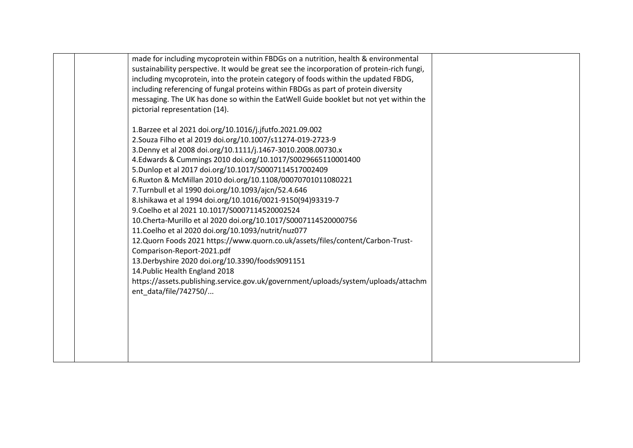| made for including mycoprotein within FBDGs on a nutrition, health & environmental         |  |
|--------------------------------------------------------------------------------------------|--|
| sustainability perspective. It would be great see the incorporation of protein-rich fungi, |  |
| including mycoprotein, into the protein category of foods within the updated FBDG,         |  |
| including referencing of fungal proteins within FBDGs as part of protein diversity         |  |
| messaging. The UK has done so within the EatWell Guide booklet but not yet within the      |  |
| pictorial representation (14).                                                             |  |
|                                                                                            |  |
| 1. Barzee et al 2021 doi.org/10.1016/j.jfutfo.2021.09.002                                  |  |
| 2. Souza Filho et al 2019 doi.org/10.1007/s11274-019-2723-9                                |  |
| 3. Denny et al 2008 doi.org/10.1111/j.1467-3010.2008.00730.x                               |  |
| 4.Edwards & Cummings 2010 doi.org/10.1017/S0029665110001400                                |  |
| 5. Dunlop et al 2017 doi.org/10.1017/S0007114517002409                                     |  |
| 6. Ruxton & McMillan 2010 doi.org/10.1108/00070701011080221                                |  |
| 7. Turnbull et al 1990 doi.org/10.1093/ajcn/52.4.646                                       |  |
| 8.Ishikawa et al 1994 doi.org/10.1016/0021-9150(94)93319-7                                 |  |
| 9. Coelho et al 2021 10.1017/S0007114520002524                                             |  |
| 10. Cherta-Murillo et al 2020 doi.org/10.1017/S0007114520000756                            |  |
| 11. Coelho et al 2020 doi.org/10.1093/nutrit/nuz077                                        |  |
| 12.Quorn Foods 2021 https://www.quorn.co.uk/assets/files/content/Carbon-Trust-             |  |
| Comparison-Report-2021.pdf                                                                 |  |
| 13. Derbyshire 2020 doi.org/10.3390/foods9091151                                           |  |
| 14. Public Health England 2018                                                             |  |
| https://assets.publishing.service.gov.uk/government/uploads/system/uploads/attachm         |  |
| ent data/file/742750/                                                                      |  |
|                                                                                            |  |
|                                                                                            |  |
|                                                                                            |  |
|                                                                                            |  |
|                                                                                            |  |
|                                                                                            |  |
|                                                                                            |  |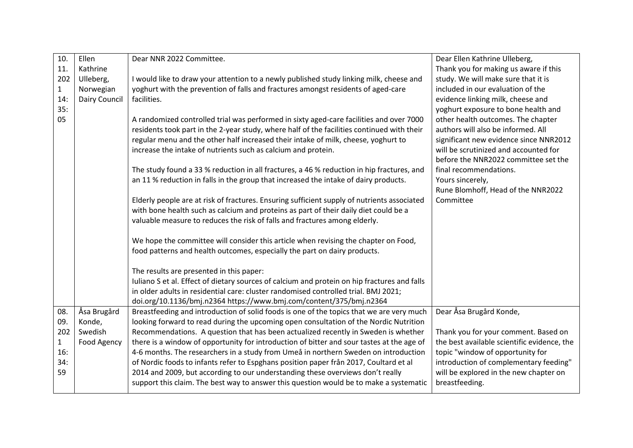| Thank you for making us aware if this<br>study. We will make sure that it is |
|------------------------------------------------------------------------------|
|                                                                              |
|                                                                              |
| included in our evaluation of the                                            |
| evidence linking milk, cheese and                                            |
| yoghurt exposure to bone health and                                          |
| other health outcomes. The chapter                                           |
| authors will also be informed. All                                           |
| significant new evidence since NNR2012                                       |
| will be scrutinized and accounted for                                        |
| before the NNR2022 committee set the                                         |
| final recommendations.                                                       |
|                                                                              |
| Rune Blomhoff, Head of the NNR2022                                           |
|                                                                              |
|                                                                              |
|                                                                              |
|                                                                              |
|                                                                              |
|                                                                              |
|                                                                              |
|                                                                              |
|                                                                              |
|                                                                              |
| Dear Åsa Brugård Konde,                                                      |
|                                                                              |
| Thank you for your comment. Based on                                         |
| the best available scientific evidence, the                                  |
| topic "window of opportunity for                                             |
| introduction of complementary feeding"                                       |
| will be explored in the new chapter on                                       |
|                                                                              |
|                                                                              |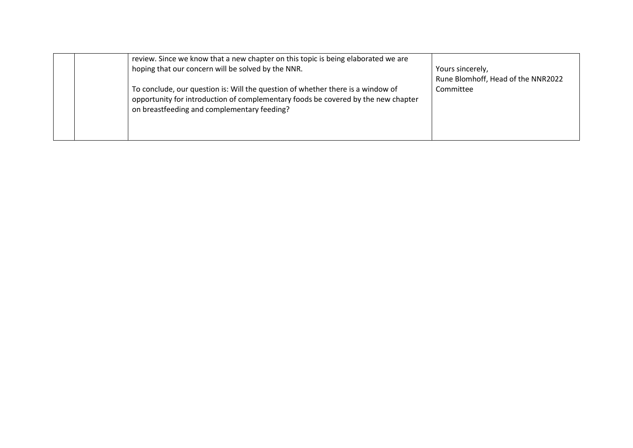|  | review. Since we know that a new chapter on this topic is being elaborated we are<br>hoping that our concern will be solved by the NNR.                                                                             | Yours sincerely,<br>Rune Blomhoff, Head of the NNR2022 |
|--|---------------------------------------------------------------------------------------------------------------------------------------------------------------------------------------------------------------------|--------------------------------------------------------|
|  | To conclude, our question is: Will the question of whether there is a window of<br>opportunity for introduction of complementary foods be covered by the new chapter<br>on breastfeeding and complementary feeding? | Committee                                              |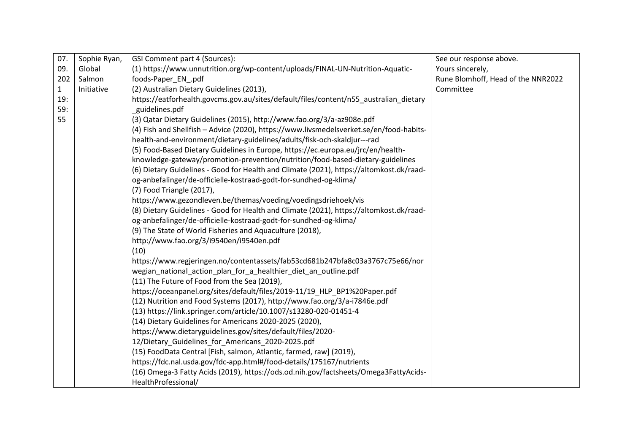| 07.          | Sophie Ryan, | GSI Comment part 4 (Sources):                                                           | See our response above.            |
|--------------|--------------|-----------------------------------------------------------------------------------------|------------------------------------|
| 09.          | Global       | (1) https://www.unnutrition.org/wp-content/uploads/FINAL-UN-Nutrition-Aquatic-          | Yours sincerely,                   |
| 202          | Salmon       | foods-Paper_EN_.pdf                                                                     | Rune Blomhoff, Head of the NNR2022 |
| $\mathbf{1}$ | Initiative   | (2) Australian Dietary Guidelines (2013),                                               | Committee                          |
| 19:          |              | https://eatforhealth.govcms.gov.au/sites/default/files/content/n55_australian_dietary   |                                    |
| 59:          |              | guidelines.pdf                                                                          |                                    |
| 55           |              | (3) Qatar Dietary Guidelines (2015), http://www.fao.org/3/a-az908e.pdf                  |                                    |
|              |              | (4) Fish and Shellfish - Advice (2020), https://www.livsmedelsverket.se/en/food-habits- |                                    |
|              |              | health-and-environment/dietary-guidelines/adults/fisk-och-skaldjur---rad                |                                    |
|              |              | (5) Food-Based Dietary Guidelines in Europe, https://ec.europa.eu/jrc/en/health-        |                                    |
|              |              | knowledge-gateway/promotion-prevention/nutrition/food-based-dietary-guidelines          |                                    |
|              |              | (6) Dietary Guidelines - Good for Health and Climate (2021), https://altomkost.dk/raad- |                                    |
|              |              | og-anbefalinger/de-officielle-kostraad-godt-for-sundhed-og-klima/                       |                                    |
|              |              | (7) Food Triangle (2017),                                                               |                                    |
|              |              | https://www.gezondleven.be/themas/voeding/voedingsdriehoek/vis                          |                                    |
|              |              | (8) Dietary Guidelines - Good for Health and Climate (2021), https://altomkost.dk/raad- |                                    |
|              |              | og-anbefalinger/de-officielle-kostraad-godt-for-sundhed-og-klima/                       |                                    |
|              |              | (9) The State of World Fisheries and Aquaculture (2018),                                |                                    |
|              |              | http://www.fao.org/3/i9540en/i9540en.pdf                                                |                                    |
|              |              | (10)                                                                                    |                                    |
|              |              | https://www.regjeringen.no/contentassets/fab53cd681b247bfa8c03a3767c75e66/nor           |                                    |
|              |              | wegian_national_action_plan_for_a_healthier_diet_an_outline.pdf                         |                                    |
|              |              | (11) The Future of Food from the Sea (2019),                                            |                                    |
|              |              | https://oceanpanel.org/sites/default/files/2019-11/19_HLP_BP1%20Paper.pdf               |                                    |
|              |              | (12) Nutrition and Food Systems (2017), http://www.fao.org/3/a-i7846e.pdf               |                                    |
|              |              | (13) https://link.springer.com/article/10.1007/s13280-020-01451-4                       |                                    |
|              |              | (14) Dietary Guidelines for Americans 2020-2025 (2020),                                 |                                    |
|              |              | https://www.dietaryguidelines.gov/sites/default/files/2020-                             |                                    |
|              |              | 12/Dietary_Guidelines_for_Americans_2020-2025.pdf                                       |                                    |
|              |              | (15) FoodData Central [Fish, salmon, Atlantic, farmed, raw] (2019),                     |                                    |
|              |              | https://fdc.nal.usda.gov/fdc-app.html#/food-details/175167/nutrients                    |                                    |
|              |              | (16) Omega-3 Fatty Acids (2019), https://ods.od.nih.gov/factsheets/Omega3FattyAcids-    |                                    |
|              |              | HealthProfessional/                                                                     |                                    |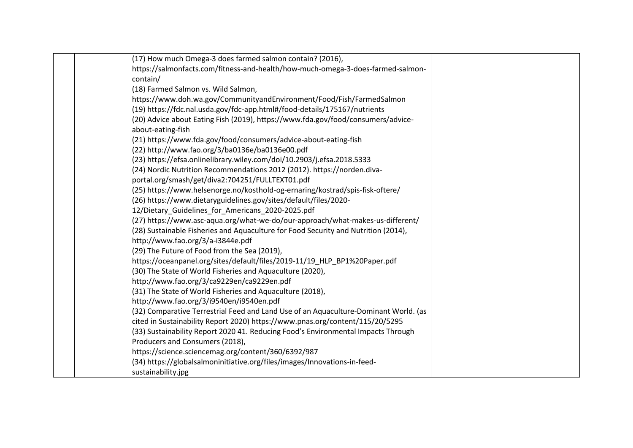| (17) How much Omega-3 does farmed salmon contain? (2016),                            |  |
|--------------------------------------------------------------------------------------|--|
| https://salmonfacts.com/fitness-and-health/how-much-omega-3-does-farmed-salmon-      |  |
| contain/                                                                             |  |
| (18) Farmed Salmon vs. Wild Salmon,                                                  |  |
| https://www.doh.wa.gov/CommunityandEnvironment/Food/Fish/FarmedSalmon                |  |
| (19) https://fdc.nal.usda.gov/fdc-app.html#/food-details/175167/nutrients            |  |
| (20) Advice about Eating Fish (2019), https://www.fda.gov/food/consumers/advice-     |  |
| about-eating-fish                                                                    |  |
| (21) https://www.fda.gov/food/consumers/advice-about-eating-fish                     |  |
| (22) http://www.fao.org/3/ba0136e/ba0136e00.pdf                                      |  |
| (23) https://efsa.onlinelibrary.wiley.com/doi/10.2903/j.efsa.2018.5333               |  |
| (24) Nordic Nutrition Recommendations 2012 (2012). https://norden.diva-              |  |
| portal.org/smash/get/diva2:704251/FULLTEXT01.pdf                                     |  |
| (25) https://www.helsenorge.no/kosthold-og-ernaring/kostrad/spis-fisk-oftere/        |  |
| (26) https://www.dietaryguidelines.gov/sites/default/files/2020-                     |  |
| 12/Dietary_Guidelines_for_Americans_2020-2025.pdf                                    |  |
| (27) https://www.asc-aqua.org/what-we-do/our-approach/what-makes-us-different/       |  |
| (28) Sustainable Fisheries and Aquaculture for Food Security and Nutrition (2014),   |  |
| http://www.fao.org/3/a-i3844e.pdf                                                    |  |
| (29) The Future of Food from the Sea (2019),                                         |  |
| https://oceanpanel.org/sites/default/files/2019-11/19_HLP_BP1%20Paper.pdf            |  |
| (30) The State of World Fisheries and Aquaculture (2020),                            |  |
| http://www.fao.org/3/ca9229en/ca9229en.pdf                                           |  |
| (31) The State of World Fisheries and Aquaculture (2018),                            |  |
| http://www.fao.org/3/i9540en/i9540en.pdf                                             |  |
| (32) Comparative Terrestrial Feed and Land Use of an Aquaculture-Dominant World. (as |  |
| cited in Sustainability Report 2020) https://www.pnas.org/content/115/20/5295        |  |
| (33) Sustainability Report 2020 41. Reducing Food's Environmental Impacts Through    |  |
| Producers and Consumers (2018),                                                      |  |
| https://science.sciencemag.org/content/360/6392/987                                  |  |
| (34) https://globalsalmoninitiative.org/files/images/Innovations-in-feed-            |  |
| sustainability.jpg                                                                   |  |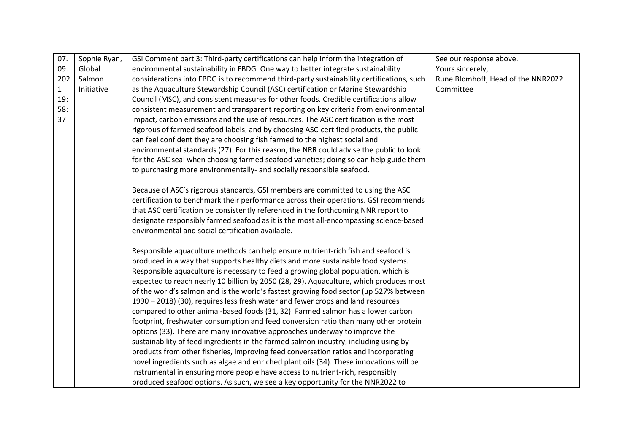| 07.          | Sophie Ryan, | GSI Comment part 3: Third-party certifications can help inform the integration of        | See our response above.            |
|--------------|--------------|------------------------------------------------------------------------------------------|------------------------------------|
| 09.          | Global       | environmental sustainability in FBDG. One way to better integrate sustainability         | Yours sincerely,                   |
| 202          | Salmon       | considerations into FBDG is to recommend third-party sustainability certifications, such | Rune Blomhoff, Head of the NNR2022 |
| $\mathbf{1}$ | Initiative   | as the Aquaculture Stewardship Council (ASC) certification or Marine Stewardship         | Committee                          |
| 19:          |              | Council (MSC), and consistent measures for other foods. Credible certifications allow    |                                    |
| 58:          |              | consistent measurement and transparent reporting on key criteria from environmental      |                                    |
| 37           |              | impact, carbon emissions and the use of resources. The ASC certification is the most     |                                    |
|              |              | rigorous of farmed seafood labels, and by choosing ASC-certified products, the public    |                                    |
|              |              | can feel confident they are choosing fish farmed to the highest social and               |                                    |
|              |              | environmental standards (27). For this reason, the NRR could advise the public to look   |                                    |
|              |              | for the ASC seal when choosing farmed seafood varieties; doing so can help guide them    |                                    |
|              |              | to purchasing more environmentally- and socially responsible seafood.                    |                                    |
|              |              | Because of ASC's rigorous standards, GSI members are committed to using the ASC          |                                    |
|              |              | certification to benchmark their performance across their operations. GSI recommends     |                                    |
|              |              | that ASC certification be consistently referenced in the forthcoming NNR report to       |                                    |
|              |              | designate responsibly farmed seafood as it is the most all-encompassing science-based    |                                    |
|              |              | environmental and social certification available.                                        |                                    |
|              |              |                                                                                          |                                    |
|              |              | Responsible aquaculture methods can help ensure nutrient-rich fish and seafood is        |                                    |
|              |              | produced in a way that supports healthy diets and more sustainable food systems.         |                                    |
|              |              | Responsible aquaculture is necessary to feed a growing global population, which is       |                                    |
|              |              | expected to reach nearly 10 billion by 2050 (28, 29). Aquaculture, which produces most   |                                    |
|              |              | of the world's salmon and is the world's fastest growing food sector (up 527% between    |                                    |
|              |              | 1990 - 2018) (30), requires less fresh water and fewer crops and land resources          |                                    |
|              |              | compared to other animal-based foods (31, 32). Farmed salmon has a lower carbon          |                                    |
|              |              | footprint, freshwater consumption and feed conversion ratio than many other protein      |                                    |
|              |              | options (33). There are many innovative approaches underway to improve the               |                                    |
|              |              | sustainability of feed ingredients in the farmed salmon industry, including using by-    |                                    |
|              |              | products from other fisheries, improving feed conversation ratios and incorporating      |                                    |
|              |              | novel ingredients such as algae and enriched plant oils (34). These innovations will be  |                                    |
|              |              | instrumental in ensuring more people have access to nutrient-rich, responsibly           |                                    |
|              |              | produced seafood options. As such, we see a key opportunity for the NNR2022 to           |                                    |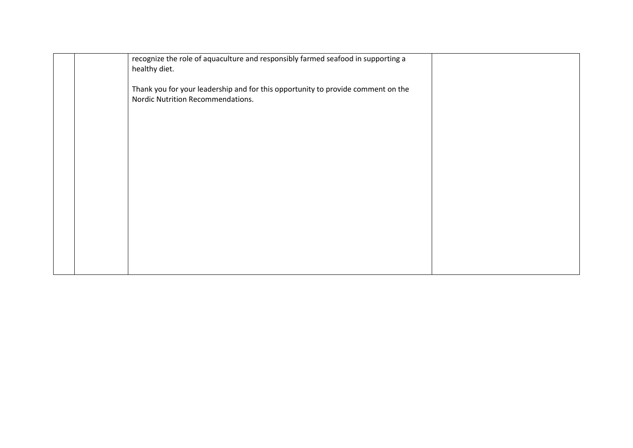|  | recognize the role of aquaculture and responsibly farmed seafood in supporting a<br>healthy diet.                     |  |
|--|-----------------------------------------------------------------------------------------------------------------------|--|
|  | Thank you for your leadership and for this opportunity to provide comment on the<br>Nordic Nutrition Recommendations. |  |
|  |                                                                                                                       |  |
|  |                                                                                                                       |  |
|  |                                                                                                                       |  |
|  |                                                                                                                       |  |
|  |                                                                                                                       |  |
|  |                                                                                                                       |  |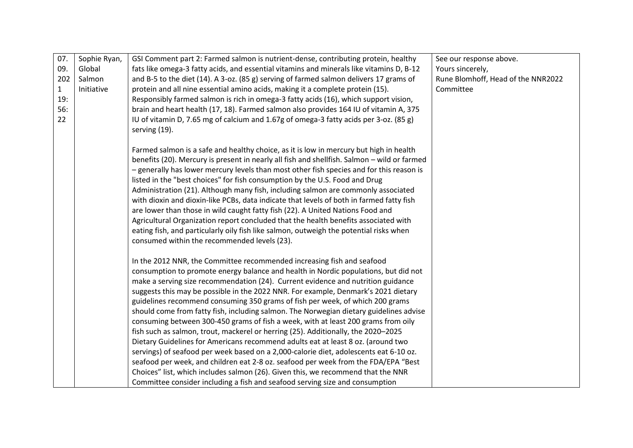| 07. | Sophie Ryan, | GSI Comment part 2: Farmed salmon is nutrient-dense, contributing protein, healthy          | See our response above.            |
|-----|--------------|---------------------------------------------------------------------------------------------|------------------------------------|
| 09. | Global       | fats like omega-3 fatty acids, and essential vitamins and minerals like vitamins D, B-12    | Yours sincerely,                   |
| 202 | Salmon       | and B-5 to the diet (14). A 3-oz. (85 g) serving of farmed salmon delivers 17 grams of      | Rune Blomhoff, Head of the NNR2022 |
| 1   | Initiative   | protein and all nine essential amino acids, making it a complete protein (15).              | Committee                          |
| 19: |              | Responsibly farmed salmon is rich in omega-3 fatty acids (16), which support vision,        |                                    |
| 56: |              | brain and heart health (17, 18). Farmed salmon also provides 164 IU of vitamin A, 375       |                                    |
| 22  |              | IU of vitamin D, 7.65 mg of calcium and 1.67g of omega-3 fatty acids per 3-oz. (85 g)       |                                    |
|     |              | serving (19).                                                                               |                                    |
|     |              |                                                                                             |                                    |
|     |              | Farmed salmon is a safe and healthy choice, as it is low in mercury but high in health      |                                    |
|     |              | benefits (20). Mercury is present in nearly all fish and shellfish. Salmon - wild or farmed |                                    |
|     |              | - generally has lower mercury levels than most other fish species and for this reason is    |                                    |
|     |              | listed in the "best choices" for fish consumption by the U.S. Food and Drug                 |                                    |
|     |              | Administration (21). Although many fish, including salmon are commonly associated           |                                    |
|     |              | with dioxin and dioxin-like PCBs, data indicate that levels of both in farmed fatty fish    |                                    |
|     |              | are lower than those in wild caught fatty fish (22). A United Nations Food and              |                                    |
|     |              | Agricultural Organization report concluded that the health benefits associated with         |                                    |
|     |              | eating fish, and particularly oily fish like salmon, outweigh the potential risks when      |                                    |
|     |              | consumed within the recommended levels (23).                                                |                                    |
|     |              | In the 2012 NNR, the Committee recommended increasing fish and seafood                      |                                    |
|     |              | consumption to promote energy balance and health in Nordic populations, but did not         |                                    |
|     |              | make a serving size recommendation (24). Current evidence and nutrition guidance            |                                    |
|     |              | suggests this may be possible in the 2022 NNR. For example, Denmark's 2021 dietary          |                                    |
|     |              | guidelines recommend consuming 350 grams of fish per week, of which 200 grams               |                                    |
|     |              | should come from fatty fish, including salmon. The Norwegian dietary guidelines advise      |                                    |
|     |              | consuming between 300-450 grams of fish a week, with at least 200 grams from oily           |                                    |
|     |              | fish such as salmon, trout, mackerel or herring (25). Additionally, the 2020-2025           |                                    |
|     |              | Dietary Guidelines for Americans recommend adults eat at least 8 oz. (around two            |                                    |
|     |              | servings) of seafood per week based on a 2,000-calorie diet, adolescents eat 6-10 oz.       |                                    |
|     |              | seafood per week, and children eat 2-8 oz. seafood per week from the FDA/EPA "Best          |                                    |
|     |              | Choices" list, which includes salmon (26). Given this, we recommend that the NNR            |                                    |
|     |              | Committee consider including a fish and seafood serving size and consumption                |                                    |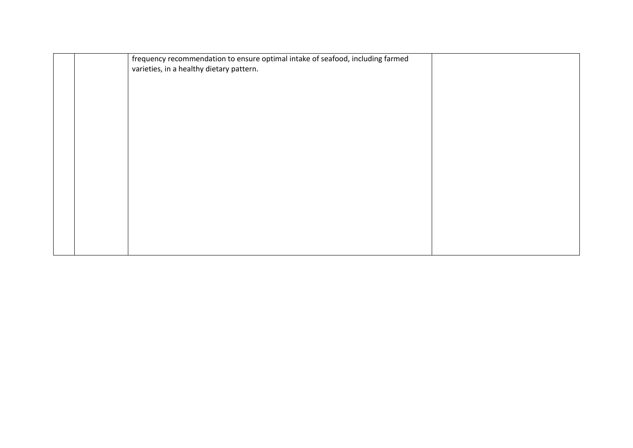|  | frequency recommendation to ensure optimal intake of seafood, including farmed |  |
|--|--------------------------------------------------------------------------------|--|
|  | varieties, in a healthy dietary pattern.                                       |  |
|  |                                                                                |  |
|  |                                                                                |  |
|  |                                                                                |  |
|  |                                                                                |  |
|  |                                                                                |  |
|  |                                                                                |  |
|  |                                                                                |  |
|  |                                                                                |  |
|  |                                                                                |  |
|  |                                                                                |  |
|  |                                                                                |  |
|  |                                                                                |  |
|  |                                                                                |  |
|  |                                                                                |  |
|  |                                                                                |  |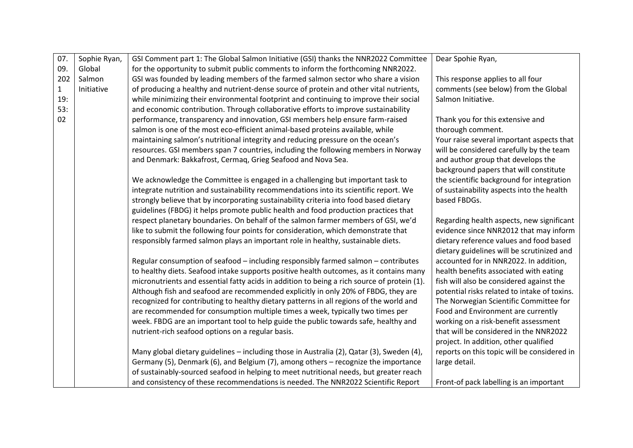| 07.          | Sophie Ryan, | GSI Comment part 1: The Global Salmon Initiative (GSI) thanks the NNR2022 Committee         | Dear Spohie Ryan,                            |
|--------------|--------------|---------------------------------------------------------------------------------------------|----------------------------------------------|
| 09.          | Global       | for the opportunity to submit public comments to inform the forthcoming NNR2022.            |                                              |
| 202          | Salmon       | GSI was founded by leading members of the farmed salmon sector who share a vision           | This response applies to all four            |
| $\mathbf{1}$ | Initiative   | of producing a healthy and nutrient-dense source of protein and other vital nutrients,      | comments (see below) from the Global         |
| 19:          |              | while minimizing their environmental footprint and continuing to improve their social       | Salmon Initiative.                           |
| 53:          |              | and economic contribution. Through collaborative efforts to improve sustainability          |                                              |
| 02           |              | performance, transparency and innovation, GSI members help ensure farm-raised               | Thank you for this extensive and             |
|              |              | salmon is one of the most eco-efficient animal-based proteins available, while              | thorough comment.                            |
|              |              | maintaining salmon's nutritional integrity and reducing pressure on the ocean's             | Your raise several important aspects that    |
|              |              | resources. GSI members span 7 countries, including the following members in Norway          | will be considered carefully by the team     |
|              |              | and Denmark: Bakkafrost, Cermaq, Grieg Seafood and Nova Sea.                                | and author group that develops the           |
|              |              |                                                                                             | background papers that will constitute       |
|              |              | We acknowledge the Committee is engaged in a challenging but important task to              | the scientific background for integration    |
|              |              | integrate nutrition and sustainability recommendations into its scientific report. We       | of sustainability aspects into the health    |
|              |              | strongly believe that by incorporating sustainability criteria into food based dietary      | based FBDGs.                                 |
|              |              | guidelines (FBDG) it helps promote public health and food production practices that         |                                              |
|              |              | respect planetary boundaries. On behalf of the salmon farmer members of GSI, we'd           | Regarding health aspects, new significant    |
|              |              | like to submit the following four points for consideration, which demonstrate that          | evidence since NNR2012 that may inform       |
|              |              | responsibly farmed salmon plays an important role in healthy, sustainable diets.            | dietary reference values and food based      |
|              |              |                                                                                             | dietary guidelines will be scrutinized and   |
|              |              | Regular consumption of seafood - including responsibly farmed salmon - contributes          | accounted for in NNR2022. In addition,       |
|              |              | to healthy diets. Seafood intake supports positive health outcomes, as it contains many     | health benefits associated with eating       |
|              |              | micronutrients and essential fatty acids in addition to being a rich source of protein (1). | fish will also be considered against the     |
|              |              | Although fish and seafood are recommended explicitly in only 20% of FBDG, they are          | potential risks related to intake of toxins. |
|              |              | recognized for contributing to healthy dietary patterns in all regions of the world and     | The Norwegian Scientific Committee for       |
|              |              | are recommended for consumption multiple times a week, typically two times per              | Food and Environment are currently           |
|              |              | week. FBDG are an important tool to help guide the public towards safe, healthy and         | working on a risk-benefit assessment         |
|              |              | nutrient-rich seafood options on a regular basis.                                           | that will be considered in the NNR2022       |
|              |              |                                                                                             | project. In addition, other qualified        |
|              |              | Many global dietary guidelines - including those in Australia (2), Qatar (3), Sweden (4),   | reports on this topic will be considered in  |
|              |              | Germany (5), Denmark (6), and Belgium (7), among others - recognize the importance          | large detail.                                |
|              |              | of sustainably-sourced seafood in helping to meet nutritional needs, but greater reach      |                                              |
|              |              | and consistency of these recommendations is needed. The NNR2022 Scientific Report           | Front-of pack labelling is an important      |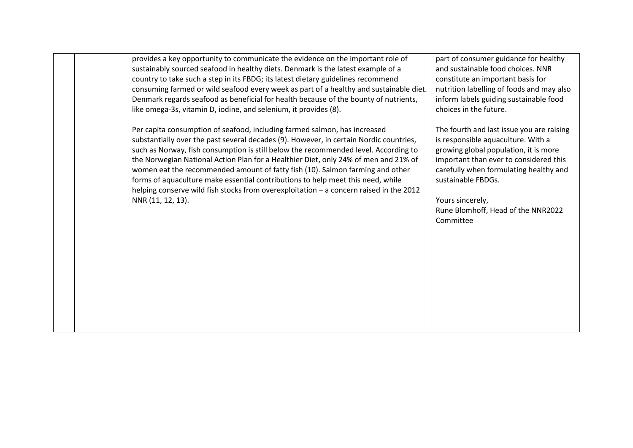|  | provides a key opportunity to communicate the evidence on the important role of<br>sustainably sourced seafood in healthy diets. Denmark is the latest example of a<br>country to take such a step in its FBDG; its latest dietary guidelines recommend<br>consuming farmed or wild seafood every week as part of a healthy and sustainable diet.<br>Denmark regards seafood as beneficial for health because of the bounty of nutrients,<br>like omega-3s, vitamin D, iodine, and selenium, it provides (8).                                                                                                                        | part of consumer guidance for healthy<br>and sustainable food choices. NNR<br>constitute an important basis for<br>nutrition labelling of foods and may also<br>inform labels guiding sustainable food<br>choices in the future.                                                                          |
|--|--------------------------------------------------------------------------------------------------------------------------------------------------------------------------------------------------------------------------------------------------------------------------------------------------------------------------------------------------------------------------------------------------------------------------------------------------------------------------------------------------------------------------------------------------------------------------------------------------------------------------------------|-----------------------------------------------------------------------------------------------------------------------------------------------------------------------------------------------------------------------------------------------------------------------------------------------------------|
|  | Per capita consumption of seafood, including farmed salmon, has increased<br>substantially over the past several decades (9). However, in certain Nordic countries,<br>such as Norway, fish consumption is still below the recommended level. According to<br>the Norwegian National Action Plan for a Healthier Diet, only 24% of men and 21% of<br>women eat the recommended amount of fatty fish (10). Salmon farming and other<br>forms of aquaculture make essential contributions to help meet this need, while<br>helping conserve wild fish stocks from overexploitation - a concern raised in the 2012<br>NNR (11, 12, 13). | The fourth and last issue you are raising<br>is responsible aquaculture. With a<br>growing global population, it is more<br>important than ever to considered this<br>carefully when formulating healthy and<br>sustainable FBDGs.<br>Yours sincerely,<br>Rune Blomhoff, Head of the NNR2022<br>Committee |
|  |                                                                                                                                                                                                                                                                                                                                                                                                                                                                                                                                                                                                                                      |                                                                                                                                                                                                                                                                                                           |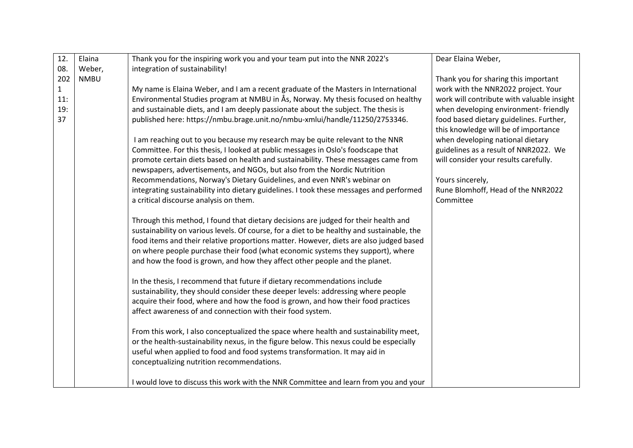| 12.          | Elaina      | Thank you for the inspiring work you and your team put into the NNR 2022's                 | Dear Elaina Weber,                         |
|--------------|-------------|--------------------------------------------------------------------------------------------|--------------------------------------------|
| 08.          | Weber,      | integration of sustainability!                                                             |                                            |
| 202          | <b>NMBU</b> |                                                                                            | Thank you for sharing this important       |
| $\mathbf{1}$ |             | My name is Elaina Weber, and I am a recent graduate of the Masters in International        | work with the NNR2022 project. Your        |
| 11:          |             | Environmental Studies program at NMBU in Ås, Norway. My thesis focused on healthy          | work will contribute with valuable insight |
| 19:          |             | and sustainable diets, and I am deeply passionate about the subject. The thesis is         | when developing environment-friendly       |
| 37           |             | published here: https://nmbu.brage.unit.no/nmbu-xmlui/handle/11250/2753346.                | food based dietary guidelines. Further,    |
|              |             |                                                                                            | this knowledge will be of importance       |
|              |             | I am reaching out to you because my research may be quite relevant to the NNR              | when developing national dietary           |
|              |             | Committee. For this thesis, I looked at public messages in Oslo's foodscape that           | guidelines as a result of NNR2022. We      |
|              |             | promote certain diets based on health and sustainability. These messages came from         | will consider your results carefully.      |
|              |             | newspapers, advertisements, and NGOs, but also from the Nordic Nutrition                   |                                            |
|              |             | Recommendations, Norway's Dietary Guidelines, and even NNR's webinar on                    | Yours sincerely,                           |
|              |             | integrating sustainability into dietary guidelines. I took these messages and performed    | Rune Blomhoff, Head of the NNR2022         |
|              |             | a critical discourse analysis on them.                                                     | Committee                                  |
|              |             |                                                                                            |                                            |
|              |             | Through this method, I found that dietary decisions are judged for their health and        |                                            |
|              |             | sustainability on various levels. Of course, for a diet to be healthy and sustainable, the |                                            |
|              |             | food items and their relative proportions matter. However, diets are also judged based     |                                            |
|              |             | on where people purchase their food (what economic systems they support), where            |                                            |
|              |             | and how the food is grown, and how they affect other people and the planet.                |                                            |
|              |             | In the thesis, I recommend that future if dietary recommendations include                  |                                            |
|              |             | sustainability, they should consider these deeper levels: addressing where people          |                                            |
|              |             | acquire their food, where and how the food is grown, and how their food practices          |                                            |
|              |             | affect awareness of and connection with their food system.                                 |                                            |
|              |             |                                                                                            |                                            |
|              |             | From this work, I also conceptualized the space where health and sustainability meet,      |                                            |
|              |             | or the health-sustainability nexus, in the figure below. This nexus could be especially    |                                            |
|              |             | useful when applied to food and food systems transformation. It may aid in                 |                                            |
|              |             | conceptualizing nutrition recommendations.                                                 |                                            |
|              |             |                                                                                            |                                            |
|              |             | I would love to discuss this work with the NNR Committee and learn from you and your       |                                            |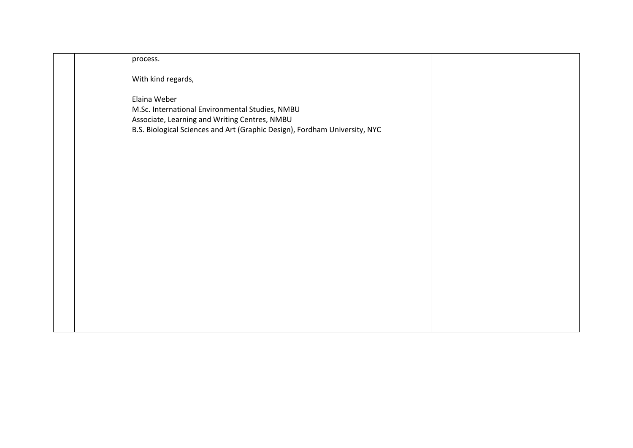| process.<br>With kind regards,<br>Elaina Weber<br>M.Sc. International Environmental Studies, NMBU<br>Associate, Learning and Writing Centres, NMBU<br>B.S. Biological Sciences and Art (Graphic Design), Fordham University, NYC |  |
|----------------------------------------------------------------------------------------------------------------------------------------------------------------------------------------------------------------------------------|--|
|                                                                                                                                                                                                                                  |  |
|                                                                                                                                                                                                                                  |  |
|                                                                                                                                                                                                                                  |  |
|                                                                                                                                                                                                                                  |  |
|                                                                                                                                                                                                                                  |  |
|                                                                                                                                                                                                                                  |  |
|                                                                                                                                                                                                                                  |  |
|                                                                                                                                                                                                                                  |  |
|                                                                                                                                                                                                                                  |  |
|                                                                                                                                                                                                                                  |  |
|                                                                                                                                                                                                                                  |  |
|                                                                                                                                                                                                                                  |  |
|                                                                                                                                                                                                                                  |  |
|                                                                                                                                                                                                                                  |  |
|                                                                                                                                                                                                                                  |  |
|                                                                                                                                                                                                                                  |  |
|                                                                                                                                                                                                                                  |  |
|                                                                                                                                                                                                                                  |  |
|                                                                                                                                                                                                                                  |  |
|                                                                                                                                                                                                                                  |  |
|                                                                                                                                                                                                                                  |  |
|                                                                                                                                                                                                                                  |  |
|                                                                                                                                                                                                                                  |  |
|                                                                                                                                                                                                                                  |  |
|                                                                                                                                                                                                                                  |  |
|                                                                                                                                                                                                                                  |  |
|                                                                                                                                                                                                                                  |  |
|                                                                                                                                                                                                                                  |  |
|                                                                                                                                                                                                                                  |  |
|                                                                                                                                                                                                                                  |  |
|                                                                                                                                                                                                                                  |  |
|                                                                                                                                                                                                                                  |  |
|                                                                                                                                                                                                                                  |  |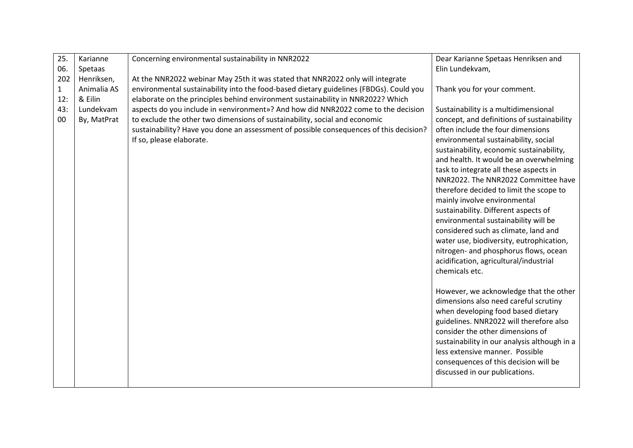| 25.          | Karianne    | Concerning environmental sustainability in NNR2022                                     | Dear Karianne Spetaas Henriksen and                                             |
|--------------|-------------|----------------------------------------------------------------------------------------|---------------------------------------------------------------------------------|
| 06.          | Spetaas     |                                                                                        | Elin Lundekvam,                                                                 |
| 202          | Henriksen,  | At the NNR2022 webinar May 25th it was stated that NNR2022 only will integrate         |                                                                                 |
| $\mathbf{1}$ | Animalia AS | environmental sustainability into the food-based dietary guidelines (FBDGs). Could you | Thank you for your comment.                                                     |
| 12:          | & Eilin     | elaborate on the principles behind environment sustainability in NNR2022? Which        |                                                                                 |
| 43:          | Lundekvam   | aspects do you include in «environment»? And how did NNR2022 come to the decision      | Sustainability is a multidimensional                                            |
| 00           | By, MatPrat | to exclude the other two dimensions of sustainability, social and economic             | concept, and definitions of sustainability                                      |
|              |             | sustainability? Have you done an assessment of possible consequences of this decision? | often include the four dimensions                                               |
|              |             | If so, please elaborate.                                                               | environmental sustainability, social                                            |
|              |             |                                                                                        | sustainability, economic sustainability,                                        |
|              |             |                                                                                        | and health. It would be an overwhelming                                         |
|              |             |                                                                                        | task to integrate all these aspects in                                          |
|              |             |                                                                                        | NNR2022. The NNR2022 Committee have                                             |
|              |             |                                                                                        | therefore decided to limit the scope to                                         |
|              |             |                                                                                        | mainly involve environmental                                                    |
|              |             |                                                                                        | sustainability. Different aspects of                                            |
|              |             |                                                                                        | environmental sustainability will be                                            |
|              |             |                                                                                        | considered such as climate, land and                                            |
|              |             |                                                                                        | water use, biodiversity, eutrophication,                                        |
|              |             |                                                                                        | nitrogen- and phosphorus flows, ocean                                           |
|              |             |                                                                                        | acidification, agricultural/industrial                                          |
|              |             |                                                                                        | chemicals etc.                                                                  |
|              |             |                                                                                        |                                                                                 |
|              |             |                                                                                        | However, we acknowledge that the other<br>dimensions also need careful scrutiny |
|              |             |                                                                                        | when developing food based dietary                                              |
|              |             |                                                                                        | guidelines. NNR2022 will therefore also                                         |
|              |             |                                                                                        | consider the other dimensions of                                                |
|              |             |                                                                                        | sustainability in our analysis although in a                                    |
|              |             |                                                                                        | less extensive manner. Possible                                                 |
|              |             |                                                                                        | consequences of this decision will be                                           |
|              |             |                                                                                        | discussed in our publications.                                                  |
|              |             |                                                                                        |                                                                                 |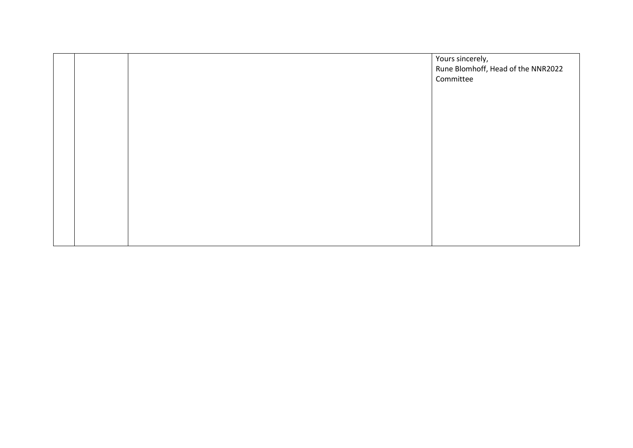| Yours sincerely,<br>Rune Blomhoff, Head of the NNR2022<br>Committee |
|---------------------------------------------------------------------|
|                                                                     |
|                                                                     |
|                                                                     |
|                                                                     |
|                                                                     |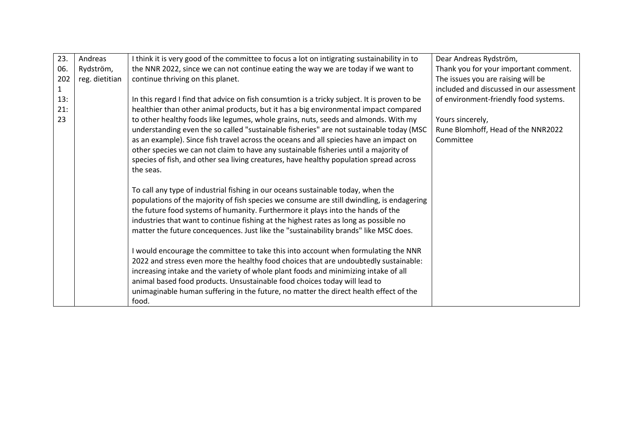| 23.          | Andreas        | I think it is very good of the committee to focus a lot on intigrating sustainability in to  | Dear Andreas Rydström,                   |
|--------------|----------------|----------------------------------------------------------------------------------------------|------------------------------------------|
| 06.          | Rydström,      | the NNR 2022, since we can not continue eating the way we are today if we want to            | Thank you for your important comment.    |
| 202          | reg. dietitian | continue thriving on this planet.                                                            | The issues you are raising will be       |
| $\mathbf{1}$ |                |                                                                                              | included and discussed in our assessment |
| 13:          |                | In this regard I find that advice on fish consumtion is a tricky subject. It is proven to be | of environment-friendly food systems.    |
| 21:          |                | healthier than other animal products, but it has a big environmental impact compared         |                                          |
| 23           |                | to other healthy foods like legumes, whole grains, nuts, seeds and almonds. With my          | Yours sincerely,                         |
|              |                | understanding even the so called "sustainable fisheries" are not sustainable today (MSC      | Rune Blomhoff, Head of the NNR2022       |
|              |                | as an example). Since fish travel across the oceans and all spiecies have an impact on       | Committee                                |
|              |                | other species we can not claim to have any sustainable fisheries until a majority of         |                                          |
|              |                | species of fish, and other sea living creatures, have healthy population spread across       |                                          |
|              |                | the seas.                                                                                    |                                          |
|              |                |                                                                                              |                                          |
|              |                | To call any type of industrial fishing in our oceans sustainable today, when the             |                                          |
|              |                | populations of the majority of fish species we consume are still dwindling, is endagering    |                                          |
|              |                | the future food systems of humanity. Furthermore it plays into the hands of the              |                                          |
|              |                | industries that want to continue fishing at the highest rates as long as possible no         |                                          |
|              |                | matter the future concequences. Just like the "sustainability brands" like MSC does.         |                                          |
|              |                |                                                                                              |                                          |
|              |                | I would encourage the committee to take this into account when formulating the NNR           |                                          |
|              |                | 2022 and stress even more the healthy food choices that are undoubtedly sustainable:         |                                          |
|              |                | increasing intake and the variety of whole plant foods and minimizing intake of all          |                                          |
|              |                | animal based food products. Unsustainable food choices today will lead to                    |                                          |
|              |                | unimaginable human suffering in the future, no matter the direct health effect of the        |                                          |
|              |                | food.                                                                                        |                                          |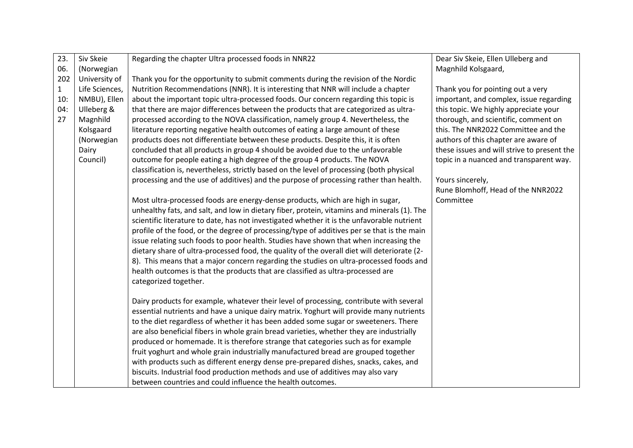| 23.          | Siv Skeie      | Regarding the chapter Ultra processed foods in NNR22                                        | Dear Siv Skeie, Ellen Ulleberg and          |
|--------------|----------------|---------------------------------------------------------------------------------------------|---------------------------------------------|
| 06.          | (Norwegian     |                                                                                             | Magnhild Kolsgaard,                         |
| 202          | University of  | Thank you for the opportunity to submit comments during the revision of the Nordic          |                                             |
| $\mathbf{1}$ | Life Sciences, | Nutrition Recommendations (NNR). It is interesting that NNR will include a chapter          | Thank you for pointing out a very           |
| 10:          | NMBU), Ellen   | about the important topic ultra-processed foods. Our concern regarding this topic is        | important, and complex, issue regarding     |
| 04:          | Ulleberg &     | that there are major differences between the products that are categorized as ultra-        | this topic. We highly appreciate your       |
| 27           | Magnhild       | processed according to the NOVA classification, namely group 4. Nevertheless, the           | thorough, and scientific, comment on        |
|              | Kolsgaard      | literature reporting negative health outcomes of eating a large amount of these             | this. The NNR2022 Committee and the         |
|              | (Norwegian     | products does not differentiate between these products. Despite this, it is often           | authors of this chapter are aware of        |
|              | Dairy          | concluded that all products in group 4 should be avoided due to the unfavorable             | these issues and will strive to present the |
|              | Council)       | outcome for people eating a high degree of the group 4 products. The NOVA                   | topic in a nuanced and transparent way.     |
|              |                | classification is, nevertheless, strictly based on the level of processing (both physical   |                                             |
|              |                | processing and the use of additives) and the purpose of processing rather than health.      | Yours sincerely,                            |
|              |                |                                                                                             | Rune Blomhoff, Head of the NNR2022          |
|              |                | Most ultra-processed foods are energy-dense products, which are high in sugar,              | Committee                                   |
|              |                | unhealthy fats, and salt, and low in dietary fiber, protein, vitamins and minerals (1). The |                                             |
|              |                | scientific literature to date, has not investigated whether it is the unfavorable nutrient  |                                             |
|              |                | profile of the food, or the degree of processing/type of additives per se that is the main  |                                             |
|              |                | issue relating such foods to poor health. Studies have shown that when increasing the       |                                             |
|              |                | dietary share of ultra-processed food, the quality of the overall diet will deteriorate (2- |                                             |
|              |                | 8). This means that a major concern regarding the studies on ultra-processed foods and      |                                             |
|              |                | health outcomes is that the products that are classified as ultra-processed are             |                                             |
|              |                | categorized together.                                                                       |                                             |
|              |                |                                                                                             |                                             |
|              |                | Dairy products for example, whatever their level of processing, contribute with several     |                                             |
|              |                | essential nutrients and have a unique dairy matrix. Yoghurt will provide many nutrients     |                                             |
|              |                | to the diet regardless of whether it has been added some sugar or sweeteners. There         |                                             |
|              |                | are also beneficial fibers in whole grain bread varieties, whether they are industrially    |                                             |
|              |                | produced or homemade. It is therefore strange that categories such as for example           |                                             |
|              |                | fruit yoghurt and whole grain industrially manufactured bread are grouped together          |                                             |
|              |                | with products such as different energy dense pre-prepared dishes, snacks, cakes, and        |                                             |
|              |                | biscuits. Industrial food production methods and use of additives may also vary             |                                             |
|              |                | between countries and could influence the health outcomes.                                  |                                             |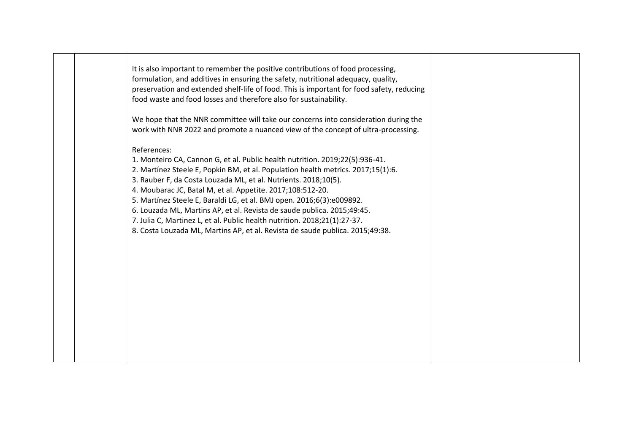|  | It is also important to remember the positive contributions of food processing,<br>formulation, and additives in ensuring the safety, nutritional adequacy, quality,<br>preservation and extended shelf-life of food. This is important for food safety, reducing<br>food waste and food losses and therefore also for sustainability.<br>We hope that the NNR committee will take our concerns into consideration during the                                                                                                                                                                                                                                                                                           |  |
|--|-------------------------------------------------------------------------------------------------------------------------------------------------------------------------------------------------------------------------------------------------------------------------------------------------------------------------------------------------------------------------------------------------------------------------------------------------------------------------------------------------------------------------------------------------------------------------------------------------------------------------------------------------------------------------------------------------------------------------|--|
|  | work with NNR 2022 and promote a nuanced view of the concept of ultra-processing.<br>References:<br>1. Monteiro CA, Cannon G, et al. Public health nutrition. 2019;22(5):936-41.<br>2. Martínez Steele E, Popkin BM, et al. Population health metrics. 2017;15(1):6.<br>3. Rauber F, da Costa Louzada ML, et al. Nutrients. 2018;10(5).<br>4. Moubarac JC, Batal M, et al. Appetite. 2017;108:512-20.<br>5. Martínez Steele E, Baraldi LG, et al. BMJ open. 2016;6(3):e009892.<br>6. Louzada ML, Martins AP, et al. Revista de saude publica. 2015;49:45.<br>7. Julia C, Martinez L, et al. Public health nutrition. 2018;21(1):27-37.<br>8. Costa Louzada ML, Martins AP, et al. Revista de saude publica. 2015;49:38. |  |
|  |                                                                                                                                                                                                                                                                                                                                                                                                                                                                                                                                                                                                                                                                                                                         |  |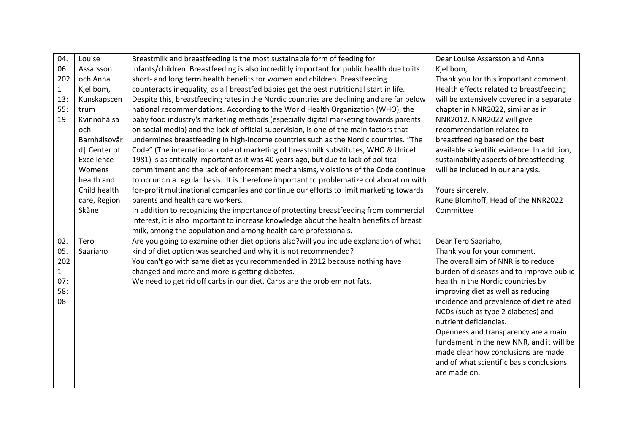| 04.          | Louise        | Breastmilk and breastfeeding is the most sustainable form of feeding for                  | Dear Louise Assarsson and Anna              |
|--------------|---------------|-------------------------------------------------------------------------------------------|---------------------------------------------|
| 06.          | Assarsson     | infants/children. Breastfeeding is also incredibly important for public health due to its | Kjellbom,                                   |
| 202          | och Anna      | short- and long term health benefits for women and children. Breastfeeding                | Thank you for this important comment.       |
| $\mathbf{1}$ | Kjellbom,     | counteracts inequality, as all breastfed babies get the best nutritional start in life.   | Health effects related to breastfeeding     |
| 13:          | Kunskapscen   | Despite this, breastfeeding rates in the Nordic countries are declining and are far below | will be extensively covered in a separate   |
| 55:          | trum          | national recommendations. According to the World Health Organization (WHO), the           | chapter in NNR2022, similar as in           |
| 19           | Kvinnohälsa   | baby food industry's marketing methods (especially digital marketing towards parents      | NNR2012. NNR2022 will give                  |
|              | och           | on social media) and the lack of official supervision, is one of the main factors that    | recommendation related to                   |
|              | Barnhälsovår  | undermines breastfeeding in high-income countries such as the Nordic countries. "The      | breastfeeding based on the best             |
|              | d   Center of | Code" (The international code of marketing of breastmilk substitutes, WHO & Unicef        | available scientific evidence. In addition, |
|              | Excellence    | 1981) is as critically important as it was 40 years ago, but due to lack of political     | sustainability aspects of breastfeeding     |
|              | Womens        | commitment and the lack of enforcement mechanisms, violations of the Code continue        | will be included in our analysis.           |
|              | health and    | to occur on a regular basis. It is therefore important to problematize collaboration with |                                             |
|              | Child health  | for-profit multinational companies and continue our efforts to limit marketing towards    | Yours sincerely,                            |
|              | care, Region  | parents and health care workers.                                                          | Rune Blomhoff, Head of the NNR2022          |
|              | Skåne         | In addition to recognizing the importance of protecting breastfeeding from commercial     | Committee                                   |
|              |               | interest, it is also important to increase knowledge about the health benefits of breast  |                                             |
|              |               | milk, among the population and among health care professionals.                           |                                             |
| 02.          | Tero          | Are you going to examine other diet options also?will you include explanation of what     | Dear Tero Saariaho,                         |
| 05.          | Saariaho      | kind of diet option was searched and why it is not recommended?                           | Thank you for your comment.                 |
| 202          |               | You can't go with same diet as you recommended in 2012 because nothing have               | The overall aim of NNR is to reduce         |
| $\mathbf{1}$ |               | changed and more and more is getting diabetes.                                            | burden of diseases and to improve public    |
| 07:          |               | We need to get rid off carbs in our diet. Carbs are the problem not fats.                 | health in the Nordic countries by           |
| 58:          |               |                                                                                           | improving diet as well as reducing          |
| 08           |               |                                                                                           | incidence and prevalence of diet related    |
|              |               |                                                                                           | NCDs (such as type 2 diabetes) and          |
|              |               |                                                                                           | nutrient deficiencies.                      |
|              |               |                                                                                           | Openness and transparency are a main        |
|              |               |                                                                                           | fundament in the new NNR, and it will be    |
|              |               |                                                                                           | made clear how conclusions are made         |
|              |               |                                                                                           | and of what scientific basis conclusions    |
|              |               |                                                                                           | are made on.                                |
|              |               |                                                                                           |                                             |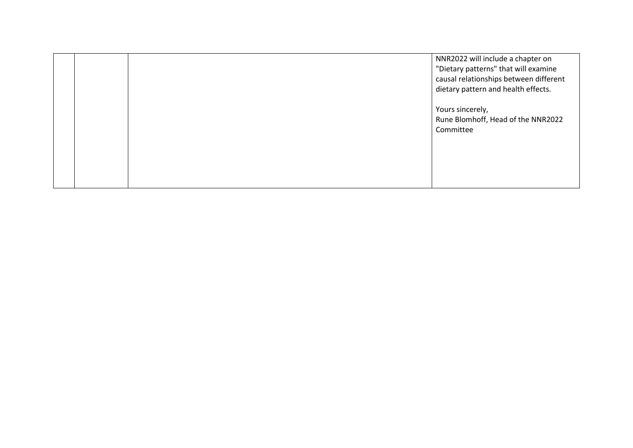|  | NNR2022 will include a chapter on<br>"Dietary patterns" that will examine<br>causal relationships between different<br>dietary pattern and health effects. |
|--|------------------------------------------------------------------------------------------------------------------------------------------------------------|
|  | Yours sincerely,<br>Rune Blomhoff, Head of the NNR2022<br>Committee                                                                                        |
|  |                                                                                                                                                            |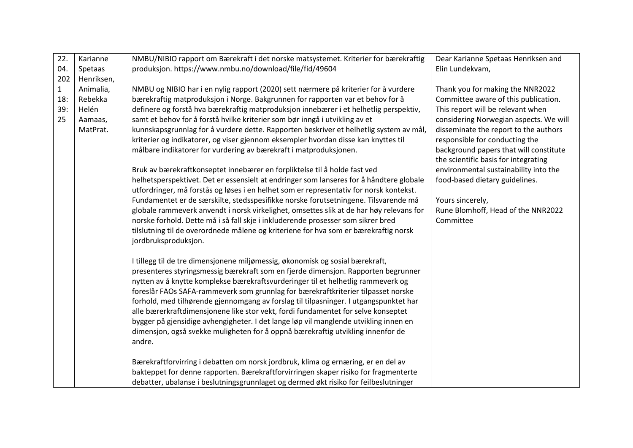| 22.          | Karianne   | NMBU/NIBIO rapport om Bærekraft i det norske matsystemet. Kriterier for bærekraftig     | Dear Karianne Spetaas Henriksen and    |
|--------------|------------|-----------------------------------------------------------------------------------------|----------------------------------------|
| 04.          | Spetaas    | produksjon. https://www.nmbu.no/download/file/fid/49604                                 | Elin Lundekvam,                        |
| 202          | Henriksen, |                                                                                         |                                        |
| $\mathbf{1}$ | Animalia,  | NMBU og NIBIO har i en nylig rapport (2020) sett nærmere på kriterier for å vurdere     | Thank you for making the NNR2022       |
| 18:          | Rebekka    | bærekraftig matproduksjon i Norge. Bakgrunnen for rapporten var et behov for å          | Committee aware of this publication.   |
| 39:          | Helén      | definere og forstå hva bærekraftig matproduksjon innebærer i et helhetlig perspektiv,   | This report will be relevant when      |
| 25           | Aamaas,    | samt et behov for å forstå hvilke kriterier som bør inngå i utvikling av et             | considering Norwegian aspects. We will |
|              | MatPrat.   | kunnskapsgrunnlag for å vurdere dette. Rapporten beskriver et helhetlig system av mål,  | disseminate the report to the authors  |
|              |            | kriterier og indikatorer, og viser gjennom eksempler hvordan disse kan knyttes til      | responsible for conducting the         |
|              |            | målbare indikatorer for vurdering av bærekraft i matproduksjonen.                       | background papers that will constitute |
|              |            |                                                                                         | the scientific basis for integrating   |
|              |            | Bruk av bærekraftkonseptet innebærer en forpliktelse til å holde fast ved               | environmental sustainability into the  |
|              |            | helhetsperspektivet. Det er essensielt at endringer som lanseres for å håndtere globale | food-based dietary guidelines.         |
|              |            | utfordringer, må forstås og løses i en helhet som er representativ for norsk kontekst.  |                                        |
|              |            | Fundamentet er de særskilte, stedsspesifikke norske forutsetningene. Tilsvarende må     | Yours sincerely,                       |
|              |            | globale rammeverk anvendt i norsk virkelighet, omsettes slik at de har høy relevans for | Rune Blomhoff, Head of the NNR2022     |
|              |            | norske forhold. Dette må i så fall skje i inkluderende prosesser som sikrer bred        | Committee                              |
|              |            | tilslutning til de overordnede målene og kriteriene for hva som er bærekraftig norsk    |                                        |
|              |            | jordbruksproduksjon.                                                                    |                                        |
|              |            | I tillegg til de tre dimensjonene miljømessig, økonomisk og sosial bærekraft,           |                                        |
|              |            | presenteres styringsmessig bærekraft som en fjerde dimensjon. Rapporten begrunner       |                                        |
|              |            | nytten av å knytte komplekse bærekraftsvurderinger til et helhetlig rammeverk og        |                                        |
|              |            | foreslår FAOs SAFA-rammeverk som grunnlag for bærekraftkriterier tilpasset norske       |                                        |
|              |            | forhold, med tilhørende gjennomgang av forslag til tilpasninger. I utgangspunktet har   |                                        |
|              |            | alle bærerkraftdimensjonene like stor vekt, fordi fundamentet for selve konseptet       |                                        |
|              |            | bygger på gjensidige avhengigheter. I det lange løp vil manglende utvikling innen en    |                                        |
|              |            | dimensjon, også svekke muligheten for å oppnå bærekraftig utvikling innenfor de         |                                        |
|              |            | andre.                                                                                  |                                        |
|              |            |                                                                                         |                                        |
|              |            | Bærekraftforvirring i debatten om norsk jordbruk, klima og ernæring, er en del av       |                                        |
|              |            | bakteppet for denne rapporten. Bærekraftforvirringen skaper risiko for fragmenterte     |                                        |
|              |            | debatter, ubalanse i beslutningsgrunnlaget og dermed økt risiko for feilbeslutninger    |                                        |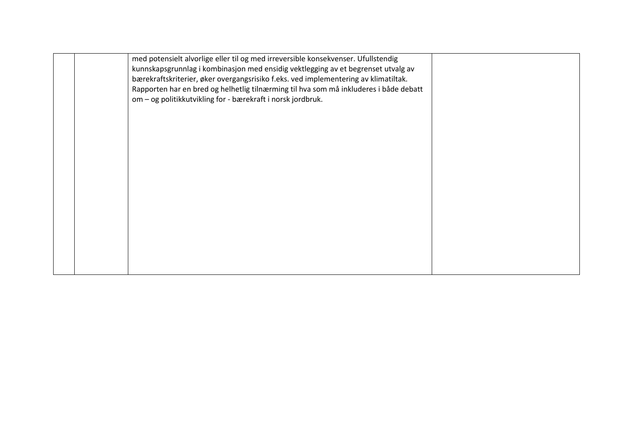|  | med potensielt alvorlige eller til og med irreversible konsekvenser. Ufullstendig<br>kunnskapsgrunnlag i kombinasjon med ensidig vektlegging av et begrenset utvalg av<br>bærekraftskriterier, øker overgangsrisiko f.eks. ved implementering av klimatiltak. |  |
|--|---------------------------------------------------------------------------------------------------------------------------------------------------------------------------------------------------------------------------------------------------------------|--|
|  | Rapporten har en bred og helhetlig tilnærming til hva som må inkluderes i både debatt<br>om - og politikkutvikling for - bærekraft i norsk jordbruk.                                                                                                          |  |
|  |                                                                                                                                                                                                                                                               |  |
|  |                                                                                                                                                                                                                                                               |  |
|  |                                                                                                                                                                                                                                                               |  |
|  |                                                                                                                                                                                                                                                               |  |
|  |                                                                                                                                                                                                                                                               |  |
|  |                                                                                                                                                                                                                                                               |  |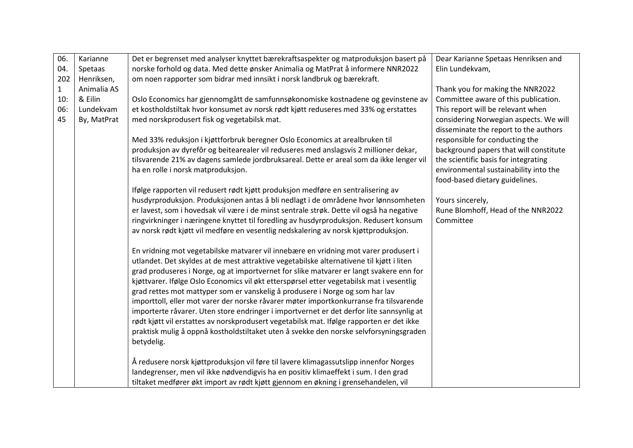| 06.          | Karianne    | Det er begrenset med analyser knyttet bærekraftsaspekter og matproduksjon basert på                                                                                                | Dear Karianne Spetaas Henriksen and    |
|--------------|-------------|------------------------------------------------------------------------------------------------------------------------------------------------------------------------------------|----------------------------------------|
| 04.          | Spetaas     | norske forhold og data. Med dette ønsker Animalia og MatPrat å informere NNR2022                                                                                                   | Elin Lundekvam,                        |
| 202          | Henriksen,  | om noen rapporter som bidrar med innsikt i norsk landbruk og bærekraft.                                                                                                            |                                        |
| $\mathbf{1}$ | Animalia AS |                                                                                                                                                                                    | Thank you for making the NNR2022       |
| 10:          | & Eilin     | Oslo Economics har gjennomgått de samfunnsøkonomiske kostnadene og gevinstene av                                                                                                   | Committee aware of this publication.   |
| 06:          | Lundekvam   | et kostholdstiltak hvor konsumet av norsk rødt kjøtt reduseres med 33% og erstattes                                                                                                | This report will be relevant when      |
| 45           | By, MatPrat | med norskprodusert fisk og vegetabilsk mat.                                                                                                                                        | considering Norwegian aspects. We will |
|              |             |                                                                                                                                                                                    | disseminate the report to the authors  |
|              |             | Med 33% reduksjon i kjøttforbruk beregner Oslo Economics at arealbruken til                                                                                                        | responsible for conducting the         |
|              |             | produksjon av dyrefôr og beitearealer vil reduseres med anslagsvis 2 millioner dekar,                                                                                              | background papers that will constitute |
|              |             | tilsvarende 21% av dagens samlede jordbruksareal. Dette er areal som da ikke lenger vil                                                                                            | the scientific basis for integrating   |
|              |             | ha en rolle i norsk matproduksjon.                                                                                                                                                 | environmental sustainability into the  |
|              |             |                                                                                                                                                                                    | food-based dietary guidelines.         |
|              |             | Ifølge rapporten vil redusert rødt kjøtt produksjon medføre en sentralisering av                                                                                                   |                                        |
|              |             | husdyrproduksjon. Produksjonen antas å bli nedlagt i de områdene hvor lønnsomheten                                                                                                 | Yours sincerely,                       |
|              |             | er lavest, som i hovedsak vil være i de minst sentrale strøk. Dette vil også ha negative                                                                                           | Rune Blomhoff, Head of the NNR2022     |
|              |             | ringvirkninger i næringene knyttet til foredling av husdyrproduksjon. Redusert konsum                                                                                              | Committee                              |
|              |             | av norsk rødt kjøtt vil medføre en vesentlig nedskalering av norsk kjøttproduksjon.                                                                                                |                                        |
|              |             |                                                                                                                                                                                    |                                        |
|              |             | En vridning mot vegetabilske matvarer vil innebære en vridning mot varer produsert i                                                                                               |                                        |
|              |             | utlandet. Det skyldes at de mest attraktive vegetabilske alternativene til kjøtt i liten                                                                                           |                                        |
|              |             | grad produseres i Norge, og at importvernet for slike matvarer er langt svakere enn for                                                                                            |                                        |
|              |             | kjøttvarer. Ifølge Oslo Economics vil økt etterspørsel etter vegetabilsk mat i vesentlig                                                                                           |                                        |
|              |             | grad rettes mot mattyper som er vanskelig å produsere i Norge og som har lav                                                                                                       |                                        |
|              |             | importtoll, eller mot varer der norske råvarer møter importkonkurranse fra tilsvarende<br>importerte råvarer. Uten store endringer i importvernet er det derfor lite sannsynlig at |                                        |
|              |             | rødt kjøtt vil erstattes av norskprodusert vegetabilsk mat. Ifølge rapporten er det ikke                                                                                           |                                        |
|              |             | praktisk mulig å oppnå kostholdstiltaket uten å svekke den norske selvforsyningsgraden                                                                                             |                                        |
|              |             | betydelig.                                                                                                                                                                         |                                        |
|              |             |                                                                                                                                                                                    |                                        |
|              |             | Å redusere norsk kjøttproduksjon vil føre til lavere klimagassutslipp innenfor Norges                                                                                              |                                        |
|              |             | landegrenser, men vil ikke nødvendigvis ha en positiv klimaeffekt i sum. I den grad                                                                                                |                                        |
|              |             | tiltaket medfører økt import av rødt kjøtt gjennom en økning i grensehandelen, vil                                                                                                 |                                        |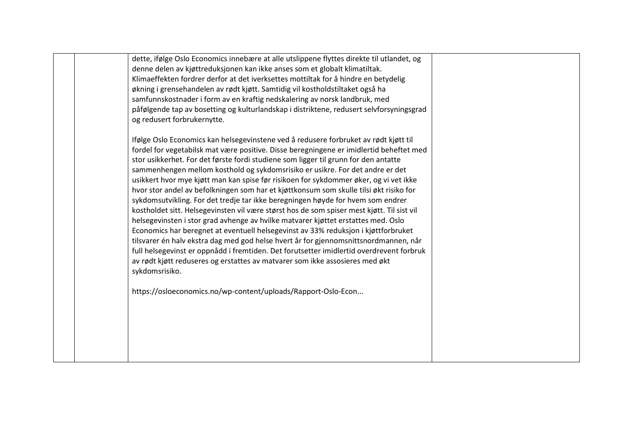| dette, ifølge Oslo Economics innebære at alle utslippene flyttes direkte til utlandet, og<br>denne delen av kjøttreduksjonen kan ikke anses som et globalt klimatiltak.<br>Klimaeffekten fordrer derfor at det iverksettes mottiltak for å hindre en betydelig<br>økning i grensehandelen av rødt kjøtt. Samtidig vil kostholdstiltaket også ha<br>samfunnskostnader i form av en kraftig nedskalering av norsk landbruk, med<br>påfølgende tap av bosetting og kulturlandskap i distriktene, redusert selvforsyningsgrad                                                                                                                      |  |
|------------------------------------------------------------------------------------------------------------------------------------------------------------------------------------------------------------------------------------------------------------------------------------------------------------------------------------------------------------------------------------------------------------------------------------------------------------------------------------------------------------------------------------------------------------------------------------------------------------------------------------------------|--|
| og redusert forbrukernytte.<br>Ifølge Oslo Economics kan helsegevinstene ved å redusere forbruket av rødt kjøtt til<br>fordel for vegetabilsk mat være positive. Disse beregningene er imidlertid beheftet med<br>stor usikkerhet. For det første fordi studiene som ligger til grunn for den antatte<br>sammenhengen mellom kosthold og sykdomsrisiko er usikre. For det andre er det<br>usikkert hvor mye kjøtt man kan spise før risikoen for sykdommer øker, og vi vet ikke<br>hvor stor andel av befolkningen som har et kjøttkonsum som skulle tilsi økt risiko for                                                                      |  |
| sykdomsutvikling. For det tredje tar ikke beregningen høyde for hvem som endrer<br>kostholdet sitt. Helsegevinsten vil være størst hos de som spiser mest kjøtt. Til sist vil<br>helsegevinsten i stor grad avhenge av hvilke matvarer kjøttet erstattes med. Oslo<br>Economics har beregnet at eventuell helsegevinst av 33% reduksjon i kjøttforbruket<br>tilsvarer én halv ekstra dag med god helse hvert år for gjennomsnittsnordmannen, når<br>full helsegevinst er oppnådd i fremtiden. Det forutsetter imidlertid overdrevent forbruk<br>av rødt kjøtt reduseres og erstattes av matvarer som ikke assosieres med økt<br>sykdomsrisiko. |  |
| https://osloeconomics.no/wp-content/uploads/Rapport-Oslo-Econ                                                                                                                                                                                                                                                                                                                                                                                                                                                                                                                                                                                  |  |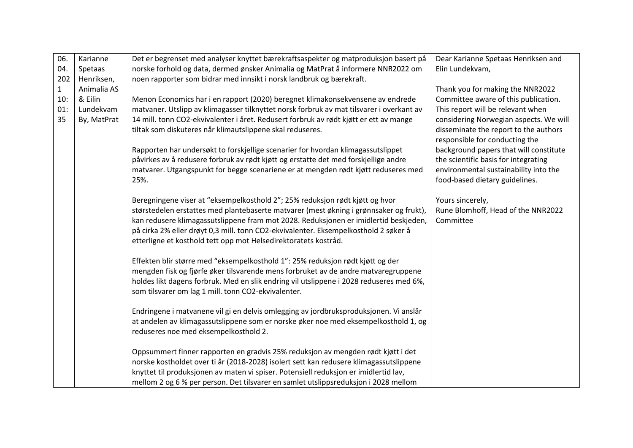| 06.          |             |                                                                                          |                                        |
|--------------|-------------|------------------------------------------------------------------------------------------|----------------------------------------|
|              | Karianne    | Det er begrenset med analyser knyttet bærekraftsaspekter og matproduksjon basert på      | Dear Karianne Spetaas Henriksen and    |
| 04.          | Spetaas     | norske forhold og data, dermed ønsker Animalia og MatPrat å informere NNR2022 om         | Elin Lundekvam,                        |
| 202          | Henriksen,  | noen rapporter som bidrar med innsikt i norsk landbruk og bærekraft.                     |                                        |
| $\mathbf{1}$ | Animalia AS |                                                                                          | Thank you for making the NNR2022       |
| 10:          | & Eilin     | Menon Economics har i en rapport (2020) beregnet klimakonsekvensene av endrede           | Committee aware of this publication.   |
| 01:          | Lundekvam   | matvaner. Utslipp av klimagasser tilknyttet norsk forbruk av mat tilsvarer i overkant av | This report will be relevant when      |
| 35           | By, MatPrat | 14 mill. tonn CO2-ekvivalenter i året. Redusert forbruk av rødt kjøtt er ett av mange    | considering Norwegian aspects. We will |
|              |             | tiltak som diskuteres når klimautslippene skal reduseres.                                | disseminate the report to the authors  |
|              |             |                                                                                          | responsible for conducting the         |
|              |             | Rapporten har undersøkt to forskjellige scenarier for hvordan klimagassutslippet         | background papers that will constitute |
|              |             | påvirkes av å redusere forbruk av rødt kjøtt og erstatte det med forskjellige andre      | the scientific basis for integrating   |
|              |             | matvarer. Utgangspunkt for begge scenariene er at mengden rødt kjøtt reduseres med       | environmental sustainability into the  |
|              |             | 25%.                                                                                     | food-based dietary guidelines.         |
|              |             |                                                                                          |                                        |
|              |             | Beregningene viser at "eksempelkosthold 2"; 25% reduksjon rødt kjøtt og hvor             | Yours sincerely,                       |
|              |             | størstedelen erstattes med plantebaserte matvarer (mest økning i grønnsaker og frukt),   | Rune Blomhoff, Head of the NNR2022     |
|              |             | kan redusere klimagassutslippene fram mot 2028. Reduksjonen er imidlertid beskjeden,     | Committee                              |
|              |             | på cirka 2% eller drøyt 0,3 mill. tonn CO2-ekvivalenter. Eksempelkosthold 2 søker å      |                                        |
|              |             | etterligne et kosthold tett opp mot Helsedirektoratets kostråd.                          |                                        |
|              |             | Effekten blir større med "eksempelkosthold 1": 25% reduksjon rødt kjøtt og der           |                                        |
|              |             | mengden fisk og fjørfe øker tilsvarende mens forbruket av de andre matvaregruppene       |                                        |
|              |             | holdes likt dagens forbruk. Med en slik endring vil utslippene i 2028 reduseres med 6%,  |                                        |
|              |             | som tilsvarer om lag 1 mill. tonn CO2-ekvivalenter.                                      |                                        |
|              |             |                                                                                          |                                        |
|              |             | Endringene i matvanene vil gi en delvis omlegging av jordbruksproduksjonen. Vi anslår    |                                        |
|              |             | at andelen av klimagassutslippene som er norske øker noe med eksempelkosthold 1, og      |                                        |
|              |             | reduseres noe med eksempelkosthold 2.                                                    |                                        |
|              |             |                                                                                          |                                        |
|              |             | Oppsummert finner rapporten en gradvis 25% reduksjon av mengden rødt kjøtt i det         |                                        |
|              |             | norske kostholdet over ti år (2018-2028) isolert sett kan redusere klimagassutslippene   |                                        |
|              |             | knyttet til produksjonen av maten vi spiser. Potensiell reduksjon er imidlertid lav,     |                                        |
|              |             | mellom 2 og 6 % per person. Det tilsvarer en samlet utslippsreduksjon i 2028 mellom      |                                        |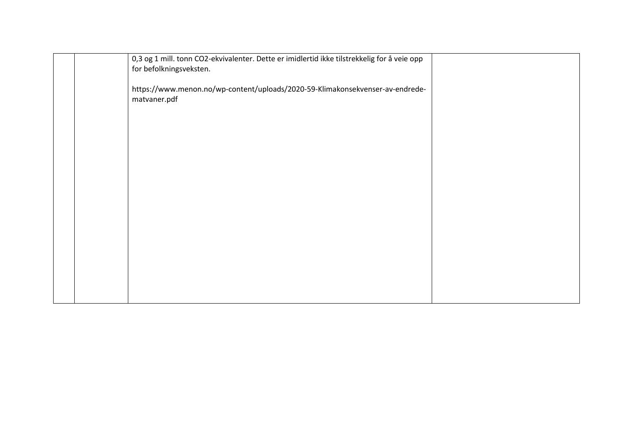| 0,3 og 1 mill. tonn CO2-ekvivalenter. Dette er imidlertid ikke tilstrekkelig for å veie opp<br>for befolkningsveksten. |  |
|------------------------------------------------------------------------------------------------------------------------|--|
| https://www.menon.no/wp-content/uploads/2020-59-Klimakonsekvenser-av-endrede-<br>matvaner.pdf                          |  |
|                                                                                                                        |  |
|                                                                                                                        |  |
|                                                                                                                        |  |
|                                                                                                                        |  |
|                                                                                                                        |  |
|                                                                                                                        |  |
|                                                                                                                        |  |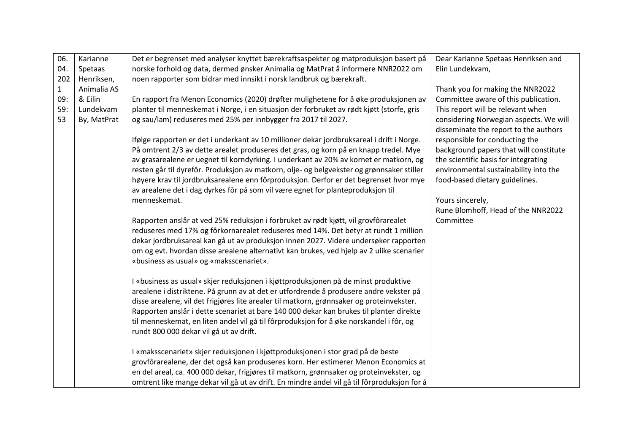| 06.          | Karianne    | Det er begrenset med analyser knyttet bærekraftsaspekter og matproduksjon basert på         | Dear Karianne Spetaas Henriksen and    |
|--------------|-------------|---------------------------------------------------------------------------------------------|----------------------------------------|
| 04.          | Spetaas     | norske forhold og data, dermed ønsker Animalia og MatPrat å informere NNR2022 om            | Elin Lundekvam,                        |
| 202          | Henriksen,  | noen rapporter som bidrar med innsikt i norsk landbruk og bærekraft.                        |                                        |
| $\mathbf{1}$ | Animalia AS |                                                                                             | Thank you for making the NNR2022       |
| 09:          | & Eilin     | En rapport fra Menon Economics (2020) drøfter mulighetene for å øke produksjonen av         | Committee aware of this publication.   |
| 59:          | Lundekvam   | planter til menneskemat i Norge, i en situasjon der forbruket av rødt kjøtt (storfe, gris   | This report will be relevant when      |
| 53           | By, MatPrat | og sau/lam) reduseres med 25% per innbygger fra 2017 til 2027.                              | considering Norwegian aspects. We will |
|              |             |                                                                                             | disseminate the report to the authors  |
|              |             | Ifølge rapporten er det i underkant av 10 millioner dekar jordbruksareal i drift i Norge.   | responsible for conducting the         |
|              |             | På omtrent 2/3 av dette arealet produseres det gras, og korn på en knapp tredel. Mye        | background papers that will constitute |
|              |             | av grasarealene er uegnet til korndyrking. I underkant av 20% av kornet er matkorn, og      | the scientific basis for integrating   |
|              |             | resten går til dyrefôr. Produksjon av matkorn, olje- og belgvekster og grønnsaker stiller   | environmental sustainability into the  |
|              |             | høyere krav til jordbruksarealene enn fôrproduksjon. Derfor er det begrenset hvor mye       | food-based dietary guidelines.         |
|              |             | av arealene det i dag dyrkes fôr på som vil være egnet for planteproduksjon til             |                                        |
|              |             | menneskemat.                                                                                | Yours sincerely,                       |
|              |             |                                                                                             | Rune Blomhoff, Head of the NNR2022     |
|              |             | Rapporten anslår at ved 25% reduksjon i forbruket av rødt kjøtt, vil grovfôrarealet         | Committee                              |
|              |             | reduseres med 17% og fôrkornarealet reduseres med 14%. Det betyr at rundt 1 million         |                                        |
|              |             | dekar jordbruksareal kan gå ut av produksjon innen 2027. Videre undersøker rapporten        |                                        |
|              |             | om og evt. hvordan disse arealene alternativt kan brukes, ved hjelp av 2 ulike scenarier    |                                        |
|              |             | «business as usual» og «maksscenariet».                                                     |                                        |
|              |             | I «business as usual» skjer reduksjonen i kjøttproduksjonen på de minst produktive          |                                        |
|              |             | arealene i distriktene. På grunn av at det er utfordrende å produsere andre vekster på      |                                        |
|              |             | disse arealene, vil det frigjøres lite arealer til matkorn, grønnsaker og proteinvekster.   |                                        |
|              |             | Rapporten anslår i dette scenariet at bare 140 000 dekar kan brukes til planter direkte     |                                        |
|              |             | til menneskemat, en liten andel vil gå til fôrproduksjon for å øke norskandel i fôr, og     |                                        |
|              |             | rundt 800 000 dekar vil gå ut av drift.                                                     |                                        |
|              |             |                                                                                             |                                        |
|              |             | I «maksscenariet» skjer reduksjonen i kjøttproduksjonen i stor grad på de beste             |                                        |
|              |             | grovfôrarealene, der det også kan produseres korn. Her estimerer Menon Economics at         |                                        |
|              |             | en del areal, ca. 400 000 dekar, frigjøres til matkorn, grønnsaker og proteinvekster, og    |                                        |
|              |             | omtrent like mange dekar vil gå ut av drift. En mindre andel vil gå til fôrproduksjon for å |                                        |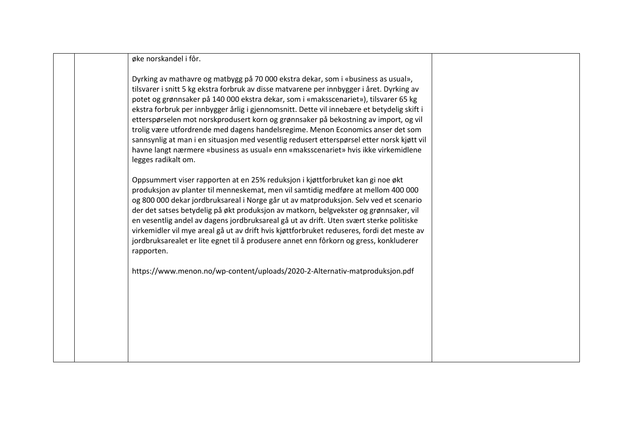øke norskandel i fôr.

Dyrking av mathavre og matbygg på 70 000 ekstra dekar, som i «business as usual», tilsvarer i snitt 5 kg ekstra forbruk av disse matvarene per innbygger i året. Dyrking av potet og grønnsaker på 140 000 ekstra dekar, som i «maksscenariet»), tilsvarer 65 kg ekstra forbruk per innbygger årlig i gjennomsnitt. Dette vil innebære et betydelig skift i etterspørselen mot norskprodusert korn og grønnsaker på bekostning av import, og vil trolig være utfordrende med dagens handelsregime. Menon Economics anser det som sannsynlig at man i en situasjon med vesentlig redusert etterspørsel etter norsk kjøtt vil havne langt nærmere «business as usual» enn «maksscenariet» hvis ikke virkemidlene legges radikalt om.

Oppsummert viser rapporten at en 25% reduksjon i kjøttforbruket kan gi noe økt produksjon av planter til menneskemat, men vil samtidig medføre at mellom 400 000 og 800 000 dekar jordbruksareal i Norge går ut av matproduksjon. Selv ved et scenario der det satses betydelig på økt produksjon av matkorn, belgvekster og grønnsaker, vil en vesentlig andel av dagens jordbruksareal gå ut av drift. Uten svært sterke politiske virkemidler vil mye areal gå ut av drift hvis kjøttforbruket reduseres, fordi det meste av jordbruksarealet er lite egnet til å produsere annet enn fôrkorn og gress, konkluderer rapporten.

https://www.menon.no/wp-content/uploads/2020-2-Alternativ-matproduksjon.pdf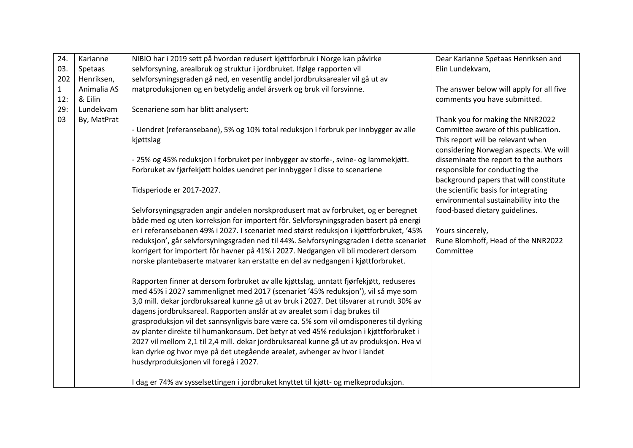| 24.          | Karianne    | NIBIO har i 2019 sett på hvordan redusert kjøttforbruk i Norge kan påvirke               | Dear Karianne Spetaas Henriksen and      |
|--------------|-------------|------------------------------------------------------------------------------------------|------------------------------------------|
| 03.          | Spetaas     | selvforsyning, arealbruk og struktur i jordbruket. Ifølge rapporten vil                  | Elin Lundekvam,                          |
| 202          | Henriksen,  | selvforsyningsgraden gå ned, en vesentlig andel jordbruksarealer vil gå ut av            |                                          |
| $\mathbf{1}$ | Animalia AS | matproduksjonen og en betydelig andel årsverk og bruk vil forsvinne.                     | The answer below will apply for all five |
| 12:          | & Eilin     |                                                                                          | comments you have submitted.             |
| 29:          | Lundekvam   | Scenariene som har blitt analysert:                                                      |                                          |
| 03           | By, MatPrat |                                                                                          | Thank you for making the NNR2022         |
|              |             | - Uendret (referansebane), 5% og 10% total reduksjon i forbruk per innbygger av alle     | Committee aware of this publication.     |
|              |             | kjøttslag                                                                                | This report will be relevant when        |
|              |             |                                                                                          | considering Norwegian aspects. We will   |
|              |             | - 25% og 45% reduksjon i forbruket per innbygger av storfe-, svine- og lammekjøtt.       | disseminate the report to the authors    |
|              |             | Forbruket av fjørfekjøtt holdes uendret per innbygger i disse to scenariene              | responsible for conducting the           |
|              |             |                                                                                          | background papers that will constitute   |
|              |             | Tidsperiode er 2017-2027.                                                                | the scientific basis for integrating     |
|              |             |                                                                                          | environmental sustainability into the    |
|              |             | Selvforsyningsgraden angir andelen norskprodusert mat av forbruket, og er beregnet       | food-based dietary guidelines.           |
|              |             | både med og uten korreksjon for importert fôr. Selvforsyningsgraden basert på energi     |                                          |
|              |             | er i referansebanen 49% i 2027. I scenariet med størst reduksjon i kjøttforbruket, '45%  | Yours sincerely,                         |
|              |             | reduksjon', går selvforsyningsgraden ned til 44%. Selvforsyningsgraden i dette scenariet | Rune Blomhoff, Head of the NNR2022       |
|              |             | korrigert for importert fôr havner på 41% i 2027. Nedgangen vil bli moderert dersom      | Committee                                |
|              |             | norske plantebaserte matvarer kan erstatte en del av nedgangen i kjøttforbruket.         |                                          |
|              |             |                                                                                          |                                          |
|              |             | Rapporten finner at dersom forbruket av alle kjøttslag, unntatt fjørfekjøtt, reduseres   |                                          |
|              |             | med 45% i 2027 sammenlignet med 2017 (scenariet '45% reduksjon'), vil så mye som         |                                          |
|              |             | 3,0 mill. dekar jordbruksareal kunne gå ut av bruk i 2027. Det tilsvarer at rundt 30% av |                                          |
|              |             | dagens jordbruksareal. Rapporten anslår at av arealet som i dag brukes til               |                                          |
|              |             | grasproduksjon vil det sannsynligvis bare være ca. 5% som vil omdisponeres til dyrking   |                                          |
|              |             | av planter direkte til humankonsum. Det betyr at ved 45% reduksjon i kjøttforbruket i    |                                          |
|              |             | 2027 vil mellom 2,1 til 2,4 mill. dekar jordbruksareal kunne gå ut av produksjon. Hva vi |                                          |
|              |             | kan dyrke og hvor mye på det utegående arealet, avhenger av hvor i landet                |                                          |
|              |             | husdyrproduksjonen vil foregå i 2027.                                                    |                                          |
|              |             |                                                                                          |                                          |
|              |             | I dag er 74% av sysselsettingen i jordbruket knyttet til kjøtt- og melkeproduksjon.      |                                          |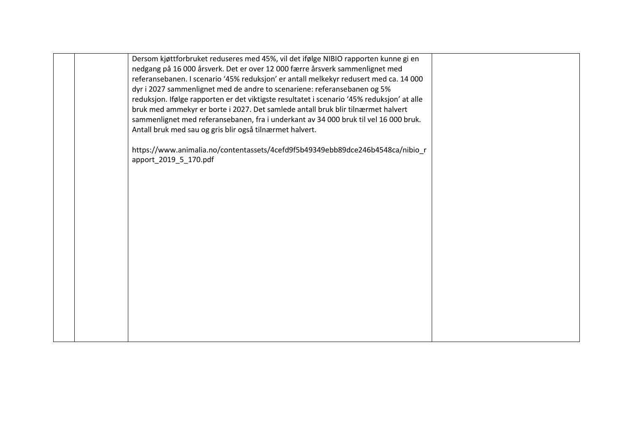| Dersom kjøttforbruket reduseres med 45%, vil det ifølge NIBIO rapporten kunne gi en<br>nedgang på 16 000 årsverk. Det er over 12 000 færre årsverk sammenlignet med<br>referansebanen. I scenario '45% reduksjon' er antall melkekyr redusert med ca. 14 000<br>dyr i 2027 sammenlignet med de andre to scenariene: referansebanen og 5%<br>reduksjon. Ifølge rapporten er det viktigste resultatet i scenario '45% reduksjon' at alle<br>bruk med ammekyr er borte i 2027. Det samlede antall bruk blir tilnærmet halvert<br>sammenlignet med referansebanen, fra i underkant av 34 000 bruk til vel 16 000 bruk.<br>Antall bruk med sau og gris blir også tilnærmet halvert. |  |
|--------------------------------------------------------------------------------------------------------------------------------------------------------------------------------------------------------------------------------------------------------------------------------------------------------------------------------------------------------------------------------------------------------------------------------------------------------------------------------------------------------------------------------------------------------------------------------------------------------------------------------------------------------------------------------|--|
| https://www.animalia.no/contentassets/4cefd9f5b49349ebb89dce246b4548ca/nibio_r<br>apport_2019_5_170.pdf                                                                                                                                                                                                                                                                                                                                                                                                                                                                                                                                                                        |  |
|                                                                                                                                                                                                                                                                                                                                                                                                                                                                                                                                                                                                                                                                                |  |
|                                                                                                                                                                                                                                                                                                                                                                                                                                                                                                                                                                                                                                                                                |  |
|                                                                                                                                                                                                                                                                                                                                                                                                                                                                                                                                                                                                                                                                                |  |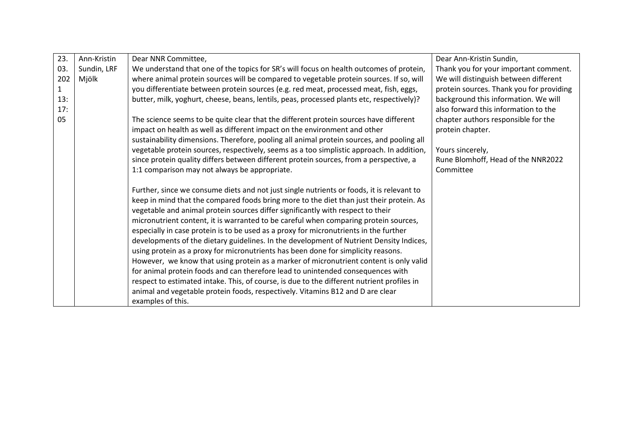| 23.          | Ann-Kristin | Dear NNR Committee,                                                                        | Dear Ann-Kristin Sundin,                 |
|--------------|-------------|--------------------------------------------------------------------------------------------|------------------------------------------|
| 03.          | Sundin, LRF | We understand that one of the topics for SR's will focus on health outcomes of protein,    | Thank you for your important comment.    |
| 202          | Mjölk       | where animal protein sources will be compared to vegetable protein sources. If so, will    | We will distinguish between different    |
| $\mathbf{1}$ |             | you differentiate between protein sources (e.g. red meat, processed meat, fish, eggs,      | protein sources. Thank you for providing |
| 13:          |             | butter, milk, yoghurt, cheese, beans, lentils, peas, processed plants etc, respectively)?  | background this information. We will     |
| 17:          |             |                                                                                            | also forward this information to the     |
| 05           |             | The science seems to be quite clear that the different protein sources have different      | chapter authors responsible for the      |
|              |             | impact on health as well as different impact on the environment and other                  | protein chapter.                         |
|              |             | sustainability dimensions. Therefore, pooling all animal protein sources, and pooling all  |                                          |
|              |             | vegetable protein sources, respectively, seems as a too simplistic approach. In addition,  | Yours sincerely,                         |
|              |             | since protein quality differs between different protein sources, from a perspective, a     | Rune Blomhoff, Head of the NNR2022       |
|              |             | 1:1 comparison may not always be appropriate.                                              | Committee                                |
|              |             |                                                                                            |                                          |
|              |             | Further, since we consume diets and not just single nutrients or foods, it is relevant to  |                                          |
|              |             | keep in mind that the compared foods bring more to the diet than just their protein. As    |                                          |
|              |             | vegetable and animal protein sources differ significantly with respect to their            |                                          |
|              |             | micronutrient content, it is warranted to be careful when comparing protein sources,       |                                          |
|              |             | especially in case protein is to be used as a proxy for micronutrients in the further      |                                          |
|              |             | developments of the dietary guidelines. In the development of Nutrient Density Indices,    |                                          |
|              |             | using protein as a proxy for micronutrients has been done for simplicity reasons.          |                                          |
|              |             | However, we know that using protein as a marker of micronutrient content is only valid     |                                          |
|              |             | for animal protein foods and can therefore lead to unintended consequences with            |                                          |
|              |             | respect to estimated intake. This, of course, is due to the different nutrient profiles in |                                          |
|              |             | animal and vegetable protein foods, respectively. Vitamins B12 and D are clear             |                                          |
|              |             | examples of this.                                                                          |                                          |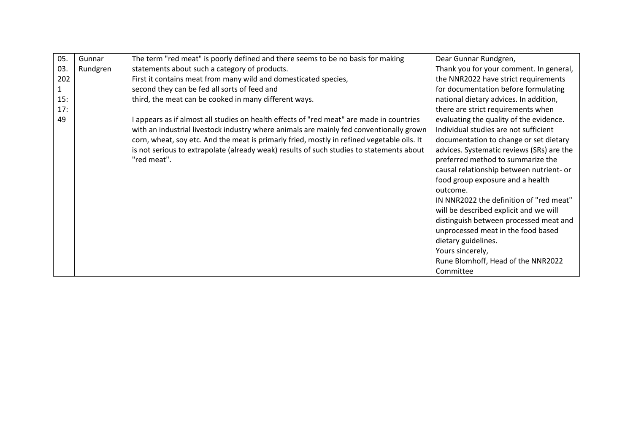| 05.          | Gunnar   | The term "red meat" is poorly defined and there seems to be no basis for making            | Dear Gunnar Rundgren,                     |
|--------------|----------|--------------------------------------------------------------------------------------------|-------------------------------------------|
| 03.          | Rundgren | statements about such a category of products.                                              | Thank you for your comment. In general,   |
| 202          |          | First it contains meat from many wild and domesticated species,                            | the NNR2022 have strict requirements      |
| $\mathbf{1}$ |          | second they can be fed all sorts of feed and                                               | for documentation before formulating      |
| 15:          |          | third, the meat can be cooked in many different ways.                                      | national dietary advices. In addition,    |
| 17:          |          |                                                                                            | there are strict requirements when        |
| 49           |          | appears as if almost all studies on health effects of "red meat" are made in countries     | evaluating the quality of the evidence.   |
|              |          | with an industrial livestock industry where animals are mainly fed conventionally grown    | Individual studies are not sufficient     |
|              |          | corn, wheat, soy etc. And the meat is primarly fried, mostly in refined vegetable oils. It | documentation to change or set dietary    |
|              |          | is not serious to extrapolate (already weak) results of such studies to statements about   | advices. Systematic reviews (SRs) are the |
|              |          | "red meat".                                                                                | preferred method to summarize the         |
|              |          |                                                                                            | causal relationship between nutrient- or  |
|              |          |                                                                                            | food group exposure and a health          |
|              |          |                                                                                            | outcome.                                  |
|              |          |                                                                                            | IN NNR2022 the definition of "red meat"   |
|              |          |                                                                                            | will be described explicit and we will    |
|              |          |                                                                                            | distinguish between processed meat and    |
|              |          |                                                                                            | unprocessed meat in the food based        |
|              |          |                                                                                            | dietary guidelines.                       |
|              |          |                                                                                            | Yours sincerely,                          |
|              |          |                                                                                            | Rune Blomhoff, Head of the NNR2022        |
|              |          |                                                                                            | Committee                                 |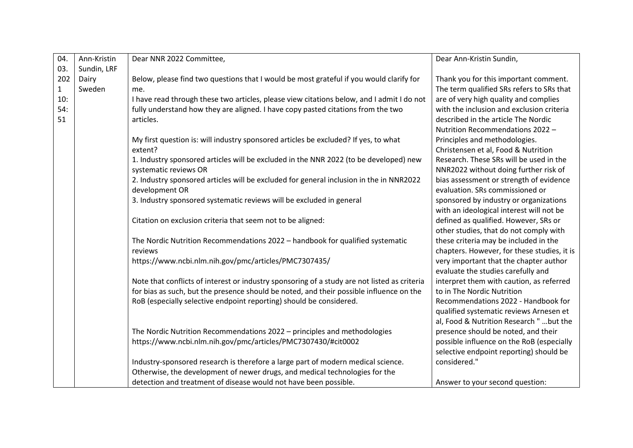| 04.          | Ann-Kristin | Dear NNR 2022 Committee,                                                                     | Dear Ann-Kristin Sundin,                    |
|--------------|-------------|----------------------------------------------------------------------------------------------|---------------------------------------------|
| 03.          | Sundin, LRF |                                                                                              |                                             |
| 202          | Dairy       | Below, please find two questions that I would be most grateful if you would clarify for      | Thank you for this important comment.       |
| $\mathbf{1}$ | Sweden      | me.                                                                                          | The term qualified SRs refers to SRs that   |
| 10:          |             | I have read through these two articles, please view citations below, and I admit I do not    | are of very high quality and complies       |
| 54:          |             | fully understand how they are aligned. I have copy pasted citations from the two             | with the inclusion and exclusion criteria   |
| 51           |             | articles.                                                                                    | described in the article The Nordic         |
|              |             |                                                                                              | Nutrition Recommendations 2022 -            |
|              |             | My first question is: will industry sponsored articles be excluded? If yes, to what          | Principles and methodologies.               |
|              |             | extent?                                                                                      | Christensen et al, Food & Nutrition         |
|              |             | 1. Industry sponsored articles will be excluded in the NNR 2022 (to be developed) new        | Research. These SRs will be used in the     |
|              |             | systematic reviews OR                                                                        | NNR2022 without doing further risk of       |
|              |             | 2. Industry sponsored articles will be excluded for general inclusion in the in NNR2022      | bias assessment or strength of evidence     |
|              |             | development OR                                                                               | evaluation. SRs commissioned or             |
|              |             | 3. Industry sponsored systematic reviews will be excluded in general                         | sponsored by industry or organizations      |
|              |             |                                                                                              | with an ideological interest will not be    |
|              |             | Citation on exclusion criteria that seem not to be aligned:                                  | defined as qualified. However, SRs or       |
|              |             |                                                                                              | other studies, that do not comply with      |
|              |             | The Nordic Nutrition Recommendations 2022 - handbook for qualified systematic                | these criteria may be included in the       |
|              |             | reviews                                                                                      | chapters. However, for these studies, it is |
|              |             | https://www.ncbi.nlm.nih.gov/pmc/articles/PMC7307435/                                        | very important that the chapter author      |
|              |             |                                                                                              | evaluate the studies carefully and          |
|              |             | Note that conflicts of interest or industry sponsoring of a study are not listed as criteria | interpret them with caution, as referred    |
|              |             | for bias as such, but the presence should be noted, and their possible influence on the      | to in The Nordic Nutrition                  |
|              |             | RoB (especially selective endpoint reporting) should be considered.                          | Recommendations 2022 - Handbook for         |
|              |             |                                                                                              | qualified systematic reviews Arnesen et     |
|              |             |                                                                                              | al, Food & Nutrition Research "  but the    |
|              |             | The Nordic Nutrition Recommendations 2022 - principles and methodologies                     | presence should be noted, and their         |
|              |             | https://www.ncbi.nlm.nih.gov/pmc/articles/PMC7307430/#cit0002                                | possible influence on the RoB (especially   |
|              |             |                                                                                              | selective endpoint reporting) should be     |
|              |             | Industry-sponsored research is therefore a large part of modern medical science.             | considered."                                |
|              |             | Otherwise, the development of newer drugs, and medical technologies for the                  |                                             |
|              |             | detection and treatment of disease would not have been possible.                             | Answer to your second question:             |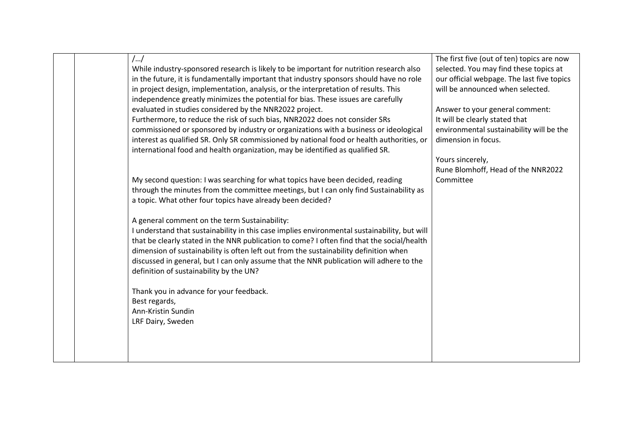| $/$ /                                                                                        | The first five (out of ten) topics are now |
|----------------------------------------------------------------------------------------------|--------------------------------------------|
| While industry-sponsored research is likely to be important for nutrition research also      | selected. You may find these topics at     |
| in the future, it is fundamentally important that industry sponsors should have no role      | our official webpage. The last five topics |
| in project design, implementation, analysis, or the interpretation of results. This          | will be announced when selected.           |
| independence greatly minimizes the potential for bias. These issues are carefully            |                                            |
| evaluated in studies considered by the NNR2022 project.                                      | Answer to your general comment:            |
| Furthermore, to reduce the risk of such bias, NNR2022 does not consider SRs                  | It will be clearly stated that             |
| commissioned or sponsored by industry or organizations with a business or ideological        | environmental sustainability will be the   |
| interest as qualified SR. Only SR commissioned by national food or health authorities, or    | dimension in focus.                        |
| international food and health organization, may be identified as qualified SR.               |                                            |
|                                                                                              | Yours sincerely,                           |
|                                                                                              | Rune Blomhoff, Head of the NNR2022         |
| My second question: I was searching for what topics have been decided, reading               | Committee                                  |
| through the minutes from the committee meetings, but I can only find Sustainability as       |                                            |
| a topic. What other four topics have already been decided?                                   |                                            |
|                                                                                              |                                            |
| A general comment on the term Sustainability:                                                |                                            |
| I understand that sustainability in this case implies environmental sustainability, but will |                                            |
| that be clearly stated in the NNR publication to come? I often find that the social/health   |                                            |
| dimension of sustainability is often left out from the sustainability definition when        |                                            |
| discussed in general, but I can only assume that the NNR publication will adhere to the      |                                            |
| definition of sustainability by the UN?                                                      |                                            |
|                                                                                              |                                            |
| Thank you in advance for your feedback.                                                      |                                            |
| Best regards,                                                                                |                                            |
| Ann-Kristin Sundin                                                                           |                                            |
| LRF Dairy, Sweden                                                                            |                                            |
|                                                                                              |                                            |
|                                                                                              |                                            |
|                                                                                              |                                            |
|                                                                                              |                                            |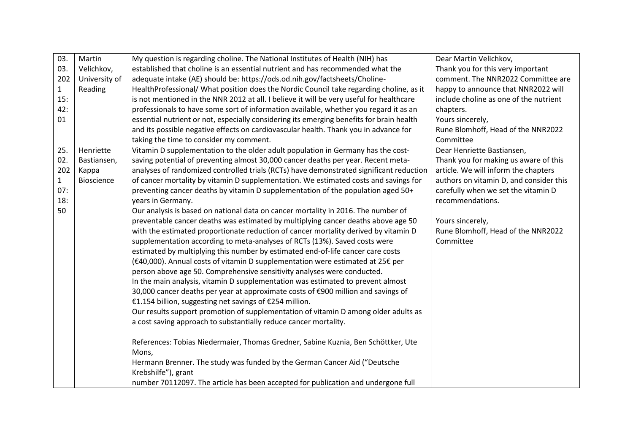| 03.          | Martin            | My question is regarding choline. The National Institutes of Health (NIH) has            | Dear Martin Velichkov,                  |
|--------------|-------------------|------------------------------------------------------------------------------------------|-----------------------------------------|
| 03.          | Velichkov,        | established that choline is an essential nutrient and has recommended what the           | Thank you for this very important       |
| 202          | University of     | adequate intake (AE) should be: https://ods.od.nih.gov/factsheets/Choline-               | comment. The NNR2022 Committee are      |
| $\mathbf{1}$ | Reading           | HealthProfessional/ What position does the Nordic Council take regarding choline, as it  | happy to announce that NNR2022 will     |
| 15:          |                   | is not mentioned in the NNR 2012 at all. I believe it will be very useful for healthcare | include choline as one of the nutrient  |
| 42:          |                   | professionals to have some sort of information available, whether you regard it as an    | chapters.                               |
| 01           |                   | essential nutrient or not, especially considering its emerging benefits for brain health | Yours sincerely,                        |
|              |                   | and its possible negative effects on cardiovascular health. Thank you in advance for     | Rune Blomhoff, Head of the NNR2022      |
|              |                   | taking the time to consider my comment.                                                  | Committee                               |
| 25.          | Henriette         | Vitamin D supplementation to the older adult population in Germany has the cost-         | Dear Henriette Bastiansen,              |
| 02.          | Bastiansen,       | saving potential of preventing almost 30,000 cancer deaths per year. Recent meta-        | Thank you for making us aware of this   |
| 202          | Kappa             | analyses of randomized controlled trials (RCTs) have demonstrated significant reduction  | article. We will inform the chapters    |
| $\mathbf{1}$ | <b>Bioscience</b> | of cancer mortality by vitamin D supplementation. We estimated costs and savings for     | authors on vitamin D, and consider this |
| 07:          |                   | preventing cancer deaths by vitamin D supplementation of the population aged 50+         | carefully when we set the vitamin D     |
| 18:          |                   | years in Germany.                                                                        | recommendations.                        |
| 50           |                   | Our analysis is based on national data on cancer mortality in 2016. The number of        |                                         |
|              |                   | preventable cancer deaths was estimated by multiplying cancer deaths above age 50        | Yours sincerely,                        |
|              |                   | with the estimated proportionate reduction of cancer mortality derived by vitamin D      | Rune Blomhoff, Head of the NNR2022      |
|              |                   | supplementation according to meta-analyses of RCTs (13%). Saved costs were               | Committee                               |
|              |                   | estimated by multiplying this number by estimated end-of-life cancer care costs          |                                         |
|              |                   | (€40,000). Annual costs of vitamin D supplementation were estimated at 25€ per           |                                         |
|              |                   | person above age 50. Comprehensive sensitivity analyses were conducted.                  |                                         |
|              |                   | In the main analysis, vitamin D supplementation was estimated to prevent almost          |                                         |
|              |                   | 30,000 cancer deaths per year at approximate costs of €900 million and savings of        |                                         |
|              |                   | €1.154 billion, suggesting net savings of €254 million.                                  |                                         |
|              |                   | Our results support promotion of supplementation of vitamin D among older adults as      |                                         |
|              |                   | a cost saving approach to substantially reduce cancer mortality.                         |                                         |
|              |                   |                                                                                          |                                         |
|              |                   | References: Tobias Niedermaier, Thomas Gredner, Sabine Kuznia, Ben Schöttker, Ute        |                                         |
|              |                   | Mons,                                                                                    |                                         |
|              |                   | Hermann Brenner. The study was funded by the German Cancer Aid ("Deutsche                |                                         |
|              |                   | Krebshilfe"), grant                                                                      |                                         |
|              |                   | number 70112097. The article has been accepted for publication and undergone full        |                                         |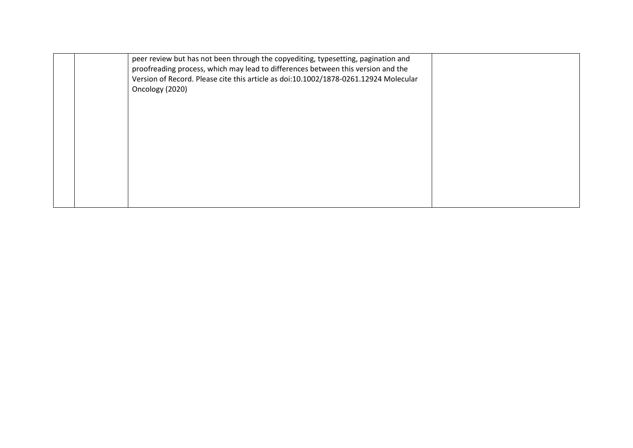|  | peer review but has not been through the copyediting, typesetting, pagination and<br>proofreading process, which may lead to differences between this version and the<br>Version of Record. Please cite this article as doi:10.1002/1878-0261.12924 Molecular<br>Oncology (2020) |  |
|--|----------------------------------------------------------------------------------------------------------------------------------------------------------------------------------------------------------------------------------------------------------------------------------|--|
|  |                                                                                                                                                                                                                                                                                  |  |
|  |                                                                                                                                                                                                                                                                                  |  |
|  |                                                                                                                                                                                                                                                                                  |  |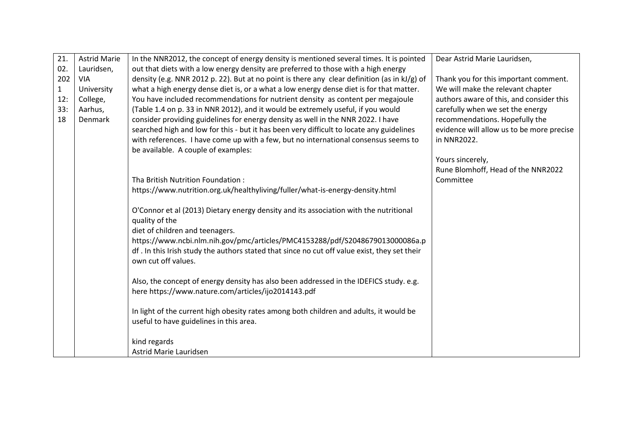| 21.          | <b>Astrid Marie</b> | In the NNR2012, the concept of energy density is mentioned several times. It is pointed      | Dear Astrid Marie Lauridsen,              |
|--------------|---------------------|----------------------------------------------------------------------------------------------|-------------------------------------------|
| 02.          | Lauridsen,          | out that diets with a low energy density are preferred to those with a high energy           |                                           |
| 202          | <b>VIA</b>          | density (e.g. NNR 2012 p. 22). But at no point is there any clear definition (as in kJ/g) of | Thank you for this important comment.     |
| $\mathbf{1}$ | University          | what a high energy dense diet is, or a what a low energy dense diet is for that matter.      | We will make the relevant chapter         |
| 12:          | College,            | You have included recommendations for nutrient density as content per megajoule              | authors aware of this, and consider this  |
| 33:          | Aarhus,             | (Table 1.4 on p. 33 in NNR 2012), and it would be extremely useful, if you would             | carefully when we set the energy          |
| 18           | Denmark             | consider providing guidelines for energy density as well in the NNR 2022. I have             | recommendations. Hopefully the            |
|              |                     | searched high and low for this - but it has been very difficult to locate any guidelines     | evidence will allow us to be more precise |
|              |                     | with references. I have come up with a few, but no international consensus seems to          | in NNR2022.                               |
|              |                     | be available. A couple of examples:                                                          |                                           |
|              |                     |                                                                                              | Yours sincerely,                          |
|              |                     |                                                                                              | Rune Blomhoff, Head of the NNR2022        |
|              |                     | Tha British Nutrition Foundation:                                                            | Committee                                 |
|              |                     | https://www.nutrition.org.uk/healthyliving/fuller/what-is-energy-density.html                |                                           |
|              |                     |                                                                                              |                                           |
|              |                     | O'Connor et al (2013) Dietary energy density and its association with the nutritional        |                                           |
|              |                     | quality of the                                                                               |                                           |
|              |                     | diet of children and teenagers.                                                              |                                           |
|              |                     | https://www.ncbi.nlm.nih.gov/pmc/articles/PMC4153288/pdf/S2048679013000086a.p                |                                           |
|              |                     | df. In this Irish study the authors stated that since no cut off value exist, they set their |                                           |
|              |                     | own cut off values.                                                                          |                                           |
|              |                     |                                                                                              |                                           |
|              |                     | Also, the concept of energy density has also been addressed in the IDEFICS study. e.g.       |                                           |
|              |                     | here https://www.nature.com/articles/ijo2014143.pdf                                          |                                           |
|              |                     | In light of the current high obesity rates among both children and adults, it would be       |                                           |
|              |                     | useful to have guidelines in this area.                                                      |                                           |
|              |                     |                                                                                              |                                           |
|              |                     | kind regards                                                                                 |                                           |
|              |                     | Astrid Marie Lauridsen                                                                       |                                           |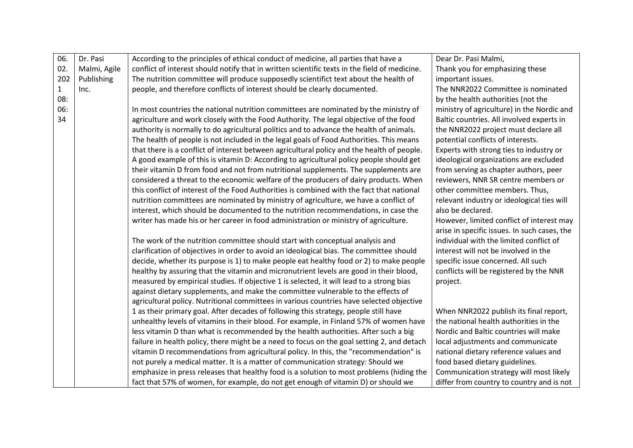| 06.          | Dr. Pasi     | According to the principles of ethical conduct of medicine, all parties that have a           | Dear Dr. Pasi Malmi,                         |
|--------------|--------------|-----------------------------------------------------------------------------------------------|----------------------------------------------|
| 02.          | Malmi, Agile | conflict of interest should notify that in written scientific texts in the field of medicine. | Thank you for emphasizing these              |
| 202          | Publishing   | The nutrition committee will produce supposedly scientifict text about the health of          | important issues.                            |
| $\mathbf{1}$ | Inc.         | people, and therefore conflicts of interest should be clearly documented.                     | The NNR2022 Committee is nominated           |
| 08:          |              |                                                                                               | by the health authorities (not the           |
| 06:          |              | In most countries the national nutrition committees are nominated by the ministry of          | ministry of agriculture) in the Nordic and   |
| 34           |              | agriculture and work closely with the Food Authority. The legal objective of the food         | Baltic countries. All involved experts in    |
|              |              | authority is normally to do agricultural politics and to advance the health of animals.       | the NNR2022 project must declare all         |
|              |              | The health of people is not included in the legal goals of Food Authorities. This means       | potential conflicts of interests.            |
|              |              | that there is a conflict of interest between agricultural policy and the health of people.    | Experts with strong ties to industry or      |
|              |              | A good example of this is vitamin D: According to agricultural policy people should get       | ideological organizations are excluded       |
|              |              | their vitamin D from food and not from nutritional supplements. The supplements are           | from serving as chapter authors, peer        |
|              |              | considered a threat to the economic welfare of the producers of dairy products. When          | reviewers, NNR SR centre members or          |
|              |              | this conflict of interest of the Food Authorities is combined with the fact that national     | other committee members. Thus,               |
|              |              | nutrition committees are nominated by ministry of agriculture, we have a conflict of          | relevant industry or ideological ties will   |
|              |              | interest, which should be documented to the nutrition recommendations, in case the            | also be declared.                            |
|              |              | writer has made his or her career in food administration or ministry of agriculture.          | However, limited conflict of interest may    |
|              |              |                                                                                               | arise in specific issues. In such cases, the |
|              |              | The work of the nutrition committee should start with conceptual analysis and                 | individual with the limited conflict of      |
|              |              | clarification of objectives in order to avoid an ideological bias. The committee should       | interest will not be involved in the         |
|              |              | decide, whether its purpose is 1) to make people eat healthy food or 2) to make people        | specific issue concerned. All such           |
|              |              | healthy by assuring that the vitamin and micronutrient levels are good in their blood,        | conflicts will be registered by the NNR      |
|              |              | measured by empirical studies. If objective 1 is selected, it will lead to a strong bias      | project.                                     |
|              |              | against dietary supplements, and make the committee vulnerable to the effects of              |                                              |
|              |              | agricultural policy. Nutritional committees in various countries have selected objective      |                                              |
|              |              | 1 as their primary goal. After decades of following this strategy, people still have          | When NNR2022 publish its final report,       |
|              |              | unhealthy levels of vitamins in their blood. For example, in Finland 57% of women have        | the national health authorities in the       |
|              |              | less vitamin D than what is recommended by the health authorities. After such a big           | Nordic and Baltic countries will make        |
|              |              | failure in health policy, there might be a need to focus on the goal setting 2, and detach    | local adjustments and communicate            |
|              |              | vitamin D recommendations from agricultural policy. In this, the "recommendation" is          | national dietary reference values and        |
|              |              | not purely a medical matter. It is a matter of communication strategy: Should we              | food based dietary guidelines.               |
|              |              | emphasize in press releases that healthy food is a solution to most problems (hiding the      | Communication strategy will most likely      |
|              |              | fact that 57% of women, for example, do not get enough of vitamin D) or should we             | differ from country to country and is not    |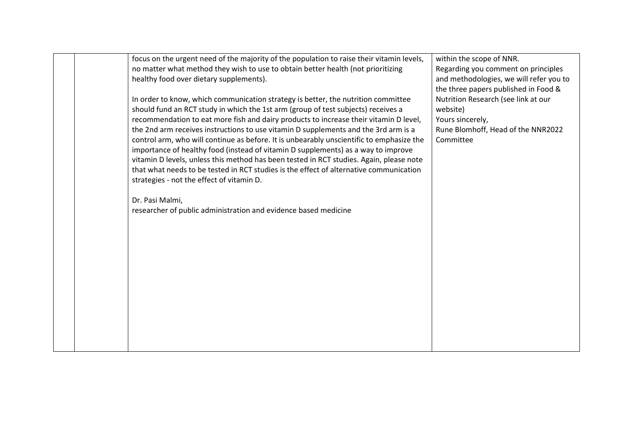| focus on the urgent need of the majority of the population to raise their vitamin levels,<br>no matter what method they wish to use to obtain better health (not prioritizing   | within the scope of NNR.<br>Regarding you comment on principles                 |
|---------------------------------------------------------------------------------------------------------------------------------------------------------------------------------|---------------------------------------------------------------------------------|
| healthy food over dietary supplements).                                                                                                                                         | and methodologies, we will refer you to<br>the three papers published in Food & |
| In order to know, which communication strategy is better, the nutrition committee<br>should fund an RCT study in which the 1st arm (group of test subjects) receives a          | Nutrition Research (see link at our<br>website)                                 |
| recommendation to eat more fish and dairy products to increase their vitamin D level,                                                                                           | Yours sincerely,                                                                |
| the 2nd arm receives instructions to use vitamin D supplements and the 3rd arm is a<br>control arm, who will continue as before. It is unbearably unscientific to emphasize the | Rune Blomhoff, Head of the NNR2022<br>Committee                                 |
| importance of healthy food (instead of vitamin D supplements) as a way to improve                                                                                               |                                                                                 |
| vitamin D levels, unless this method has been tested in RCT studies. Again, please note                                                                                         |                                                                                 |
| that what needs to be tested in RCT studies is the effect of alternative communication<br>strategies - not the effect of vitamin D.                                             |                                                                                 |
|                                                                                                                                                                                 |                                                                                 |
| Dr. Pasi Malmi,<br>researcher of public administration and evidence based medicine                                                                                              |                                                                                 |
|                                                                                                                                                                                 |                                                                                 |
|                                                                                                                                                                                 |                                                                                 |
|                                                                                                                                                                                 |                                                                                 |
|                                                                                                                                                                                 |                                                                                 |
|                                                                                                                                                                                 |                                                                                 |
|                                                                                                                                                                                 |                                                                                 |
|                                                                                                                                                                                 |                                                                                 |
|                                                                                                                                                                                 |                                                                                 |
|                                                                                                                                                                                 |                                                                                 |
|                                                                                                                                                                                 |                                                                                 |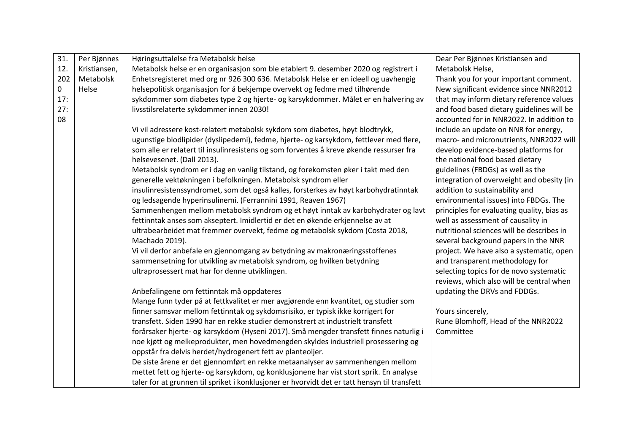| 31. | Per Bjønnes  | Høringsuttalelse fra Metabolsk helse                                                         | Dear Per Bjønnes Kristiansen and           |
|-----|--------------|----------------------------------------------------------------------------------------------|--------------------------------------------|
| 12. | Kristiansen, | Metabolsk helse er en organisasjon som ble etablert 9. desember 2020 og registrert i         | Metabolsk Helse,                           |
| 202 | Metabolsk    | Enhetsregisteret med org nr 926 300 636. Metabolsk Helse er en ideell og uavhengig           | Thank you for your important comment.      |
| 0   | Helse        | helsepolitisk organisasjon for å bekjempe overvekt og fedme med tilhørende                   | New significant evidence since NNR2012     |
| 17: |              | sykdommer som diabetes type 2 og hjerte- og karsykdommer. Målet er en halvering av           | that may inform dietary reference values   |
| 27: |              | livsstilsrelaterte sykdommer innen 2030!                                                     | and food based dietary guidelines will be  |
| 08  |              |                                                                                              | accounted for in NNR2022. In addition to   |
|     |              | Vi vil adressere kost-relatert metabolsk sykdom som diabetes, høyt blodtrykk,                | include an update on NNR for energy,       |
|     |              | ugunstige blodlipider (dyslipedemi), fedme, hjerte- og karsykdom, fettlever med flere,       | macro- and micronutrients, NNR2022 will    |
|     |              | som alle er relatert til insulinresistens og som forventes å kreve økende ressurser fra      | develop evidence-based platforms for       |
|     |              | helsevesenet. (Dall 2013).                                                                   | the national food based dietary            |
|     |              | Metabolsk syndrom er i dag en vanlig tilstand, og forekomsten øker i takt med den            | guidelines (FBDGs) as well as the          |
|     |              | generelle vektøkningen i befolkningen. Metabolsk syndrom eller                               | integration of overweight and obesity (in  |
|     |              | insulinresistenssyndromet, som det også kalles, forsterkes av høyt karbohydratinntak         | addition to sustainability and             |
|     |              | og ledsagende hyperinsulinemi. (Ferrannini 1991, Reaven 1967)                                | environmental issues) into FBDGs. The      |
|     |              | Sammenhengen mellom metabolsk syndrom og et høyt inntak av karbohydrater og lavt             | principles for evaluating quality, bias as |
|     |              | fettinntak anses som akseptert. Imidlertid er det en økende erkjennelse av at                | well as assessment of causality in         |
|     |              | ultrabearbeidet mat fremmer overvekt, fedme og metabolsk sykdom (Costa 2018,                 | nutritional sciences will be describes in  |
|     |              | Machado 2019).                                                                               | several background papers in the NNR       |
|     |              | Vi vil derfor anbefale en gjennomgang av betydning av makronæringsstoffenes                  | project. We have also a systematic, open   |
|     |              | sammensetning for utvikling av metabolsk syndrom, og hvilken betydning                       | and transparent methodology for            |
|     |              | ultraprosessert mat har for denne utviklingen.                                               | selecting topics for de novo systematic    |
|     |              |                                                                                              | reviews, which also will be central when   |
|     |              | Anbefalingene om fettinntak må oppdateres                                                    | updating the DRVs and FDDGs.               |
|     |              | Mange funn tyder på at fettkvalitet er mer avgjørende enn kvantitet, og studier som          |                                            |
|     |              | finner samsvar mellom fettinntak og sykdomsrisiko, er typisk ikke korrigert for              | Yours sincerely,                           |
|     |              | transfett. Siden 1990 har en rekke studier demonstrert at industrielt transfett              | Rune Blomhoff, Head of the NNR2022         |
|     |              | forårsaker hjerte- og karsykdom (Hyseni 2017). Små mengder transfett finnes naturlig i       | Committee                                  |
|     |              | noe kjøtt og melkeprodukter, men hovedmengden skyldes industriell prosessering og            |                                            |
|     |              | oppstår fra delvis herdet/hydrogenert fett av planteoljer.                                   |                                            |
|     |              | De siste årene er det gjennomført en rekke metaanalyser av sammenhengen mellom               |                                            |
|     |              | mettet fett og hjerte- og karsykdom, og konklusjonene har vist stort sprik. En analyse       |                                            |
|     |              | taler for at grunnen til spriket i konklusjoner er hvorvidt det er tatt hensyn til transfett |                                            |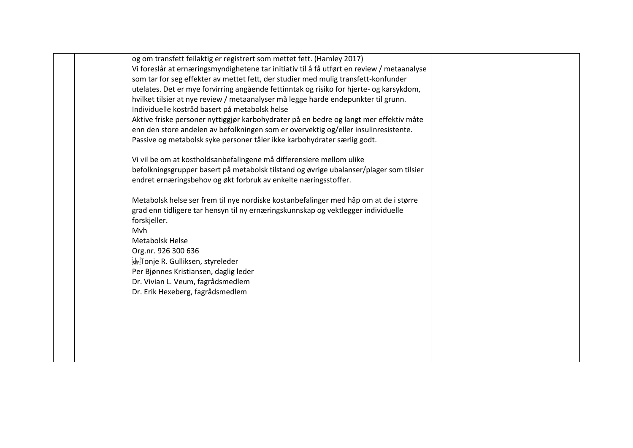| og om transfett feilaktig er registrert som mettet fett. (Hamley 2017)                     |  |
|--------------------------------------------------------------------------------------------|--|
| Vi foreslår at ernæringsmyndighetene tar initiativ til å få utført en review / metaanalyse |  |
| som tar for seg effekter av mettet fett, der studier med mulig transfett-konfunder         |  |
| utelates. Det er mye forvirring angående fettinntak og risiko for hjerte- og karsykdom,    |  |
| hvilket tilsier at nye review / metaanalyser må legge harde endepunkter til grunn.         |  |
| Individuelle kostråd basert på metabolsk helse                                             |  |
| Aktive friske personer nyttiggjør karbohydrater på en bedre og langt mer effektiv måte     |  |
| enn den store andelen av befolkningen som er overvektig og/eller insulinresistente.        |  |
| Passive og metabolsk syke personer tåler ikke karbohydrater særlig godt.                   |  |
| Vi vil be om at kostholdsanbefalingene må differensiere mellom ulike                       |  |
| befolkningsgrupper basert på metabolsk tilstand og øvrige ubalanser/plager som tilsier     |  |
| endret ernæringsbehov og økt forbruk av enkelte næringsstoffer.                            |  |
| Metabolsk helse ser frem til nye nordiske kostanbefalinger med håp om at de i større       |  |
| grad enn tidligere tar hensyn til ny ernæringskunnskap og vektlegger individuelle          |  |
| forskjeller.                                                                               |  |
| Mvh                                                                                        |  |
| <b>Metabolsk Helse</b>                                                                     |  |
| Org.nr. 926 300 636                                                                        |  |
| see Tonje R. Gulliksen, styreleder                                                         |  |
| Per Bjønnes Kristiansen, daglig leder                                                      |  |
| Dr. Vivian L. Veum, fagrådsmedlem                                                          |  |
| Dr. Erik Hexeberg, fagrådsmedlem                                                           |  |
|                                                                                            |  |
|                                                                                            |  |
|                                                                                            |  |
|                                                                                            |  |
|                                                                                            |  |
|                                                                                            |  |
|                                                                                            |  |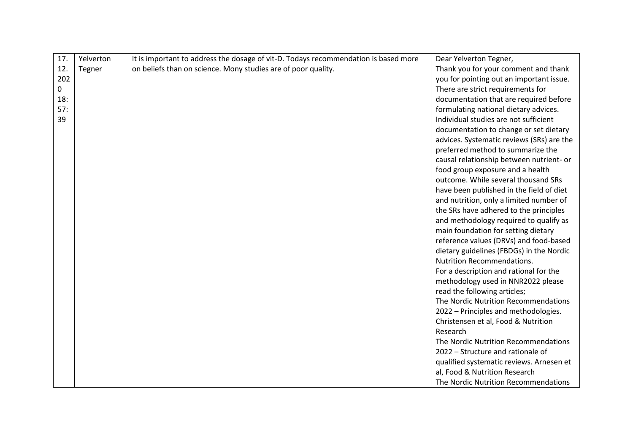| 17. | Yelverton | It is important to address the dosage of vit-D. Todays recommendation is based more | Dear Yelverton Tegner,                    |
|-----|-----------|-------------------------------------------------------------------------------------|-------------------------------------------|
| 12. | Tegner    | on beliefs than on science. Mony studies are of poor quality.                       | Thank you for your comment and thank      |
| 202 |           |                                                                                     | you for pointing out an important issue.  |
| 0   |           |                                                                                     | There are strict requirements for         |
| 18: |           |                                                                                     | documentation that are required before    |
| 57: |           |                                                                                     | formulating national dietary advices.     |
| 39  |           |                                                                                     | Individual studies are not sufficient     |
|     |           |                                                                                     | documentation to change or set dietary    |
|     |           |                                                                                     | advices. Systematic reviews (SRs) are the |
|     |           |                                                                                     | preferred method to summarize the         |
|     |           |                                                                                     | causal relationship between nutrient- or  |
|     |           |                                                                                     | food group exposure and a health          |
|     |           |                                                                                     | outcome. While several thousand SRs       |
|     |           |                                                                                     | have been published in the field of diet  |
|     |           |                                                                                     | and nutrition, only a limited number of   |
|     |           |                                                                                     | the SRs have adhered to the principles    |
|     |           |                                                                                     | and methodology required to qualify as    |
|     |           |                                                                                     | main foundation for setting dietary       |
|     |           |                                                                                     | reference values (DRVs) and food-based    |
|     |           |                                                                                     | dietary guidelines (FBDGs) in the Nordic  |
|     |           |                                                                                     | <b>Nutrition Recommendations.</b>         |
|     |           |                                                                                     | For a description and rational for the    |
|     |           |                                                                                     | methodology used in NNR2022 please        |
|     |           |                                                                                     | read the following articles;              |
|     |           |                                                                                     | The Nordic Nutrition Recommendations      |
|     |           |                                                                                     | 2022 - Principles and methodologies.      |
|     |           |                                                                                     | Christensen et al, Food & Nutrition       |
|     |           |                                                                                     | Research                                  |
|     |           |                                                                                     | The Nordic Nutrition Recommendations      |
|     |           |                                                                                     | 2022 - Structure and rationale of         |
|     |           |                                                                                     | qualified systematic reviews. Arnesen et  |
|     |           |                                                                                     | al, Food & Nutrition Research             |
|     |           |                                                                                     | The Nordic Nutrition Recommendations      |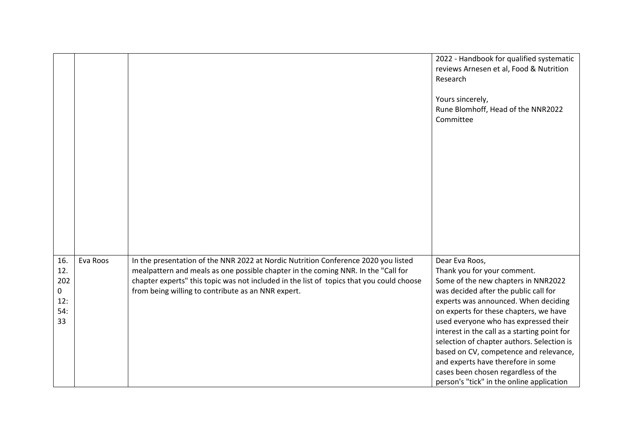|                                                      |          |                                                                                                                                                                                                                                                                                                                           | 2022 - Handbook for qualified systematic<br>reviews Arnesen et al, Food & Nutrition<br>Research<br>Yours sincerely,<br>Rune Blomhoff, Head of the NNR2022<br>Committee                                                                                                                                                                                                                                                                                                                                                     |
|------------------------------------------------------|----------|---------------------------------------------------------------------------------------------------------------------------------------------------------------------------------------------------------------------------------------------------------------------------------------------------------------------------|----------------------------------------------------------------------------------------------------------------------------------------------------------------------------------------------------------------------------------------------------------------------------------------------------------------------------------------------------------------------------------------------------------------------------------------------------------------------------------------------------------------------------|
| 16.<br>12.<br>202<br>$\mathbf 0$<br>12:<br>54:<br>33 | Eva Roos | In the presentation of the NNR 2022 at Nordic Nutrition Conference 2020 you listed<br>mealpattern and meals as one possible chapter in the coming NNR. In the "Call for<br>chapter experts" this topic was not included in the list of topics that you could choose<br>from being willing to contribute as an NNR expert. | Dear Eva Roos,<br>Thank you for your comment.<br>Some of the new chapters in NNR2022<br>was decided after the public call for<br>experts was announced. When deciding<br>on experts for these chapters, we have<br>used everyone who has expressed their<br>interest in the call as a starting point for<br>selection of chapter authors. Selection is<br>based on CV, competence and relevance,<br>and experts have therefore in some<br>cases been chosen regardless of the<br>person's "tick" in the online application |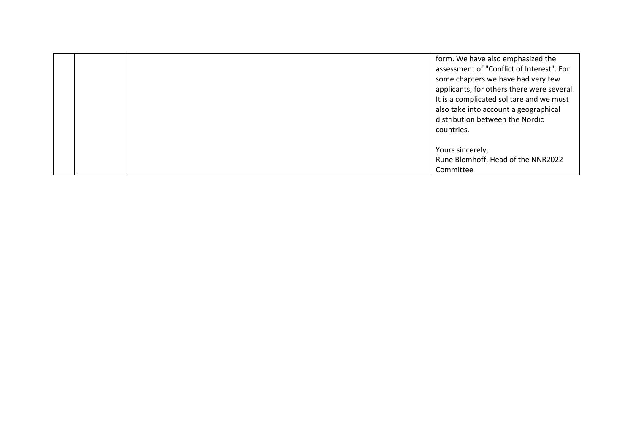|  | form. We have also emphasized the<br>assessment of "Conflict of Interest". For<br>some chapters we have had very few<br>applicants, for others there were several.<br>It is a complicated solitare and we must<br>also take into account a geographical<br>distribution between the Nordic<br>countries. |
|--|----------------------------------------------------------------------------------------------------------------------------------------------------------------------------------------------------------------------------------------------------------------------------------------------------------|
|  | Yours sincerely,<br>Rune Blomhoff, Head of the NNR2022<br>Committee                                                                                                                                                                                                                                      |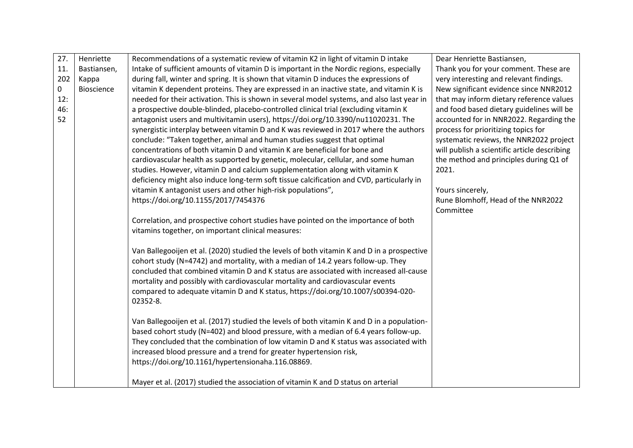| 27. | Henriette         | Recommendations of a systematic review of vitamin K2 in light of vitamin D intake          | Dear Henriette Bastiansen,                   |
|-----|-------------------|--------------------------------------------------------------------------------------------|----------------------------------------------|
| 11. | Bastiansen,       | Intake of sufficient amounts of vitamin D is important in the Nordic regions, especially   | Thank you for your comment. These are        |
| 202 | Kappa             | during fall, winter and spring. It is shown that vitamin D induces the expressions of      | very interesting and relevant findings.      |
| 0   | <b>Bioscience</b> | vitamin K dependent proteins. They are expressed in an inactive state, and vitamin K is    | New significant evidence since NNR2012       |
| 12: |                   | needed for their activation. This is shown in several model systems, and also last year in | that may inform dietary reference values     |
| 46: |                   | a prospective double-blinded, placebo-controlled clinical trial (excluding vitamin K       | and food based dietary guidelines will be    |
| 52  |                   | antagonist users and multivitamin users), https://doi.org/10.3390/nu11020231. The          | accounted for in NNR2022. Regarding the      |
|     |                   | synergistic interplay between vitamin D and K was reviewed in 2017 where the authors       | process for prioritizing topics for          |
|     |                   | conclude: "Taken together, animal and human studies suggest that optimal                   | systematic reviews, the NNR2022 project      |
|     |                   | concentrations of both vitamin D and vitamin K are beneficial for bone and                 | will publish a scientific article describing |
|     |                   | cardiovascular health as supported by genetic, molecular, cellular, and some human         | the method and principles during Q1 of       |
|     |                   | studies. However, vitamin D and calcium supplementation along with vitamin K               | 2021.                                        |
|     |                   | deficiency might also induce long-term soft tissue calcification and CVD, particularly in  |                                              |
|     |                   | vitamin K antagonist users and other high-risk populations",                               | Yours sincerely,                             |
|     |                   | https://doi.org/10.1155/2017/7454376                                                       | Rune Blomhoff, Head of the NNR2022           |
|     |                   |                                                                                            | Committee                                    |
|     |                   | Correlation, and prospective cohort studies have pointed on the importance of both         |                                              |
|     |                   | vitamins together, on important clinical measures:                                         |                                              |
|     |                   | Van Ballegooijen et al. (2020) studied the levels of both vitamin K and D in a prospective |                                              |
|     |                   | cohort study (N=4742) and mortality, with a median of 14.2 years follow-up. They           |                                              |
|     |                   | concluded that combined vitamin D and K status are associated with increased all-cause     |                                              |
|     |                   | mortality and possibly with cardiovascular mortality and cardiovascular events             |                                              |
|     |                   | compared to adequate vitamin D and K status, https://doi.org/10.1007/s00394-020-           |                                              |
|     |                   | 02352-8.                                                                                   |                                              |
|     |                   |                                                                                            |                                              |
|     |                   | Van Ballegooijen et al. (2017) studied the levels of both vitamin K and D in a population- |                                              |
|     |                   | based cohort study (N=402) and blood pressure, with a median of 6.4 years follow-up.       |                                              |
|     |                   | They concluded that the combination of low vitamin D and K status was associated with      |                                              |
|     |                   | increased blood pressure and a trend for greater hypertension risk,                        |                                              |
|     |                   | https://doi.org/10.1161/hypertensionaha.116.08869.                                         |                                              |
|     |                   |                                                                                            |                                              |
|     |                   | Mayer et al. (2017) studied the association of vitamin K and D status on arterial          |                                              |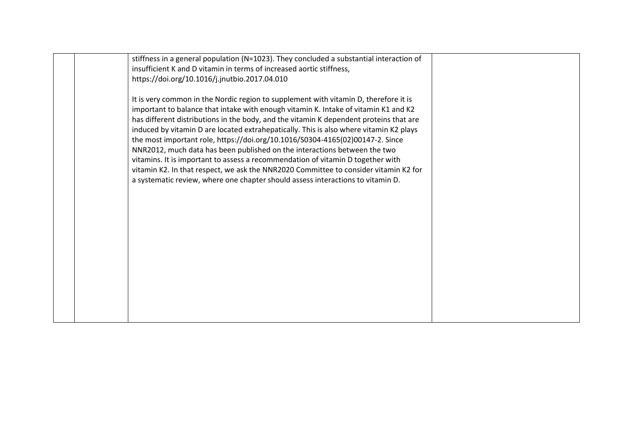|  | stiffness in a general population (N=1023). They concluded a substantial interaction of |  |
|--|-----------------------------------------------------------------------------------------|--|
|  | insufficient K and D vitamin in terms of increased aortic stiffness,                    |  |
|  | https://doi.org/10.1016/j.jnutbio.2017.04.010                                           |  |
|  |                                                                                         |  |
|  | It is very common in the Nordic region to supplement with vitamin D, therefore it is    |  |
|  |                                                                                         |  |
|  | important to balance that intake with enough vitamin K. Intake of vitamin K1 and K2     |  |
|  | has different distributions in the body, and the vitamin K dependent proteins that are  |  |
|  | induced by vitamin D are located extrahepatically. This is also where vitamin K2 plays  |  |
|  | the most important role, https://doi.org/10.1016/S0304-4165(02)00147-2. Since           |  |
|  | NNR2012, much data has been published on the interactions between the two               |  |
|  | vitamins. It is important to assess a recommendation of vitamin D together with         |  |
|  | vitamin K2. In that respect, we ask the NNR2020 Committee to consider vitamin K2 for    |  |
|  | a systematic review, where one chapter should assess interactions to vitamin D.         |  |
|  |                                                                                         |  |
|  |                                                                                         |  |
|  |                                                                                         |  |
|  |                                                                                         |  |
|  |                                                                                         |  |
|  |                                                                                         |  |
|  |                                                                                         |  |
|  |                                                                                         |  |
|  |                                                                                         |  |
|  |                                                                                         |  |
|  |                                                                                         |  |
|  |                                                                                         |  |
|  |                                                                                         |  |
|  |                                                                                         |  |
|  |                                                                                         |  |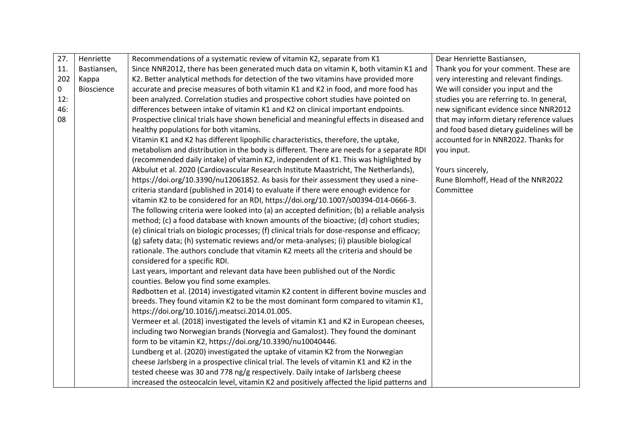| 27. | Henriette   | Recommendations of a systematic review of vitamin K2, separate from K1                         | Dear Henriette Bastiansen,                |
|-----|-------------|------------------------------------------------------------------------------------------------|-------------------------------------------|
| 11. | Bastiansen, | Since NNR2012, there has been generated much data on vitamin K, both vitamin K1 and            | Thank you for your comment. These are     |
| 202 | Kappa       | K2. Better analytical methods for detection of the two vitamins have provided more             | very interesting and relevant findings.   |
| 0   | Bioscience  | accurate and precise measures of both vitamin K1 and K2 in food, and more food has             | We will consider you input and the        |
| 12: |             | been analyzed. Correlation studies and prospective cohort studies have pointed on              | studies you are referring to. In general, |
| 46: |             | differences between intake of vitamin K1 and K2 on clinical important endpoints.               | new significant evidence since NNR2012    |
| 08  |             | Prospective clinical trials have shown beneficial and meaningful effects in diseased and       | that may inform dietary reference values  |
|     |             | healthy populations for both vitamins.                                                         | and food based dietary guidelines will be |
|     |             | Vitamin K1 and K2 has different lipophilic characteristics, therefore, the uptake,             | accounted for in NNR2022. Thanks for      |
|     |             | metabolism and distribution in the body is different. There are needs for a separate RDI       | you input.                                |
|     |             | (recommended daily intake) of vitamin K2, independent of K1. This was highlighted by           |                                           |
|     |             | Akbulut et al. 2020 (Cardiovascular Research Institute Maastricht, The Netherlands),           | Yours sincerely,                          |
|     |             | https://doi.org/10.3390/nu12061852. As basis for their assessment they used a nine-            | Rune Blomhoff, Head of the NNR2022        |
|     |             | criteria standard (published in 2014) to evaluate if there were enough evidence for            | Committee                                 |
|     |             | vitamin K2 to be considered for an RDI, https://doi.org/10.1007/s00394-014-0666-3.             |                                           |
|     |             | The following criteria were looked into (a) an accepted definition; (b) a reliable analysis    |                                           |
|     |             | method; (c) a food database with known amounts of the bioactive; (d) cohort studies;           |                                           |
|     |             | (e) clinical trials on biologic processes; (f) clinical trials for dose-response and efficacy; |                                           |
|     |             | (g) safety data; (h) systematic reviews and/or meta-analyses; (i) plausible biological         |                                           |
|     |             | rationale. The authors conclude that vitamin K2 meets all the criteria and should be           |                                           |
|     |             | considered for a specific RDI.                                                                 |                                           |
|     |             | Last years, important and relevant data have been published out of the Nordic                  |                                           |
|     |             | counties. Below you find some examples.                                                        |                                           |
|     |             | Rødbotten et al. (2014) investigated vitamin K2 content in different bovine muscles and        |                                           |
|     |             | breeds. They found vitamin K2 to be the most dominant form compared to vitamin K1,             |                                           |
|     |             | https://doi.org/10.1016/j.meatsci.2014.01.005.                                                 |                                           |
|     |             | Vermeer et al. (2018) investigated the levels of vitamin K1 and K2 in European cheeses,        |                                           |
|     |             | including two Norwegian brands (Norvegia and Gamalost). They found the dominant                |                                           |
|     |             | form to be vitamin K2, https://doi.org/10.3390/nu10040446.                                     |                                           |
|     |             | Lundberg et al. (2020) investigated the uptake of vitamin K2 from the Norwegian                |                                           |
|     |             | cheese Jarlsberg in a prospective clinical trial. The levels of vitamin K1 and K2 in the       |                                           |
|     |             | tested cheese was 30 and 778 ng/g respectively. Daily intake of Jarlsberg cheese               |                                           |
|     |             | increased the osteocalcin level, vitamin K2 and positively affected the lipid patterns and     |                                           |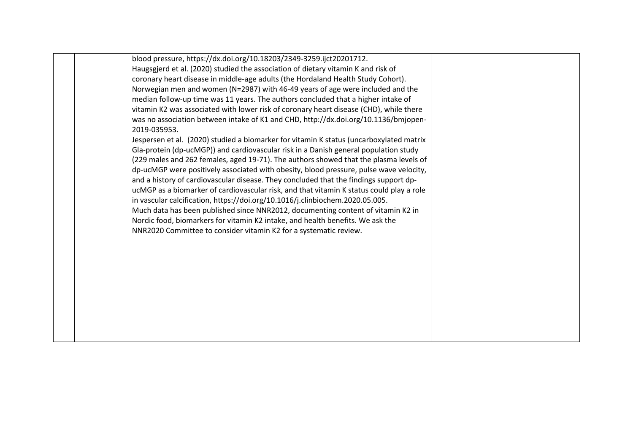|  | blood pressure, https://dx.doi.org/10.18203/2349-3259.ijct20201712.                      |  |
|--|------------------------------------------------------------------------------------------|--|
|  | Haugsgjerd et al. (2020) studied the association of dietary vitamin K and risk of        |  |
|  | coronary heart disease in middle-age adults (the Hordaland Health Study Cohort).         |  |
|  | Norwegian men and women (N=2987) with 46-49 years of age were included and the           |  |
|  | median follow-up time was 11 years. The authors concluded that a higher intake of        |  |
|  | vitamin K2 was associated with lower risk of coronary heart disease (CHD), while there   |  |
|  | was no association between intake of K1 and CHD, http://dx.doi.org/10.1136/bmjopen-      |  |
|  | 2019-035953.                                                                             |  |
|  | Jespersen et al. (2020) studied a biomarker for vitamin K status (uncarboxylated matrix  |  |
|  | Gla-protein (dp-ucMGP)) and cardiovascular risk in a Danish general population study     |  |
|  | (229 males and 262 females, aged 19-71). The authors showed that the plasma levels of    |  |
|  | dp-ucMGP were positively associated with obesity, blood pressure, pulse wave velocity,   |  |
|  | and a history of cardiovascular disease. They concluded that the findings support dp-    |  |
|  | ucMGP as a biomarker of cardiovascular risk, and that vitamin K status could play a role |  |
|  | in vascular calcification, https://doi.org/10.1016/j.clinbiochem.2020.05.005.            |  |
|  | Much data has been published since NNR2012, documenting content of vitamin K2 in         |  |
|  | Nordic food, biomarkers for vitamin K2 intake, and health benefits. We ask the           |  |
|  | NNR2020 Committee to consider vitamin K2 for a systematic review.                        |  |
|  |                                                                                          |  |
|  |                                                                                          |  |
|  |                                                                                          |  |
|  |                                                                                          |  |
|  |                                                                                          |  |
|  |                                                                                          |  |
|  |                                                                                          |  |
|  |                                                                                          |  |
|  |                                                                                          |  |
|  |                                                                                          |  |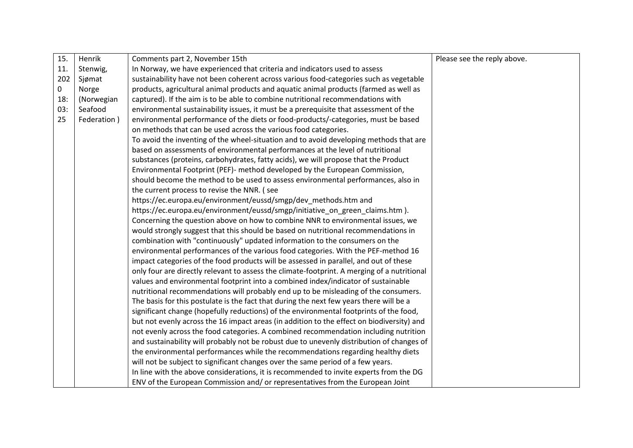| 15.         | Henrik      | Comments part 2, November 15th                                                              | Please see the reply above. |
|-------------|-------------|---------------------------------------------------------------------------------------------|-----------------------------|
| 11.         | Stenwig,    | In Norway, we have experienced that criteria and indicators used to assess                  |                             |
| 202         | Sjømat      | sustainability have not been coherent across various food-categories such as vegetable      |                             |
| $\mathbf 0$ | Norge       | products, agricultural animal products and aquatic animal products (farmed as well as       |                             |
| 18:         | (Norwegian  | captured). If the aim is to be able to combine nutritional recommendations with             |                             |
| 03:         | Seafood     | environmental sustainability issues, it must be a prerequisite that assessment of the       |                             |
| 25          | Federation) | environmental performance of the diets or food-products/-categories, must be based          |                             |
|             |             | on methods that can be used across the various food categories.                             |                             |
|             |             | To avoid the inventing of the wheel-situation and to avoid developing methods that are      |                             |
|             |             | based on assessments of environmental performances at the level of nutritional              |                             |
|             |             | substances (proteins, carbohydrates, fatty acids), we will propose that the Product         |                             |
|             |             | Environmental Footprint (PEF)- method developed by the European Commission,                 |                             |
|             |             | should become the method to be used to assess environmental performances, also in           |                             |
|             |             | the current process to revise the NNR. (see                                                 |                             |
|             |             | https://ec.europa.eu/environment/eussd/smgp/dev_methods.htm and                             |                             |
|             |             | https://ec.europa.eu/environment/eussd/smgp/initiative_on_green_claims.htm ).               |                             |
|             |             | Concerning the question above on how to combine NNR to environmental issues, we             |                             |
|             |             | would strongly suggest that this should be based on nutritional recommendations in          |                             |
|             |             | combination with "continuously" updated information to the consumers on the                 |                             |
|             |             | environmental performances of the various food categories. With the PEF-method 16           |                             |
|             |             | impact categories of the food products will be assessed in parallel, and out of these       |                             |
|             |             | only four are directly relevant to assess the climate-footprint. A merging of a nutritional |                             |
|             |             | values and environmental footprint into a combined index/indicator of sustainable           |                             |
|             |             | nutritional recommendations will probably end up to be misleading of the consumers.         |                             |
|             |             | The basis for this postulate is the fact that during the next few years there will be a     |                             |
|             |             | significant change (hopefully reductions) of the environmental footprints of the food,      |                             |
|             |             | but not evenly across the 16 impact areas (in addition to the effect on biodiversity) and   |                             |
|             |             | not evenly across the food categories. A combined recommendation including nutrition        |                             |
|             |             | and sustainability will probably not be robust due to unevenly distribution of changes of   |                             |
|             |             | the environmental performances while the recommendations regarding healthy diets            |                             |
|             |             | will not be subject to significant changes over the same period of a few years.             |                             |
|             |             | In line with the above considerations, it is recommended to invite experts from the DG      |                             |
|             |             | ENV of the European Commission and/ or representatives from the European Joint              |                             |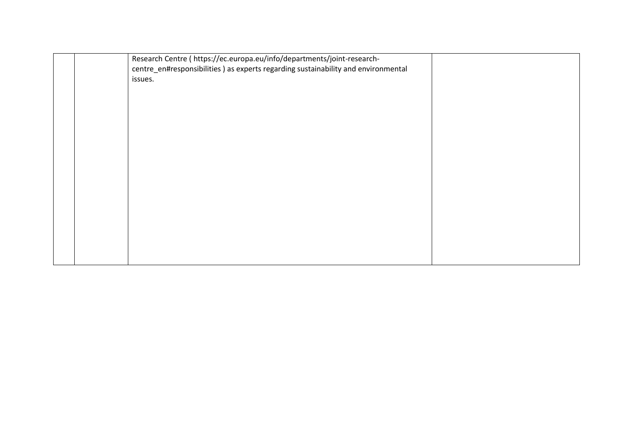| Research Centre ( https://ec.europa.eu/info/departments/joint-research-            |  |
|------------------------------------------------------------------------------------|--|
| centre_en#responsibilities ) as experts regarding sustainability and environmental |  |
| issues.                                                                            |  |
|                                                                                    |  |
|                                                                                    |  |
|                                                                                    |  |
|                                                                                    |  |
|                                                                                    |  |
|                                                                                    |  |
|                                                                                    |  |
|                                                                                    |  |
|                                                                                    |  |
|                                                                                    |  |
|                                                                                    |  |
|                                                                                    |  |
|                                                                                    |  |
|                                                                                    |  |
|                                                                                    |  |
|                                                                                    |  |
|                                                                                    |  |
|                                                                                    |  |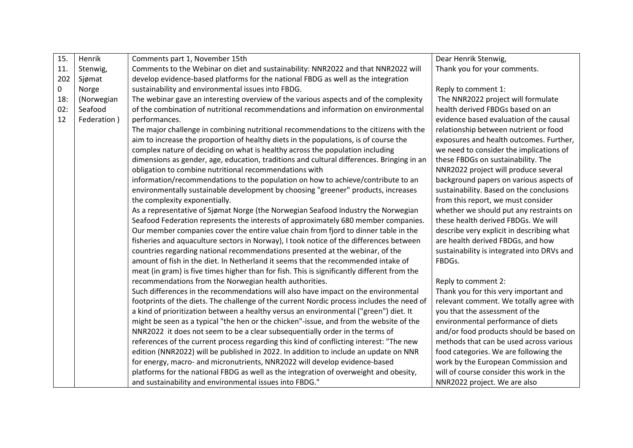| 15. | Henrik      | Comments part 1, November 15th                                                              | Dear Henrik Stenwig,                       |
|-----|-------------|---------------------------------------------------------------------------------------------|--------------------------------------------|
| 11. | Stenwig,    | Comments to the Webinar on diet and sustainability: NNR2022 and that NNR2022 will           | Thank you for your comments.               |
| 202 | Sjømat      | develop evidence-based platforms for the national FBDG as well as the integration           |                                            |
| 0   | Norge       | sustainability and environmental issues into FBDG.                                          | Reply to comment 1:                        |
| 18: | (Norwegian  | The webinar gave an interesting overview of the various aspects and of the complexity       | The NNR2022 project will formulate         |
| 02: | Seafood     | of the combination of nutritional recommendations and information on environmental          | health derived FBDGs based on an           |
| 12  | Federation) | performances.                                                                               | evidence based evaluation of the causal    |
|     |             | The major challenge in combining nutritional recommendations to the citizens with the       | relationship between nutrient or food      |
|     |             | aim to increase the proportion of healthy diets in the populations, is of course the        | exposures and health outcomes. Further,    |
|     |             | complex nature of deciding on what is healthy across the population including               | we need to consider the implications of    |
|     |             | dimensions as gender, age, education, traditions and cultural differences. Bringing in an   | these FBDGs on sustainability. The         |
|     |             | obligation to combine nutritional recommendations with                                      | NNR2022 project will produce several       |
|     |             | information/recommendations to the population on how to achieve/contribute to an            | background papers on various aspects of    |
|     |             | environmentally sustainable development by choosing "greener" products, increases           | sustainability. Based on the conclusions   |
|     |             | the complexity exponentially.                                                               | from this report, we must consider         |
|     |             | As a representative of Sjømat Norge (the Norwegian Seafood Industry the Norwegian           | whether we should put any restraints on    |
|     |             | Seafood Federation represents the interests of approximately 680 member companies.          | these health derived FBDGs. We will        |
|     |             | Our member companies cover the entire value chain from fjord to dinner table in the         | describe very explicit in describing what  |
|     |             | fisheries and aquaculture sectors in Norway), I took notice of the differences between      | are health derived FBDGs, and how          |
|     |             | countries regarding national recommendations presented at the webinar, of the               | sustainability is integrated into DRVs and |
|     |             | amount of fish in the diet. In Netherland it seems that the recommended intake of           | FBDGs.                                     |
|     |             | meat (in gram) is five times higher than for fish. This is significantly different from the |                                            |
|     |             | recommendations from the Norwegian health authorities.                                      | Reply to comment 2:                        |
|     |             | Such differences in the recommendations will also have impact on the environmental          | Thank you for this very important and      |
|     |             | footprints of the diets. The challenge of the current Nordic process includes the need of   | relevant comment. We totally agree with    |
|     |             | a kind of prioritization between a healthy versus an environmental ("green") diet. It       | you that the assessment of the             |
|     |             | might be seen as a typical "the hen or the chicken"-issue, and from the website of the      | environmental performance of diets         |
|     |             | NNR2022 it does not seem to be a clear subsequentially order in the terms of                | and/or food products should be based on    |
|     |             | references of the current process regarding this kind of conflicting interest: "The new     | methods that can be used across various    |
|     |             | edition (NNR2022) will be published in 2022. In addition to include an update on NNR        | food categories. We are following the      |
|     |             | for energy, macro- and micronutrients, NNR2022 will develop evidence-based                  | work by the European Commission and        |
|     |             | platforms for the national FBDG as well as the integration of overweight and obesity,       | will of course consider this work in the   |
|     |             | and sustainability and environmental issues into FBDG."                                     | NNR2022 project. We are also               |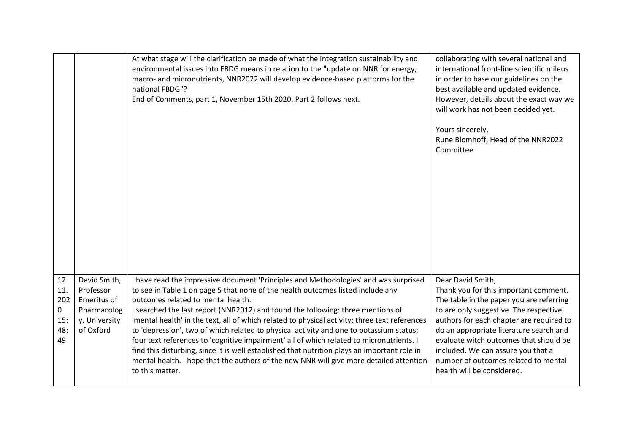|                                                      |                                                                                       | At what stage will the clarification be made of what the integration sustainability and<br>environmental issues into FBDG means in relation to the "update on NNR for energy,<br>macro- and micronutrients, NNR2022 will develop evidence-based platforms for the<br>national FBDG"?<br>End of Comments, part 1, November 15th 2020. Part 2 follows next.                                                                                                                                                                                                                                                                                                                                                                                                                                              | collaborating with several national and<br>international front-line scientific mileus<br>in order to base our guidelines on the<br>best available and updated evidence.<br>However, details about the exact way we<br>will work has not been decided yet.<br>Yours sincerely,<br>Rune Blomhoff, Head of the NNR2022<br>Committee                                                              |
|------------------------------------------------------|---------------------------------------------------------------------------------------|--------------------------------------------------------------------------------------------------------------------------------------------------------------------------------------------------------------------------------------------------------------------------------------------------------------------------------------------------------------------------------------------------------------------------------------------------------------------------------------------------------------------------------------------------------------------------------------------------------------------------------------------------------------------------------------------------------------------------------------------------------------------------------------------------------|-----------------------------------------------------------------------------------------------------------------------------------------------------------------------------------------------------------------------------------------------------------------------------------------------------------------------------------------------------------------------------------------------|
| 12.<br>11.<br>202<br>$\mathbf 0$<br>15:<br>48:<br>49 | David Smith,<br>Professor<br>Emeritus of<br>Pharmacolog<br>y, University<br>of Oxford | I have read the impressive document 'Principles and Methodologies' and was surprised<br>to see in Table 1 on page 5 that none of the health outcomes listed include any<br>outcomes related to mental health.<br>I searched the last report (NNR2012) and found the following: three mentions of<br>'mental health' in the text, all of which related to physical activity; three text references<br>to 'depression', two of which related to physical activity and one to potassium status;<br>four text references to 'cognitive impairment' all of which related to micronutrients. I<br>find this disturbing, since it is well established that nutrition plays an important role in<br>mental health. I hope that the authors of the new NNR will give more detailed attention<br>to this matter. | Dear David Smith,<br>Thank you for this important comment.<br>The table in the paper you are referring<br>to are only suggestive. The respective<br>authors for each chapter are required to<br>do an appropriate literature search and<br>evaluate witch outcomes that should be<br>included. We can assure you that a<br>number of outcomes related to mental<br>health will be considered. |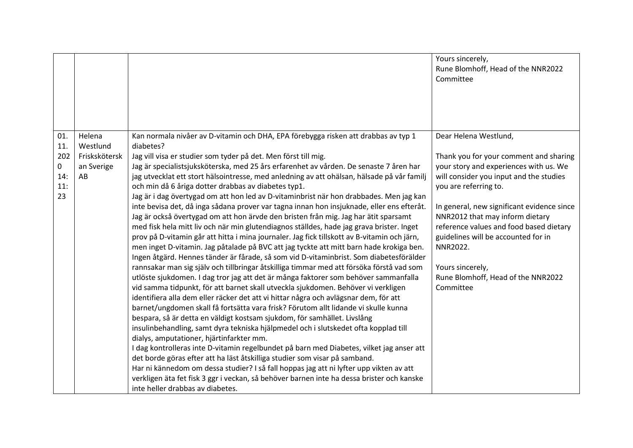|                                     |                                   |                                                                                                                                                                                                                                                                                                                                                                                                                                                                                                                                                                                                                                                                                                                                                                                                                                                                                                                                                                                                                                                                                                                                                                                                                                                                                                                                                                                                                                                                                                                                                                                                                                                                                                                                                                                                                                                                                                                                                                                                                                                        | Yours sincerely,<br>Rune Blomhoff, Head of the NNR2022<br>Committee                                                                                                                                                                                                                                                                                                                                        |
|-------------------------------------|-----------------------------------|--------------------------------------------------------------------------------------------------------------------------------------------------------------------------------------------------------------------------------------------------------------------------------------------------------------------------------------------------------------------------------------------------------------------------------------------------------------------------------------------------------------------------------------------------------------------------------------------------------------------------------------------------------------------------------------------------------------------------------------------------------------------------------------------------------------------------------------------------------------------------------------------------------------------------------------------------------------------------------------------------------------------------------------------------------------------------------------------------------------------------------------------------------------------------------------------------------------------------------------------------------------------------------------------------------------------------------------------------------------------------------------------------------------------------------------------------------------------------------------------------------------------------------------------------------------------------------------------------------------------------------------------------------------------------------------------------------------------------------------------------------------------------------------------------------------------------------------------------------------------------------------------------------------------------------------------------------------------------------------------------------------------------------------------------------|------------------------------------------------------------------------------------------------------------------------------------------------------------------------------------------------------------------------------------------------------------------------------------------------------------------------------------------------------------------------------------------------------------|
| 01.                                 | Helena<br>Westlund                | Kan normala nivåer av D-vitamin och DHA, EPA förebygga risken att drabbas av typ 1<br>diabetes?                                                                                                                                                                                                                                                                                                                                                                                                                                                                                                                                                                                                                                                                                                                                                                                                                                                                                                                                                                                                                                                                                                                                                                                                                                                                                                                                                                                                                                                                                                                                                                                                                                                                                                                                                                                                                                                                                                                                                        | Dear Helena Westlund,                                                                                                                                                                                                                                                                                                                                                                                      |
| 11.<br>202<br>0<br>14:<br>11:<br>23 | Friskskötersk<br>an Sverige<br>AB | Jag vill visa er studier som tyder på det. Men först till mig.<br>Jag är specialistsjuksköterska, med 25 års erfarenhet av vården. De senaste 7 åren har<br>jag utvecklat ett stort hälsointresse, med anledning av att ohälsan, hälsade på vår familj<br>och min då 6 åriga dotter drabbas av diabetes typ1.<br>Jag är i dag övertygad om att hon led av D-vitaminbrist när hon drabbades. Men jag kan<br>inte bevisa det, då inga sådana prover var tagna innan hon insjuknade, eller ens efteråt.<br>Jag är också övertygad om att hon ärvde den bristen från mig. Jag har ätit sparsamt<br>med fisk hela mitt liv och när min glutendiagnos ställdes, hade jag grava brister. Inget<br>prov på D-vitamin går att hitta i mina journaler. Jag fick tillskott av B-vitamin och järn,<br>men inget D-vitamin. Jag påtalade på BVC att jag tyckte att mitt barn hade krokiga ben.<br>Ingen åtgärd. Hennes tänder är fårade, så som vid D-vitaminbrist. Som diabetesförälder<br>rannsakar man sig själv och tillbringar åtskilliga timmar med att försöka förstå vad som<br>utlöste sjukdomen. I dag tror jag att det är många faktorer som behöver sammanfalla<br>vid samma tidpunkt, för att barnet skall utveckla sjukdomen. Behöver vi verkligen<br>identifiera alla dem eller räcker det att vi hittar några och avlägsnar dem, för att<br>barnet/ungdomen skall få fortsätta vara frisk? Förutom allt lidande vi skulle kunna<br>bespara, så är detta en väldigt kostsam sjukdom, för samhället. Livslång<br>insulinbehandling, samt dyra tekniska hjälpmedel och i slutskedet ofta kopplad till<br>dialys, amputationer, hjärtinfarkter mm.<br>I dag kontrolleras inte D-vitamin regelbundet på barn med Diabetes, vilket jag anser att<br>det borde göras efter att ha läst åtskilliga studier som visar på samband.<br>Har ni kännedom om dessa studier? I så fall hoppas jag att ni lyfter upp vikten av att<br>verkligen äta fet fisk 3 ggr i veckan, så behöver barnen inte ha dessa brister och kanske<br>inte heller drabbas av diabetes. | Thank you for your comment and sharing<br>your story and experiences with us. We<br>will consider you input and the studies<br>you are referring to.<br>In general, new significant evidence since<br>NNR2012 that may inform dietary<br>reference values and food based dietary<br>guidelines will be accounted for in<br>NNR2022.<br>Yours sincerely,<br>Rune Blomhoff, Head of the NNR2022<br>Committee |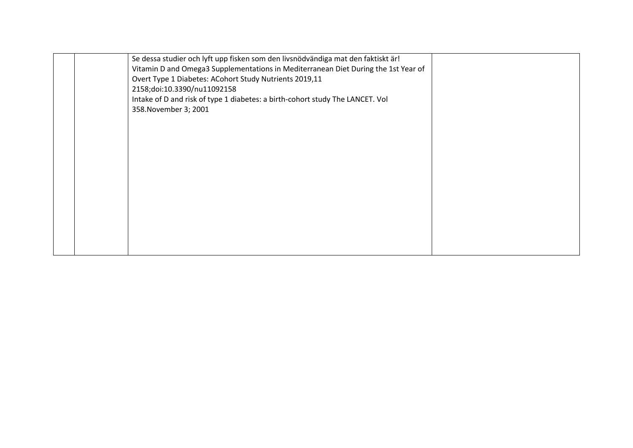|  | Se dessa studier och lyft upp fisken som den livsnödvändiga mat den faktiskt är!   |  |
|--|------------------------------------------------------------------------------------|--|
|  | Vitamin D and Omega3 Supplementations in Mediterranean Diet During the 1st Year of |  |
|  | Overt Type 1 Diabetes: ACohort Study Nutrients 2019,11                             |  |
|  | 2158;doi:10.3390/nu11092158                                                        |  |
|  | Intake of D and risk of type 1 diabetes: a birth-cohort study The LANCET. Vol      |  |
|  | 358. November 3; 2001                                                              |  |
|  |                                                                                    |  |
|  |                                                                                    |  |
|  |                                                                                    |  |
|  |                                                                                    |  |
|  |                                                                                    |  |
|  |                                                                                    |  |
|  |                                                                                    |  |
|  |                                                                                    |  |
|  |                                                                                    |  |
|  |                                                                                    |  |
|  |                                                                                    |  |
|  |                                                                                    |  |
|  |                                                                                    |  |
|  |                                                                                    |  |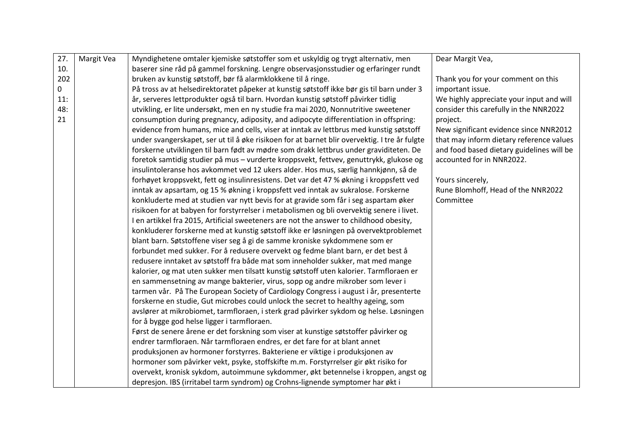| 27. | Margit Vea | Myndighetene omtaler kjemiske søtstoffer som et uskyldig og trygt alternativ, men             | Dear Margit Vea,                          |
|-----|------------|-----------------------------------------------------------------------------------------------|-------------------------------------------|
| 10. |            | baserer sine råd på gammel forskning. Lengre observasjonsstudier og erfaringer rundt          |                                           |
| 202 |            | bruken av kunstig søtstoff, bør få alarmklokkene til å ringe.                                 | Thank you for your comment on this        |
| 0   |            | På tross av at helsedirektoratet påpeker at kunstig søtstoff ikke bør gis til barn under 3    | important issue.                          |
| 11: |            | år, serveres lettprodukter også til barn. Hvordan kunstig søtstoff påvirker tidlig            | We highly appreciate your input and will  |
| 48: |            | utvikling, er lite undersøkt, men en ny studie fra mai 2020, Nonnutritive sweetener           | consider this carefully in the NNR2022    |
| 21  |            | consumption during pregnancy, adiposity, and adipocyte differentiation in offspring:          | project.                                  |
|     |            | evidence from humans, mice and cells, viser at inntak av lettbrus med kunstig søtstoff        | New significant evidence since NNR2012    |
|     |            | under svangerskapet, ser ut til å øke risikoen for at barnet blir overvektig. I tre år fulgte | that may inform dietary reference values  |
|     |            | forskerne utviklingen til barn født av mødre som drakk lettbrus under graviditeten. De        | and food based dietary guidelines will be |
|     |            | foretok samtidig studier på mus - vurderte kroppsvekt, fettvev, genuttrykk, glukose og        | accounted for in NNR2022.                 |
|     |            | insulintoleranse hos avkommet ved 12 ukers alder. Hos mus, særlig hannkjønn, så de            |                                           |
|     |            | forhøyet kroppsvekt, fett og insulinresistens. Det var det 47 % økning i kroppsfett ved       | Yours sincerely,                          |
|     |            | inntak av apsartam, og 15 % økning i kroppsfett ved inntak av sukralose. Forskerne            | Rune Blomhoff, Head of the NNR2022        |
|     |            | konkluderte med at studien var nytt bevis for at gravide som får i seg aspartam øker          | Committee                                 |
|     |            | risikoen for at babyen for forstyrrelser i metabolismen og bli overvektig senere i livet.     |                                           |
|     |            | I en artikkel fra 2015, Artificial sweeteners are not the answer to childhood obesity,        |                                           |
|     |            | konkluderer forskerne med at kunstig søtstoff ikke er løsningen på overvektproblemet          |                                           |
|     |            | blant barn. Søtstoffene viser seg å gi de samme kroniske sykdommene som er                    |                                           |
|     |            | forbundet med sukker. For å redusere overvekt og fedme blant barn, er det best å              |                                           |
|     |            | redusere inntaket av søtstoff fra både mat som inneholder sukker, mat med mange               |                                           |
|     |            | kalorier, og mat uten sukker men tilsatt kunstig søtstoff uten kalorier. Tarmfloraen er       |                                           |
|     |            | en sammensetning av mange bakterier, virus, sopp og andre mikrober som lever i                |                                           |
|     |            | tarmen vår. På The European Society of Cardiology Congress i august i år, presenterte         |                                           |
|     |            | forskerne en studie, Gut microbes could unlock the secret to healthy ageing, som              |                                           |
|     |            | avslører at mikrobiomet, tarmfloraen, i sterk grad påvirker sykdom og helse. Løsningen        |                                           |
|     |            | for å bygge god helse ligger i tarmfloraen.                                                   |                                           |
|     |            | Først de senere årene er det forskning som viser at kunstige søtstoffer påvirker og           |                                           |
|     |            | endrer tarmfloraen. Når tarmfloraen endres, er det fare for at blant annet                    |                                           |
|     |            | produksjonen av hormoner forstyrres. Bakteriene er viktige i produksjonen av                  |                                           |
|     |            | hormoner som påvirker vekt, psyke, stoffskifte m.m. Forstyrrelser gir økt risiko for          |                                           |
|     |            | overvekt, kronisk sykdom, autoimmune sykdommer, økt betennelse i kroppen, angst og            |                                           |
|     |            | depresjon. IBS (irritabel tarm syndrom) og Crohns-lignende symptomer har økt i                |                                           |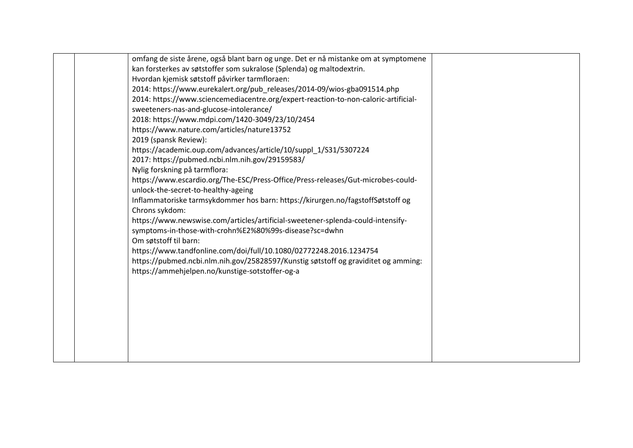| omfang de siste årene, også blant barn og unge. Det er nå mistanke om at symptomene |  |
|-------------------------------------------------------------------------------------|--|
| kan forsterkes av søtstoffer som sukralose (Splenda) og maltodextrin.               |  |
| Hvordan kjemisk søtstoff påvirker tarmfloraen:                                      |  |
| 2014: https://www.eurekalert.org/pub_releases/2014-09/wios-gba091514.php            |  |
| 2014: https://www.sciencemediacentre.org/expert-reaction-to-non-caloric-artificial- |  |
| sweeteners-nas-and-glucose-intolerance/                                             |  |
| 2018: https://www.mdpi.com/1420-3049/23/10/2454                                     |  |
| https://www.nature.com/articles/nature13752                                         |  |
| 2019 (spansk Review):                                                               |  |
| https://academic.oup.com/advances/article/10/suppl 1/S31/5307224                    |  |
| 2017: https://pubmed.ncbi.nlm.nih.gov/29159583/                                     |  |
| Nylig forskning på tarmflora:                                                       |  |
| https://www.escardio.org/The-ESC/Press-Office/Press-releases/Gut-microbes-could-    |  |
| unlock-the-secret-to-healthy-ageing                                                 |  |
| Inflammatoriske tarmsykdommer hos barn: https://kirurgen.no/fagstoffSøtstoff og     |  |
| Chrons sykdom:                                                                      |  |
| https://www.newswise.com/articles/artificial-sweetener-splenda-could-intensify-     |  |
| symptoms-in-those-with-crohn%E2%80%99s-disease?sc=dwhn                              |  |
| Om søtstoff til barn:                                                               |  |
| https://www.tandfonline.com/doi/full/10.1080/02772248.2016.1234754                  |  |
| https://pubmed.ncbi.nlm.nih.gov/25828597/Kunstig søtstoff og graviditet og amming:  |  |
| https://ammehjelpen.no/kunstige-sotstoffer-og-a                                     |  |
|                                                                                     |  |
|                                                                                     |  |
|                                                                                     |  |
|                                                                                     |  |
|                                                                                     |  |
|                                                                                     |  |
|                                                                                     |  |
|                                                                                     |  |
|                                                                                     |  |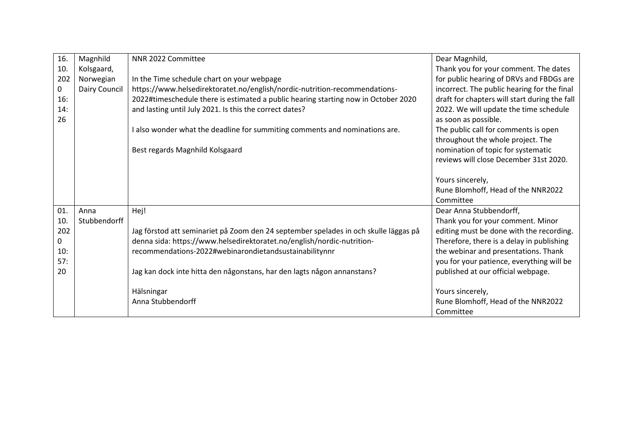| 16.         | Magnhild      | NNR 2022 Committee                                                                   | Dear Magnhild,                                |
|-------------|---------------|--------------------------------------------------------------------------------------|-----------------------------------------------|
| 10.         | Kolsgaard,    |                                                                                      | Thank you for your comment. The dates         |
| 202         | Norwegian     | In the Time schedule chart on your webpage                                           | for public hearing of DRVs and FBDGs are      |
| $\mathbf 0$ | Dairy Council | https://www.helsedirektoratet.no/english/nordic-nutrition-recommendations-           | incorrect. The public hearing for the final   |
| 16:         |               | 2022#timeschedule there is estimated a public hearing starting now in October 2020   | draft for chapters will start during the fall |
| 14:         |               | and lasting until July 2021. Is this the correct dates?                              | 2022. We will update the time schedule        |
| 26          |               |                                                                                      | as soon as possible.                          |
|             |               | I also wonder what the deadline for summiting comments and nominations are.          | The public call for comments is open          |
|             |               |                                                                                      | throughout the whole project. The             |
|             |               | Best regards Magnhild Kolsgaard                                                      | nomination of topic for systematic            |
|             |               |                                                                                      | reviews will close December 31st 2020.        |
|             |               |                                                                                      |                                               |
|             |               |                                                                                      | Yours sincerely,                              |
|             |               |                                                                                      | Rune Blomhoff, Head of the NNR2022            |
|             |               |                                                                                      | Committee                                     |
| 01          | Anna          | Hej!                                                                                 | Dear Anna Stubbendorff,                       |
| 10.         | Stubbendorff  |                                                                                      | Thank you for your comment. Minor             |
| 202         |               | Jag förstod att seminariet på Zoom den 24 september spelades in och skulle läggas på | editing must be done with the recording.      |
| 0           |               | denna sida: https://www.helsedirektoratet.no/english/nordic-nutrition-               | Therefore, there is a delay in publishing     |
| 10:         |               | recommendations-2022#webinarondietandsustainabilitynnr                               | the webinar and presentations. Thank          |
| 57:         |               |                                                                                      | you for your patience, everything will be     |
| 20          |               | Jag kan dock inte hitta den någonstans, har den lagts någon annanstans?              | published at our official webpage.            |
|             |               |                                                                                      |                                               |
|             |               | Hälsningar                                                                           | Yours sincerely,                              |
|             |               | Anna Stubbendorff                                                                    | Rune Blomhoff, Head of the NNR2022            |
|             |               |                                                                                      | Committee                                     |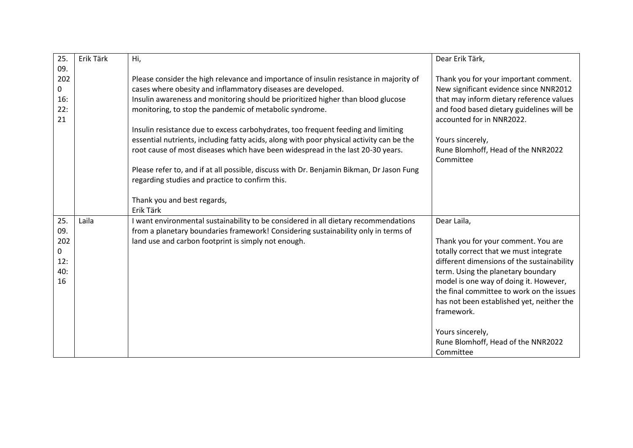| 25.       | Erik Tärk | Hi,                                                                                      | Dear Erik Tärk,                                                        |
|-----------|-----------|------------------------------------------------------------------------------------------|------------------------------------------------------------------------|
| 09.       |           |                                                                                          |                                                                        |
| 202       |           | Please consider the high relevance and importance of insulin resistance in majority of   | Thank you for your important comment.                                  |
| 0         |           | cases where obesity and inflammatory diseases are developed.                             | New significant evidence since NNR2012                                 |
| 16:       |           | Insulin awareness and monitoring should be prioritized higher than blood glucose         | that may inform dietary reference values                               |
| 22:<br>21 |           | monitoring, to stop the pandemic of metabolic syndrome.                                  | and food based dietary guidelines will be<br>accounted for in NNR2022. |
|           |           | Insulin resistance due to excess carbohydrates, too frequent feeding and limiting        |                                                                        |
|           |           | essential nutrients, including fatty acids, along with poor physical activity can be the | Yours sincerely,                                                       |
|           |           | root cause of most diseases which have been widespread in the last 20-30 years.          | Rune Blomhoff, Head of the NNR2022                                     |
|           |           |                                                                                          | Committee                                                              |
|           |           | Please refer to, and if at all possible, discuss with Dr. Benjamin Bikman, Dr Jason Fung |                                                                        |
|           |           | regarding studies and practice to confirm this.                                          |                                                                        |
|           |           |                                                                                          |                                                                        |
|           |           | Thank you and best regards,                                                              |                                                                        |
|           |           | Erik Tärk                                                                                |                                                                        |
| 25.       | Laila     | I want environmental sustainability to be considered in all dietary recommendations      | Dear Laila,                                                            |
| 09.       |           | from a planetary boundaries framework! Considering sustainability only in terms of       |                                                                        |
| 202       |           | land use and carbon footprint is simply not enough.                                      | Thank you for your comment. You are                                    |
| 0         |           |                                                                                          | totally correct that we must integrate                                 |
| 12:       |           |                                                                                          | different dimensions of the sustainability                             |
| 40:       |           |                                                                                          | term. Using the planetary boundary                                     |
| 16        |           |                                                                                          | model is one way of doing it. However,                                 |
|           |           |                                                                                          | the final committee to work on the issues                              |
|           |           |                                                                                          | has not been established yet, neither the                              |
|           |           |                                                                                          | framework.                                                             |
|           |           |                                                                                          |                                                                        |
|           |           |                                                                                          | Yours sincerely,                                                       |
|           |           |                                                                                          | Rune Blomhoff, Head of the NNR2022                                     |
|           |           |                                                                                          | Committee                                                              |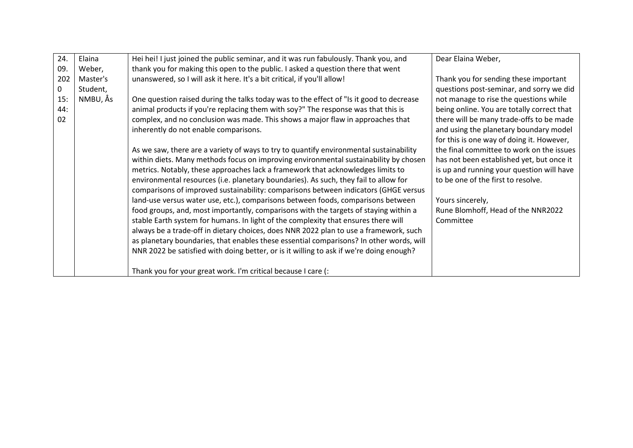| 24. | Elaina   | Hei hei! I just joined the public seminar, and it was run fabulously. Thank you, and    | Dear Elaina Weber,                         |
|-----|----------|-----------------------------------------------------------------------------------------|--------------------------------------------|
| 09. | Weber,   | thank you for making this open to the public. I asked a question there that went        |                                            |
| 202 | Master's | unanswered, so I will ask it here. It's a bit critical, if you'll allow!                | Thank you for sending these important      |
| 0   | Student, |                                                                                         | questions post-seminar, and sorry we did   |
| 15: | NMBU, Ås | One question raised during the talks today was to the effect of "Is it good to decrease | not manage to rise the questions while     |
| 44: |          | animal products if you're replacing them with soy?" The response was that this is       | being online. You are totally correct that |
| 02  |          | complex, and no conclusion was made. This shows a major flaw in approaches that         | there will be many trade-offs to be made   |
|     |          | inherently do not enable comparisons.                                                   | and using the planetary boundary model     |
|     |          |                                                                                         | for this is one way of doing it. However,  |
|     |          | As we saw, there are a variety of ways to try to quantify environmental sustainability  | the final committee to work on the issues  |
|     |          |                                                                                         | has not been established yet, but once it  |
|     |          | within diets. Many methods focus on improving environmental sustainability by chosen    |                                            |
|     |          | metrics. Notably, these approaches lack a framework that acknowledges limits to         | is up and running your question will have  |
|     |          | environmental resources (i.e. planetary boundaries). As such, they fail to allow for    | to be one of the first to resolve.         |
|     |          | comparisons of improved sustainability: comparisons between indicators (GHGE versus     |                                            |
|     |          | land-use versus water use, etc.), comparisons between foods, comparisons between        | Yours sincerely,                           |
|     |          | food groups, and, most importantly, comparisons with the targets of staying within a    | Rune Blomhoff, Head of the NNR2022         |
|     |          | stable Earth system for humans. In light of the complexity that ensures there will      | Committee                                  |
|     |          | always be a trade-off in dietary choices, does NNR 2022 plan to use a framework, such   |                                            |
|     |          | as planetary boundaries, that enables these essential comparisons? In other words, will |                                            |
|     |          | NNR 2022 be satisfied with doing better, or is it willing to ask if we're doing enough? |                                            |
|     |          |                                                                                         |                                            |
|     |          | Thank you for your great work. I'm critical because I care (:                           |                                            |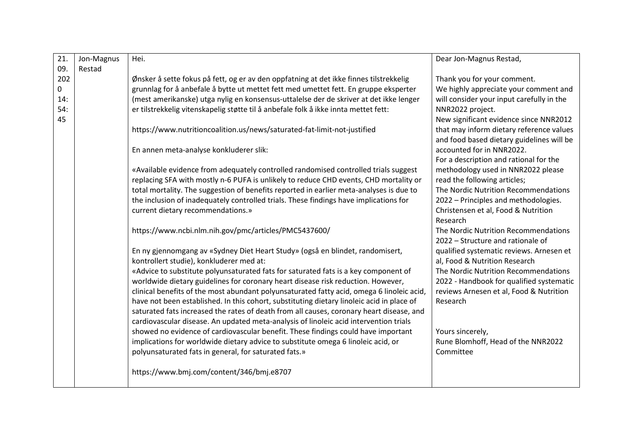| 21. | Jon-Magnus | Hei.                                                                                      | Dear Jon-Magnus Restad,                   |
|-----|------------|-------------------------------------------------------------------------------------------|-------------------------------------------|
| 09. | Restad     |                                                                                           |                                           |
| 202 |            | Ønsker å sette fokus på fett, og er av den oppfatning at det ikke finnes tilstrekkelig    | Thank you for your comment.               |
| 0   |            | grunnlag for å anbefale å bytte ut mettet fett med umettet fett. En gruppe eksperter      | We highly appreciate your comment and     |
| 14: |            | (mest amerikanske) utga nylig en konsensus-uttalelse der de skriver at det ikke lenger    | will consider your input carefully in the |
| 54: |            | er tilstrekkelig vitenskapelig støtte til å anbefale folk å ikke innta mettet fett:       | NNR2022 project.                          |
| 45  |            |                                                                                           | New significant evidence since NNR2012    |
|     |            | https://www.nutritioncoalition.us/news/saturated-fat-limit-not-justified                  | that may inform dietary reference values  |
|     |            |                                                                                           | and food based dietary guidelines will be |
|     |            | En annen meta-analyse konkluderer slik:                                                   | accounted for in NNR2022.                 |
|     |            |                                                                                           | For a description and rational for the    |
|     |            | «Available evidence from adequately controlled randomised controlled trials suggest       | methodology used in NNR2022 please        |
|     |            | replacing SFA with mostly n-6 PUFA is unlikely to reduce CHD events, CHD mortality or     | read the following articles;              |
|     |            | total mortality. The suggestion of benefits reported in earlier meta-analyses is due to   | The Nordic Nutrition Recommendations      |
|     |            | the inclusion of inadequately controlled trials. These findings have implications for     | 2022 - Principles and methodologies.      |
|     |            | current dietary recommendations.»                                                         | Christensen et al, Food & Nutrition       |
|     |            |                                                                                           | Research                                  |
|     |            | https://www.ncbi.nlm.nih.gov/pmc/articles/PMC5437600/                                     | The Nordic Nutrition Recommendations      |
|     |            |                                                                                           | 2022 - Structure and rationale of         |
|     |            | En ny gjennomgang av «Sydney Diet Heart Study» (også en blindet, randomisert,             | qualified systematic reviews. Arnesen et  |
|     |            | kontrollert studie), konkluderer med at:                                                  | al, Food & Nutrition Research             |
|     |            | «Advice to substitute polyunsaturated fats for saturated fats is a key component of       | The Nordic Nutrition Recommendations      |
|     |            | worldwide dietary guidelines for coronary heart disease risk reduction. However,          | 2022 - Handbook for qualified systematic  |
|     |            | clinical benefits of the most abundant polyunsaturated fatty acid, omega 6 linoleic acid, | reviews Arnesen et al, Food & Nutrition   |
|     |            | have not been established. In this cohort, substituting dietary linoleic acid in place of | Research                                  |
|     |            | saturated fats increased the rates of death from all causes, coronary heart disease, and  |                                           |
|     |            | cardiovascular disease. An updated meta-analysis of linoleic acid intervention trials     |                                           |
|     |            | showed no evidence of cardiovascular benefit. These findings could have important         | Yours sincerely,                          |
|     |            | implications for worldwide dietary advice to substitute omega 6 linoleic acid, or         | Rune Blomhoff, Head of the NNR2022        |
|     |            | polyunsaturated fats in general, for saturated fats.»                                     | Committee                                 |
|     |            |                                                                                           |                                           |
|     |            | https://www.bmj.com/content/346/bmj.e8707                                                 |                                           |
|     |            |                                                                                           |                                           |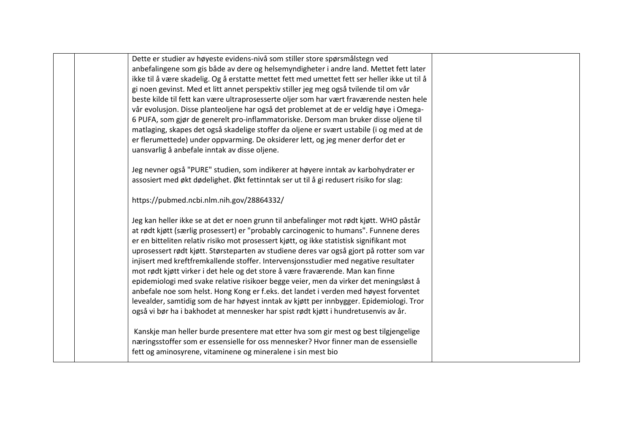Dette er studier av høyeste evidens-nivå som stiller store spørsmålstegn ved anbefalingene som gis både av dere og helsemyndigheter i andre land. Mettet fett later ikke til å være skadelig. Og å erstatte mettet fett med umettet fett ser heller ikke ut til å gi noen gevinst. Med et litt annet perspektiv stiller jeg meg også tvilende til om vår beste kilde til fett kan være ultraprosesserte oljer som har vært fraværende nesten hele vår evolusjon. Disse planteoljene har også det problemet at de er veldig høye i Omega-6 PUFA, som gjør de generelt pro-inflammatoriske. Dersom man bruker disse oljene til matlaging, skapes det også skadelige stoffer da oljene er svært ustabile (i og med at de er flerumettede) under oppvarming. De oksiderer lett, og jeg mener derfor det er uansvarlig å anbefale inntak av disse oljene.

Jeg nevner også "PURE" studien, som indikerer at høyere inntak av karbohydrater er assosiert med økt dødelighet. Økt fettinntak ser ut til å gi redusert risiko for slag:

https://pubmed.ncbi.nlm.nih.gov/28864332/

Jeg kan heller ikke se at det er noen grunn til anbefalinger mot rødt kjøtt. WHO påstår at rødt kjøtt (særlig prosessert) er "probably carcinogenic to humans". Funnene deres er en bitteliten relativ risiko mot prosessert kjøtt, og ikke statistisk signifikant mot uprosessert rødt kjøtt. Størsteparten av studiene deres var også gjort på rotter som var injisert med kreftfremkallende stoffer. Intervensjonsstudier med negative resultater mot rødt kjøtt virker i det hele og det store å være fraværende. Man kan finne epidemiologi med svake relative risikoer begge veier, men da virker det meningsløst å anbefale noe som helst. Hong Kong er f.eks. det landet i verden med høyest forventet levealder, samtidig som de har høyest inntak av kjøtt per innbygger. Epidemiologi. Tror også vi bør ha i bakhodet at mennesker har spist rødt kjøtt i hundretusenvis av år.

Kanskje man heller burde presentere mat etter hva som gir mest og best tilgjengelige næringsstoffer som er essensielle for oss mennesker? Hvor finner man de essensielle fett og aminosyrene, vitaminene og mineralene i sin mest bio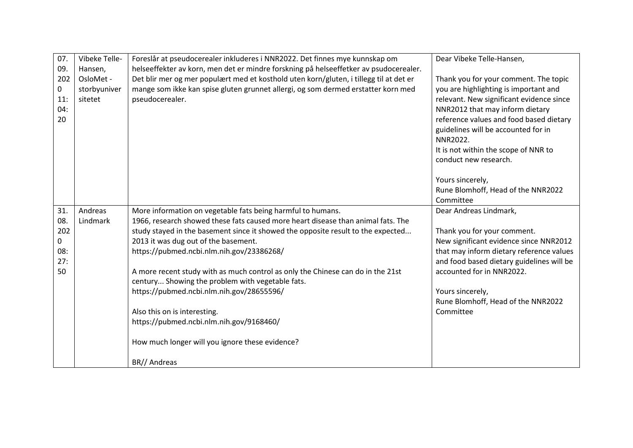| 07.         | Vibeke Telle- | Foreslår at pseudocerealer inkluderes i NNR2022. Det finnes mye kunnskap om            | Dear Vibeke Telle-Hansen,                 |
|-------------|---------------|----------------------------------------------------------------------------------------|-------------------------------------------|
| 09.         | Hansen,       | helseeffekter av korn, men det er mindre forskning på helseeffetker av psudocerealer.  |                                           |
| 202         | OsloMet -     | Det blir mer og mer populært med et kosthold uten korn/gluten, i tillegg til at det er | Thank you for your comment. The topic     |
| $\mathbf 0$ | storbyuniver  | mange som ikke kan spise gluten grunnet allergi, og som dermed erstatter korn med      | you are highlighting is important and     |
| 11:         | sitetet       | pseudocerealer.                                                                        | relevant. New significant evidence since  |
| 04:         |               |                                                                                        | NNR2012 that may inform dietary           |
| 20          |               |                                                                                        | reference values and food based dietary   |
|             |               |                                                                                        | guidelines will be accounted for in       |
|             |               |                                                                                        | NNR2022.                                  |
|             |               |                                                                                        | It is not within the scope of NNR to      |
|             |               |                                                                                        | conduct new research.                     |
|             |               |                                                                                        |                                           |
|             |               |                                                                                        | Yours sincerely,                          |
|             |               |                                                                                        | Rune Blomhoff, Head of the NNR2022        |
|             |               |                                                                                        | Committee                                 |
| 31.         | Andreas       | More information on vegetable fats being harmful to humans.                            | Dear Andreas Lindmark,                    |
| 08.         | Lindmark      | 1966, research showed these fats caused more heart disease than animal fats. The       |                                           |
| 202         |               | study stayed in the basement since it showed the opposite result to the expected       | Thank you for your comment.               |
| 0           |               | 2013 it was dug out of the basement.                                                   | New significant evidence since NNR2012    |
| 08:         |               | https://pubmed.ncbi.nlm.nih.gov/23386268/                                              | that may inform dietary reference values  |
| 27:         |               |                                                                                        | and food based dietary guidelines will be |
| 50          |               | A more recent study with as much control as only the Chinese can do in the 21st        | accounted for in NNR2022.                 |
|             |               | century Showing the problem with vegetable fats.                                       |                                           |
|             |               | https://pubmed.ncbi.nlm.nih.gov/28655596/                                              | Yours sincerely,                          |
|             |               |                                                                                        | Rune Blomhoff, Head of the NNR2022        |
|             |               | Also this on is interesting.                                                           | Committee                                 |
|             |               | https://pubmed.ncbi.nlm.nih.gov/9168460/                                               |                                           |
|             |               |                                                                                        |                                           |
|             |               | How much longer will you ignore these evidence?                                        |                                           |
|             |               |                                                                                        |                                           |
|             |               | BR// Andreas                                                                           |                                           |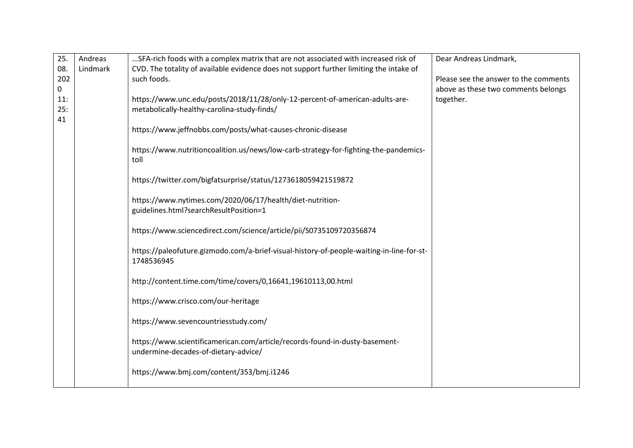| 25.        | Andreas  | SFA-rich foods with a complex matrix that are not associated with increased risk of                                         | Dear Andreas Lindmark,                |
|------------|----------|-----------------------------------------------------------------------------------------------------------------------------|---------------------------------------|
| 08.<br>202 | Lindmark | CVD. The totality of available evidence does not support further limiting the intake of<br>such foods.                      | Please see the answer to the comments |
| 0          |          |                                                                                                                             | above as these two comments belongs   |
| 11:<br>25: |          | https://www.unc.edu/posts/2018/11/28/only-12-percent-of-american-adults-are-<br>metabolically-healthy-carolina-study-finds/ | together.                             |
| 41         |          |                                                                                                                             |                                       |
|            |          | https://www.jeffnobbs.com/posts/what-causes-chronic-disease                                                                 |                                       |
|            |          | https://www.nutritioncoalition.us/news/low-carb-strategy-for-fighting-the-pandemics-<br>toll                                |                                       |
|            |          | https://twitter.com/bigfatsurprise/status/1273618059421519872                                                               |                                       |
|            |          | https://www.nytimes.com/2020/06/17/health/diet-nutrition-<br>guidelines.html?searchResultPosition=1                         |                                       |
|            |          |                                                                                                                             |                                       |
|            |          | https://www.sciencedirect.com/science/article/pii/S0735109720356874                                                         |                                       |
|            |          | https://paleofuture.gizmodo.com/a-brief-visual-history-of-people-waiting-in-line-for-st-<br>1748536945                      |                                       |
|            |          | http://content.time.com/time/covers/0,16641,19610113,00.html                                                                |                                       |
|            |          | https://www.crisco.com/our-heritage                                                                                         |                                       |
|            |          | https://www.sevencountriesstudy.com/                                                                                        |                                       |
|            |          | https://www.scientificamerican.com/article/records-found-in-dusty-basement-<br>undermine-decades-of-dietary-advice/         |                                       |
|            |          | https://www.bmj.com/content/353/bmj.i1246                                                                                   |                                       |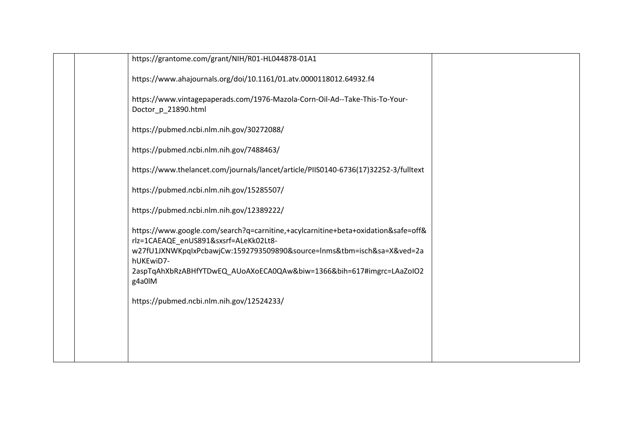| https://grantome.com/grant/NIH/R01-HL044878-01A1                                                                                                                                                     |  |
|------------------------------------------------------------------------------------------------------------------------------------------------------------------------------------------------------|--|
| https://www.ahajournals.org/doi/10.1161/01.atv.0000118012.64932.f4                                                                                                                                   |  |
| https://www.vintagepaperads.com/1976-Mazola-Corn-Oil-Ad--Take-This-To-Your-<br>Doctor_p_21890.html                                                                                                   |  |
| https://pubmed.ncbi.nlm.nih.gov/30272088/                                                                                                                                                            |  |
| https://pubmed.ncbi.nlm.nih.gov/7488463/                                                                                                                                                             |  |
| https://www.thelancet.com/journals/lancet/article/PIIS0140-6736(17)32252-3/fulltext                                                                                                                  |  |
| https://pubmed.ncbi.nlm.nih.gov/15285507/                                                                                                                                                            |  |
| https://pubmed.ncbi.nlm.nih.gov/12389222/                                                                                                                                                            |  |
| https://www.google.com/search?q=carnitine,+acylcarnitine+beta+oxidation&safe=off&<br>rlz=1CAEAQE_enUS891&sxsrf=ALeKk02Lt8-<br>w27fU1JXNWKpqlxPcbawjCw:1592793509890&source=lnms&tbm=isch&sa=X&ved=2a |  |
| hUKEwiD7-<br>2aspTqAhXbRzABHfYTDwEQ_AUoAXoECA0QAw&biw=1366&bih=617#imgrc=LAaZoIO2<br>g4a0IM                                                                                                          |  |
| https://pubmed.ncbi.nlm.nih.gov/12524233/                                                                                                                                                            |  |
|                                                                                                                                                                                                      |  |
|                                                                                                                                                                                                      |  |
|                                                                                                                                                                                                      |  |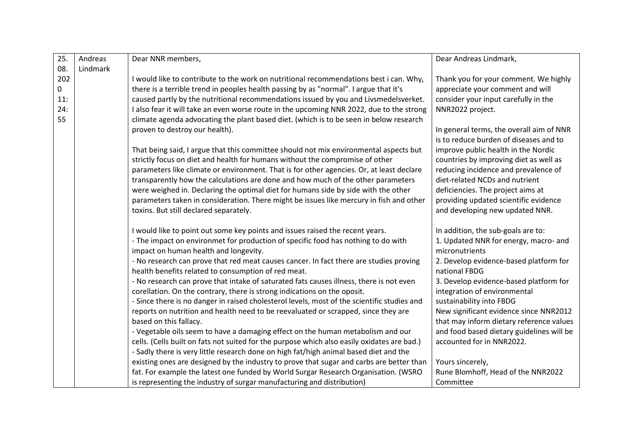| 25. | Andreas  | Dear NNR members,                                                                           | Dear Andreas Lindmark,                    |
|-----|----------|---------------------------------------------------------------------------------------------|-------------------------------------------|
| 08. | Lindmark |                                                                                             |                                           |
| 202 |          | I would like to contribute to the work on nutritional recommendations best i can. Why,      | Thank you for your comment. We highly     |
| 0   |          | there is a terrible trend in peoples health passing by as "normal". I argue that it's       | appreciate your comment and will          |
| 11: |          | caused partly by the nutritional recommendations issued by you and Livsmedelsverket.        | consider your input carefully in the      |
| 24: |          | I also fear it will take an even worse route in the upcoming NNR 2022, due to the strong    | NNR2022 project.                          |
| 55  |          | climate agenda advocating the plant based diet. (which is to be seen in below research      |                                           |
|     |          | proven to destroy our health).                                                              | In general terms, the overall aim of NNR  |
|     |          |                                                                                             | is to reduce burden of diseases and to    |
|     |          | That being said, I argue that this committee should not mix environmental aspects but       | improve public health in the Nordic       |
|     |          | strictly focus on diet and health for humans without the compromise of other                | countries by improving diet as well as    |
|     |          | parameters like climate or environment. That is for other agencies. Or, at least declare    | reducing incidence and prevalence of      |
|     |          | transparently how the calculations are done and how much of the other parameters            | diet-related NCDs and nutrient            |
|     |          | were weighed in. Declaring the optimal diet for humans side by side with the other          | deficiencies. The project aims at         |
|     |          | parameters taken in consideration. There might be issues like mercury in fish and other     | providing updated scientific evidence     |
|     |          | toxins. But still declared separately.                                                      | and developing new updated NNR.           |
|     |          |                                                                                             |                                           |
|     |          | I would like to point out some key points and issues raised the recent years.               | In addition, the sub-goals are to:        |
|     |          | - The impact on environmet for production of specific food has nothing to do with           | 1. Updated NNR for energy, macro- and     |
|     |          | impact on human health and longevity.                                                       | micronutrients                            |
|     |          | - No research can prove that red meat causes cancer. In fact there are studies proving      | 2. Develop evidence-based platform for    |
|     |          | health benefits related to consumption of red meat.                                         | national FBDG                             |
|     |          | - No research can prove that intake of saturated fats causes illness, there is not even     | 3. Develop evidence-based platform for    |
|     |          | corellation. On the contrary, there is strong indications on the oposit.                    | integration of environmental              |
|     |          | - Since there is no danger in raised cholesterol levels, most of the scientific studies and | sustainability into FBDG                  |
|     |          | reports on nutrition and health need to be reevaluated or scrapped, since they are          | New significant evidence since NNR2012    |
|     |          | based on this fallacy.                                                                      | that may inform dietary reference values  |
|     |          | - Vegetable oils seem to have a damaging effect on the human metabolism and our             | and food based dietary guidelines will be |
|     |          | cells. (Cells built on fats not suited for the purpose which also easily oxidates are bad.) | accounted for in NNR2022.                 |
|     |          | - Sadly there is very little research done on high fat/high animal based diet and the       |                                           |
|     |          | existing ones are designed by the industry to prove that sugar and carbs are better than    | Yours sincerely,                          |
|     |          | fat. For example the latest one funded by World Surgar Research Organisation. (WSRO         | Rune Blomhoff, Head of the NNR2022        |
|     |          | is representing the industry of surgar manufacturing and distribution)                      | Committee                                 |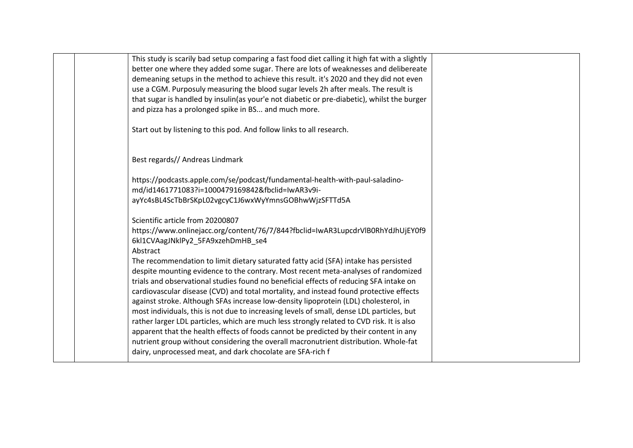| This study is scarily bad setup comparing a fast food diet calling it high fat with a slightly |  |
|------------------------------------------------------------------------------------------------|--|
| better one where they added some sugar. There are lots of weaknesses and delibereate           |  |
| demeaning setups in the method to achieve this result. it's 2020 and they did not even         |  |
| use a CGM. Purposuly measuring the blood sugar levels 2h after meals. The result is            |  |
| that sugar is handled by insulin(as your'e not diabetic or pre-diabetic), whilst the burger    |  |
| and pizza has a prolonged spike in BS and much more.                                           |  |
|                                                                                                |  |
| Start out by listening to this pod. And follow links to all research.                          |  |
|                                                                                                |  |
|                                                                                                |  |
| Best regards// Andreas Lindmark                                                                |  |
| https://podcasts.apple.com/se/podcast/fundamental-health-with-paul-saladino-                   |  |
| md/id1461771083?i=1000479169842&fbclid=IwAR3v9i-                                               |  |
| ayYc4sBL4ScTbBrSKpL02vgcyC1J6wxWyYmnsGOBhwWjzSFTTd5A                                           |  |
|                                                                                                |  |
| Scientific article from 20200807                                                               |  |
| https://www.onlinejacc.org/content/76/7/844?fbclid=IwAR3LupcdrVlB0RhYdJhUjEY0f9                |  |
| 6kl1CVAagJNklPy2_5FA9xzehDmHB_se4                                                              |  |
| Abstract                                                                                       |  |
| The recommendation to limit dietary saturated fatty acid (SFA) intake has persisted            |  |
| despite mounting evidence to the contrary. Most recent meta-analyses of randomized             |  |
| trials and observational studies found no beneficial effects of reducing SFA intake on         |  |
| cardiovascular disease (CVD) and total mortality, and instead found protective effects         |  |
| against stroke. Although SFAs increase low-density lipoprotein (LDL) cholesterol, in           |  |
| most individuals, this is not due to increasing levels of small, dense LDL particles, but      |  |
| rather larger LDL particles, which are much less strongly related to CVD risk. It is also      |  |
| apparent that the health effects of foods cannot be predicted by their content in any          |  |
| nutrient group without considering the overall macronutrient distribution. Whole-fat           |  |
| dairy, unprocessed meat, and dark chocolate are SFA-rich f                                     |  |
|                                                                                                |  |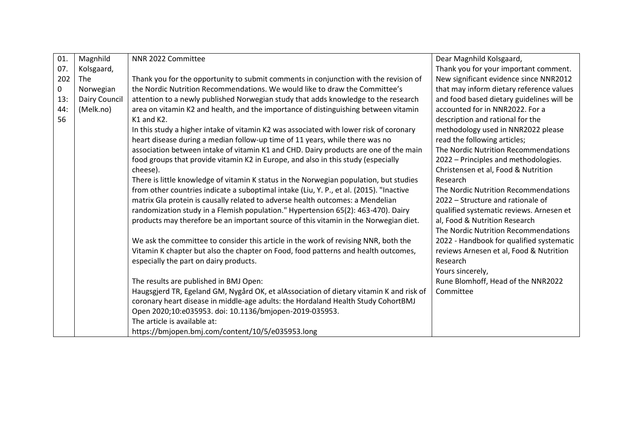| 01. | Magnhild      | NNR 2022 Committee                                                                      | Dear Magnhild Kolsgaard,                  |
|-----|---------------|-----------------------------------------------------------------------------------------|-------------------------------------------|
| 07. | Kolsgaard,    |                                                                                         | Thank you for your important comment.     |
| 202 | <b>The</b>    | Thank you for the opportunity to submit comments in conjunction with the revision of    | New significant evidence since NNR2012    |
| 0   | Norwegian     | the Nordic Nutrition Recommendations. We would like to draw the Committee's             | that may inform dietary reference values  |
| 13: | Dairy Council | attention to a newly published Norwegian study that adds knowledge to the research      | and food based dietary guidelines will be |
| 44: | (Melk.no)     | area on vitamin K2 and health, and the importance of distinguishing between vitamin     | accounted for in NNR2022. For a           |
| 56  |               | $K1$ and $K2$ .                                                                         | description and rational for the          |
|     |               | In this study a higher intake of vitamin K2 was associated with lower risk of coronary  | methodology used in NNR2022 please        |
|     |               | heart disease during a median follow-up time of 11 years, while there was no            | read the following articles;              |
|     |               | association between intake of vitamin K1 and CHD. Dairy products are one of the main    | The Nordic Nutrition Recommendations      |
|     |               | food groups that provide vitamin K2 in Europe, and also in this study (especially       | 2022 - Principles and methodologies.      |
|     |               | cheese).                                                                                | Christensen et al, Food & Nutrition       |
|     |               | There is little knowledge of vitamin K status in the Norwegian population, but studies  | Research                                  |
|     |               | from other countries indicate a suboptimal intake (Liu, Y. P., et al. (2015). "Inactive | The Nordic Nutrition Recommendations      |
|     |               | matrix Gla protein is causally related to adverse health outcomes: a Mendelian          | 2022 - Structure and rationale of         |
|     |               | randomization study in a Flemish population." Hypertension 65(2): 463-470). Dairy       | qualified systematic reviews. Arnesen et  |
|     |               | products may therefore be an important source of this vitamin in the Norwegian diet.    | al, Food & Nutrition Research             |
|     |               |                                                                                         | The Nordic Nutrition Recommendations      |
|     |               | We ask the committee to consider this article in the work of revising NNR, both the     | 2022 - Handbook for qualified systematic  |
|     |               | Vitamin K chapter but also the chapter on Food, food patterns and health outcomes,      | reviews Arnesen et al, Food & Nutrition   |
|     |               | especially the part on dairy products.                                                  | Research                                  |
|     |               |                                                                                         | Yours sincerely,                          |
|     |               | The results are published in BMJ Open:                                                  | Rune Blomhoff, Head of the NNR2022        |
|     |               | Haugsgjerd TR, Egeland GM, Nygård OK, et alAssociation of dietary vitamin K and risk of | Committee                                 |
|     |               | coronary heart disease in middle-age adults: the Hordaland Health Study CohortBMJ       |                                           |
|     |               | Open 2020;10:e035953. doi: 10.1136/bmjopen-2019-035953.                                 |                                           |
|     |               | The article is available at:                                                            |                                           |
|     |               | https://bmjopen.bmj.com/content/10/5/e035953.long                                       |                                           |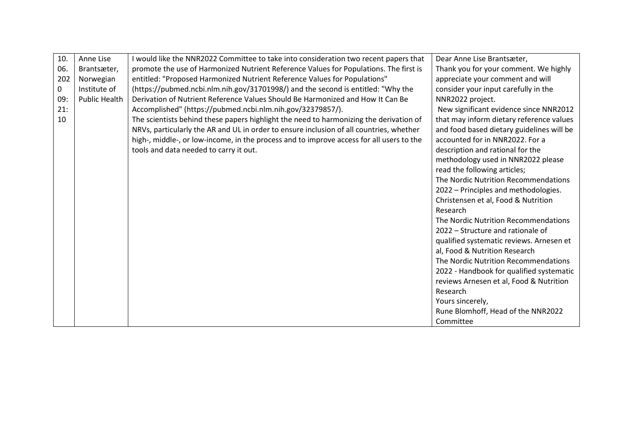| 10. | Anne Lise            | I would like the NNR2022 Committee to take into consideration two recent papers that     | Dear Anne Lise Brantsæter,                |
|-----|----------------------|------------------------------------------------------------------------------------------|-------------------------------------------|
| 06. | Brantsæter,          | promote the use of Harmonized Nutrient Reference Values for Populations. The first is    | Thank you for your comment. We highly     |
| 202 | Norwegian            | entitled: "Proposed Harmonized Nutrient Reference Values for Populations"                | appreciate your comment and will          |
| 0   | Institute of         | (https://pubmed.ncbi.nlm.nih.gov/31701998/) and the second is entitled: "Why the         | consider your input carefully in the      |
| 09: | <b>Public Health</b> | Derivation of Nutrient Reference Values Should Be Harmonized and How It Can Be           | NNR2022 project.                          |
| 21: |                      | Accomplished" (https://pubmed.ncbi.nlm.nih.gov/32379857/).                               | New significant evidence since NNR2012    |
| 10  |                      | The scientists behind these papers highlight the need to harmonizing the derivation of   | that may inform dietary reference values  |
|     |                      | NRVs, particularly the AR and UL in order to ensure inclusion of all countries, whether  | and food based dietary guidelines will be |
|     |                      | high-, middle-, or low-income, in the process and to improve access for all users to the | accounted for in NNR2022. For a           |
|     |                      | tools and data needed to carry it out.                                                   | description and rational for the          |
|     |                      |                                                                                          | methodology used in NNR2022 please        |
|     |                      |                                                                                          | read the following articles;              |
|     |                      |                                                                                          | The Nordic Nutrition Recommendations      |
|     |                      |                                                                                          | 2022 - Principles and methodologies.      |
|     |                      |                                                                                          | Christensen et al, Food & Nutrition       |
|     |                      |                                                                                          | Research                                  |
|     |                      |                                                                                          | The Nordic Nutrition Recommendations      |
|     |                      |                                                                                          | 2022 - Structure and rationale of         |
|     |                      |                                                                                          | qualified systematic reviews. Arnesen et  |
|     |                      |                                                                                          | al, Food & Nutrition Research             |
|     |                      |                                                                                          | The Nordic Nutrition Recommendations      |
|     |                      |                                                                                          | 2022 - Handbook for qualified systematic  |
|     |                      |                                                                                          | reviews Arnesen et al, Food & Nutrition   |
|     |                      |                                                                                          | Research                                  |
|     |                      |                                                                                          | Yours sincerely,                          |
|     |                      |                                                                                          | Rune Blomhoff, Head of the NNR2022        |
|     |                      |                                                                                          | Committee                                 |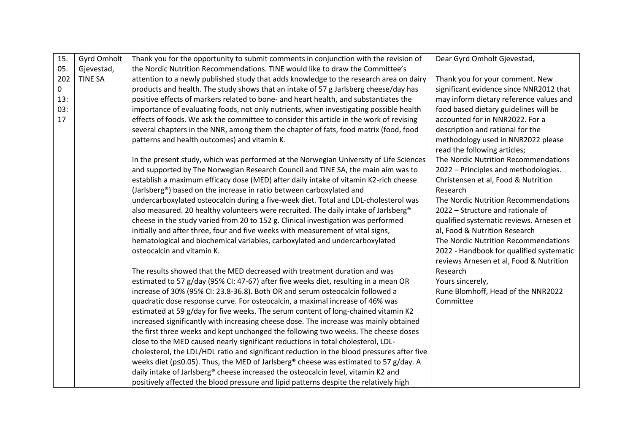| 15. | Gyrd Omholt    | Thank you for the opportunity to submit comments in conjunction with the revision of       | Dear Gyrd Omholt Gjevestad,              |
|-----|----------------|--------------------------------------------------------------------------------------------|------------------------------------------|
| 05. | Gjevestad,     | the Nordic Nutrition Recommendations. TINE would like to draw the Committee's              |                                          |
| 202 | <b>TINE SA</b> | attention to a newly published study that adds knowledge to the research area on dairy     | Thank you for your comment. New          |
| 0   |                | products and health. The study shows that an intake of 57 g Jarlsberg cheese/day has       | significant evidence since NNR2012 that  |
| 13: |                | positive effects of markers related to bone- and heart health, and substantiates the       | may inform dietary reference values and  |
| 03: |                | importance of evaluating foods, not only nutrients, when investigating possible health     | food based dietary guidelines will be    |
| 17  |                | effects of foods. We ask the committee to consider this article in the work of revising    | accounted for in NNR2022. For a          |
|     |                | several chapters in the NNR, among them the chapter of fats, food matrix (food, food       | description and rational for the         |
|     |                | patterns and health outcomes) and vitamin K.                                               | methodology used in NNR2022 please       |
|     |                |                                                                                            | read the following articles;             |
|     |                | In the present study, which was performed at the Norwegian University of Life Sciences     | The Nordic Nutrition Recommendations     |
|     |                | and supported by The Norwegian Research Council and TINE SA, the main aim was to           | 2022 - Principles and methodologies.     |
|     |                | establish a maximum efficacy dose (MED) after daily intake of vitamin K2-rich cheese       | Christensen et al, Food & Nutrition      |
|     |                | (Jarlsberg®) based on the increase in ratio between carboxylated and                       | Research                                 |
|     |                | undercarboxylated osteocalcin during a five-week diet. Total and LDL-cholesterol was       | The Nordic Nutrition Recommendations     |
|     |                | also measured. 20 healthy volunteers were recruited. The daily intake of Jarlsberg®        | 2022 - Structure and rationale of        |
|     |                | cheese in the study varied from 20 to 152 g. Clinical investigation was performed          | qualified systematic reviews. Arnesen et |
|     |                | initially and after three, four and five weeks with measurement of vital signs,            | al, Food & Nutrition Research            |
|     |                | hematological and biochemical variables, carboxylated and undercarboxylated                | The Nordic Nutrition Recommendations     |
|     |                | osteocalcin and vitamin K.                                                                 | 2022 - Handbook for qualified systematic |
|     |                |                                                                                            | reviews Arnesen et al, Food & Nutrition  |
|     |                | The results showed that the MED decreased with treatment duration and was                  | Research                                 |
|     |                | estimated to 57 g/day (95% CI: 47-67) after five weeks diet, resulting in a mean OR        | Yours sincerely,                         |
|     |                | increase of 30% (95% CI: 23.8-36.8). Both OR and serum osteocalcin followed a              | Rune Blomhoff, Head of the NNR2022       |
|     |                | quadratic dose response curve. For osteocalcin, a maximal increase of 46% was              | Committee                                |
|     |                | estimated at 59 g/day for five weeks. The serum content of long-chained vitamin K2         |                                          |
|     |                | increased significantly with increasing cheese dose. The increase was mainly obtained      |                                          |
|     |                | the first three weeks and kept unchanged the following two weeks. The cheese doses         |                                          |
|     |                | close to the MED caused nearly significant reductions in total cholesterol, LDL-           |                                          |
|     |                | cholesterol, the LDL/HDL ratio and significant reduction in the blood pressures after five |                                          |
|     |                | weeks diet (p<0.05). Thus, the MED of Jarlsberg® cheese was estimated to 57 g/day. A       |                                          |
|     |                | daily intake of Jarlsberg® cheese increased the osteocalcin level, vitamin K2 and          |                                          |
|     |                | positively affected the blood pressure and lipid patterns despite the relatively high      |                                          |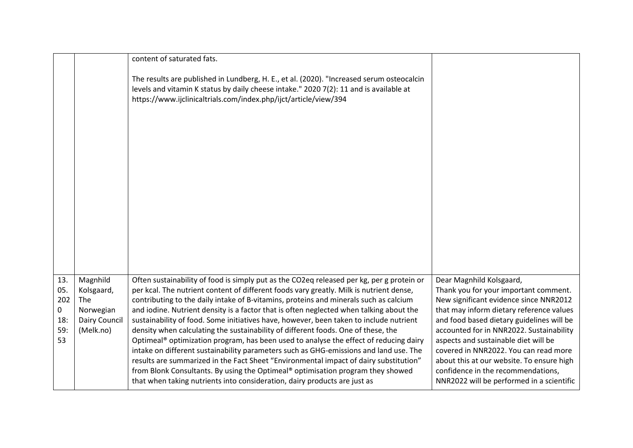|                                            |                                                                                 | content of saturated fats.                                                                                                                                                                                                                                                                                                                                                                                                                                                                                                                                                                                                                                                                                                                                                                                                                                                                                                                                                                         |                                                                                                                                                                                                                                                                                                                                                                                                                                                                   |
|--------------------------------------------|---------------------------------------------------------------------------------|----------------------------------------------------------------------------------------------------------------------------------------------------------------------------------------------------------------------------------------------------------------------------------------------------------------------------------------------------------------------------------------------------------------------------------------------------------------------------------------------------------------------------------------------------------------------------------------------------------------------------------------------------------------------------------------------------------------------------------------------------------------------------------------------------------------------------------------------------------------------------------------------------------------------------------------------------------------------------------------------------|-------------------------------------------------------------------------------------------------------------------------------------------------------------------------------------------------------------------------------------------------------------------------------------------------------------------------------------------------------------------------------------------------------------------------------------------------------------------|
|                                            |                                                                                 | The results are published in Lundberg, H. E., et al. (2020). "Increased serum osteocalcin<br>levels and vitamin K status by daily cheese intake." 2020 7(2): 11 and is available at<br>https://www.ijclinicaltrials.com/index.php/ijct/article/view/394                                                                                                                                                                                                                                                                                                                                                                                                                                                                                                                                                                                                                                                                                                                                            |                                                                                                                                                                                                                                                                                                                                                                                                                                                                   |
|                                            |                                                                                 |                                                                                                                                                                                                                                                                                                                                                                                                                                                                                                                                                                                                                                                                                                                                                                                                                                                                                                                                                                                                    |                                                                                                                                                                                                                                                                                                                                                                                                                                                                   |
| 13.<br>05.<br>202<br>0<br>18:<br>59:<br>53 | Magnhild<br>Kolsgaard,<br>The<br>Norwegian<br><b>Dairy Council</b><br>(Melk.no) | Often sustainability of food is simply put as the CO2eq released per kg, per g protein or<br>per kcal. The nutrient content of different foods vary greatly. Milk is nutrient dense,<br>contributing to the daily intake of B-vitamins, proteins and minerals such as calcium<br>and iodine. Nutrient density is a factor that is often neglected when talking about the<br>sustainability of food. Some initiatives have, however, been taken to include nutrient<br>density when calculating the sustainability of different foods. One of these, the<br>Optimeal® optimization program, has been used to analyse the effect of reducing dairy<br>intake on different sustainability parameters such as GHG-emissions and land use. The<br>results are summarized in the Fact Sheet "Environmental impact of dairy substitution"<br>from Blonk Consultants. By using the Optimeal® optimisation program they showed<br>that when taking nutrients into consideration, dairy products are just as | Dear Magnhild Kolsgaard,<br>Thank you for your important comment.<br>New significant evidence since NNR2012<br>that may inform dietary reference values<br>and food based dietary guidelines will be<br>accounted for in NNR2022. Sustainability<br>aspects and sustainable diet will be<br>covered in NNR2022. You can read more<br>about this at our website. To ensure high<br>confidence in the recommendations,<br>NNR2022 will be performed in a scientific |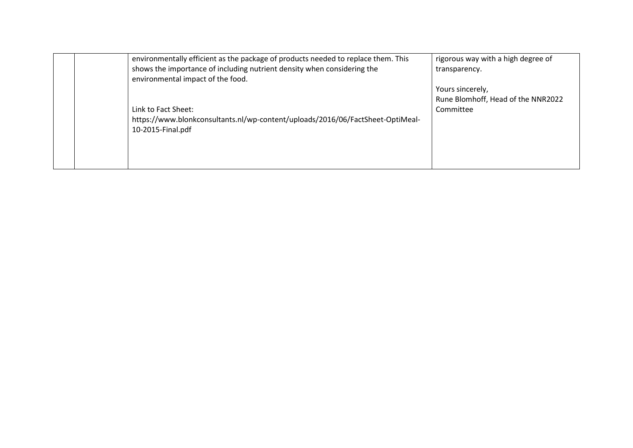| environmentally efficient as the package of products needed to replace them. This<br>shows the importance of including nutrient density when considering the<br>environmental impact of the food. | rigorous way with a high degree of<br>transparency.                 |
|---------------------------------------------------------------------------------------------------------------------------------------------------------------------------------------------------|---------------------------------------------------------------------|
| Link to Fact Sheet:<br>https://www.blonkconsultants.nl/wp-content/uploads/2016/06/FactSheet-OptiMeal-<br>10-2015-Final.pdf                                                                        | Yours sincerely,<br>Rune Blomhoff, Head of the NNR2022<br>Committee |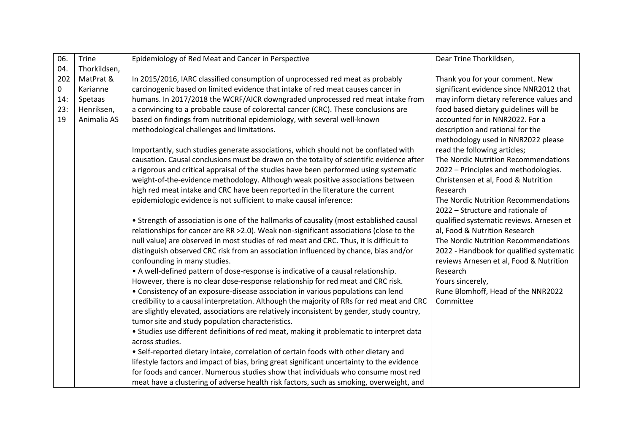| 06. | Trine        | Epidemiology of Red Meat and Cancer in Perspective                                                                                                                   | Dear Trine Thorkildsen,                                |
|-----|--------------|----------------------------------------------------------------------------------------------------------------------------------------------------------------------|--------------------------------------------------------|
| 04. | Thorkildsen, |                                                                                                                                                                      |                                                        |
| 202 | MatPrat &    | In 2015/2016, IARC classified consumption of unprocessed red meat as probably                                                                                        | Thank you for your comment. New                        |
| 0   | Karianne     | carcinogenic based on limited evidence that intake of red meat causes cancer in                                                                                      | significant evidence since NNR2012 that                |
| 14: | Spetaas      | humans. In 2017/2018 the WCRF/AICR downgraded unprocessed red meat intake from                                                                                       | may inform dietary reference values and                |
| 23: | Henriksen,   | a convincing to a probable cause of colorectal cancer (CRC). These conclusions are                                                                                   | food based dietary guidelines will be                  |
| 19  | Animalia AS  | based on findings from nutritional epidemiology, with several well-known                                                                                             | accounted for in NNR2022. For a                        |
|     |              | methodological challenges and limitations.                                                                                                                           | description and rational for the                       |
|     |              |                                                                                                                                                                      | methodology used in NNR2022 please                     |
|     |              | Importantly, such studies generate associations, which should not be conflated with                                                                                  | read the following articles;                           |
|     |              | causation. Causal conclusions must be drawn on the totality of scientific evidence after                                                                             | The Nordic Nutrition Recommendations                   |
|     |              | a rigorous and critical appraisal of the studies have been performed using systematic                                                                                | 2022 - Principles and methodologies.                   |
|     |              | weight-of-the-evidence methodology. Although weak positive associations between                                                                                      | Christensen et al, Food & Nutrition                    |
|     |              | high red meat intake and CRC have been reported in the literature the current                                                                                        | Research                                               |
|     |              | epidemiologic evidence is not sufficient to make causal inference:                                                                                                   | The Nordic Nutrition Recommendations                   |
|     |              |                                                                                                                                                                      | 2022 - Structure and rationale of                      |
|     |              | • Strength of association is one of the hallmarks of causality (most established causal                                                                              | qualified systematic reviews. Arnesen et               |
|     |              | relationships for cancer are RR > 2.0). Weak non-significant associations (close to the                                                                              | al, Food & Nutrition Research                          |
|     |              | null value) are observed in most studies of red meat and CRC. Thus, it is difficult to                                                                               | The Nordic Nutrition Recommendations                   |
|     |              | distinguish observed CRC risk from an association influenced by chance, bias and/or                                                                                  | 2022 - Handbook for qualified systematic               |
|     |              | confounding in many studies.                                                                                                                                         | reviews Arnesen et al, Food & Nutrition                |
|     |              | • A well-defined pattern of dose-response is indicative of a causal relationship.                                                                                    | Research                                               |
|     |              | However, there is no clear dose-response relationship for red meat and CRC risk.<br>• Consistency of an exposure-disease association in various populations can lend | Yours sincerely,<br>Rune Blomhoff, Head of the NNR2022 |
|     |              | credibility to a causal interpretation. Although the majority of RRs for red meat and CRC                                                                            | Committee                                              |
|     |              | are slightly elevated, associations are relatively inconsistent by gender, study country,                                                                            |                                                        |
|     |              | tumor site and study population characteristics.                                                                                                                     |                                                        |
|     |              | • Studies use different definitions of red meat, making it problematic to interpret data                                                                             |                                                        |
|     |              | across studies.                                                                                                                                                      |                                                        |
|     |              | • Self-reported dietary intake, correlation of certain foods with other dietary and                                                                                  |                                                        |
|     |              | lifestyle factors and impact of bias, bring great significant uncertainty to the evidence                                                                            |                                                        |
|     |              | for foods and cancer. Numerous studies show that individuals who consume most red                                                                                    |                                                        |
|     |              | meat have a clustering of adverse health risk factors, such as smoking, overweight, and                                                                              |                                                        |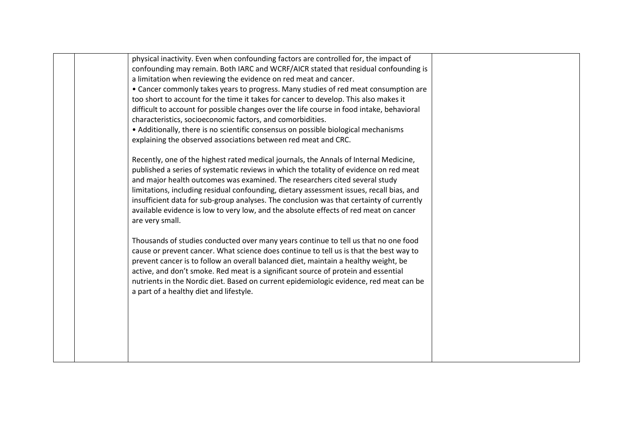| physical inactivity. Even when confounding factors are controlled for, the impact of<br>confounding may remain. Both IARC and WCRF/AICR stated that residual confounding is<br>a limitation when reviewing the evidence on red meat and cancer.<br>• Cancer commonly takes years to progress. Many studies of red meat consumption are<br>too short to account for the time it takes for cancer to develop. This also makes it<br>difficult to account for possible changes over the life course in food intake, behavioral<br>characteristics, socioeconomic factors, and comorbidities.<br>• Additionally, there is no scientific consensus on possible biological mechanisms<br>explaining the observed associations between red meat and CRC. |  |
|---------------------------------------------------------------------------------------------------------------------------------------------------------------------------------------------------------------------------------------------------------------------------------------------------------------------------------------------------------------------------------------------------------------------------------------------------------------------------------------------------------------------------------------------------------------------------------------------------------------------------------------------------------------------------------------------------------------------------------------------------|--|
| Recently, one of the highest rated medical journals, the Annals of Internal Medicine,<br>published a series of systematic reviews in which the totality of evidence on red meat<br>and major health outcomes was examined. The researchers cited several study<br>limitations, including residual confounding, dietary assessment issues, recall bias, and<br>insufficient data for sub-group analyses. The conclusion was that certainty of currently<br>available evidence is low to very low, and the absolute effects of red meat on cancer<br>are very small.                                                                                                                                                                                |  |
| Thousands of studies conducted over many years continue to tell us that no one food<br>cause or prevent cancer. What science does continue to tell us is that the best way to<br>prevent cancer is to follow an overall balanced diet, maintain a healthy weight, be<br>active, and don't smoke. Red meat is a significant source of protein and essential<br>nutrients in the Nordic diet. Based on current epidemiologic evidence, red meat can be<br>a part of a healthy diet and lifestyle.                                                                                                                                                                                                                                                   |  |
|                                                                                                                                                                                                                                                                                                                                                                                                                                                                                                                                                                                                                                                                                                                                                   |  |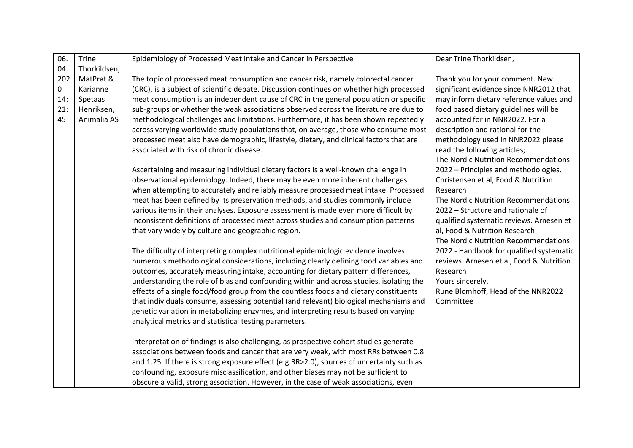| 06. | Trine        | Epidemiology of Processed Meat Intake and Cancer in Perspective                                                                                | Dear Trine Thorkildsen,                         |
|-----|--------------|------------------------------------------------------------------------------------------------------------------------------------------------|-------------------------------------------------|
| 04. | Thorkildsen, |                                                                                                                                                |                                                 |
| 202 | MatPrat &    | The topic of processed meat consumption and cancer risk, namely colorectal cancer                                                              | Thank you for your comment. New                 |
| 0   | Karianne     | (CRC), is a subject of scientific debate. Discussion continues on whether high processed                                                       | significant evidence since NNR2012 that         |
| 14: | Spetaas      | meat consumption is an independent cause of CRC in the general population or specific                                                          | may inform dietary reference values and         |
| 21: | Henriksen,   | sub-groups or whether the weak associations observed across the literature are due to                                                          | food based dietary guidelines will be           |
| 45  | Animalia AS  | methodological challenges and limitations. Furthermore, it has been shown repeatedly                                                           | accounted for in NNR2022. For a                 |
|     |              | across varying worldwide study populations that, on average, those who consume most                                                            | description and rational for the                |
|     |              | processed meat also have demographic, lifestyle, dietary, and clinical factors that are                                                        | methodology used in NNR2022 please              |
|     |              | associated with risk of chronic disease.                                                                                                       | read the following articles;                    |
|     |              |                                                                                                                                                | The Nordic Nutrition Recommendations            |
|     |              | Ascertaining and measuring individual dietary factors is a well-known challenge in                                                             | 2022 - Principles and methodologies.            |
|     |              | observational epidemiology. Indeed, there may be even more inherent challenges                                                                 | Christensen et al, Food & Nutrition             |
|     |              | when attempting to accurately and reliably measure processed meat intake. Processed                                                            | Research                                        |
|     |              | meat has been defined by its preservation methods, and studies commonly include                                                                | The Nordic Nutrition Recommendations            |
|     |              | various items in their analyses. Exposure assessment is made even more difficult by                                                            | 2022 - Structure and rationale of               |
|     |              | inconsistent definitions of processed meat across studies and consumption patterns                                                             | qualified systematic reviews. Arnesen et        |
|     |              | that vary widely by culture and geographic region.                                                                                             | al, Food & Nutrition Research                   |
|     |              |                                                                                                                                                | The Nordic Nutrition Recommendations            |
|     |              | The difficulty of interpreting complex nutritional epidemiologic evidence involves                                                             | 2022 - Handbook for qualified systematic        |
|     |              | numerous methodological considerations, including clearly defining food variables and                                                          | reviews. Arnesen et al, Food & Nutrition        |
|     |              | outcomes, accurately measuring intake, accounting for dietary pattern differences,                                                             | Research                                        |
|     |              | understanding the role of bias and confounding within and across studies, isolating the                                                        | Yours sincerely,                                |
|     |              | effects of a single food/food group from the countless foods and dietary constituents                                                          | Rune Blomhoff, Head of the NNR2022<br>Committee |
|     |              | that individuals consume, assessing potential (and relevant) biological mechanisms and                                                         |                                                 |
|     |              | genetic variation in metabolizing enzymes, and interpreting results based on varying<br>analytical metrics and statistical testing parameters. |                                                 |
|     |              |                                                                                                                                                |                                                 |
|     |              | Interpretation of findings is also challenging, as prospective cohort studies generate                                                         |                                                 |
|     |              | associations between foods and cancer that are very weak, with most RRs between 0.8                                                            |                                                 |
|     |              | and 1.25. If there is strong exposure effect (e.g.RR>2.0), sources of uncertainty such as                                                      |                                                 |
|     |              | confounding, exposure misclassification, and other biases may not be sufficient to                                                             |                                                 |
|     |              | obscure a valid, strong association. However, in the case of weak associations, even                                                           |                                                 |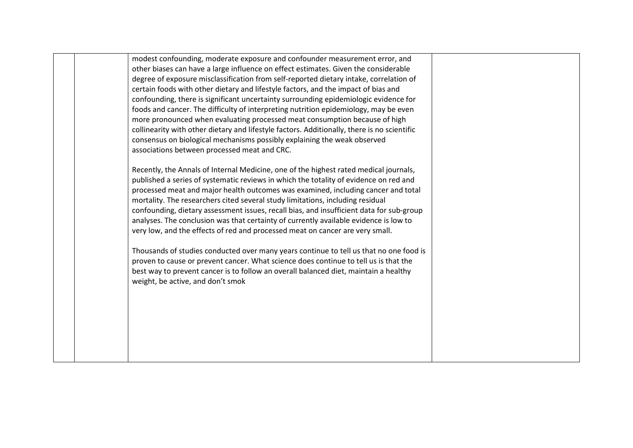modest confounding, moderate exposure and confounder measurement error, and other biases can have a large influence on effect estimates. Given the considerable degree of exposure misclassification from self-reported dietary intake, correlation of certain foods with other dietary and lifestyle factors, and the impact of bias and confounding, there is significant uncertainty surrounding epidemiologic evidence for foods and cancer. The difficulty of interpreting nutrition epidemiology, may be even more pronounced when evaluating processed meat consumption because of high collinearity with other dietary and lifestyle factors. Additionally, there is no scientific consensus on biological mechanisms possibly explaining the weak observed associations between processed meat and CRC.

Recently, the Annals of Internal Medicine, one of the highest rated medical journals, published a series of systematic reviews in which the totality of evidence on red and processed meat and major health outcomes was examined, including cancer and total mortality. The researchers cited several study limitations, including residual confounding, dietary assessment issues, recall bias, and insufficient data for sub-group analyses. The conclusion was that certainty of currently available evidence is low to very low, and the effects of red and processed meat on cancer are very small.

Thousands of studies conducted over many years continue to tell us that no one food is proven to cause or prevent cancer. What science does continue to tell us is that the best way to prevent cancer is to follow an overall balanced diet, maintain a healthy weight, be active, and don't smok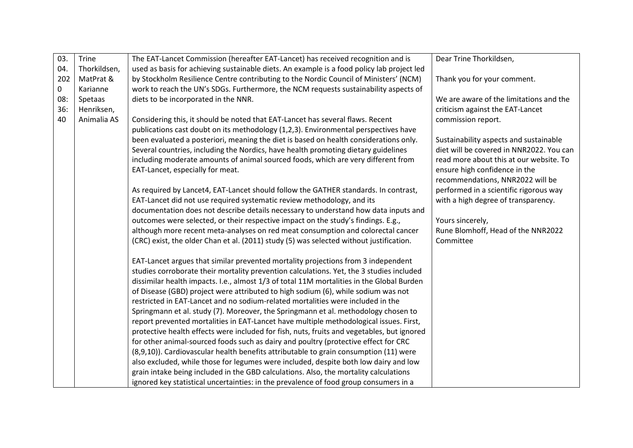| 03. | Trine        | The EAT-Lancet Commission (hereafter EAT-Lancet) has received recognition and is           | Dear Trine Thorkildsen,                  |
|-----|--------------|--------------------------------------------------------------------------------------------|------------------------------------------|
| 04. | Thorkildsen, | used as basis for achieving sustainable diets. An example is a food policy lab project led |                                          |
| 202 | MatPrat &    | by Stockholm Resilience Centre contributing to the Nordic Council of Ministers' (NCM)      | Thank you for your comment.              |
| 0   | Karianne     | work to reach the UN's SDGs. Furthermore, the NCM requests sustainability aspects of       |                                          |
| 08: | Spetaas      | diets to be incorporated in the NNR.                                                       | We are aware of the limitations and the  |
| 36: | Henriksen,   |                                                                                            | criticism against the EAT-Lancet         |
| 40  | Animalia AS  | Considering this, it should be noted that EAT-Lancet has several flaws. Recent             | commission report.                       |
|     |              | publications cast doubt on its methodology (1,2,3). Environmental perspectives have        |                                          |
|     |              | been evaluated a posteriori, meaning the diet is based on health considerations only.      | Sustainability aspects and sustainable   |
|     |              | Several countries, including the Nordics, have health promoting dietary guidelines         | diet will be covered in NNR2022. You can |
|     |              | including moderate amounts of animal sourced foods, which are very different from          | read more about this at our website. To  |
|     |              | EAT-Lancet, especially for meat.                                                           | ensure high confidence in the            |
|     |              |                                                                                            | recommendations, NNR2022 will be         |
|     |              | As required by Lancet4, EAT-Lancet should follow the GATHER standards. In contrast,        | performed in a scientific rigorous way   |
|     |              | EAT-Lancet did not use required systematic review methodology, and its                     | with a high degree of transparency.      |
|     |              | documentation does not describe details necessary to understand how data inputs and        |                                          |
|     |              | outcomes were selected, or their respective impact on the study's findings. E.g.,          | Yours sincerely,                         |
|     |              | although more recent meta-analyses on red meat consumption and colorectal cancer           | Rune Blomhoff, Head of the NNR2022       |
|     |              | (CRC) exist, the older Chan et al. (2011) study (5) was selected without justification.    | Committee                                |
|     |              |                                                                                            |                                          |
|     |              | EAT-Lancet argues that similar prevented mortality projections from 3 independent          |                                          |
|     |              | studies corroborate their mortality prevention calculations. Yet, the 3 studies included   |                                          |
|     |              | dissimilar health impacts. I.e., almost 1/3 of total 11M mortalities in the Global Burden  |                                          |
|     |              | of Disease (GBD) project were attributed to high sodium (6), while sodium was not          |                                          |
|     |              | restricted in EAT-Lancet and no sodium-related mortalities were included in the            |                                          |
|     |              | Springmann et al. study (7). Moreover, the Springmann et al. methodology chosen to         |                                          |
|     |              | report prevented mortalities in EAT-Lancet have multiple methodological issues. First,     |                                          |
|     |              | protective health effects were included for fish, nuts, fruits and vegetables, but ignored |                                          |
|     |              | for other animal-sourced foods such as dairy and poultry (protective effect for CRC        |                                          |
|     |              | (8,9,10)). Cardiovascular health benefits attributable to grain consumption (11) were      |                                          |
|     |              | also excluded, while those for legumes were included, despite both low dairy and low       |                                          |
|     |              | grain intake being included in the GBD calculations. Also, the mortality calculations      |                                          |
|     |              | ignored key statistical uncertainties: in the prevalence of food group consumers in a      |                                          |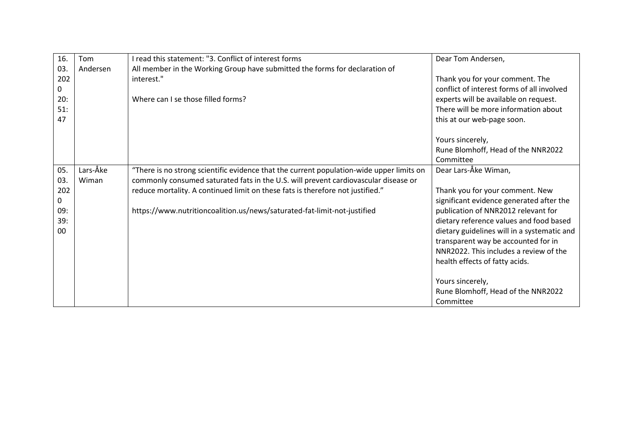| 16. | Tom      | I read this statement: "3. Conflict of interest forms                                    | Dear Tom Andersen,                          |
|-----|----------|------------------------------------------------------------------------------------------|---------------------------------------------|
| 03. | Andersen | All member in the Working Group have submitted the forms for declaration of              |                                             |
| 202 |          | interest."                                                                               | Thank you for your comment. The             |
| 0   |          |                                                                                          | conflict of interest forms of all involved  |
| 20: |          | Where can Lse those filled forms?                                                        | experts will be available on request.       |
| 51: |          |                                                                                          | There will be more information about        |
| 47  |          |                                                                                          | this at our web-page soon.                  |
|     |          |                                                                                          | Yours sincerely,                            |
|     |          |                                                                                          | Rune Blomhoff, Head of the NNR2022          |
|     |          |                                                                                          | Committee                                   |
| 05. | Lars-Åke | "There is no strong scientific evidence that the current population-wide upper limits on | Dear Lars-Åke Wiman,                        |
| 03. | Wiman    | commonly consumed saturated fats in the U.S. will prevent cardiovascular disease or      |                                             |
| 202 |          | reduce mortality. A continued limit on these fats is therefore not justified."           | Thank you for your comment. New             |
| 0   |          |                                                                                          | significant evidence generated after the    |
| 09: |          | https://www.nutritioncoalition.us/news/saturated-fat-limit-not-justified                 | publication of NNR2012 relevant for         |
| 39: |          |                                                                                          | dietary reference values and food based     |
| 00  |          |                                                                                          | dietary guidelines will in a systematic and |
|     |          |                                                                                          | transparent way be accounted for in         |
|     |          |                                                                                          | NNR2022. This includes a review of the      |
|     |          |                                                                                          | health effects of fatty acids.              |
|     |          |                                                                                          | Yours sincerely,                            |
|     |          |                                                                                          | Rune Blomhoff, Head of the NNR2022          |
|     |          |                                                                                          | Committee                                   |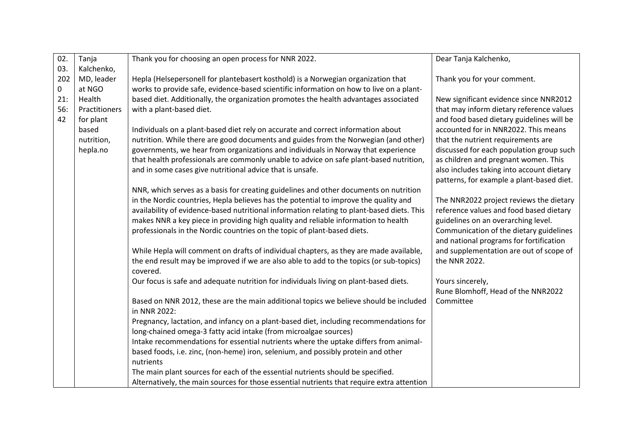| 02. | Tanja         | Thank you for choosing an open process for NNR 2022.                                       | Dear Tanja Kalchenko,                     |
|-----|---------------|--------------------------------------------------------------------------------------------|-------------------------------------------|
| 03. | Kalchenko,    |                                                                                            |                                           |
| 202 | MD, leader    | Hepla (Helsepersonell for plantebasert kosthold) is a Norwegian organization that          | Thank you for your comment.               |
| 0   | at NGO        | works to provide safe, evidence-based scientific information on how to live on a plant-    |                                           |
| 21: | Health        | based diet. Additionally, the organization promotes the health advantages associated       | New significant evidence since NNR2012    |
| 56: | Practitioners | with a plant-based diet.                                                                   | that may inform dietary reference values  |
| 42  | for plant     |                                                                                            | and food based dietary guidelines will be |
|     | based         | Individuals on a plant-based diet rely on accurate and correct information about           | accounted for in NNR2022. This means      |
|     | nutrition,    | nutrition. While there are good documents and guides from the Norwegian (and other)        | that the nutrient requirements are        |
|     | hepla.no      | governments, we hear from organizations and individuals in Norway that experience          | discussed for each population group such  |
|     |               | that health professionals are commonly unable to advice on safe plant-based nutrition,     | as children and pregnant women. This      |
|     |               | and in some cases give nutritional advice that is unsafe.                                  | also includes taking into account dietary |
|     |               |                                                                                            | patterns, for example a plant-based diet. |
|     |               | NNR, which serves as a basis for creating guidelines and other documents on nutrition      |                                           |
|     |               | in the Nordic countries, Hepla believes has the potential to improve the quality and       | The NNR2022 project reviews the dietary   |
|     |               | availability of evidence-based nutritional information relating to plant-based diets. This | reference values and food based dietary   |
|     |               | makes NNR a key piece in providing high quality and reliable information to health         | guidelines on an overarching level.       |
|     |               | professionals in the Nordic countries on the topic of plant-based diets.                   | Communication of the dietary guidelines   |
|     |               |                                                                                            | and national programs for fortification   |
|     |               | While Hepla will comment on drafts of individual chapters, as they are made available,     | and supplementation are out of scope of   |
|     |               | the end result may be improved if we are also able to add to the topics (or sub-topics)    | the NNR 2022.                             |
|     |               | covered.                                                                                   |                                           |
|     |               | Our focus is safe and adequate nutrition for individuals living on plant-based diets.      | Yours sincerely,                          |
|     |               |                                                                                            | Rune Blomhoff, Head of the NNR2022        |
|     |               | Based on NNR 2012, these are the main additional topics we believe should be included      | Committee                                 |
|     |               | in NNR 2022:                                                                               |                                           |
|     |               | Pregnancy, lactation, and infancy on a plant-based diet, including recommendations for     |                                           |
|     |               | long-chained omega-3 fatty acid intake (from microalgae sources)                           |                                           |
|     |               | Intake recommendations for essential nutrients where the uptake differs from animal-       |                                           |
|     |               | based foods, i.e. zinc, (non-heme) iron, selenium, and possibly protein and other          |                                           |
|     |               | nutrients                                                                                  |                                           |
|     |               | The main plant sources for each of the essential nutrients should be specified.            |                                           |
|     |               | Alternatively, the main sources for those essential nutrients that require extra attention |                                           |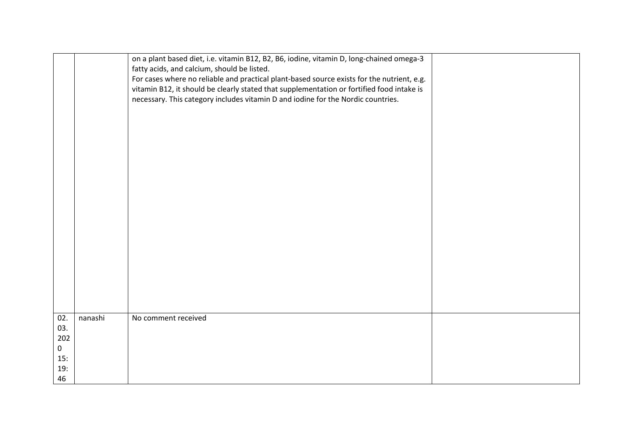|     |         | on a plant based diet, i.e. vitamin B12, B2, B6, iodine, vitamin D, long-chained omega-3   |  |
|-----|---------|--------------------------------------------------------------------------------------------|--|
|     |         | fatty acids, and calcium, should be listed.                                                |  |
|     |         |                                                                                            |  |
|     |         | For cases where no reliable and practical plant-based source exists for the nutrient, e.g. |  |
|     |         | vitamin B12, it should be clearly stated that supplementation or fortified food intake is  |  |
|     |         | necessary. This category includes vitamin D and iodine for the Nordic countries.           |  |
|     |         |                                                                                            |  |
|     |         |                                                                                            |  |
|     |         |                                                                                            |  |
|     |         |                                                                                            |  |
|     |         |                                                                                            |  |
|     |         |                                                                                            |  |
|     |         |                                                                                            |  |
|     |         |                                                                                            |  |
|     |         |                                                                                            |  |
|     |         |                                                                                            |  |
|     |         |                                                                                            |  |
|     |         |                                                                                            |  |
|     |         |                                                                                            |  |
|     |         |                                                                                            |  |
|     |         |                                                                                            |  |
|     |         |                                                                                            |  |
|     |         |                                                                                            |  |
|     |         |                                                                                            |  |
|     |         |                                                                                            |  |
|     |         |                                                                                            |  |
|     |         |                                                                                            |  |
|     |         |                                                                                            |  |
| 02. | nanashi | No comment received                                                                        |  |
| 03. |         |                                                                                            |  |
|     |         |                                                                                            |  |
| 202 |         |                                                                                            |  |
| 0   |         |                                                                                            |  |
| 15: |         |                                                                                            |  |
| 19: |         |                                                                                            |  |
| 46  |         |                                                                                            |  |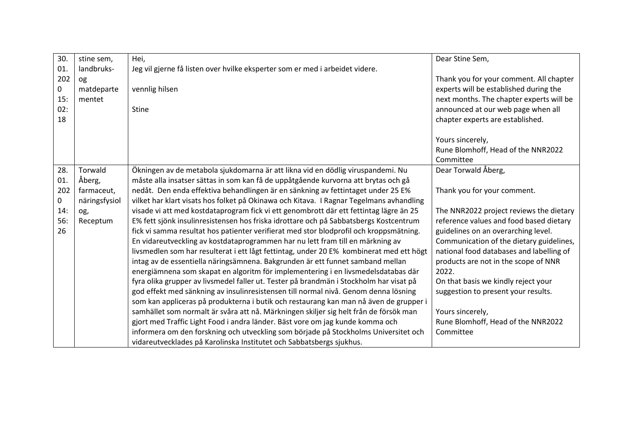| 30. | stine sem,    | Hei,                                                                                    | Dear Stine Sem,                          |
|-----|---------------|-----------------------------------------------------------------------------------------|------------------------------------------|
| 01. | landbruks-    | Jeg vil gjerne få listen over hvilke eksperter som er med i arbeidet videre.            |                                          |
| 202 | <b>Og</b>     |                                                                                         | Thank you for your comment. All chapter  |
| 0   | matdeparte    | vennlig hilsen                                                                          | experts will be established during the   |
| 15: | mentet        |                                                                                         | next months. The chapter experts will be |
| 02: |               | <b>Stine</b>                                                                            | announced at our web page when all       |
| 18  |               |                                                                                         | chapter experts are established.         |
|     |               |                                                                                         |                                          |
|     |               |                                                                                         | Yours sincerely,                         |
|     |               |                                                                                         | Rune Blomhoff, Head of the NNR2022       |
|     |               |                                                                                         | Committee                                |
| 28. | Torwald       | Ökningen av de metabola sjukdomarna är att likna vid en dödlig viruspandemi. Nu         | Dear Torwald Åberg,                      |
| 01. | Åberg,        | måste alla insatser sättas in som kan få de uppåtgående kurvorna att brytas och gå      |                                          |
| 202 | farmaceut,    | nedåt. Den enda effektiva behandlingen är en sänkning av fettintaget under 25 E%        | Thank you for your comment.              |
| 0   | näringsfysiol | vilket har klart visats hos folket på Okinawa och Kitava. I Ragnar Tegelmans avhandling |                                          |
| 14: | og,           | visade vi att med kostdataprogram fick vi ett genombrott där ett fettintag lägre än 25  | The NNR2022 project reviews the dietary  |
| 56: | Receptum      | E% fett sjönk insulinresistensen hos friska idrottare och på Sabbatsbergs Kostcentrum   | reference values and food based dietary  |
| 26  |               | fick vi samma resultat hos patienter verifierat med stor blodprofil och kroppsmätning.  | guidelines on an overarching level.      |
|     |               | En vidareutveckling av kostdataprogrammen har nu lett fram till en märkning av          | Communication of the dietary guidelines, |
|     |               | livsmedlen som har resulterat i ett lågt fettintag, under 20 E% kombinerat med ett högt | national food databases and labelling of |
|     |               | intag av de essentiella näringsämnena. Bakgrunden är ett funnet samband mellan          | products are not in the scope of NNR     |
|     |               | energiämnena som skapat en algoritm för implementering i en livsmedelsdatabas där       | 2022.                                    |
|     |               | fyra olika grupper av livsmedel faller ut. Tester på brandmän i Stockholm har visat på  | On that basis we kindly reject your      |
|     |               | god effekt med sänkning av insulinresistensen till normal nivå. Genom denna lösning     | suggestion to present your results.      |
|     |               | som kan appliceras på produkterna i butik och restaurang kan man nå även de grupper i   |                                          |
|     |               | samhället som normalt är svåra att nå. Märkningen skiljer sig helt från de försök man   | Yours sincerely,                         |
|     |               | gjort med Traffic Light Food i andra länder. Bäst vore om jag kunde komma och           | Rune Blomhoff, Head of the NNR2022       |
|     |               | informera om den forskning och utveckling som började på Stockholms Universitet och     | Committee                                |
|     |               | vidareutvecklades på Karolinska Institutet och Sabbatsbergs sjukhus.                    |                                          |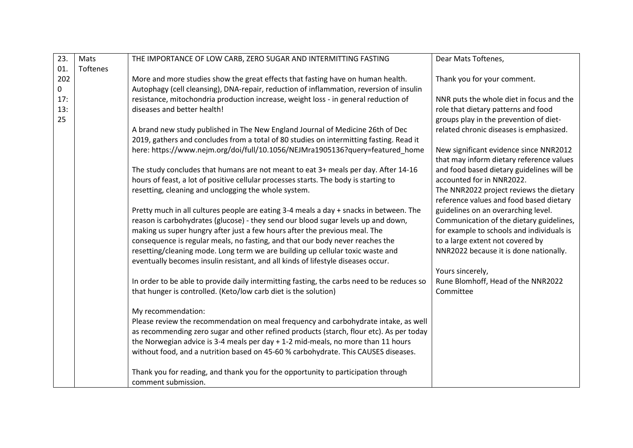| 23. | Mats     | THE IMPORTANCE OF LOW CARB, ZERO SUGAR AND INTERMITTING FASTING                            | Dear Mats Toftenes,                       |
|-----|----------|--------------------------------------------------------------------------------------------|-------------------------------------------|
| 01. | Toftenes |                                                                                            |                                           |
| 202 |          | More and more studies show the great effects that fasting have on human health.            | Thank you for your comment.               |
| 0   |          | Autophagy (cell cleansing), DNA-repair, reduction of inflammation, reversion of insulin    |                                           |
| 17: |          | resistance, mitochondria production increase, weight loss - in general reduction of        | NNR puts the whole diet in focus and the  |
| 13: |          | diseases and better health!                                                                | role that dietary patterns and food       |
| 25  |          |                                                                                            | groups play in the prevention of diet-    |
|     |          | A brand new study published in The New England Journal of Medicine 26th of Dec             | related chronic diseases is emphasized.   |
|     |          | 2019, gathers and concludes from a total of 80 studies on intermitting fasting. Read it    |                                           |
|     |          | here: https://www.nejm.org/doi/full/10.1056/NEJMra1905136?query=featured_home              | New significant evidence since NNR2012    |
|     |          |                                                                                            | that may inform dietary reference values  |
|     |          | The study concludes that humans are not meant to eat 3+ meals per day. After 14-16         | and food based dietary guidelines will be |
|     |          | hours of feast, a lot of positive cellular processes starts. The body is starting to       | accounted for in NNR2022.                 |
|     |          | resetting, cleaning and unclogging the whole system.                                       | The NNR2022 project reviews the dietary   |
|     |          |                                                                                            | reference values and food based dietary   |
|     |          | Pretty much in all cultures people are eating 3-4 meals a day + snacks in between. The     | guidelines on an overarching level.       |
|     |          | reason is carbohydrates (glucose) - they send our blood sugar levels up and down,          | Communication of the dietary guidelines,  |
|     |          | making us super hungry after just a few hours after the previous meal. The                 | for example to schools and individuals is |
|     |          | consequence is regular meals, no fasting, and that our body never reaches the              | to a large extent not covered by          |
|     |          | resetting/cleaning mode. Long term we are building up cellular toxic waste and             | NNR2022 because it is done nationally.    |
|     |          | eventually becomes insulin resistant, and all kinds of lifestyle diseases occur.           |                                           |
|     |          |                                                                                            | Yours sincerely,                          |
|     |          | In order to be able to provide daily intermitting fasting, the carbs need to be reduces so | Rune Blomhoff, Head of the NNR2022        |
|     |          | that hunger is controlled. (Keto/low carb diet is the solution)                            | Committee                                 |
|     |          | My recommendation:                                                                         |                                           |
|     |          | Please review the recommendation on meal frequency and carbohydrate intake, as well        |                                           |
|     |          | as recommending zero sugar and other refined products (starch, flour etc). As per today    |                                           |
|     |          | the Norwegian advice is 3-4 meals per day + 1-2 mid-meals, no more than 11 hours           |                                           |
|     |          | without food, and a nutrition based on 45-60 % carbohydrate. This CAUSES diseases.         |                                           |
|     |          |                                                                                            |                                           |
|     |          | Thank you for reading, and thank you for the opportunity to participation through          |                                           |
|     |          | comment submission.                                                                        |                                           |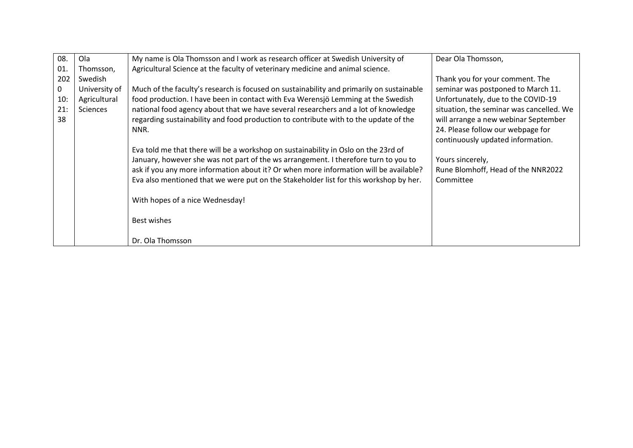| 08. | Ola           | My name is Ola Thomsson and I work as research officer at Swedish University of          | Dear Ola Thomsson,                       |
|-----|---------------|------------------------------------------------------------------------------------------|------------------------------------------|
| 01. | Thomsson,     | Agricultural Science at the faculty of veterinary medicine and animal science.           |                                          |
| 202 | Swedish       |                                                                                          | Thank you for your comment. The          |
| 0   | University of | Much of the faculty's research is focused on sustainability and primarily on sustainable | seminar was postponed to March 11.       |
| 10: | Agricultural  | food production. I have been in contact with Eva Werensjö Lemming at the Swedish         | Unfortunately, due to the COVID-19       |
| 21: | Sciences      | national food agency about that we have several researchers and a lot of knowledge       | situation, the seminar was cancelled. We |
| 38  |               | regarding sustainability and food production to contribute with to the update of the     | will arrange a new webinar September     |
|     |               | NNR.                                                                                     | 24. Please follow our webpage for        |
|     |               |                                                                                          | continuously updated information.        |
|     |               | Eva told me that there will be a workshop on sustainability in Oslo on the 23rd of       |                                          |
|     |               | January, however she was not part of the ws arrangement. I therefore turn to you to      | Yours sincerely,                         |
|     |               | ask if you any more information about it? Or when more information will be available?    | Rune Blomhoff, Head of the NNR2022       |
|     |               | Eva also mentioned that we were put on the Stakeholder list for this workshop by her.    | Committee                                |
|     |               |                                                                                          |                                          |
|     |               | With hopes of a nice Wednesday!                                                          |                                          |
|     |               |                                                                                          |                                          |
|     |               | Best wishes                                                                              |                                          |
|     |               |                                                                                          |                                          |
|     |               | Dr. Ola Thomsson                                                                         |                                          |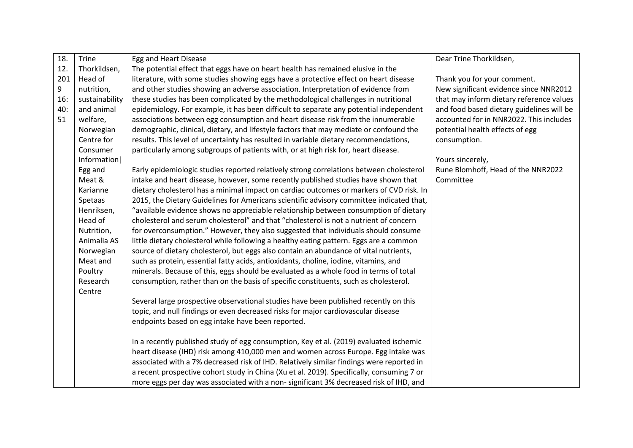| Trine          | Egg and Heart Disease                                                                   | Dear Trine Thorkildsen,                                                                                                                                                                                                                                                                                                                                                                                                                                                                                                                                                                                                                                                                                                                                                                                                                                                                                                                                                                                                                                                                                                                                                                                                                                                                                                                                                                                                                                                                                                                                                                                                    |
|----------------|-----------------------------------------------------------------------------------------|----------------------------------------------------------------------------------------------------------------------------------------------------------------------------------------------------------------------------------------------------------------------------------------------------------------------------------------------------------------------------------------------------------------------------------------------------------------------------------------------------------------------------------------------------------------------------------------------------------------------------------------------------------------------------------------------------------------------------------------------------------------------------------------------------------------------------------------------------------------------------------------------------------------------------------------------------------------------------------------------------------------------------------------------------------------------------------------------------------------------------------------------------------------------------------------------------------------------------------------------------------------------------------------------------------------------------------------------------------------------------------------------------------------------------------------------------------------------------------------------------------------------------------------------------------------------------------------------------------------------------|
| Thorkildsen,   | The potential effect that eggs have on heart health has remained elusive in the         |                                                                                                                                                                                                                                                                                                                                                                                                                                                                                                                                                                                                                                                                                                                                                                                                                                                                                                                                                                                                                                                                                                                                                                                                                                                                                                                                                                                                                                                                                                                                                                                                                            |
| Head of        | literature, with some studies showing eggs have a protective effect on heart disease    | Thank you for your comment.                                                                                                                                                                                                                                                                                                                                                                                                                                                                                                                                                                                                                                                                                                                                                                                                                                                                                                                                                                                                                                                                                                                                                                                                                                                                                                                                                                                                                                                                                                                                                                                                |
| nutrition,     | and other studies showing an adverse association. Interpretation of evidence from       | New significant evidence since NNR2012                                                                                                                                                                                                                                                                                                                                                                                                                                                                                                                                                                                                                                                                                                                                                                                                                                                                                                                                                                                                                                                                                                                                                                                                                                                                                                                                                                                                                                                                                                                                                                                     |
| sustainability | these studies has been complicated by the methodological challenges in nutritional      | that may inform dietary reference values                                                                                                                                                                                                                                                                                                                                                                                                                                                                                                                                                                                                                                                                                                                                                                                                                                                                                                                                                                                                                                                                                                                                                                                                                                                                                                                                                                                                                                                                                                                                                                                   |
| and animal     | epidemiology. For example, it has been difficult to separate any potential independent  | and food based dietary guidelines will be                                                                                                                                                                                                                                                                                                                                                                                                                                                                                                                                                                                                                                                                                                                                                                                                                                                                                                                                                                                                                                                                                                                                                                                                                                                                                                                                                                                                                                                                                                                                                                                  |
| welfare,       | associations between egg consumption and heart disease risk from the innumerable        | accounted for in NNR2022. This includes                                                                                                                                                                                                                                                                                                                                                                                                                                                                                                                                                                                                                                                                                                                                                                                                                                                                                                                                                                                                                                                                                                                                                                                                                                                                                                                                                                                                                                                                                                                                                                                    |
| Norwegian      | demographic, clinical, dietary, and lifestyle factors that may mediate or confound the  | potential health effects of egg                                                                                                                                                                                                                                                                                                                                                                                                                                                                                                                                                                                                                                                                                                                                                                                                                                                                                                                                                                                                                                                                                                                                                                                                                                                                                                                                                                                                                                                                                                                                                                                            |
| Centre for     | results. This level of uncertainty has resulted in variable dietary recommendations,    | consumption.                                                                                                                                                                                                                                                                                                                                                                                                                                                                                                                                                                                                                                                                                                                                                                                                                                                                                                                                                                                                                                                                                                                                                                                                                                                                                                                                                                                                                                                                                                                                                                                                               |
| Consumer       | particularly among subgroups of patients with, or at high risk for, heart disease.      |                                                                                                                                                                                                                                                                                                                                                                                                                                                                                                                                                                                                                                                                                                                                                                                                                                                                                                                                                                                                                                                                                                                                                                                                                                                                                                                                                                                                                                                                                                                                                                                                                            |
| Information    |                                                                                         | Yours sincerely,                                                                                                                                                                                                                                                                                                                                                                                                                                                                                                                                                                                                                                                                                                                                                                                                                                                                                                                                                                                                                                                                                                                                                                                                                                                                                                                                                                                                                                                                                                                                                                                                           |
| Egg and        | Early epidemiologic studies reported relatively strong correlations between cholesterol | Rune Blomhoff, Head of the NNR2022                                                                                                                                                                                                                                                                                                                                                                                                                                                                                                                                                                                                                                                                                                                                                                                                                                                                                                                                                                                                                                                                                                                                                                                                                                                                                                                                                                                                                                                                                                                                                                                         |
| Meat &         | intake and heart disease, however, some recently published studies have shown that      | Committee                                                                                                                                                                                                                                                                                                                                                                                                                                                                                                                                                                                                                                                                                                                                                                                                                                                                                                                                                                                                                                                                                                                                                                                                                                                                                                                                                                                                                                                                                                                                                                                                                  |
| Karianne       |                                                                                         |                                                                                                                                                                                                                                                                                                                                                                                                                                                                                                                                                                                                                                                                                                                                                                                                                                                                                                                                                                                                                                                                                                                                                                                                                                                                                                                                                                                                                                                                                                                                                                                                                            |
| Spetaas        |                                                                                         |                                                                                                                                                                                                                                                                                                                                                                                                                                                                                                                                                                                                                                                                                                                                                                                                                                                                                                                                                                                                                                                                                                                                                                                                                                                                                                                                                                                                                                                                                                                                                                                                                            |
| Henriksen,     |                                                                                         |                                                                                                                                                                                                                                                                                                                                                                                                                                                                                                                                                                                                                                                                                                                                                                                                                                                                                                                                                                                                                                                                                                                                                                                                                                                                                                                                                                                                                                                                                                                                                                                                                            |
| Head of        |                                                                                         |                                                                                                                                                                                                                                                                                                                                                                                                                                                                                                                                                                                                                                                                                                                                                                                                                                                                                                                                                                                                                                                                                                                                                                                                                                                                                                                                                                                                                                                                                                                                                                                                                            |
| Nutrition,     |                                                                                         |                                                                                                                                                                                                                                                                                                                                                                                                                                                                                                                                                                                                                                                                                                                                                                                                                                                                                                                                                                                                                                                                                                                                                                                                                                                                                                                                                                                                                                                                                                                                                                                                                            |
| Animalia AS    |                                                                                         |                                                                                                                                                                                                                                                                                                                                                                                                                                                                                                                                                                                                                                                                                                                                                                                                                                                                                                                                                                                                                                                                                                                                                                                                                                                                                                                                                                                                                                                                                                                                                                                                                            |
| Norwegian      |                                                                                         |                                                                                                                                                                                                                                                                                                                                                                                                                                                                                                                                                                                                                                                                                                                                                                                                                                                                                                                                                                                                                                                                                                                                                                                                                                                                                                                                                                                                                                                                                                                                                                                                                            |
|                |                                                                                         |                                                                                                                                                                                                                                                                                                                                                                                                                                                                                                                                                                                                                                                                                                                                                                                                                                                                                                                                                                                                                                                                                                                                                                                                                                                                                                                                                                                                                                                                                                                                                                                                                            |
|                |                                                                                         |                                                                                                                                                                                                                                                                                                                                                                                                                                                                                                                                                                                                                                                                                                                                                                                                                                                                                                                                                                                                                                                                                                                                                                                                                                                                                                                                                                                                                                                                                                                                                                                                                            |
|                |                                                                                         |                                                                                                                                                                                                                                                                                                                                                                                                                                                                                                                                                                                                                                                                                                                                                                                                                                                                                                                                                                                                                                                                                                                                                                                                                                                                                                                                                                                                                                                                                                                                                                                                                            |
|                |                                                                                         |                                                                                                                                                                                                                                                                                                                                                                                                                                                                                                                                                                                                                                                                                                                                                                                                                                                                                                                                                                                                                                                                                                                                                                                                                                                                                                                                                                                                                                                                                                                                                                                                                            |
|                |                                                                                         |                                                                                                                                                                                                                                                                                                                                                                                                                                                                                                                                                                                                                                                                                                                                                                                                                                                                                                                                                                                                                                                                                                                                                                                                                                                                                                                                                                                                                                                                                                                                                                                                                            |
|                |                                                                                         |                                                                                                                                                                                                                                                                                                                                                                                                                                                                                                                                                                                                                                                                                                                                                                                                                                                                                                                                                                                                                                                                                                                                                                                                                                                                                                                                                                                                                                                                                                                                                                                                                            |
|                |                                                                                         |                                                                                                                                                                                                                                                                                                                                                                                                                                                                                                                                                                                                                                                                                                                                                                                                                                                                                                                                                                                                                                                                                                                                                                                                                                                                                                                                                                                                                                                                                                                                                                                                                            |
|                |                                                                                         |                                                                                                                                                                                                                                                                                                                                                                                                                                                                                                                                                                                                                                                                                                                                                                                                                                                                                                                                                                                                                                                                                                                                                                                                                                                                                                                                                                                                                                                                                                                                                                                                                            |
|                |                                                                                         |                                                                                                                                                                                                                                                                                                                                                                                                                                                                                                                                                                                                                                                                                                                                                                                                                                                                                                                                                                                                                                                                                                                                                                                                                                                                                                                                                                                                                                                                                                                                                                                                                            |
|                |                                                                                         |                                                                                                                                                                                                                                                                                                                                                                                                                                                                                                                                                                                                                                                                                                                                                                                                                                                                                                                                                                                                                                                                                                                                                                                                                                                                                                                                                                                                                                                                                                                                                                                                                            |
|                |                                                                                         |                                                                                                                                                                                                                                                                                                                                                                                                                                                                                                                                                                                                                                                                                                                                                                                                                                                                                                                                                                                                                                                                                                                                                                                                                                                                                                                                                                                                                                                                                                                                                                                                                            |
|                |                                                                                         |                                                                                                                                                                                                                                                                                                                                                                                                                                                                                                                                                                                                                                                                                                                                                                                                                                                                                                                                                                                                                                                                                                                                                                                                                                                                                                                                                                                                                                                                                                                                                                                                                            |
|                | Meat and<br>Poultry<br>Research<br>Centre                                               | dietary cholesterol has a minimal impact on cardiac outcomes or markers of CVD risk. In<br>2015, the Dietary Guidelines for Americans scientific advisory committee indicated that,<br>"available evidence shows no appreciable relationship between consumption of dietary<br>cholesterol and serum cholesterol" and that "cholesterol is not a nutrient of concern<br>for overconsumption." However, they also suggested that individuals should consume<br>little dietary cholesterol while following a healthy eating pattern. Eggs are a common<br>source of dietary cholesterol, but eggs also contain an abundance of vital nutrients,<br>such as protein, essential fatty acids, antioxidants, choline, iodine, vitamins, and<br>minerals. Because of this, eggs should be evaluated as a whole food in terms of total<br>consumption, rather than on the basis of specific constituents, such as cholesterol.<br>Several large prospective observational studies have been published recently on this<br>topic, and null findings or even decreased risks for major cardiovascular disease<br>endpoints based on egg intake have been reported.<br>In a recently published study of egg consumption, Key et al. (2019) evaluated ischemic<br>heart disease (IHD) risk among 410,000 men and women across Europe. Egg intake was<br>associated with a 7% decreased risk of IHD. Relatively similar findings were reported in<br>a recent prospective cohort study in China (Xu et al. 2019). Specifically, consuming 7 or<br>more eggs per day was associated with a non-significant 3% decreased risk of IHD, and |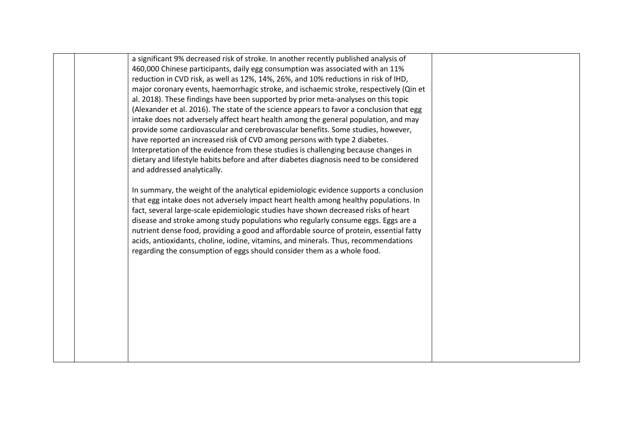a significant 9% decreased risk of stroke. In another recently published analysis of 460,000 Chinese participants, daily egg consumption was associated with an 11% reduction in CVD risk, as well as 12%, 14%, 26%, and 10% reductions in risk of IHD, major coronary events, haemorrhagic stroke, and ischaemic stroke, respectively (Qin et al. 2018). These findings have been supported by prior meta-analyses on this topic (Alexander et al. 2016). The state of the science appears to favor a conclusion that egg intake does not adversely affect heart health among the general population, and may provide some cardiovascular and cerebrovascular benefits. Some studies, however, have reported an increased risk of CVD among persons with type 2 diabetes. Interpretation of the evidence from these studies is challenging because changes in dietary and lifestyle habits before and after diabetes diagnosis need to be considered and addressed analytically. In summary, the weight of the analytical epidemiologic evidence supports a conclusion

that egg intake does not adversely impact heart health among healthy populations. In fact, several large-scale epidemiologic studies have shown decreased risks of heart disease and stroke among study populations who regularly consume eggs. Eggs are a nutrient dense food, providing a good and affordable source of protein, essential fatty acids, antioxidants, choline, iodine, vitamins, and minerals. Thus, recommendations regarding the consumption of eggs should consider them as a whole food.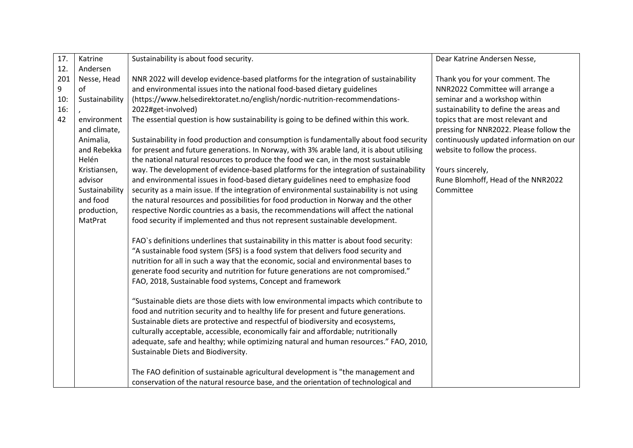| 17. | Katrine        | Sustainability is about food security.                                                    | Dear Katrine Andersen Nesse,            |
|-----|----------------|-------------------------------------------------------------------------------------------|-----------------------------------------|
| 12. | Andersen       |                                                                                           |                                         |
| 201 | Nesse, Head    | NNR 2022 will develop evidence-based platforms for the integration of sustainability      | Thank you for your comment. The         |
| 9   | of             | and environmental issues into the national food-based dietary guidelines                  | NNR2022 Committee will arrange a        |
| 10: | Sustainability | (https://www.helsedirektoratet.no/english/nordic-nutrition-recommendations-               | seminar and a workshop within           |
| 16: |                | 2022#get-involved)                                                                        | sustainability to define the areas and  |
| 42  | environment    | The essential question is how sustainability is going to be defined within this work.     | topics that are most relevant and       |
|     | and climate,   |                                                                                           | pressing for NNR2022. Please follow the |
|     | Animalia,      | Sustainability in food production and consumption is fundamentally about food security    | continuously updated information on our |
|     | and Rebekka    | for present and future generations. In Norway, with 3% arable land, it is about utilising | website to follow the process.          |
|     | Helén          | the national natural resources to produce the food we can, in the most sustainable        |                                         |
|     | Kristiansen,   | way. The development of evidence-based platforms for the integration of sustainability    | Yours sincerely,                        |
|     | advisor        | and environmental issues in food-based dietary guidelines need to emphasize food          | Rune Blomhoff, Head of the NNR2022      |
|     | Sustainability | security as a main issue. If the integration of environmental sustainability is not using | Committee                               |
|     | and food       | the natural resources and possibilities for food production in Norway and the other       |                                         |
|     | production,    | respective Nordic countries as a basis, the recommendations will affect the national      |                                         |
|     | MatPrat        | food security if implemented and thus not represent sustainable development.              |                                         |
|     |                |                                                                                           |                                         |
|     |                | FAO's definitions underlines that sustainability in this matter is about food security:   |                                         |
|     |                | "A sustainable food system (SFS) is a food system that delivers food security and         |                                         |
|     |                | nutrition for all in such a way that the economic, social and environmental bases to      |                                         |
|     |                | generate food security and nutrition for future generations are not compromised."         |                                         |
|     |                | FAO, 2018, Sustainable food systems, Concept and framework                                |                                         |
|     |                | "Sustainable diets are those diets with low environmental impacts which contribute to     |                                         |
|     |                | food and nutrition security and to healthy life for present and future generations.       |                                         |
|     |                | Sustainable diets are protective and respectful of biodiversity and ecosystems,           |                                         |
|     |                | culturally acceptable, accessible, economically fair and affordable; nutritionally        |                                         |
|     |                | adequate, safe and healthy; while optimizing natural and human resources." FAO, 2010,     |                                         |
|     |                | Sustainable Diets and Biodiversity.                                                       |                                         |
|     |                |                                                                                           |                                         |
|     |                | The FAO definition of sustainable agricultural development is "the management and         |                                         |
|     |                | conservation of the natural resource base, and the orientation of technological and       |                                         |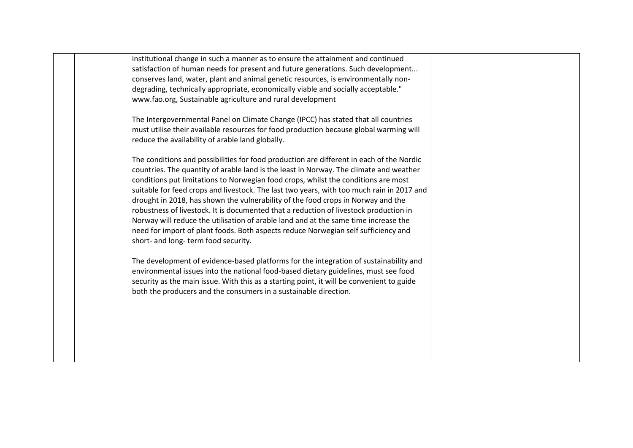|  | institutional change in such a manner as to ensure the attainment and continued           |  |
|--|-------------------------------------------------------------------------------------------|--|
|  | satisfaction of human needs for present and future generations. Such development          |  |
|  | conserves land, water, plant and animal genetic resources, is environmentally non-        |  |
|  | degrading, technically appropriate, economically viable and socially acceptable."         |  |
|  | www.fao.org, Sustainable agriculture and rural development                                |  |
|  |                                                                                           |  |
|  | The Intergovernmental Panel on Climate Change (IPCC) has stated that all countries        |  |
|  | must utilise their available resources for food production because global warming will    |  |
|  | reduce the availability of arable land globally.                                          |  |
|  |                                                                                           |  |
|  | The conditions and possibilities for food production are different in each of the Nordic  |  |
|  | countries. The quantity of arable land is the least in Norway. The climate and weather    |  |
|  | conditions put limitations to Norwegian food crops, whilst the conditions are most        |  |
|  | suitable for feed crops and livestock. The last two years, with too much rain in 2017 and |  |
|  | drought in 2018, has shown the vulnerability of the food crops in Norway and the          |  |
|  | robustness of livestock. It is documented that a reduction of livestock production in     |  |
|  | Norway will reduce the utilisation of arable land and at the same time increase the       |  |
|  | need for import of plant foods. Both aspects reduce Norwegian self sufficiency and        |  |
|  | short- and long- term food security.                                                      |  |
|  |                                                                                           |  |
|  | The development of evidence-based platforms for the integration of sustainability and     |  |
|  | environmental issues into the national food-based dietary guidelines, must see food       |  |
|  | security as the main issue. With this as a starting point, it will be convenient to guide |  |
|  | both the producers and the consumers in a sustainable direction.                          |  |
|  |                                                                                           |  |
|  |                                                                                           |  |
|  |                                                                                           |  |
|  |                                                                                           |  |
|  |                                                                                           |  |
|  |                                                                                           |  |
|  |                                                                                           |  |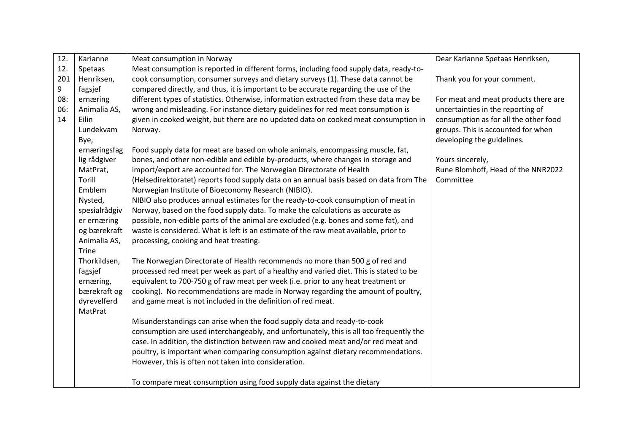| 12. | Karianne      | Meat consumption in Norway                                                              | Dear Karianne Spetaas Henriksen,      |
|-----|---------------|-----------------------------------------------------------------------------------------|---------------------------------------|
| 12. | Spetaas       | Meat consumption is reported in different forms, including food supply data, ready-to-  |                                       |
| 201 | Henriksen,    | cook consumption, consumer surveys and dietary surveys (1). These data cannot be        | Thank you for your comment.           |
| 9   | fagsjef       | compared directly, and thus, it is important to be accurate regarding the use of the    |                                       |
| 08: | ernæring      | different types of statistics. Otherwise, information extracted from these data may be  | For meat and meat products there are  |
| 06: | Animalia AS,  | wrong and misleading. For instance dietary guidelines for red meat consumption is       | uncertainties in the reporting of     |
| 14  | Eilin         | given in cooked weight, but there are no updated data on cooked meat consumption in     | consumption as for all the other food |
|     | Lundekvam     | Norway.                                                                                 | groups. This is accounted for when    |
|     | Bye,          |                                                                                         | developing the guidelines.            |
|     | ernæringsfag  | Food supply data for meat are based on whole animals, encompassing muscle, fat,         |                                       |
|     | lig rådgiver  | bones, and other non-edible and edible by-products, where changes in storage and        | Yours sincerely,                      |
|     | MatPrat,      | import/export are accounted for. The Norwegian Directorate of Health                    | Rune Blomhoff, Head of the NNR2022    |
|     | Torill        | (Helsedirektoratet) reports food supply data on an annual basis based on data from The  | Committee                             |
|     | Emblem        | Norwegian Institute of Bioeconomy Research (NIBIO).                                     |                                       |
|     | Nysted,       | NIBIO also produces annual estimates for the ready-to-cook consumption of meat in       |                                       |
|     | spesialrådgiv | Norway, based on the food supply data. To make the calculations as accurate as          |                                       |
|     | er ernæring   | possible, non-edible parts of the animal are excluded (e.g. bones and some fat), and    |                                       |
|     | og bærekraft  | waste is considered. What is left is an estimate of the raw meat available, prior to    |                                       |
|     | Animalia AS,  | processing, cooking and heat treating.                                                  |                                       |
|     | <b>Trine</b>  |                                                                                         |                                       |
|     | Thorkildsen,  | The Norwegian Directorate of Health recommends no more than 500 g of red and            |                                       |
|     | fagsjef       | processed red meat per week as part of a healthy and varied diet. This is stated to be  |                                       |
|     | ernæring,     | equivalent to 700-750 g of raw meat per week (i.e. prior to any heat treatment or       |                                       |
|     | bærekraft og  | cooking). No recommendations are made in Norway regarding the amount of poultry,        |                                       |
|     | dyrevelferd   | and game meat is not included in the definition of red meat.                            |                                       |
|     | MatPrat       |                                                                                         |                                       |
|     |               | Misunderstandings can arise when the food supply data and ready-to-cook                 |                                       |
|     |               | consumption are used interchangeably, and unfortunately, this is all too frequently the |                                       |
|     |               | case. In addition, the distinction between raw and cooked meat and/or red meat and      |                                       |
|     |               | poultry, is important when comparing consumption against dietary recommendations.       |                                       |
|     |               | However, this is often not taken into consideration.                                    |                                       |
|     |               | To compare meat consumption using food supply data against the dietary                  |                                       |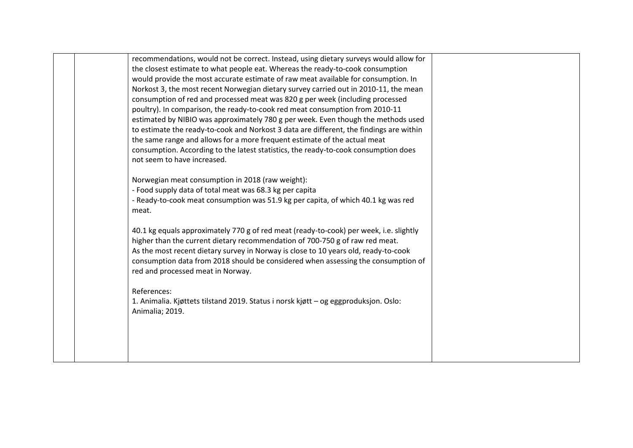| recommendations, would not be correct. Instead, using dietary surveys would allow for   |  |
|-----------------------------------------------------------------------------------------|--|
| the closest estimate to what people eat. Whereas the ready-to-cook consumption          |  |
| would provide the most accurate estimate of raw meat available for consumption. In      |  |
| Norkost 3, the most recent Norwegian dietary survey carried out in 2010-11, the mean    |  |
| consumption of red and processed meat was 820 g per week (including processed           |  |
| poultry). In comparison, the ready-to-cook red meat consumption from 2010-11            |  |
| estimated by NIBIO was approximately 780 g per week. Even though the methods used       |  |
| to estimate the ready-to-cook and Norkost 3 data are different, the findings are within |  |
| the same range and allows for a more frequent estimate of the actual meat               |  |
| consumption. According to the latest statistics, the ready-to-cook consumption does     |  |
| not seem to have increased.                                                             |  |
|                                                                                         |  |
| Norwegian meat consumption in 2018 (raw weight):                                        |  |
| - Food supply data of total meat was 68.3 kg per capita                                 |  |
| - Ready-to-cook meat consumption was 51.9 kg per capita, of which 40.1 kg was red       |  |
| meat.                                                                                   |  |
|                                                                                         |  |
| 40.1 kg equals approximately 770 g of red meat (ready-to-cook) per week, i.e. slightly  |  |
| higher than the current dietary recommendation of 700-750 g of raw red meat.            |  |
| As the most recent dietary survey in Norway is close to 10 years old, ready-to-cook     |  |
| consumption data from 2018 should be considered when assessing the consumption of       |  |
| red and processed meat in Norway.                                                       |  |
|                                                                                         |  |
| References:                                                                             |  |
| 1. Animalia. Kjøttets tilstand 2019. Status i norsk kjøtt – og eggproduksjon. Oslo:     |  |
| Animalia; 2019.                                                                         |  |
|                                                                                         |  |
|                                                                                         |  |
|                                                                                         |  |
|                                                                                         |  |
|                                                                                         |  |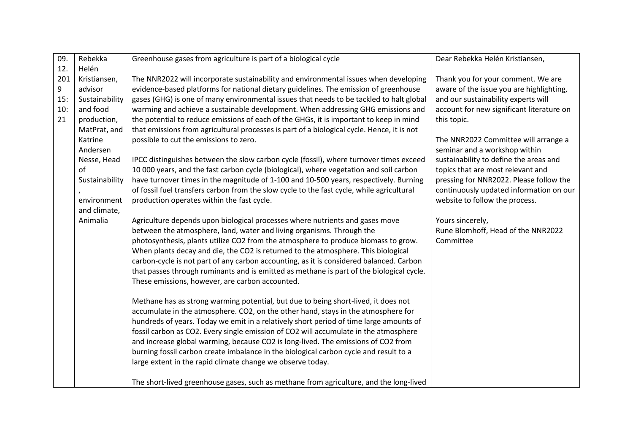| 09. | Rebekka        | Greenhouse gases from agriculture is part of a biological cycle                            | Dear Rebekka Helén Kristiansen,           |
|-----|----------------|--------------------------------------------------------------------------------------------|-------------------------------------------|
| 12. | Helén          |                                                                                            |                                           |
| 201 | Kristiansen,   | The NNR2022 will incorporate sustainability and environmental issues when developing       | Thank you for your comment. We are        |
| 9   | advisor        | evidence-based platforms for national dietary guidelines. The emission of greenhouse       | aware of the issue you are highlighting,  |
| 15: | Sustainability | gases (GHG) is one of many environmental issues that needs to be tackled to halt global    | and our sustainability experts will       |
| 10: | and food       | warming and achieve a sustainable development. When addressing GHG emissions and           | account for new significant literature on |
| 21  | production,    | the potential to reduce emissions of each of the GHGs, it is important to keep in mind     | this topic.                               |
|     | MatPrat, and   | that emissions from agricultural processes is part of a biological cycle. Hence, it is not |                                           |
|     | Katrine        | possible to cut the emissions to zero.                                                     | The NNR2022 Committee will arrange a      |
|     | Andersen       |                                                                                            | seminar and a workshop within             |
|     | Nesse, Head    | IPCC distinguishes between the slow carbon cycle (fossil), where turnover times exceed     | sustainability to define the areas and    |
|     | of             | 10 000 years, and the fast carbon cycle (biological), where vegetation and soil carbon     | topics that are most relevant and         |
|     | Sustainability | have turnover times in the magnitude of 1-100 and 10-500 years, respectively. Burning      | pressing for NNR2022. Please follow the   |
|     |                | of fossil fuel transfers carbon from the slow cycle to the fast cycle, while agricultural  | continuously updated information on our   |
|     | environment    | production operates within the fast cycle.                                                 | website to follow the process.            |
|     | and climate,   |                                                                                            |                                           |
|     | Animalia       | Agriculture depends upon biological processes where nutrients and gases move               | Yours sincerely,                          |
|     |                | between the atmosphere, land, water and living organisms. Through the                      | Rune Blomhoff, Head of the NNR2022        |
|     |                | photosynthesis, plants utilize CO2 from the atmosphere to produce biomass to grow.         | Committee                                 |
|     |                | When plants decay and die, the CO2 is returned to the atmosphere. This biological          |                                           |
|     |                | carbon-cycle is not part of any carbon accounting, as it is considered balanced. Carbon    |                                           |
|     |                | that passes through ruminants and is emitted as methane is part of the biological cycle.   |                                           |
|     |                | These emissions, however, are carbon accounted.                                            |                                           |
|     |                | Methane has as strong warming potential, but due to being short-lived, it does not         |                                           |
|     |                | accumulate in the atmosphere. CO2, on the other hand, stays in the atmosphere for          |                                           |
|     |                | hundreds of years. Today we emit in a relatively short period of time large amounts of     |                                           |
|     |                | fossil carbon as CO2. Every single emission of CO2 will accumulate in the atmosphere       |                                           |
|     |                | and increase global warming, because CO2 is long-lived. The emissions of CO2 from          |                                           |
|     |                | burning fossil carbon create imbalance in the biological carbon cycle and result to a      |                                           |
|     |                | large extent in the rapid climate change we observe today.                                 |                                           |
|     |                |                                                                                            |                                           |
|     |                | The short-lived greenhouse gases, such as methane from agriculture, and the long-lived     |                                           |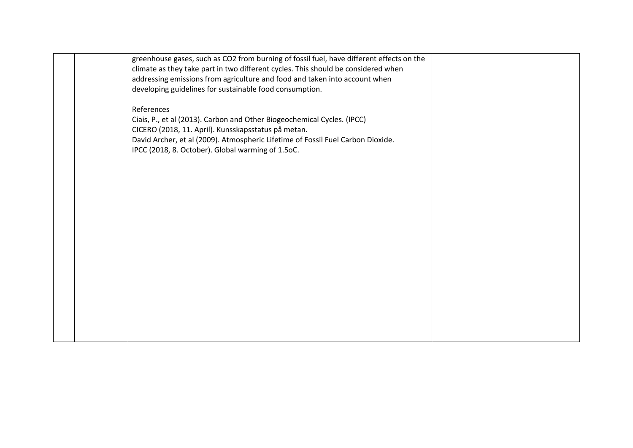| greenhouse gases, such as CO2 from burning of fossil fuel, have different effects on the<br>climate as they take part in two different cycles. This should be considered when<br>addressing emissions from agriculture and food and taken into account when<br>developing guidelines for sustainable food consumption. |  |
|------------------------------------------------------------------------------------------------------------------------------------------------------------------------------------------------------------------------------------------------------------------------------------------------------------------------|--|
| References<br>Ciais, P., et al (2013). Carbon and Other Biogeochemical Cycles. (IPCC)<br>CICERO (2018, 11. April). Kunsskapsstatus på metan.<br>David Archer, et al (2009). Atmospheric Lifetime of Fossil Fuel Carbon Dioxide.<br>IPCC (2018, 8. October). Global warming of 1.5oC.                                   |  |
|                                                                                                                                                                                                                                                                                                                        |  |
|                                                                                                                                                                                                                                                                                                                        |  |
|                                                                                                                                                                                                                                                                                                                        |  |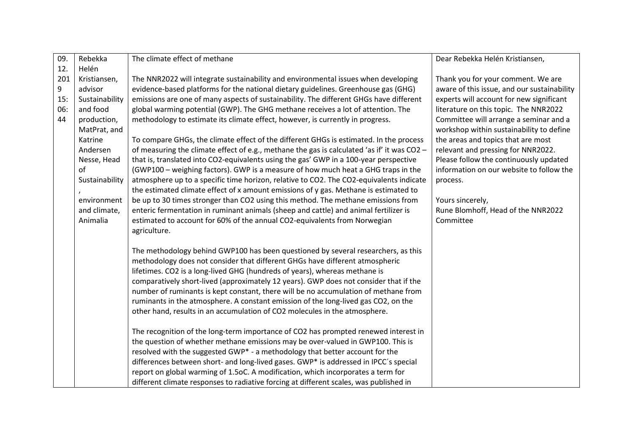| 09. | Rebekka        | The climate effect of methane                                                               | Dear Rebekka Helén Kristiansen,             |
|-----|----------------|---------------------------------------------------------------------------------------------|---------------------------------------------|
| 12. | Helén          |                                                                                             |                                             |
| 201 | Kristiansen,   | The NNR2022 will integrate sustainability and environmental issues when developing          | Thank you for your comment. We are          |
| 9   | advisor        | evidence-based platforms for the national dietary guidelines. Greenhouse gas (GHG)          | aware of this issue, and our sustainability |
| 15: | Sustainability | emissions are one of many aspects of sustainability. The different GHGs have different      | experts will account for new significant    |
| 06: | and food       | global warming potential (GWP). The GHG methane receives a lot of attention. The            | literature on this topic. The NNR2022       |
| 44  | production,    | methodology to estimate its climate effect, however, is currently in progress.              | Committee will arrange a seminar and a      |
|     | MatPrat, and   |                                                                                             | workshop within sustainability to define    |
|     | Katrine        | To compare GHGs, the climate effect of the different GHGs is estimated. In the process      | the areas and topics that are most          |
|     | Andersen       | of measuring the climate effect of e.g., methane the gas is calculated 'as if' it was CO2 - | relevant and pressing for NNR2022.          |
|     | Nesse, Head    | that is, translated into CO2-equivalents using the gas' GWP in a 100-year perspective       | Please follow the continuously updated      |
|     | of             | (GWP100 - weighing factors). GWP is a measure of how much heat a GHG traps in the           | information on our website to follow the    |
|     | Sustainability | atmosphere up to a specific time horizon, relative to CO2. The CO2-equivalents indicate     | process.                                    |
|     |                | the estimated climate effect of x amount emissions of y gas. Methane is estimated to        |                                             |
|     | environment    | be up to 30 times stronger than CO2 using this method. The methane emissions from           | Yours sincerely,                            |
|     | and climate,   | enteric fermentation in ruminant animals (sheep and cattle) and animal fertilizer is        | Rune Blomhoff, Head of the NNR2022          |
|     | Animalia       | estimated to account for 60% of the annual CO2-equivalents from Norwegian                   | Committee                                   |
|     |                | agriculture.                                                                                |                                             |
|     |                |                                                                                             |                                             |
|     |                | The methodology behind GWP100 has been questioned by several researchers, as this           |                                             |
|     |                | methodology does not consider that different GHGs have different atmospheric                |                                             |
|     |                | lifetimes. CO2 is a long-lived GHG (hundreds of years), whereas methane is                  |                                             |
|     |                | comparatively short-lived (approximately 12 years). GWP does not consider that if the       |                                             |
|     |                | number of ruminants is kept constant, there will be no accumulation of methane from         |                                             |
|     |                | ruminants in the atmosphere. A constant emission of the long-lived gas CO2, on the          |                                             |
|     |                | other hand, results in an accumulation of CO2 molecules in the atmosphere.                  |                                             |
|     |                | The recognition of the long-term importance of CO2 has prompted renewed interest in         |                                             |
|     |                | the question of whether methane emissions may be over-valued in GWP100. This is             |                                             |
|     |                | resolved with the suggested GWP* - a methodology that better account for the                |                                             |
|     |                | differences between short- and long-lived gases. GWP* is addressed in IPCC's special        |                                             |
|     |                | report on global warming of 1.5oC. A modification, which incorporates a term for            |                                             |
|     |                |                                                                                             |                                             |
|     |                | different climate responses to radiative forcing at different scales, was published in      |                                             |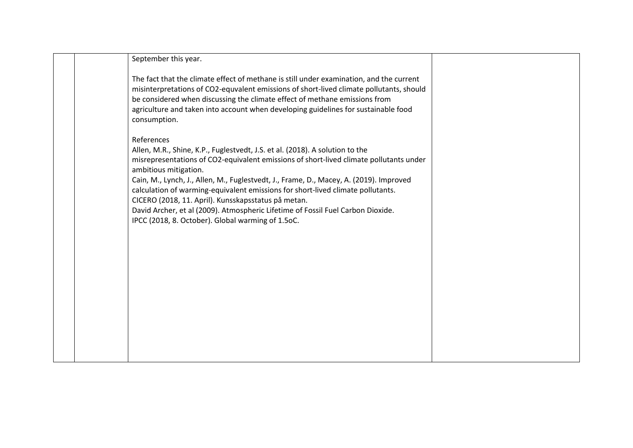| September this year.                                                                                                                                                                                                                                                                                                                                                                                                                                                                                                                                                                      |  |
|-------------------------------------------------------------------------------------------------------------------------------------------------------------------------------------------------------------------------------------------------------------------------------------------------------------------------------------------------------------------------------------------------------------------------------------------------------------------------------------------------------------------------------------------------------------------------------------------|--|
| The fact that the climate effect of methane is still under examination, and the current<br>misinterpretations of CO2-equvalent emissions of short-lived climate pollutants, should<br>be considered when discussing the climate effect of methane emissions from<br>agriculture and taken into account when developing guidelines for sustainable food<br>consumption.                                                                                                                                                                                                                    |  |
| References<br>Allen, M.R., Shine, K.P., Fuglestvedt, J.S. et al. (2018). A solution to the<br>misrepresentations of CO2-equivalent emissions of short-lived climate pollutants under<br>ambitious mitigation.<br>Cain, M., Lynch, J., Allen, M., Fuglestvedt, J., Frame, D., Macey, A. (2019). Improved<br>calculation of warming-equivalent emissions for short-lived climate pollutants.<br>CICERO (2018, 11. April). Kunsskapsstatus på metan.<br>David Archer, et al (2009). Atmospheric Lifetime of Fossil Fuel Carbon Dioxide.<br>IPCC (2018, 8. October). Global warming of 1.5oC. |  |
|                                                                                                                                                                                                                                                                                                                                                                                                                                                                                                                                                                                           |  |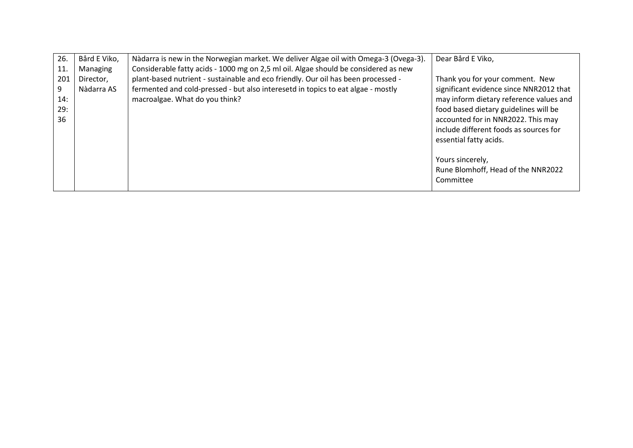| 26.<br>11                    | Bård E Viko,<br>Managing | Nàdarra is new in the Norwegian market. We deliver Algae oil with Omega-3 (Ovega-3).<br>Considerable fatty acids - 1000 mg on 2,5 ml oil. Algae should be considered as new                             | Dear Bård E Viko,                                                                                                                                                                                                                                                        |
|------------------------------|--------------------------|---------------------------------------------------------------------------------------------------------------------------------------------------------------------------------------------------------|--------------------------------------------------------------------------------------------------------------------------------------------------------------------------------------------------------------------------------------------------------------------------|
| 201<br>9<br>14:<br>29:<br>36 | Director,<br>Nàdarra AS  | plant-based nutrient - sustainable and eco friendly. Our oil has been processed -<br>fermented and cold-pressed - but also interesetd in topics to eat algae - mostly<br>macroalgae. What do you think? | Thank you for your comment. New<br>significant evidence since NNR2012 that<br>may inform dietary reference values and<br>food based dietary guidelines will be<br>accounted for in NNR2022. This may<br>include different foods as sources for<br>essential fatty acids. |
|                              |                          |                                                                                                                                                                                                         | Yours sincerely,<br>Rune Blomhoff, Head of the NNR2022<br>Committee                                                                                                                                                                                                      |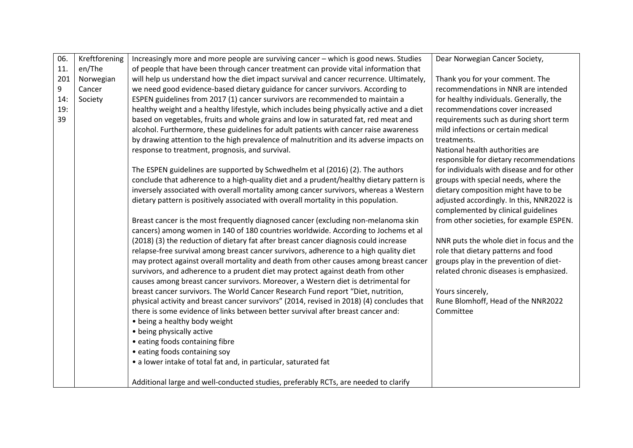| 06. | Kreftforening | Increasingly more and more people are surviving cancer - which is good news. Studies      | Dear Norwegian Cancer Society,             |
|-----|---------------|-------------------------------------------------------------------------------------------|--------------------------------------------|
| 11. | en/The        | of people that have been through cancer treatment can provide vital information that      |                                            |
| 201 | Norwegian     | will help us understand how the diet impact survival and cancer recurrence. Ultimately,   | Thank you for your comment. The            |
| 9   | Cancer        | we need good evidence-based dietary guidance for cancer survivors. According to           | recommendations in NNR are intended        |
| 14: | Society       | ESPEN guidelines from 2017 (1) cancer survivors are recommended to maintain a             | for healthy individuals. Generally, the    |
| 19: |               | healthy weight and a healthy lifestyle, which includes being physically active and a diet | recommendations cover increased            |
| 39  |               | based on vegetables, fruits and whole grains and low in saturated fat, red meat and       | requirements such as during short term     |
|     |               | alcohol. Furthermore, these guidelines for adult patients with cancer raise awareness     | mild infections or certain medical         |
|     |               | by drawing attention to the high prevalence of malnutrition and its adverse impacts on    | treatments.                                |
|     |               | response to treatment, prognosis, and survival.                                           | National health authorities are            |
|     |               |                                                                                           | responsible for dietary recommendations    |
|     |               | The ESPEN guidelines are supported by Schwedhelm et al (2016) (2). The authors            | for individuals with disease and for other |
|     |               | conclude that adherence to a high-quality diet and a prudent/healthy dietary pattern is   | groups with special needs, where the       |
|     |               | inversely associated with overall mortality among cancer survivors, whereas a Western     | dietary composition might have to be       |
|     |               | dietary pattern is positively associated with overall mortality in this population.       | adjusted accordingly. In this, NNR2022 is  |
|     |               |                                                                                           | complemented by clinical guidelines        |
|     |               | Breast cancer is the most frequently diagnosed cancer (excluding non-melanoma skin        | from other societies, for example ESPEN.   |
|     |               | cancers) among women in 140 of 180 countries worldwide. According to Jochems et al        |                                            |
|     |               | (2018) (3) the reduction of dietary fat after breast cancer diagnosis could increase      | NNR puts the whole diet in focus and the   |
|     |               | relapse-free survival among breast cancer survivors, adherence to a high quality diet     | role that dietary patterns and food        |
|     |               | may protect against overall mortality and death from other causes among breast cancer     | groups play in the prevention of diet-     |
|     |               | survivors, and adherence to a prudent diet may protect against death from other           | related chronic diseases is emphasized.    |
|     |               | causes among breast cancer survivors. Moreover, a Western diet is detrimental for         |                                            |
|     |               | breast cancer survivors. The World Cancer Research Fund report "Diet, nutrition,          | Yours sincerely,                           |
|     |               | physical activity and breast cancer survivors" (2014, revised in 2018) (4) concludes that | Rune Blomhoff, Head of the NNR2022         |
|     |               | there is some evidence of links between better survival after breast cancer and:          | Committee                                  |
|     |               | • being a healthy body weight                                                             |                                            |
|     |               | • being physically active                                                                 |                                            |
|     |               | • eating foods containing fibre                                                           |                                            |
|     |               | • eating foods containing soy                                                             |                                            |
|     |               | • a lower intake of total fat and, in particular, saturated fat                           |                                            |
|     |               |                                                                                           |                                            |
|     |               | Additional large and well-conducted studies, preferably RCTs, are needed to clarify       |                                            |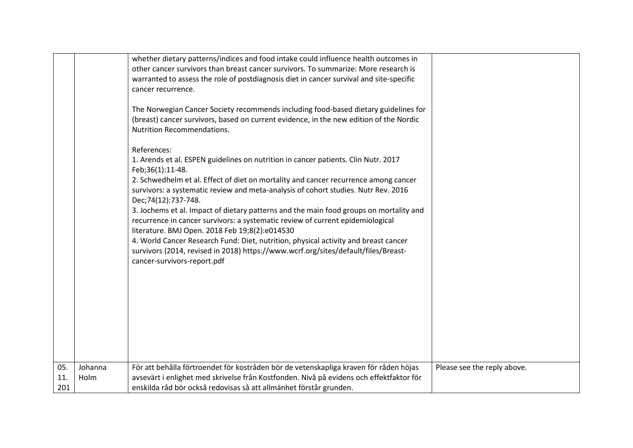| whether dietary patterns/indices and food intake could influence health outcomes in<br>other cancer survivors than breast cancer survivors. To summarize: More research is<br>warranted to assess the role of postdiagnosis diet in cancer survival and site-specific<br>cancer recurrence.<br>The Norwegian Cancer Society recommends including food-based dietary guidelines for<br>(breast) cancer survivors, based on current evidence, in the new edition of the Nordic<br><b>Nutrition Recommendations.</b><br>References:<br>1. Arends et al. ESPEN guidelines on nutrition in cancer patients. Clin Nutr. 2017<br>Feb;36(1):11-48.<br>2. Schwedhelm et al. Effect of diet on mortality and cancer recurrence among cancer<br>survivors: a systematic review and meta-analysis of cohort studies. Nutr Rev. 2016<br>Dec;74(12):737-748.<br>3. Jochems et al. Impact of dietary patterns and the main food groups on mortality and<br>recurrence in cancer survivors: a systematic review of current epidemiological<br>literature. BMJ Open. 2018 Feb 19;8(2):e014530<br>4. World Cancer Research Fund: Diet, nutrition, physical activity and breast cancer<br>survivors (2014, revised in 2018) https://www.wcrf.org/sites/default/files/Breast-<br>cancer-survivors-report.pdf |  |
|------------------------------------------------------------------------------------------------------------------------------------------------------------------------------------------------------------------------------------------------------------------------------------------------------------------------------------------------------------------------------------------------------------------------------------------------------------------------------------------------------------------------------------------------------------------------------------------------------------------------------------------------------------------------------------------------------------------------------------------------------------------------------------------------------------------------------------------------------------------------------------------------------------------------------------------------------------------------------------------------------------------------------------------------------------------------------------------------------------------------------------------------------------------------------------------------------------------------------------------------------------------------------------------|--|
|                                                                                                                                                                                                                                                                                                                                                                                                                                                                                                                                                                                                                                                                                                                                                                                                                                                                                                                                                                                                                                                                                                                                                                                                                                                                                          |  |
|                                                                                                                                                                                                                                                                                                                                                                                                                                                                                                                                                                                                                                                                                                                                                                                                                                                                                                                                                                                                                                                                                                                                                                                                                                                                                          |  |
|                                                                                                                                                                                                                                                                                                                                                                                                                                                                                                                                                                                                                                                                                                                                                                                                                                                                                                                                                                                                                                                                                                                                                                                                                                                                                          |  |
|                                                                                                                                                                                                                                                                                                                                                                                                                                                                                                                                                                                                                                                                                                                                                                                                                                                                                                                                                                                                                                                                                                                                                                                                                                                                                          |  |
|                                                                                                                                                                                                                                                                                                                                                                                                                                                                                                                                                                                                                                                                                                                                                                                                                                                                                                                                                                                                                                                                                                                                                                                                                                                                                          |  |
|                                                                                                                                                                                                                                                                                                                                                                                                                                                                                                                                                                                                                                                                                                                                                                                                                                                                                                                                                                                                                                                                                                                                                                                                                                                                                          |  |
|                                                                                                                                                                                                                                                                                                                                                                                                                                                                                                                                                                                                                                                                                                                                                                                                                                                                                                                                                                                                                                                                                                                                                                                                                                                                                          |  |
| Johanna<br>För att behålla förtroendet för kostråden bör de vetenskapliga kraven för råden höjas<br>05.<br>Please see the reply above.<br>avsevärt i enlighet med skrivelse från Kostfonden. Nivå på evidens och effektfaktor för<br>Holm<br>11.<br>enskilda råd bör också redovisas så att allmänhet förstår grunden.<br>201                                                                                                                                                                                                                                                                                                                                                                                                                                                                                                                                                                                                                                                                                                                                                                                                                                                                                                                                                            |  |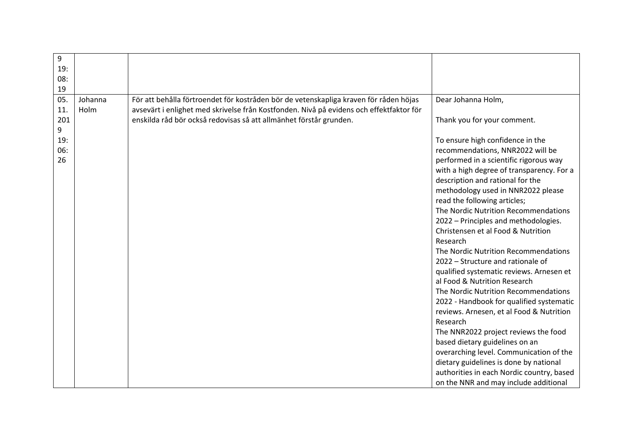| 9<br>19:<br>08:  |                 |                                                                                                                                                                                  |                                                                                                                                                                                                                                                                                                                                                                                                                                                                                                                                                                                                                                                                                                                                                                                                                                                                                                                          |
|------------------|-----------------|----------------------------------------------------------------------------------------------------------------------------------------------------------------------------------|--------------------------------------------------------------------------------------------------------------------------------------------------------------------------------------------------------------------------------------------------------------------------------------------------------------------------------------------------------------------------------------------------------------------------------------------------------------------------------------------------------------------------------------------------------------------------------------------------------------------------------------------------------------------------------------------------------------------------------------------------------------------------------------------------------------------------------------------------------------------------------------------------------------------------|
| 19               |                 |                                                                                                                                                                                  |                                                                                                                                                                                                                                                                                                                                                                                                                                                                                                                                                                                                                                                                                                                                                                                                                                                                                                                          |
| 05.<br>11.       | Johanna<br>Holm | För att behålla förtroendet för kostråden bör de vetenskapliga kraven för råden höjas<br>avsevärt i enlighet med skrivelse från Kostfonden. Nivå på evidens och effektfaktor för | Dear Johanna Holm,                                                                                                                                                                                                                                                                                                                                                                                                                                                                                                                                                                                                                                                                                                                                                                                                                                                                                                       |
| 201<br>9         |                 | enskilda råd bör också redovisas så att allmänhet förstår grunden.                                                                                                               | Thank you for your comment.                                                                                                                                                                                                                                                                                                                                                                                                                                                                                                                                                                                                                                                                                                                                                                                                                                                                                              |
| 19:<br>06:<br>26 |                 |                                                                                                                                                                                  | To ensure high confidence in the<br>recommendations, NNR2022 will be<br>performed in a scientific rigorous way<br>with a high degree of transparency. For a<br>description and rational for the<br>methodology used in NNR2022 please<br>read the following articles;<br>The Nordic Nutrition Recommendations<br>2022 - Principles and methodologies.<br>Christensen et al Food & Nutrition<br>Research<br>The Nordic Nutrition Recommendations<br>2022 - Structure and rationale of<br>qualified systematic reviews. Arnesen et<br>al Food & Nutrition Research<br>The Nordic Nutrition Recommendations<br>2022 - Handbook for qualified systematic<br>reviews. Arnesen, et al Food & Nutrition<br>Research<br>The NNR2022 project reviews the food<br>based dietary guidelines on an<br>overarching level. Communication of the<br>dietary guidelines is done by national<br>authorities in each Nordic country, based |
|                  |                 |                                                                                                                                                                                  | on the NNR and may include additional                                                                                                                                                                                                                                                                                                                                                                                                                                                                                                                                                                                                                                                                                                                                                                                                                                                                                    |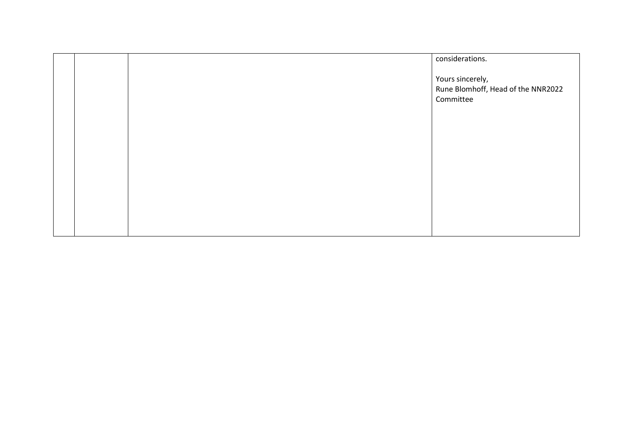|  | considerations.                                                     |
|--|---------------------------------------------------------------------|
|  | Yours sincerely,<br>Rune Blomhoff, Head of the NNR2022<br>Committee |
|  |                                                                     |
|  |                                                                     |
|  |                                                                     |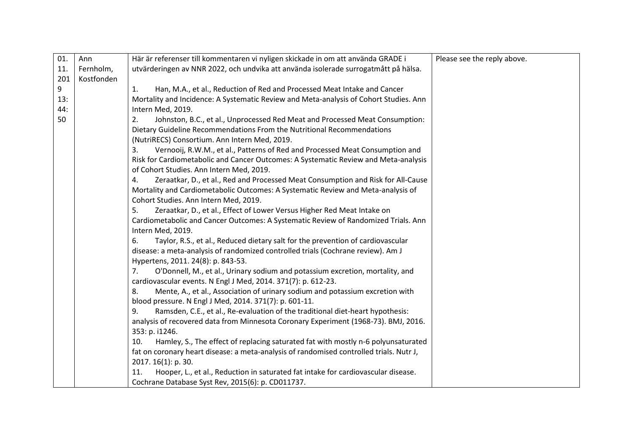| 01. | Ann        | Här är referenser till kommentaren vi nyligen skickade in om att använda GRADE i         | Please see the reply above. |
|-----|------------|------------------------------------------------------------------------------------------|-----------------------------|
| 11. | Fernholm,  | utvärderingen av NNR 2022, och undvika att använda isolerade surrogatmått på hälsa.      |                             |
| 201 | Kostfonden |                                                                                          |                             |
| 9   |            | Han, M.A., et al., Reduction of Red and Processed Meat Intake and Cancer<br>1.           |                             |
| 13: |            | Mortality and Incidence: A Systematic Review and Meta-analysis of Cohort Studies. Ann    |                             |
| 44: |            | Intern Med, 2019.                                                                        |                             |
| 50  |            | 2.<br>Johnston, B.C., et al., Unprocessed Red Meat and Processed Meat Consumption:       |                             |
|     |            | Dietary Guideline Recommendations From the Nutritional Recommendations                   |                             |
|     |            | (NutriRECS) Consortium. Ann Intern Med, 2019.                                            |                             |
|     |            | Vernooij, R.W.M., et al., Patterns of Red and Processed Meat Consumption and<br>3.       |                             |
|     |            | Risk for Cardiometabolic and Cancer Outcomes: A Systematic Review and Meta-analysis      |                             |
|     |            | of Cohort Studies. Ann Intern Med, 2019.                                                 |                             |
|     |            | Zeraatkar, D., et al., Red and Processed Meat Consumption and Risk for All-Cause<br>4.   |                             |
|     |            | Mortality and Cardiometabolic Outcomes: A Systematic Review and Meta-analysis of         |                             |
|     |            | Cohort Studies. Ann Intern Med, 2019.                                                    |                             |
|     |            | Zeraatkar, D., et al., Effect of Lower Versus Higher Red Meat Intake on<br>5.            |                             |
|     |            | Cardiometabolic and Cancer Outcomes: A Systematic Review of Randomized Trials. Ann       |                             |
|     |            | Intern Med, 2019.                                                                        |                             |
|     |            | 6.<br>Taylor, R.S., et al., Reduced dietary salt for the prevention of cardiovascular    |                             |
|     |            | disease: a meta-analysis of randomized controlled trials (Cochrane review). Am J         |                             |
|     |            | Hypertens, 2011. 24(8): p. 843-53.                                                       |                             |
|     |            | O'Donnell, M., et al., Urinary sodium and potassium excretion, mortality, and<br>7.      |                             |
|     |            | cardiovascular events. N Engl J Med, 2014. 371(7): p. 612-23.                            |                             |
|     |            | Mente, A., et al., Association of urinary sodium and potassium excretion with<br>8.      |                             |
|     |            | blood pressure. N Engl J Med, 2014. 371(7): p. 601-11.                                   |                             |
|     |            | Ramsden, C.E., et al., Re-evaluation of the traditional diet-heart hypothesis:<br>9.     |                             |
|     |            | analysis of recovered data from Minnesota Coronary Experiment (1968-73). BMJ, 2016.      |                             |
|     |            | 353: p. i1246.                                                                           |                             |
|     |            | Hamley, S., The effect of replacing saturated fat with mostly n-6 polyunsaturated<br>10. |                             |
|     |            | fat on coronary heart disease: a meta-analysis of randomised controlled trials. Nutr J,  |                             |
|     |            | 2017. 16(1): p. 30.                                                                      |                             |
|     |            | Hooper, L., et al., Reduction in saturated fat intake for cardiovascular disease.<br>11. |                             |
|     |            | Cochrane Database Syst Rev, 2015(6): p. CD011737.                                        |                             |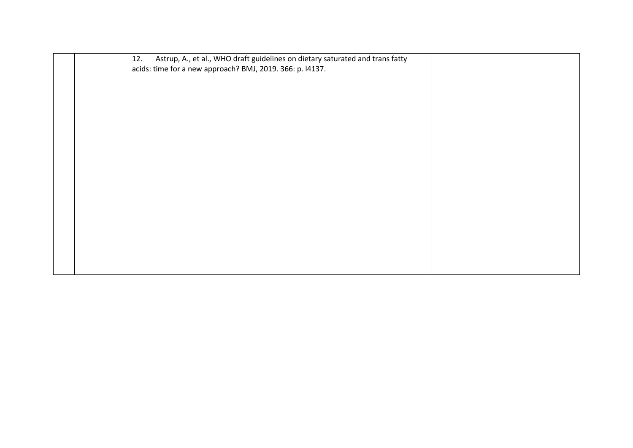|  | Astrup, A., et al., WHO draft guidelines on dietary saturated and trans fatty<br>12.<br>acids: time for a new approach? BMJ, 2019. 366: p. l4137. |  |
|--|---------------------------------------------------------------------------------------------------------------------------------------------------|--|
|  |                                                                                                                                                   |  |
|  |                                                                                                                                                   |  |
|  |                                                                                                                                                   |  |
|  |                                                                                                                                                   |  |
|  |                                                                                                                                                   |  |
|  |                                                                                                                                                   |  |
|  |                                                                                                                                                   |  |
|  |                                                                                                                                                   |  |
|  |                                                                                                                                                   |  |
|  |                                                                                                                                                   |  |
|  |                                                                                                                                                   |  |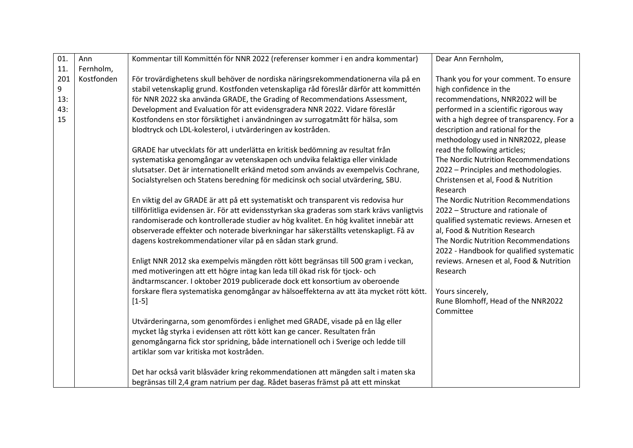| 01. | Ann        | Kommentar till Kommittén för NNR 2022 (referenser kommer i en andra kommentar)                                                                                    | Dear Ann Fernholm,                                   |
|-----|------------|-------------------------------------------------------------------------------------------------------------------------------------------------------------------|------------------------------------------------------|
| 11. | Fernholm,  |                                                                                                                                                                   |                                                      |
| 201 | Kostfonden | För trovärdighetens skull behöver de nordiska näringsrekommendationerna vila på en                                                                                | Thank you for your comment. To ensure                |
| 9   |            | stabil vetenskaplig grund. Kostfonden vetenskapliga råd föreslår därför att kommittén                                                                             | high confidence in the                               |
| 13: |            | för NNR 2022 ska använda GRADE, the Grading of Recommendations Assessment,                                                                                        | recommendations, NNR2022 will be                     |
| 43: |            | Development and Evaluation för att evidensgradera NNR 2022. Vidare föreslår                                                                                       | performed in a scientific rigorous way               |
| 15  |            | Kostfondens en stor försiktighet i användningen av surrogatmått för hälsa, som                                                                                    | with a high degree of transparency. For a            |
|     |            | blodtryck och LDL-kolesterol, i utvärderingen av kostråden.                                                                                                       | description and rational for the                     |
|     |            |                                                                                                                                                                   | methodology used in NNR2022, please                  |
|     |            | GRADE har utvecklats för att underlätta en kritisk bedömning av resultat från                                                                                     | read the following articles;                         |
|     |            | systematiska genomgångar av vetenskapen och undvika felaktiga eller vinklade                                                                                      | The Nordic Nutrition Recommendations                 |
|     |            | slutsatser. Det är internationellt erkänd metod som används av exempelvis Cochrane,                                                                               | 2022 - Principles and methodologies.                 |
|     |            | Socialstyrelsen och Statens beredning för medicinsk och social utvärdering, SBU.                                                                                  | Christensen et al, Food & Nutrition                  |
|     |            |                                                                                                                                                                   | Research                                             |
|     |            | En viktig del av GRADE är att på ett systematiskt och transparent vis redovisa hur                                                                                | The Nordic Nutrition Recommendations                 |
|     |            | tillförlitliga evidensen är. För att evidensstyrkan ska graderas som stark krävs vanligtvis                                                                       | 2022 - Structure and rationale of                    |
|     |            | randomiserade och kontrollerade studier av hög kvalitet. En hög kvalitet innebär att                                                                              | qualified systematic reviews. Arnesen et             |
|     |            | observerade effekter och noterade biverkningar har säkerställts vetenskapligt. Få av                                                                              | al, Food & Nutrition Research                        |
|     |            | dagens kostrekommendationer vilar på en sådan stark grund.                                                                                                        | The Nordic Nutrition Recommendations                 |
|     |            |                                                                                                                                                                   | 2022 - Handbook for qualified systematic             |
|     |            | Enligt NNR 2012 ska exempelvis mängden rött kött begränsas till 500 gram i veckan,<br>med motiveringen att ett högre intag kan leda till ökad risk för tjock- och | reviews. Arnesen et al, Food & Nutrition<br>Research |
|     |            | ändtarmscancer. I oktober 2019 publicerade dock ett konsortium av oberoende                                                                                       |                                                      |
|     |            | forskare flera systematiska genomgångar av hälsoeffekterna av att äta mycket rött kött.                                                                           | Yours sincerely,                                     |
|     |            | $[1-5]$                                                                                                                                                           | Rune Blomhoff, Head of the NNR2022                   |
|     |            |                                                                                                                                                                   | Committee                                            |
|     |            | Utvärderingarna, som genomfördes i enlighet med GRADE, visade på en låg eller                                                                                     |                                                      |
|     |            | mycket låg styrka i evidensen att rött kött kan ge cancer. Resultaten från                                                                                        |                                                      |
|     |            | genomgångarna fick stor spridning, både internationell och i Sverige och ledde till                                                                               |                                                      |
|     |            | artiklar som var kritiska mot kostråden.                                                                                                                          |                                                      |
|     |            |                                                                                                                                                                   |                                                      |
|     |            | Det har också varit blåsväder kring rekommendationen att mängden salt i maten ska                                                                                 |                                                      |
|     |            | begränsas till 2,4 gram natrium per dag. Rådet baseras främst på att ett minskat                                                                                  |                                                      |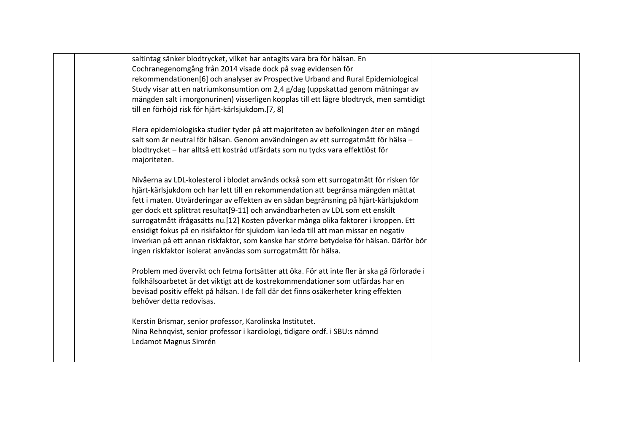| saltintag sänker blodtrycket, vilket har antagits vara bra för hälsan. En                  |  |
|--------------------------------------------------------------------------------------------|--|
| Cochranegenomgång från 2014 visade dock på svag evidensen för                              |  |
| rekommendationen[6] och analyser av Prospective Urband and Rural Epidemiological           |  |
| Study visar att en natriumkonsumtion om 2,4 g/dag (uppskattad genom mätningar av           |  |
| mängden salt i morgonurinen) visserligen kopplas till ett lägre blodtryck, men samtidigt   |  |
| till en förhöjd risk för hjärt-kärlsjukdom.[7, 8]                                          |  |
| Flera epidemiologiska studier tyder på att majoriteten av befolkningen äter en mängd       |  |
| salt som är neutral för hälsan. Genom användningen av ett surrogatmått för hälsa -         |  |
| blodtrycket - har alltså ett kostråd utfärdats som nu tycks vara effektlöst för            |  |
| majoriteten.                                                                               |  |
| Nivåerna av LDL-kolesterol i blodet används också som ett surrogatmått för risken för      |  |
| hjärt-kärlsjukdom och har lett till en rekommendation att begränsa mängden mättat          |  |
| fett i maten. Utvärderingar av effekten av en sådan begränsning på hjärt-kärlsjukdom       |  |
| ger dock ett splittrat resultat[9-11] och användbarheten av LDL som ett enskilt            |  |
| surrogatmått ifrågasätts nu.[12] Kosten påverkar många olika faktorer i kroppen. Ett       |  |
| ensidigt fokus på en riskfaktor för sjukdom kan leda till att man missar en negativ        |  |
| inverkan på ett annan riskfaktor, som kanske har större betydelse för hälsan. Därför bör   |  |
| ingen riskfaktor isolerat användas som surrogatmått för hälsa.                             |  |
| Problem med övervikt och fetma fortsätter att öka. För att inte fler år ska gå förlorade i |  |
| folkhälsoarbetet är det viktigt att de kostrekommendationer som utfärdas har en            |  |
| bevisad positiv effekt på hälsan. I de fall där det finns osäkerheter kring effekten       |  |
| behöver detta redovisas.                                                                   |  |
| Kerstin Brismar, senior professor, Karolinska Institutet.                                  |  |
| Nina Rehnqvist, senior professor i kardiologi, tidigare ordf. i SBU:s nämnd                |  |
| Ledamot Magnus Simrén                                                                      |  |
|                                                                                            |  |
|                                                                                            |  |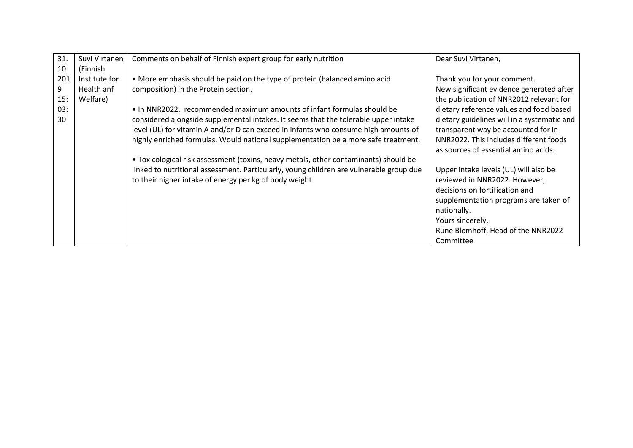| 31. | Suvi Virtanen | Comments on behalf of Finnish expert group for early nutrition                          | Dear Suvi Virtanen,                         |
|-----|---------------|-----------------------------------------------------------------------------------------|---------------------------------------------|
| 10. | (Finnish      |                                                                                         |                                             |
| 201 | Institute for | • More emphasis should be paid on the type of protein (balanced amino acid              | Thank you for your comment.                 |
| 9   | Health anf    | composition) in the Protein section.                                                    | New significant evidence generated after    |
| 15: | Welfare)      |                                                                                         | the publication of NNR2012 relevant for     |
| 03: |               | • In NNR2022, recommended maximum amounts of infant formulas should be                  | dietary reference values and food based     |
| 30  |               | considered alongside supplemental intakes. It seems that the tolerable upper intake     | dietary guidelines will in a systematic and |
|     |               | level (UL) for vitamin A and/or D can exceed in infants who consume high amounts of     | transparent way be accounted for in         |
|     |               | highly enriched formulas. Would national supplementation be a more safe treatment.      | NNR2022. This includes different foods      |
|     |               |                                                                                         | as sources of essential amino acids.        |
|     |               | • Toxicological risk assessment (toxins, heavy metals, other contaminants) should be    |                                             |
|     |               | linked to nutritional assessment. Particularly, young children are vulnerable group due | Upper intake levels (UL) will also be       |
|     |               | to their higher intake of energy per kg of body weight.                                 | reviewed in NNR2022. However,               |
|     |               |                                                                                         | decisions on fortification and              |
|     |               |                                                                                         | supplementation programs are taken of       |
|     |               |                                                                                         | nationally.                                 |
|     |               |                                                                                         | Yours sincerely,                            |
|     |               |                                                                                         | Rune Blomhoff, Head of the NNR2022          |
|     |               |                                                                                         | Committee                                   |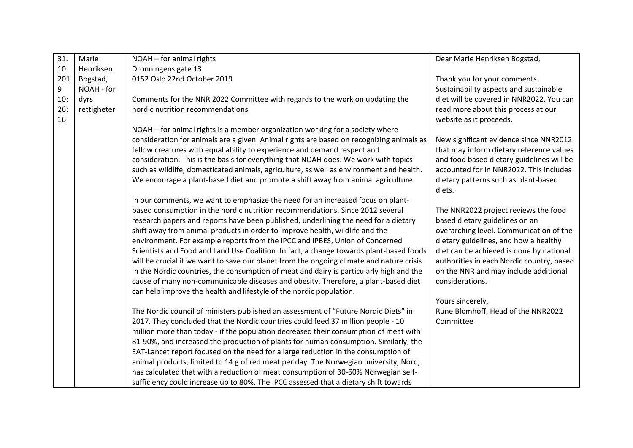| 31.       | Marie       | NOAH - for animal rights                                                                                                                                                    | Dear Marie Henriksen Bogstad,                                  |
|-----------|-------------|-----------------------------------------------------------------------------------------------------------------------------------------------------------------------------|----------------------------------------------------------------|
| 10.       | Henriksen   | Dronningens gate 13                                                                                                                                                         |                                                                |
| 201       | Bogstad,    | 0152 Oslo 22nd October 2019                                                                                                                                                 | Thank you for your comments.                                   |
| 9         | NOAH - for  |                                                                                                                                                                             | Sustainability aspects and sustainable                         |
| 10:       | dyrs        | Comments for the NNR 2022 Committee with regards to the work on updating the                                                                                                | diet will be covered in NNR2022. You can                       |
| 26:<br>16 | rettigheter | nordic nutrition recommendations                                                                                                                                            | read more about this process at our<br>website as it proceeds. |
|           |             | NOAH – for animal rights is a member organization working for a society where                                                                                               |                                                                |
|           |             | consideration for animals are a given. Animal rights are based on recognizing animals as                                                                                    | New significant evidence since NNR2012                         |
|           |             | fellow creatures with equal ability to experience and demand respect and                                                                                                    | that may inform dietary reference values                       |
|           |             | consideration. This is the basis for everything that NOAH does. We work with topics                                                                                         | and food based dietary guidelines will be                      |
|           |             | such as wildlife, domesticated animals, agriculture, as well as environment and health.                                                                                     | accounted for in NNR2022. This includes                        |
|           |             | We encourage a plant-based diet and promote a shift away from animal agriculture.                                                                                           | dietary patterns such as plant-based<br>diets.                 |
|           |             | In our comments, we want to emphasize the need for an increased focus on plant-                                                                                             |                                                                |
|           |             | based consumption in the nordic nutrition recommendations. Since 2012 several                                                                                               | The NNR2022 project reviews the food                           |
|           |             | research papers and reports have been published, underlining the need for a dietary                                                                                         | based dietary guidelines on an                                 |
|           |             | shift away from animal products in order to improve health, wildlife and the                                                                                                | overarching level. Communication of the                        |
|           |             | environment. For example reports from the IPCC and IPBES, Union of Concerned                                                                                                | dietary guidelines, and how a healthy                          |
|           |             | Scientists and Food and Land Use Coalition. In fact, a change towards plant-based foods                                                                                     | diet can be achieved is done by national                       |
|           |             | will be crucial if we want to save our planet from the ongoing climate and nature crisis.                                                                                   | authorities in each Nordic country, based                      |
|           |             | In the Nordic countries, the consumption of meat and dairy is particularly high and the                                                                                     | on the NNR and may include additional                          |
|           |             | cause of many non-communicable diseases and obesity. Therefore, a plant-based diet                                                                                          | considerations.                                                |
|           |             | can help improve the health and lifestyle of the nordic population.                                                                                                         |                                                                |
|           |             |                                                                                                                                                                             | Yours sincerely,                                               |
|           |             | The Nordic council of ministers published an assessment of "Future Nordic Diets" in                                                                                         | Rune Blomhoff, Head of the NNR2022                             |
|           |             | 2017. They concluded that the Nordic countries could feed 37 million people - 10                                                                                            | Committee                                                      |
|           |             | million more than today - if the population decreased their consumption of meat with                                                                                        |                                                                |
|           |             | 81-90%, and increased the production of plants for human consumption. Similarly, the                                                                                        |                                                                |
|           |             | EAT-Lancet report focused on the need for a large reduction in the consumption of                                                                                           |                                                                |
|           |             | animal products, limited to 14 g of red meat per day. The Norwegian university, Nord,<br>has calculated that with a reduction of meat consumption of 30-60% Norwegian self- |                                                                |
|           |             | sufficiency could increase up to 80%. The IPCC assessed that a dietary shift towards                                                                                        |                                                                |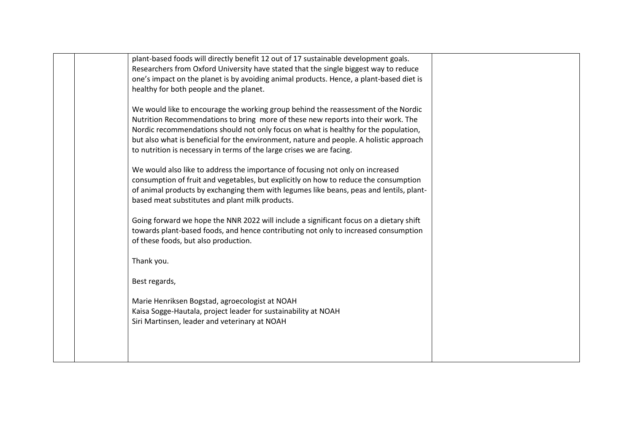| plant-based foods will directly benefit 12 out of 17 sustainable development goals.     |  |
|-----------------------------------------------------------------------------------------|--|
| Researchers from Oxford University have stated that the single biggest way to reduce    |  |
| one's impact on the planet is by avoiding animal products. Hence, a plant-based diet is |  |
| healthy for both people and the planet.                                                 |  |
|                                                                                         |  |
| We would like to encourage the working group behind the reassessment of the Nordic      |  |
| Nutrition Recommendations to bring more of these new reports into their work. The       |  |
| Nordic recommendations should not only focus on what is healthy for the population,     |  |
| but also what is beneficial for the environment, nature and people. A holistic approach |  |
| to nutrition is necessary in terms of the large crises we are facing.                   |  |
|                                                                                         |  |
| We would also like to address the importance of focusing not only on increased          |  |
| consumption of fruit and vegetables, but explicitly on how to reduce the consumption    |  |
| of animal products by exchanging them with legumes like beans, peas and lentils, plant- |  |
|                                                                                         |  |
| based meat substitutes and plant milk products.                                         |  |
| Going forward we hope the NNR 2022 will include a significant focus on a dietary shift  |  |
| towards plant-based foods, and hence contributing not only to increased consumption     |  |
|                                                                                         |  |
| of these foods, but also production.                                                    |  |
|                                                                                         |  |
| Thank you.                                                                              |  |
| Best regards,                                                                           |  |
|                                                                                         |  |
| Marie Henriksen Bogstad, agroecologist at NOAH                                          |  |
| Kaisa Sogge-Hautala, project leader for sustainability at NOAH                          |  |
|                                                                                         |  |
| Siri Martinsen, leader and veterinary at NOAH                                           |  |
|                                                                                         |  |
|                                                                                         |  |
|                                                                                         |  |
|                                                                                         |  |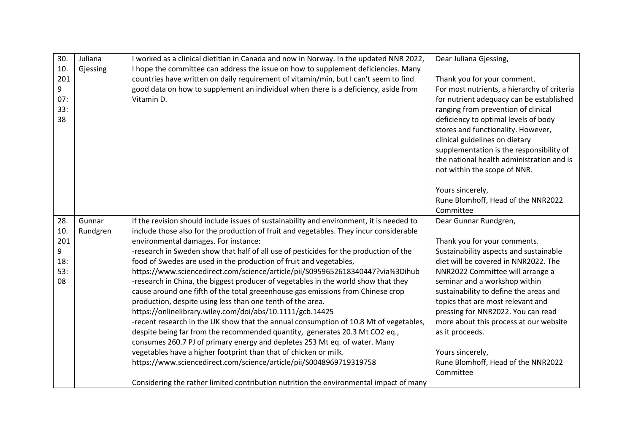| 30.<br>10.<br>201<br>9<br>07:<br>33:<br>38 | Juliana<br>Gjessing | I worked as a clinical dietitian in Canada and now in Norway. In the updated NNR 2022,<br>I hope the committee can address the issue on how to supplement deficiencies. Many<br>countries have written on daily requirement of vitamin/min, but I can't seem to find<br>good data on how to supplement an individual when there is a deficiency, aside from<br>Vitamin D.                                                                                                                                                                                                                                                                                                                                                                                                                                                                                                                                                                                                                                                                                                                                                                                                                                                                                                  | Dear Juliana Gjessing,<br>Thank you for your comment.<br>For most nutrients, a hierarchy of criteria<br>for nutrient adequacy can be established<br>ranging from prevention of clinical<br>deficiency to optimal levels of body<br>stores and functionality. However,<br>clinical guidelines on dietary<br>supplementation is the responsibility of<br>the national health administration and is<br>not within the scope of NNR.                                      |
|--------------------------------------------|---------------------|----------------------------------------------------------------------------------------------------------------------------------------------------------------------------------------------------------------------------------------------------------------------------------------------------------------------------------------------------------------------------------------------------------------------------------------------------------------------------------------------------------------------------------------------------------------------------------------------------------------------------------------------------------------------------------------------------------------------------------------------------------------------------------------------------------------------------------------------------------------------------------------------------------------------------------------------------------------------------------------------------------------------------------------------------------------------------------------------------------------------------------------------------------------------------------------------------------------------------------------------------------------------------|-----------------------------------------------------------------------------------------------------------------------------------------------------------------------------------------------------------------------------------------------------------------------------------------------------------------------------------------------------------------------------------------------------------------------------------------------------------------------|
|                                            |                     |                                                                                                                                                                                                                                                                                                                                                                                                                                                                                                                                                                                                                                                                                                                                                                                                                                                                                                                                                                                                                                                                                                                                                                                                                                                                            | Yours sincerely,<br>Rune Blomhoff, Head of the NNR2022<br>Committee                                                                                                                                                                                                                                                                                                                                                                                                   |
| 28.<br>10.<br>201<br>9<br>18:<br>53:<br>08 | Gunnar<br>Rundgren  | If the revision should include issues of sustainability and environment, it is needed to<br>include those also for the production of fruit and vegetables. They incur considerable<br>environmental damages. For instance:<br>-research in Sweden show that half of all use of pesticides for the production of the<br>food of Swedes are used in the production of fruit and vegetables,<br>https://www.sciencedirect.com/science/article/pii/S0959652618340447?via%3Dihub<br>-research in China, the biggest producer of vegetables in the world show that they<br>cause around one fifth of the total greeenhouse gas emissions from Chinese crop<br>production, despite using less than one tenth of the area.<br>https://onlinelibrary.wiley.com/doi/abs/10.1111/gcb.14425<br>-recent research in the UK show that the annual consumption of 10.8 Mt of vegetables,<br>despite being far from the recommended quantity, generates 20.3 Mt CO2 eq.,<br>consumes 260.7 PJ of primary energy and depletes 253 Mt eq. of water. Many<br>vegetables have a higher footprint than that of chicken or milk.<br>https://www.sciencedirect.com/science/article/pii/S0048969719319758<br>Considering the rather limited contribution nutrition the environmental impact of many | Dear Gunnar Rundgren,<br>Thank you for your comments.<br>Sustainability aspects and sustainable<br>diet will be covered in NNR2022. The<br>NNR2022 Committee will arrange a<br>seminar and a workshop within<br>sustainability to define the areas and<br>topics that are most relevant and<br>pressing for NNR2022. You can read<br>more about this process at our website<br>as it proceeds.<br>Yours sincerely,<br>Rune Blomhoff, Head of the NNR2022<br>Committee |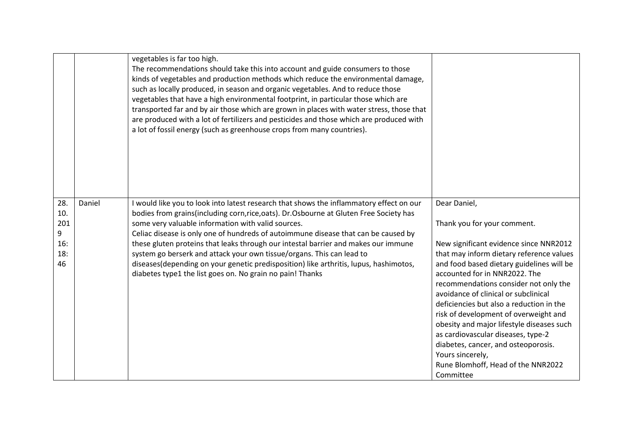|                                            |        | vegetables is far too high.<br>The recommendations should take this into account and guide consumers to those<br>kinds of vegetables and production methods which reduce the environmental damage,<br>such as locally produced, in season and organic vegetables. And to reduce those<br>vegetables that have a high environmental footprint, in particular those which are<br>transported far and by air those which are grown in places with water stress, those that<br>are produced with a lot of fertilizers and pesticides and those which are produced with<br>a lot of fossil energy (such as greenhouse crops from many countries).     |                                                                                                                                                                                                                                                                                                                                                                                                                                                                                                                                                                                        |
|--------------------------------------------|--------|--------------------------------------------------------------------------------------------------------------------------------------------------------------------------------------------------------------------------------------------------------------------------------------------------------------------------------------------------------------------------------------------------------------------------------------------------------------------------------------------------------------------------------------------------------------------------------------------------------------------------------------------------|----------------------------------------------------------------------------------------------------------------------------------------------------------------------------------------------------------------------------------------------------------------------------------------------------------------------------------------------------------------------------------------------------------------------------------------------------------------------------------------------------------------------------------------------------------------------------------------|
| 28.<br>10.<br>201<br>9<br>16:<br>18:<br>46 | Daniel | I would like you to look into latest research that shows the inflammatory effect on our<br>bodies from grains(including corn,rice,oats). Dr.Osbourne at Gluten Free Society has<br>some very valuable information with valid sources.<br>Celiac disease is only one of hundreds of autoimmune disease that can be caused by<br>these gluten proteins that leaks through our intestal barrier and makes our immune<br>system go berserk and attack your own tissue/organs. This can lead to<br>diseases(depending on your genetic predisposition) like arthritis, lupus, hashimotos,<br>diabetes type1 the list goes on. No grain no pain! Thanks | Dear Daniel,<br>Thank you for your comment.<br>New significant evidence since NNR2012<br>that may inform dietary reference values<br>and food based dietary guidelines will be<br>accounted for in NNR2022. The<br>recommendations consider not only the<br>avoidance of clinical or subclinical<br>deficiencies but also a reduction in the<br>risk of development of overweight and<br>obesity and major lifestyle diseases such<br>as cardiovascular diseases, type-2<br>diabetes, cancer, and osteoporosis.<br>Yours sincerely,<br>Rune Blomhoff, Head of the NNR2022<br>Committee |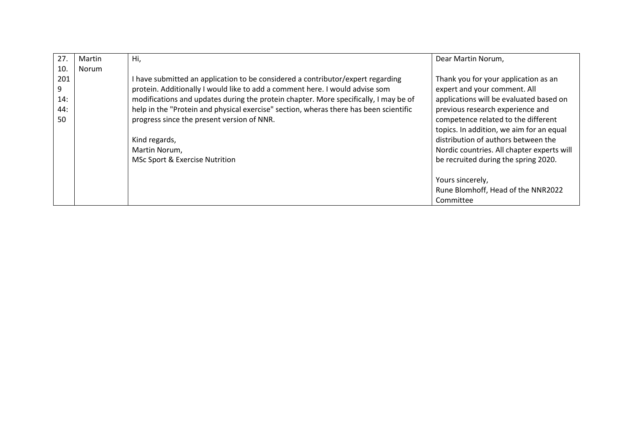| 27. | Martin | Hi,                                                                                   | Dear Martin Norum,                         |
|-----|--------|---------------------------------------------------------------------------------------|--------------------------------------------|
| 10. | Norum  |                                                                                       |                                            |
| 201 |        | I have submitted an application to be considered a contributor/expert regarding       | Thank you for your application as an       |
| 9   |        | protein. Additionally I would like to add a comment here. I would advise som          | expert and your comment. All               |
| 14: |        | modifications and updates during the protein chapter. More specifically, I may be of  | applications will be evaluated based on    |
| 44: |        | help in the "Protein and physical exercise" section, wheras there has been scientific | previous research experience and           |
| 50  |        | progress since the present version of NNR.                                            | competence related to the different        |
|     |        |                                                                                       | topics. In addition, we aim for an equal   |
|     |        | Kind regards,                                                                         | distribution of authors between the        |
|     |        | Martin Norum,                                                                         | Nordic countries. All chapter experts will |
|     |        | MSc Sport & Exercise Nutrition                                                        | be recruited during the spring 2020.       |
|     |        |                                                                                       |                                            |
|     |        |                                                                                       | Yours sincerely,                           |
|     |        |                                                                                       | Rune Blomhoff, Head of the NNR2022         |
|     |        |                                                                                       | Committee                                  |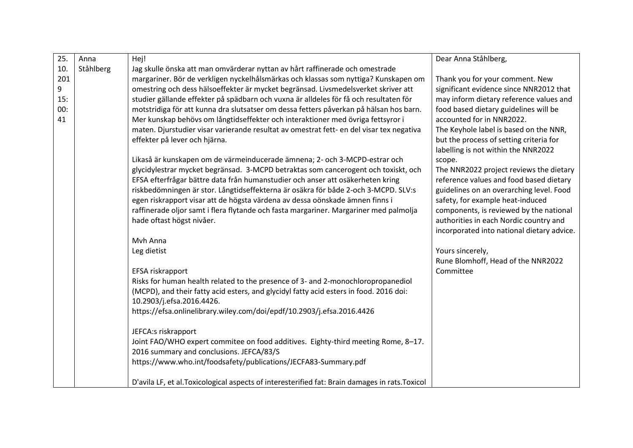| 25. | Anna      | Hej!                                                                                            | Dear Anna Ståhlberg,                                                           |
|-----|-----------|-------------------------------------------------------------------------------------------------|--------------------------------------------------------------------------------|
| 10. | Ståhlberg | Jag skulle önska att man omvärderar nyttan av hårt raffinerade och omestrade                    |                                                                                |
| 201 |           | margariner. Bör de verkligen nyckelhålsmärkas och klassas som nyttiga? Kunskapen om             | Thank you for your comment. New                                                |
| 9   |           | omestring och dess hälsoeffekter är mycket begränsad. Livsmedelsverket skriver att              | significant evidence since NNR2012 that                                        |
| 15: |           | studier gällande effekter på spädbarn och vuxna är alldeles för få och resultaten för           | may inform dietary reference values and                                        |
| 00: |           | motstridiga för att kunna dra slutsatser om dessa fetters påverkan på hälsan hos barn.          | food based dietary guidelines will be                                          |
| 41  |           | Mer kunskap behövs om långtidseffekter och interaktioner med övriga fettsyror i                 | accounted for in NNR2022.                                                      |
|     |           | maten. Djurstudier visar varierande resultat av omestrat fett- en del visar tex negativa        | The Keyhole label is based on the NNR,                                         |
|     |           | effekter på lever och hjärna.                                                                   | but the process of setting criteria for<br>labelling is not within the NNR2022 |
|     |           | Likaså är kunskapen om de värmeinducerade ämnena; 2- och 3-MCPD-estrar och                      | scope.                                                                         |
|     |           | glycidylestrar mycket begränsad. 3-MCPD betraktas som cancerogent och toxiskt, och              | The NNR2022 project reviews the dietary                                        |
|     |           | EFSA efterfrågar bättre data från humanstudier och anser att osäkerheten kring                  | reference values and food based dietary                                        |
|     |           | riskbedömningen är stor. Långtidseffekterna är osäkra för både 2-och 3-MCPD. SLV:s              | guidelines on an overarching level. Food                                       |
|     |           | egen riskrapport visar att de högsta värdena av dessa oönskade ämnen finns i                    | safety, for example heat-induced                                               |
|     |           | raffinerade oljor samt i flera flytande och fasta margariner. Margariner med palmolja           | components, is reviewed by the national                                        |
|     |           | hade oftast högst nivåer.                                                                       | authorities in each Nordic country and                                         |
|     |           |                                                                                                 | incorporated into national dietary advice.                                     |
|     |           | Mvh Anna                                                                                        |                                                                                |
|     |           | Leg dietist                                                                                     | Yours sincerely,                                                               |
|     |           |                                                                                                 | Rune Blomhoff, Head of the NNR2022                                             |
|     |           | EFSA riskrapport                                                                                | Committee                                                                      |
|     |           | Risks for human health related to the presence of 3- and 2-monochloropropanediol                |                                                                                |
|     |           | (MCPD), and their fatty acid esters, and glycidyl fatty acid esters in food. 2016 doi:          |                                                                                |
|     |           | 10.2903/j.efsa.2016.4426.                                                                       |                                                                                |
|     |           | https://efsa.onlinelibrary.wiley.com/doi/epdf/10.2903/j.efsa.2016.4426                          |                                                                                |
|     |           | JEFCA:s riskrapport                                                                             |                                                                                |
|     |           | Joint FAO/WHO expert commitee on food additives. Eighty-third meeting Rome, 8-17.               |                                                                                |
|     |           | 2016 summary and conclusions. JEFCA/83/S                                                        |                                                                                |
|     |           | https://www.who.int/foodsafety/publications/JECFA83-Summary.pdf                                 |                                                                                |
|     |           |                                                                                                 |                                                                                |
|     |           | D'avila LF, et al. Toxicological aspects of interesterified fat: Brain damages in rats. Toxicol |                                                                                |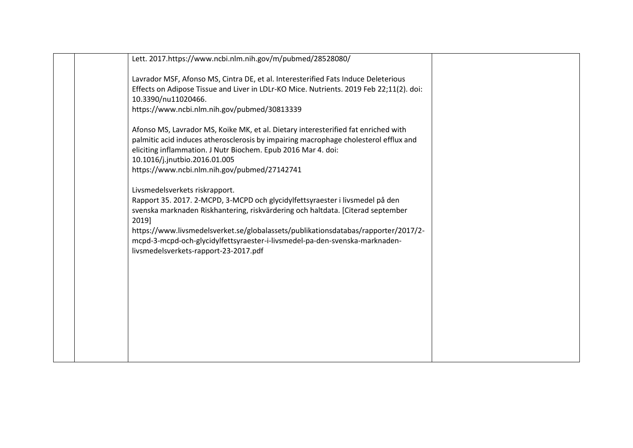| Lett. 2017.https://www.ncbi.nlm.nih.gov/m/pubmed/28528080/                                                     |  |
|----------------------------------------------------------------------------------------------------------------|--|
| Lavrador MSF, Afonso MS, Cintra DE, et al. Interesterified Fats Induce Deleterious                             |  |
| Effects on Adipose Tissue and Liver in LDLr-KO Mice. Nutrients. 2019 Feb 22;11(2). doi:<br>10.3390/nu11020466. |  |
| https://www.ncbi.nlm.nih.gov/pubmed/30813339                                                                   |  |
| Afonso MS, Lavrador MS, Koike MK, et al. Dietary interesterified fat enriched with                             |  |
| palmitic acid induces atherosclerosis by impairing macrophage cholesterol efflux and                           |  |
| eliciting inflammation. J Nutr Biochem. Epub 2016 Mar 4. doi:<br>10.1016/j.jnutbio.2016.01.005                 |  |
| https://www.ncbi.nlm.nih.gov/pubmed/27142741                                                                   |  |
| Livsmedelsverkets riskrapport.                                                                                 |  |
| Rapport 35. 2017. 2-MCPD, 3-MCPD och glycidylfettsyraester i livsmedel på den                                  |  |
| svenska marknaden Riskhantering, riskvärdering och haltdata. [Citerad september<br>2019]                       |  |
| https://www.livsmedelsverket.se/globalassets/publikationsdatabas/rapporter/2017/2-                             |  |
| mcpd-3-mcpd-och-glycidylfettsyraester-i-livsmedel-pa-den-svenska-marknaden-                                    |  |
| livsmedelsverkets-rapport-23-2017.pdf                                                                          |  |
|                                                                                                                |  |
|                                                                                                                |  |
|                                                                                                                |  |
|                                                                                                                |  |
|                                                                                                                |  |
|                                                                                                                |  |
|                                                                                                                |  |
|                                                                                                                |  |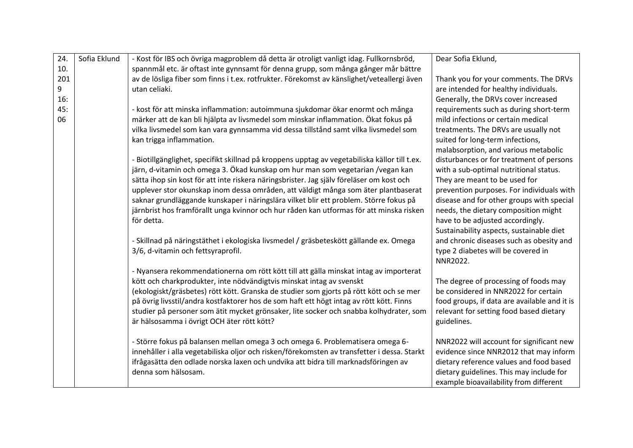| 24. | Sofia Eklund | - Kost för IBS och övriga magproblem då detta är otroligt vanligt idag. Fullkornsbröd,        | Dear Sofia Eklund,                           |
|-----|--------------|-----------------------------------------------------------------------------------------------|----------------------------------------------|
| 10. |              | spannmål etc. är oftast inte gynnsamt för denna grupp, som många gånger mår bättre            |                                              |
| 201 |              | av de lösliga fiber som finns i t.ex. rotfrukter. Förekomst av känslighet/veteallergi även    | Thank you for your comments. The DRVs        |
| 9   |              | utan celiaki.                                                                                 | are intended for healthy individuals.        |
| 16: |              |                                                                                               | Generally, the DRVs cover increased          |
| 45: |              | - kost för att minska inflammation: autoimmuna sjukdomar ökar enormt och många                | requirements such as during short-term       |
| 06  |              | märker att de kan bli hjälpta av livsmedel som minskar inflammation. Ökat fokus på            | mild infections or certain medical           |
|     |              | vilka livsmedel som kan vara gynnsamma vid dessa tillstånd samt vilka livsmedel som           | treatments. The DRVs are usually not         |
|     |              | kan trigga inflammation.                                                                      | suited for long-term infections,             |
|     |              |                                                                                               | malabsorption, and various metabolic         |
|     |              | - Biotillgänglighet, specifikt skillnad på kroppens upptag av vegetabiliska källor till t.ex. | disturbances or for treatment of persons     |
|     |              | järn, d-vitamin och omega 3. Ökad kunskap om hur man som vegetarian /vegan kan                | with a sub-optimal nutritional status.       |
|     |              | sätta ihop sin kost för att inte riskera näringsbrister. Jag själv föreläser om kost och      | They are meant to be used for                |
|     |              | upplever stor okunskap inom dessa områden, att väldigt många som äter plantbaserat            | prevention purposes. For individuals with    |
|     |              | saknar grundläggande kunskaper i näringslära vilket blir ett problem. Större fokus på         | disease and for other groups with special    |
|     |              | järnbrist hos framförallt unga kvinnor och hur råden kan utformas för att minska risken       | needs, the dietary composition might         |
|     |              | för detta.                                                                                    | have to be adjusted accordingly.             |
|     |              |                                                                                               | Sustainability aspects, sustainable diet     |
|     |              | - Skillnad på näringstäthet i ekologiska livsmedel / gräsbeteskött gällande ex. Omega         | and chronic diseases such as obesity and     |
|     |              | 3/6, d-vitamin och fettsyraprofil.                                                            | type 2 diabetes will be covered in           |
|     |              |                                                                                               | NNR2022.                                     |
|     |              | - Nyansera rekommendationerna om rött kött till att gälla minskat intag av importerat         |                                              |
|     |              | kött och charkprodukter, inte nödvändigtvis minskat intag av svenskt                          | The degree of processing of foods may        |
|     |              | (ekologiskt/gräsbetes) rött kött. Granska de studier som gjorts på rött kött och se mer       | be considered in NNR2022 for certain         |
|     |              | på övrig livsstil/andra kostfaktorer hos de som haft ett högt intag av rött kött. Finns       | food groups, if data are available and it is |
|     |              | studier på personer som ätit mycket grönsaker, lite socker och snabba kolhydrater, som        | relevant for setting food based dietary      |
|     |              | är hälsosamma i övrigt OCH äter rött kött?                                                    | guidelines.                                  |
|     |              |                                                                                               |                                              |
|     |              | - Större fokus på balansen mellan omega 3 och omega 6. Problematisera omega 6-                | NNR2022 will account for significant new     |
|     |              | innehåller i alla vegetabiliska oljor och risken/förekomsten av transfetter i dessa. Starkt   | evidence since NNR2012 that may inform       |
|     |              | ifrågasätta den odlade norska laxen och undvika att bidra till marknadsföringen av            | dietary reference values and food based      |
|     |              | denna som hälsosam.                                                                           | dietary guidelines. This may include for     |
|     |              |                                                                                               | example bioavailability from different       |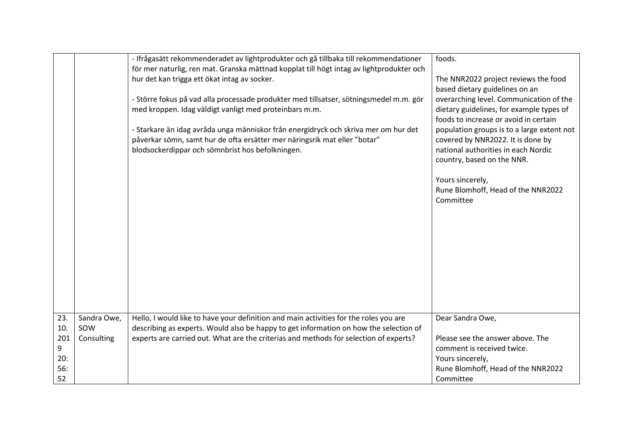|                                            |                                  | - Ifrågasätt rekommenderadet av lightprodukter och gå tillbaka till rekommendationer<br>för mer naturlig, ren mat. Granska mättnad kopplat till högt intag av lightprodukter och<br>hur det kan trigga ett ökat intag av socker.<br>- Större fokus på vad alla processade produkter med tillsatser, sötningsmedel m.m. gör<br>med kroppen. Idag väldigt vanligt med proteinbars m.m.<br>- Starkare än idag avråda unga människor från energidryck och skriva mer om hur det<br>påverkar sömn, samt hur de ofta ersätter mer näringsrik mat eller "botar"<br>blodsockerdippar och sömnbrist hos befolkningen. | foods.<br>The NNR2022 project reviews the food<br>based dietary guidelines on an<br>overarching level. Communication of the<br>dietary guidelines, for example types of<br>foods to increase or avoid in certain<br>population groups is to a large extent not<br>covered by NNR2022. It is done by<br>national authorities in each Nordic<br>country, based on the NNR.<br>Yours sincerely,<br>Rune Blomhoff, Head of the NNR2022<br>Committee |
|--------------------------------------------|----------------------------------|--------------------------------------------------------------------------------------------------------------------------------------------------------------------------------------------------------------------------------------------------------------------------------------------------------------------------------------------------------------------------------------------------------------------------------------------------------------------------------------------------------------------------------------------------------------------------------------------------------------|-------------------------------------------------------------------------------------------------------------------------------------------------------------------------------------------------------------------------------------------------------------------------------------------------------------------------------------------------------------------------------------------------------------------------------------------------|
| 23.<br>10.<br>201<br>9<br>20:<br>56:<br>52 | Sandra Owe,<br>SOW<br>Consulting | Hello, I would like to have your definition and main activities for the roles you are<br>describing as experts. Would also be happy to get information on how the selection of<br>experts are carried out. What are the criterias and methods for selection of experts?                                                                                                                                                                                                                                                                                                                                      | Dear Sandra Owe,<br>Please see the answer above. The<br>comment is received twice.<br>Yours sincerely,<br>Rune Blomhoff, Head of the NNR2022<br>Committee                                                                                                                                                                                                                                                                                       |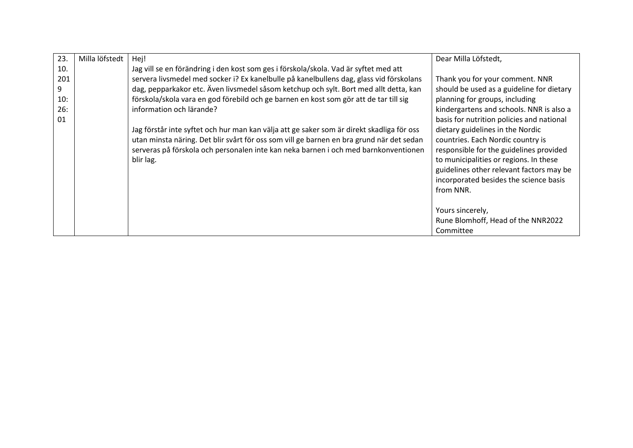| 23. | Milla löfstedt | Hej!                                                                                      | Dear Milla Löfstedt,                      |
|-----|----------------|-------------------------------------------------------------------------------------------|-------------------------------------------|
| 10. |                | Jag vill se en förändring i den kost som ges i förskola/skola. Vad är syftet med att      |                                           |
| 201 |                | servera livsmedel med socker i? Ex kanelbulle på kanelbullens dag, glass vid förskolans   | Thank you for your comment. NNR           |
| 9   |                | dag, pepparkakor etc. Även livsmedel såsom ketchup och sylt. Bort med allt detta, kan     | should be used as a guideline for dietary |
| 10: |                | förskola/skola vara en god förebild och ge barnen en kost som gör att de tar till sig     | planning for groups, including            |
| 26: |                | information och lärande?                                                                  | kindergartens and schools. NNR is also a  |
| 01  |                |                                                                                           | basis for nutrition policies and national |
|     |                | Jag förstår inte syftet och hur man kan välja att ge saker som är direkt skadliga för oss | dietary guidelines in the Nordic          |
|     |                | utan minsta näring. Det blir svårt för oss som vill ge barnen en bra grund när det sedan  | countries. Each Nordic country is         |
|     |                | serveras på förskola och personalen inte kan neka barnen i och med barnkonventionen       | responsible for the guidelines provided   |
|     |                | blir lag.                                                                                 | to municipalities or regions. In these    |
|     |                |                                                                                           | guidelines other relevant factors may be  |
|     |                |                                                                                           | incorporated besides the science basis    |
|     |                |                                                                                           | from NNR.                                 |
|     |                |                                                                                           |                                           |
|     |                |                                                                                           | Yours sincerely,                          |
|     |                |                                                                                           | Rune Blomhoff, Head of the NNR2022        |
|     |                |                                                                                           | Committee                                 |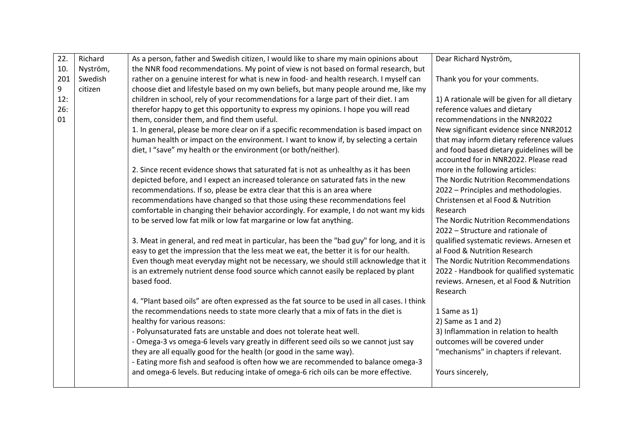| 22. | Richard  | As a person, father and Swedish citizen, I would like to share my main opinions about                                                                                        | Dear Richard Nyström,                                                                |
|-----|----------|------------------------------------------------------------------------------------------------------------------------------------------------------------------------------|--------------------------------------------------------------------------------------|
| 10. | Nyström, | the NNR food recommendations. My point of view is not based on formal research, but                                                                                          |                                                                                      |
| 201 | Swedish  | rather on a genuine interest for what is new in food- and health research. I myself can                                                                                      | Thank you for your comments.                                                         |
| 9   | citizen  | choose diet and lifestyle based on my own beliefs, but many people around me, like my                                                                                        |                                                                                      |
| 12: |          | children in school, rely of your recommendations for a large part of their diet. I am                                                                                        | 1) A rationale will be given for all dietary                                         |
| 26: |          | therefor happy to get this opportunity to express my opinions. I hope you will read                                                                                          | reference values and dietary                                                         |
| 01  |          | them, consider them, and find them useful.                                                                                                                                   | recommendations in the NNR2022                                                       |
|     |          | 1. In general, please be more clear on if a specific recommendation is based impact on                                                                                       | New significant evidence since NNR2012                                               |
|     |          | human health or impact on the environment. I want to know if, by selecting a certain                                                                                         | that may inform dietary reference values                                             |
|     |          | diet, I "save" my health or the environment (or both/neither).                                                                                                               | and food based dietary guidelines will be                                            |
|     |          |                                                                                                                                                                              | accounted for in NNR2022. Please read                                                |
|     |          | 2. Since recent evidence shows that saturated fat is not as unhealthy as it has been                                                                                         | more in the following articles:                                                      |
|     |          | depicted before, and I expect an increased tolerance on saturated fats in the new                                                                                            | The Nordic Nutrition Recommendations                                                 |
|     |          | recommendations. If so, please be extra clear that this is an area where                                                                                                     | 2022 - Principles and methodologies.                                                 |
|     |          | recommendations have changed so that those using these recommendations feel                                                                                                  | Christensen et al Food & Nutrition                                                   |
|     |          | comfortable in changing their behavior accordingly. For example, I do not want my kids                                                                                       | Research                                                                             |
|     |          | to be served low fat milk or low fat margarine or low fat anything.                                                                                                          | The Nordic Nutrition Recommendations                                                 |
|     |          |                                                                                                                                                                              | 2022 - Structure and rationale of                                                    |
|     |          | 3. Meat in general, and red meat in particular, has been the "bad guy" for long, and it is                                                                                   | qualified systematic reviews. Arnesen et                                             |
|     |          | easy to get the impression that the less meat we eat, the better it is for our health.                                                                                       | al Food & Nutrition Research                                                         |
|     |          | Even though meat everyday might not be necessary, we should still acknowledge that it<br>is an extremely nutrient dense food source which cannot easily be replaced by plant | The Nordic Nutrition Recommendations                                                 |
|     |          | based food.                                                                                                                                                                  | 2022 - Handbook for qualified systematic<br>reviews. Arnesen, et al Food & Nutrition |
|     |          |                                                                                                                                                                              | Research                                                                             |
|     |          | 4. "Plant based oils" are often expressed as the fat source to be used in all cases. I think                                                                                 |                                                                                      |
|     |          | the recommendations needs to state more clearly that a mix of fats in the diet is                                                                                            | 1 Same as 1)                                                                         |
|     |          | healthy for various reasons:                                                                                                                                                 | 2) Same as $1$ and $2$ )                                                             |
|     |          | - Polyunsaturated fats are unstable and does not tolerate heat well.                                                                                                         | 3) Inflammation in relation to health                                                |
|     |          | - Omega-3 vs omega-6 levels vary greatly in different seed oils so we cannot just say                                                                                        | outcomes will be covered under                                                       |
|     |          | they are all equally good for the health (or good in the same way).                                                                                                          | "mechanisms" in chapters if relevant.                                                |
|     |          | - Eating more fish and seafood is often how we are recommended to balance omega-3                                                                                            |                                                                                      |
|     |          | and omega-6 levels. But reducing intake of omega-6 rich oils can be more effective.                                                                                          | Yours sincerely,                                                                     |
|     |          |                                                                                                                                                                              |                                                                                      |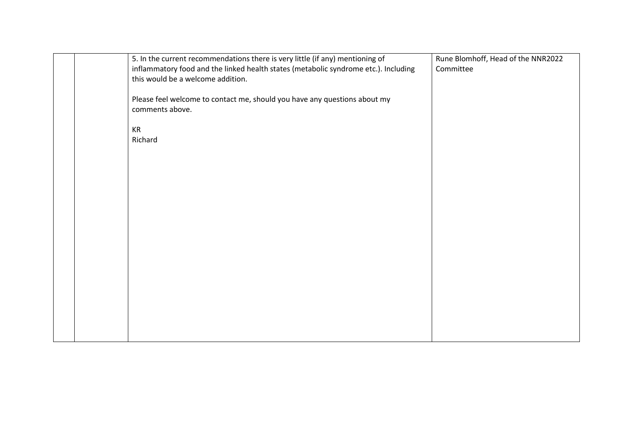|  | 5. In the current recommendations there is very little (if any) mentioning of<br>inflammatory food and the linked health states (metabolic syndrome etc.). Including<br>this would be a welcome addition. | Rune Blomhoff, Head of the NNR2022<br>Committee |
|--|-----------------------------------------------------------------------------------------------------------------------------------------------------------------------------------------------------------|-------------------------------------------------|
|  | Please feel welcome to contact me, should you have any questions about my<br>comments above.                                                                                                              |                                                 |
|  | KR<br>Richard                                                                                                                                                                                             |                                                 |
|  |                                                                                                                                                                                                           |                                                 |
|  |                                                                                                                                                                                                           |                                                 |
|  |                                                                                                                                                                                                           |                                                 |
|  |                                                                                                                                                                                                           |                                                 |
|  |                                                                                                                                                                                                           |                                                 |
|  |                                                                                                                                                                                                           |                                                 |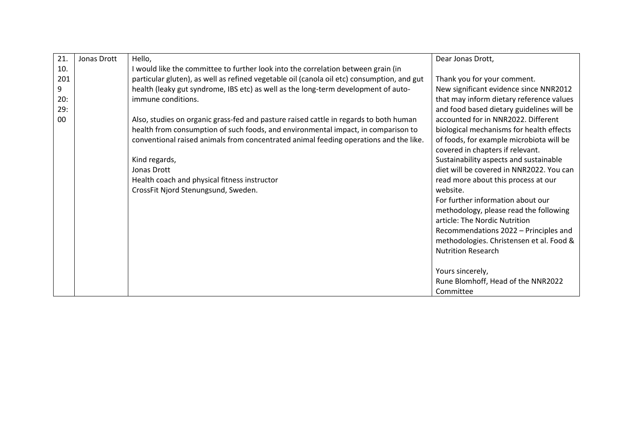| 21. | Jonas Drott | Hello,                                                                                     | Dear Jonas Drott,                         |
|-----|-------------|--------------------------------------------------------------------------------------------|-------------------------------------------|
| 10. |             | I would like the committee to further look into the correlation between grain (in          |                                           |
| 201 |             | particular gluten), as well as refined vegetable oil (canola oil etc) consumption, and gut | Thank you for your comment.               |
| 9   |             | health (leaky gut syndrome, IBS etc) as well as the long-term development of auto-         | New significant evidence since NNR2012    |
| 20: |             | immune conditions.                                                                         | that may inform dietary reference values  |
| 29: |             |                                                                                            | and food based dietary guidelines will be |
| 00  |             | Also, studies on organic grass-fed and pasture raised cattle in regards to both human      | accounted for in NNR2022. Different       |
|     |             | health from consumption of such foods, and environmental impact, in comparison to          | biological mechanisms for health effects  |
|     |             | conventional raised animals from concentrated animal feeding operations and the like.      | of foods, for example microbiota will be  |
|     |             |                                                                                            | covered in chapters if relevant.          |
|     |             | Kind regards,                                                                              | Sustainability aspects and sustainable    |
|     |             | Jonas Drott                                                                                | diet will be covered in NNR2022. You can  |
|     |             | Health coach and physical fitness instructor                                               | read more about this process at our       |
|     |             | CrossFit Njord Stenungsund, Sweden.                                                        | website.                                  |
|     |             |                                                                                            | For further information about our         |
|     |             |                                                                                            | methodology, please read the following    |
|     |             |                                                                                            | article: The Nordic Nutrition             |
|     |             |                                                                                            | Recommendations 2022 - Principles and     |
|     |             |                                                                                            | methodologies. Christensen et al. Food &  |
|     |             |                                                                                            | <b>Nutrition Research</b>                 |
|     |             |                                                                                            |                                           |
|     |             |                                                                                            | Yours sincerely,                          |
|     |             |                                                                                            | Rune Blomhoff, Head of the NNR2022        |
|     |             |                                                                                            | Committee                                 |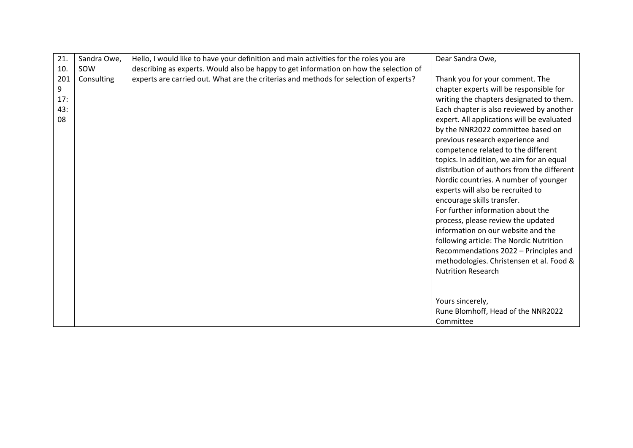| 21. | Sandra Owe, | Hello, I would like to have your definition and main activities for the roles you are | Dear Sandra Owe,                           |
|-----|-------------|---------------------------------------------------------------------------------------|--------------------------------------------|
|     |             |                                                                                       |                                            |
| 10. | SOW         | describing as experts. Would also be happy to get information on how the selection of |                                            |
| 201 | Consulting  | experts are carried out. What are the criterias and methods for selection of experts? | Thank you for your comment. The            |
| 9   |             |                                                                                       | chapter experts will be responsible for    |
| 17: |             |                                                                                       | writing the chapters designated to them.   |
| 43: |             |                                                                                       | Each chapter is also reviewed by another   |
| 08  |             |                                                                                       | expert. All applications will be evaluated |
|     |             |                                                                                       | by the NNR2022 committee based on          |
|     |             |                                                                                       | previous research experience and           |
|     |             |                                                                                       | competence related to the different        |
|     |             |                                                                                       | topics. In addition, we aim for an equal   |
|     |             |                                                                                       |                                            |
|     |             |                                                                                       | distribution of authors from the different |
|     |             |                                                                                       | Nordic countries. A number of younger      |
|     |             |                                                                                       | experts will also be recruited to          |
|     |             |                                                                                       | encourage skills transfer.                 |
|     |             |                                                                                       | For further information about the          |
|     |             |                                                                                       | process, please review the updated         |
|     |             |                                                                                       | information on our website and the         |
|     |             |                                                                                       | following article: The Nordic Nutrition    |
|     |             |                                                                                       | Recommendations 2022 - Principles and      |
|     |             |                                                                                       | methodologies. Christensen et al. Food &   |
|     |             |                                                                                       |                                            |
|     |             |                                                                                       | <b>Nutrition Research</b>                  |
|     |             |                                                                                       |                                            |
|     |             |                                                                                       |                                            |
|     |             |                                                                                       | Yours sincerely,                           |
|     |             |                                                                                       | Rune Blomhoff, Head of the NNR2022         |
|     |             |                                                                                       | Committee                                  |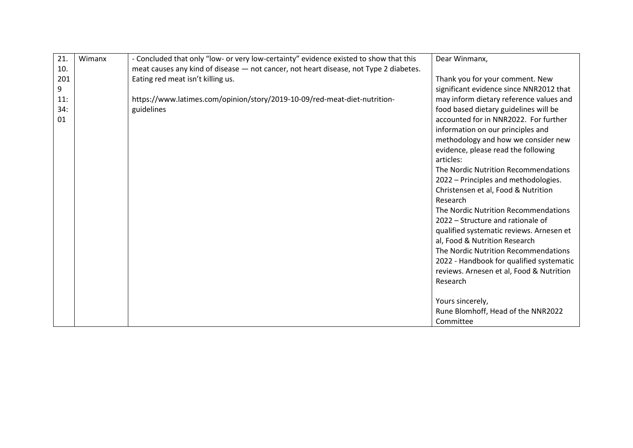| 21.    | Wimanx | - Concluded that only "low- or very low-certainty" evidence existed to show that this | Dear Winmanx,                            |
|--------|--------|---------------------------------------------------------------------------------------|------------------------------------------|
| 10.    |        | meat causes any kind of disease - not cancer, not heart disease, not Type 2 diabetes. |                                          |
| 201    |        | Eating red meat isn't killing us.                                                     | Thank you for your comment. New          |
| 9      |        |                                                                                       | significant evidence since NNR2012 that  |
| $11$ : |        | https://www.latimes.com/opinion/story/2019-10-09/red-meat-diet-nutrition-             | may inform dietary reference values and  |
| 34:    |        | guidelines                                                                            | food based dietary guidelines will be    |
| 01     |        |                                                                                       | accounted for in NNR2022. For further    |
|        |        |                                                                                       | information on our principles and        |
|        |        |                                                                                       | methodology and how we consider new      |
|        |        |                                                                                       | evidence, please read the following      |
|        |        |                                                                                       | articles:                                |
|        |        |                                                                                       | The Nordic Nutrition Recommendations     |
|        |        |                                                                                       | 2022 - Principles and methodologies.     |
|        |        |                                                                                       | Christensen et al, Food & Nutrition      |
|        |        |                                                                                       | Research                                 |
|        |        |                                                                                       | The Nordic Nutrition Recommendations     |
|        |        |                                                                                       | 2022 – Structure and rationale of        |
|        |        |                                                                                       | qualified systematic reviews. Arnesen et |
|        |        |                                                                                       | al, Food & Nutrition Research            |
|        |        |                                                                                       | The Nordic Nutrition Recommendations     |
|        |        |                                                                                       | 2022 - Handbook for qualified systematic |
|        |        |                                                                                       | reviews. Arnesen et al, Food & Nutrition |
|        |        |                                                                                       | Research                                 |
|        |        |                                                                                       |                                          |
|        |        |                                                                                       | Yours sincerely,                         |
|        |        |                                                                                       | Rune Blomhoff, Head of the NNR2022       |
|        |        |                                                                                       | Committee                                |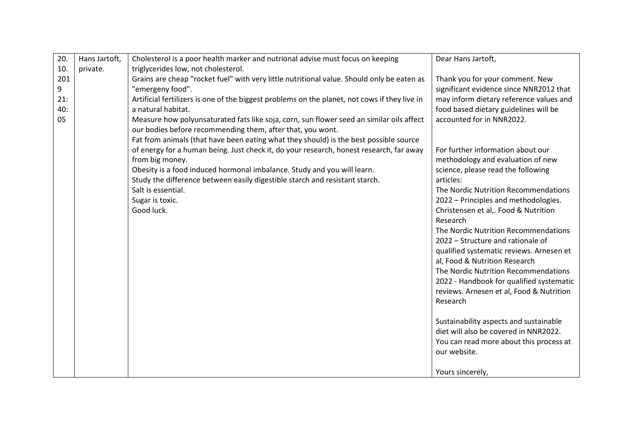| 20.       | Hans Jartoft, | Cholesterol is a poor health marker and nutrional advise must focus on keeping                                                                         | Dear Hans Jartoft,                                                                   |
|-----------|---------------|--------------------------------------------------------------------------------------------------------------------------------------------------------|--------------------------------------------------------------------------------------|
| 10.       | private.      | triglycerides low, not cholesterol.                                                                                                                    |                                                                                      |
| 201<br>9  |               | Grains are cheap "rocket fuel" with very little nutritional value. Should only be eaten as<br>"emergeny food".                                         | Thank you for your comment. New<br>significant evidence since NNR2012 that           |
| 21:       |               | Artificial fertilizers is one of the biggest problems on the planet, not cows if they live in                                                          | may inform dietary reference values and                                              |
| 40:<br>05 |               | a natural habitat.<br>Measure how polyunsaturated fats like soja, corn, sun flower seed an similar oils affect                                         | food based dietary guidelines will be<br>accounted for in NNR2022.                   |
|           |               | our bodies before recommending them, after that, you wont.                                                                                             |                                                                                      |
|           |               | Fat from animals (that have been eating what they should) is the best possible source                                                                  |                                                                                      |
|           |               | of energy for a human being. Just check it, do your research, honest research, far away<br>from big money.                                             | For further information about our<br>methodology and evaluation of new               |
|           |               | Obesity is a food induced hormonal imbalance. Study and you will learn.<br>Study the difference between easily digestible starch and resistant starch. | science, please read the following<br>articles:                                      |
|           |               | Salt is essential.                                                                                                                                     | The Nordic Nutrition Recommendations                                                 |
|           |               | Sugar is toxic.                                                                                                                                        | 2022 - Principles and methodologies.                                                 |
|           |               | Good luck.                                                                                                                                             | Christensen et al,. Food & Nutrition<br>Research                                     |
|           |               |                                                                                                                                                        | The Nordic Nutrition Recommendations<br>2022 - Structure and rationale of            |
|           |               |                                                                                                                                                        | qualified systematic reviews. Arnesen et                                             |
|           |               |                                                                                                                                                        | al, Food & Nutrition Research                                                        |
|           |               |                                                                                                                                                        | The Nordic Nutrition Recommendations                                                 |
|           |               |                                                                                                                                                        | 2022 - Handbook for qualified systematic<br>reviews. Arnesen et al, Food & Nutrition |
|           |               |                                                                                                                                                        | Research                                                                             |
|           |               |                                                                                                                                                        |                                                                                      |
|           |               |                                                                                                                                                        | Sustainability aspects and sustainable                                               |
|           |               |                                                                                                                                                        | diet will also be covered in NNR2022.<br>You can read more about this process at     |
|           |               |                                                                                                                                                        | our website.                                                                         |
|           |               |                                                                                                                                                        | Yours sincerely,                                                                     |
|           |               |                                                                                                                                                        |                                                                                      |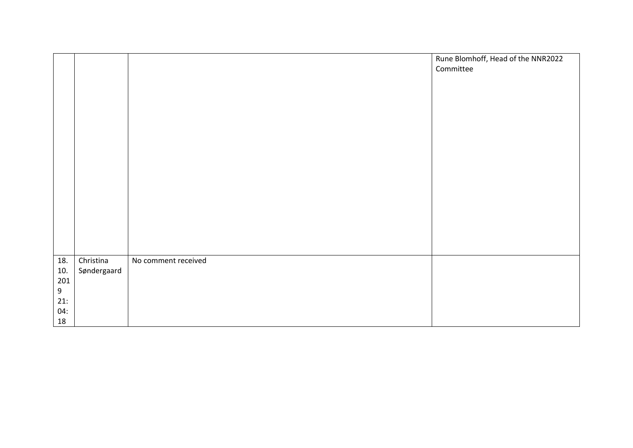|            |                          |                     | Rune Blomhoff, Head of the NNR2022<br>Committee |
|------------|--------------------------|---------------------|-------------------------------------------------|
|            |                          |                     |                                                 |
| 18.<br>10. | Christina<br>Søndergaard | No comment received |                                                 |
| 201        |                          |                     |                                                 |
| $9\,$      |                          |                     |                                                 |
| 21:        |                          |                     |                                                 |
| 04:<br>18  |                          |                     |                                                 |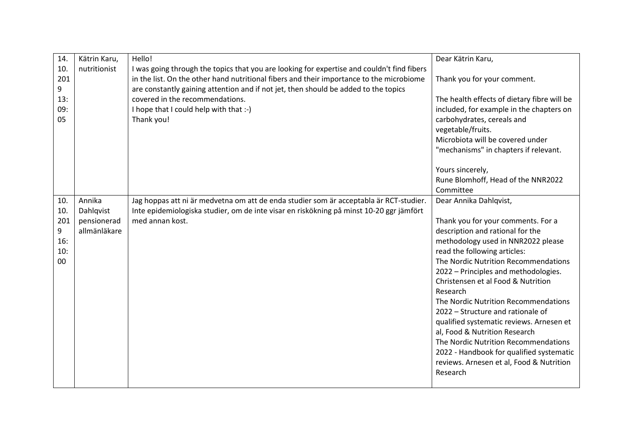| 14.             | Kätrin Karu, | Hello!                                                                                                                                                                                                                                                                        | Dear Kätrin Karu,                                                      |
|-----------------|--------------|-------------------------------------------------------------------------------------------------------------------------------------------------------------------------------------------------------------------------------------------------------------------------------|------------------------------------------------------------------------|
| 10.<br>201<br>9 | nutritionist | I was going through the topics that you are looking for expertise and couldn't find fibers<br>in the list. On the other hand nutritional fibers and their importance to the microbiome<br>are constantly gaining attention and if not jet, then should be added to the topics | Thank you for your comment.                                            |
| 13:             |              | covered in the recommendations.                                                                                                                                                                                                                                               | The health effects of dietary fibre will be                            |
| 09:<br>05       |              | I hope that I could help with that :-)<br>Thank you!                                                                                                                                                                                                                          | included, for example in the chapters on<br>carbohydrates, cereals and |
|                 |              |                                                                                                                                                                                                                                                                               | vegetable/fruits.                                                      |
|                 |              |                                                                                                                                                                                                                                                                               | Microbiota will be covered under                                       |
|                 |              |                                                                                                                                                                                                                                                                               | "mechanisms" in chapters if relevant.                                  |
|                 |              |                                                                                                                                                                                                                                                                               | Yours sincerely,                                                       |
|                 |              |                                                                                                                                                                                                                                                                               | Rune Blomhoff, Head of the NNR2022                                     |
|                 |              |                                                                                                                                                                                                                                                                               | Committee                                                              |
| 10.             | Annika       | Jag hoppas att ni är medvetna om att de enda studier som är acceptabla är RCT-studier.                                                                                                                                                                                        | Dear Annika Dahlqvist,                                                 |
| 10.             | Dahlqvist    | Inte epidemiologiska studier, om de inte visar en riskökning på minst 10-20 ggr jämfört                                                                                                                                                                                       |                                                                        |
| 201             | pensionerad  | med annan kost.                                                                                                                                                                                                                                                               | Thank you for your comments. For a                                     |
| 9               | allmänläkare |                                                                                                                                                                                                                                                                               | description and rational for the                                       |
| 16:<br>10:      |              |                                                                                                                                                                                                                                                                               | methodology used in NNR2022 please<br>read the following articles:     |
| 00              |              |                                                                                                                                                                                                                                                                               | The Nordic Nutrition Recommendations                                   |
|                 |              |                                                                                                                                                                                                                                                                               | 2022 - Principles and methodologies.                                   |
|                 |              |                                                                                                                                                                                                                                                                               | Christensen et al Food & Nutrition                                     |
|                 |              |                                                                                                                                                                                                                                                                               | Research                                                               |
|                 |              |                                                                                                                                                                                                                                                                               | The Nordic Nutrition Recommendations                                   |
|                 |              |                                                                                                                                                                                                                                                                               | 2022 - Structure and rationale of                                      |
|                 |              |                                                                                                                                                                                                                                                                               | qualified systematic reviews. Arnesen et                               |
|                 |              |                                                                                                                                                                                                                                                                               | al, Food & Nutrition Research                                          |
|                 |              |                                                                                                                                                                                                                                                                               | The Nordic Nutrition Recommendations                                   |
|                 |              |                                                                                                                                                                                                                                                                               | 2022 - Handbook for qualified systematic                               |
|                 |              |                                                                                                                                                                                                                                                                               | reviews. Arnesen et al, Food & Nutrition                               |
|                 |              |                                                                                                                                                                                                                                                                               | Research                                                               |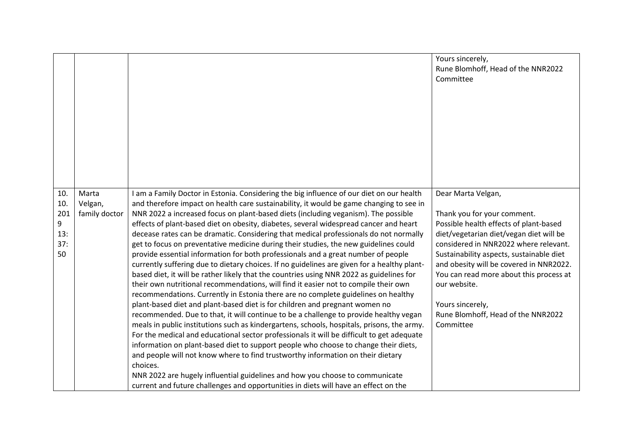|                                            |                                   |                                                                                                                                                                                                                                                                                                                                                                                                                                                                                                                                                                                                                                                                                                                                                                                                                                                                                                                                                                                                                                                                                                                                                                                                                                                                                                                                                                                                                                                                                                                                                                                                                                                                                                                                                 | Yours sincerely,<br>Rune Blomhoff, Head of the NNR2022<br>Committee                                                                                                                                                                                                                                                                                                                                      |
|--------------------------------------------|-----------------------------------|-------------------------------------------------------------------------------------------------------------------------------------------------------------------------------------------------------------------------------------------------------------------------------------------------------------------------------------------------------------------------------------------------------------------------------------------------------------------------------------------------------------------------------------------------------------------------------------------------------------------------------------------------------------------------------------------------------------------------------------------------------------------------------------------------------------------------------------------------------------------------------------------------------------------------------------------------------------------------------------------------------------------------------------------------------------------------------------------------------------------------------------------------------------------------------------------------------------------------------------------------------------------------------------------------------------------------------------------------------------------------------------------------------------------------------------------------------------------------------------------------------------------------------------------------------------------------------------------------------------------------------------------------------------------------------------------------------------------------------------------------|----------------------------------------------------------------------------------------------------------------------------------------------------------------------------------------------------------------------------------------------------------------------------------------------------------------------------------------------------------------------------------------------------------|
| 10.<br>10.<br>201<br>9<br>13:<br>37:<br>50 | Marta<br>Velgan,<br>family doctor | I am a Family Doctor in Estonia. Considering the big influence of our diet on our health<br>and therefore impact on health care sustainability, it would be game changing to see in<br>NNR 2022 a increased focus on plant-based diets (including veganism). The possible<br>effects of plant-based diet on obesity, diabetes, several widespread cancer and heart<br>decease rates can be dramatic. Considering that medical professionals do not normally<br>get to focus on preventative medicine during their studies, the new guidelines could<br>provide essential information for both professionals and a great number of people<br>currently suffering due to dietary choices. If no guidelines are given for a healthy plant-<br>based diet, it will be rather likely that the countries using NNR 2022 as guidelines for<br>their own nutritional recommendations, will find it easier not to compile their own<br>recommendations. Currently in Estonia there are no complete guidelines on healthy<br>plant-based diet and plant-based diet is for children and pregnant women no<br>recommended. Due to that, it will continue to be a challenge to provide healthy vegan<br>meals in public institutions such as kindergartens, schools, hospitals, prisons, the army.<br>For the medical and educational sector professionals it will be difficult to get adequate<br>information on plant-based diet to support people who choose to change their diets,<br>and people will not know where to find trustworthy information on their dietary<br>choices.<br>NNR 2022 are hugely influential guidelines and how you choose to communicate<br>current and future challenges and opportunities in diets will have an effect on the | Dear Marta Velgan,<br>Thank you for your comment.<br>Possible health effects of plant-based<br>diet/vegetarian diet/vegan diet will be<br>considered in NNR2022 where relevant.<br>Sustainability aspects, sustainable diet<br>and obesity will be covered in NNR2022.<br>You can read more about this process at<br>our website.<br>Yours sincerely,<br>Rune Blomhoff, Head of the NNR2022<br>Committee |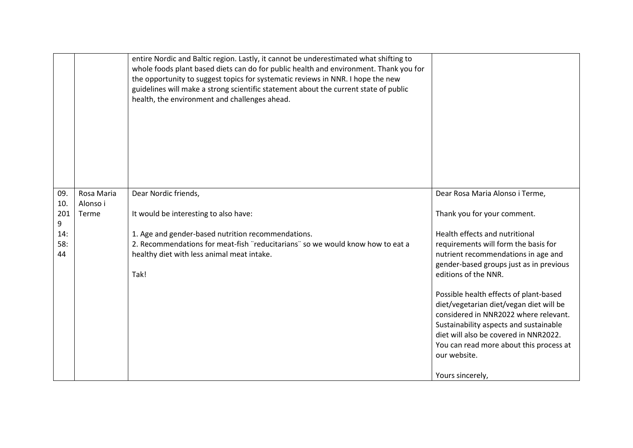|                  |                        | entire Nordic and Baltic region. Lastly, it cannot be underestimated what shifting to<br>whole foods plant based diets can do for public health and environment. Thank you for<br>the opportunity to suggest topics for systematic reviews in NNR. I hope the new<br>guidelines will make a strong scientific statement about the current state of public<br>health, the environment and challenges ahead. |                                                                                                                                                                                                                                                                                                                                                                                                                                                              |
|------------------|------------------------|------------------------------------------------------------------------------------------------------------------------------------------------------------------------------------------------------------------------------------------------------------------------------------------------------------------------------------------------------------------------------------------------------------|--------------------------------------------------------------------------------------------------------------------------------------------------------------------------------------------------------------------------------------------------------------------------------------------------------------------------------------------------------------------------------------------------------------------------------------------------------------|
| 09.<br>10.       | Rosa Maria<br>Alonso i | Dear Nordic friends,                                                                                                                                                                                                                                                                                                                                                                                       | Dear Rosa Maria Alonso i Terme,                                                                                                                                                                                                                                                                                                                                                                                                                              |
| 201<br>9         | Terme                  | It would be interesting to also have:                                                                                                                                                                                                                                                                                                                                                                      | Thank you for your comment.                                                                                                                                                                                                                                                                                                                                                                                                                                  |
| 14:<br>58:<br>44 |                        | 1. Age and gender-based nutrition recommendations.<br>2. Recommendations for meat-fish "reducitarians" so we would know how to eat a<br>healthy diet with less animal meat intake.<br>Tak!                                                                                                                                                                                                                 | Health effects and nutritional<br>requirements will form the basis for<br>nutrient recommendations in age and<br>gender-based groups just as in previous<br>editions of the NNR.<br>Possible health effects of plant-based<br>diet/vegetarian diet/vegan diet will be<br>considered in NNR2022 where relevant.<br>Sustainability aspects and sustainable<br>diet will also be covered in NNR2022.<br>You can read more about this process at<br>our website. |
|                  |                        |                                                                                                                                                                                                                                                                                                                                                                                                            | Yours sincerely,                                                                                                                                                                                                                                                                                                                                                                                                                                             |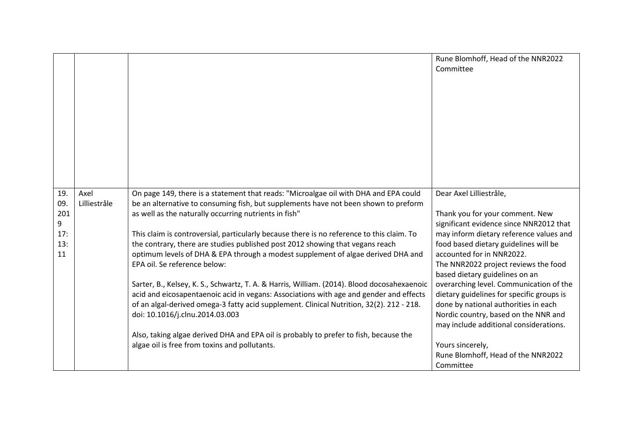|                   |                      |                                                                                                                                                                                                                                      | Rune Blomhoff, Head of the NNR2022<br>Committee                                                                        |
|-------------------|----------------------|--------------------------------------------------------------------------------------------------------------------------------------------------------------------------------------------------------------------------------------|------------------------------------------------------------------------------------------------------------------------|
| 19.<br>09.<br>201 | Axel<br>Lilliestråle | On page 149, there is a statement that reads: "Microalgae oil with DHA and EPA could<br>be an alternative to consuming fish, but supplements have not been shown to preform<br>as well as the naturally occurring nutrients in fish" | Dear Axel Lilliestråle,<br>Thank you for your comment. New                                                             |
| 9                 |                      |                                                                                                                                                                                                                                      | significant evidence since NNR2012 that                                                                                |
| 17:               |                      | This claim is controversial, particularly because there is no reference to this claim. To                                                                                                                                            | may inform dietary reference values and                                                                                |
| 13:<br>11         |                      | the contrary, there are studies published post 2012 showing that vegans reach<br>optimum levels of DHA & EPA through a modest supplement of algae derived DHA and                                                                    | food based dietary guidelines will be<br>accounted for in NNR2022.                                                     |
|                   |                      | EPA oil. Se reference below:                                                                                                                                                                                                         | The NNR2022 project reviews the food<br>based dietary guidelines on an                                                 |
|                   |                      | Sarter, B., Kelsey, K. S., Schwartz, T. A. & Harris, William. (2014). Blood docosahexaenoic<br>acid and eicosapentaenoic acid in vegans: Associations with age and gender and effects                                                | overarching level. Communication of the<br>dietary guidelines for specific groups is                                   |
|                   |                      | of an algal-derived omega-3 fatty acid supplement. Clinical Nutrition, 32(2). 212 - 218.<br>doi: 10.1016/j.clnu.2014.03.003                                                                                                          | done by national authorities in each<br>Nordic country, based on the NNR and<br>may include additional considerations. |
|                   |                      | Also, taking algae derived DHA and EPA oil is probably to prefer to fish, because the                                                                                                                                                |                                                                                                                        |
|                   |                      | algae oil is free from toxins and pollutants.                                                                                                                                                                                        | Yours sincerely,                                                                                                       |
|                   |                      |                                                                                                                                                                                                                                      | Rune Blomhoff, Head of the NNR2022<br>Committee                                                                        |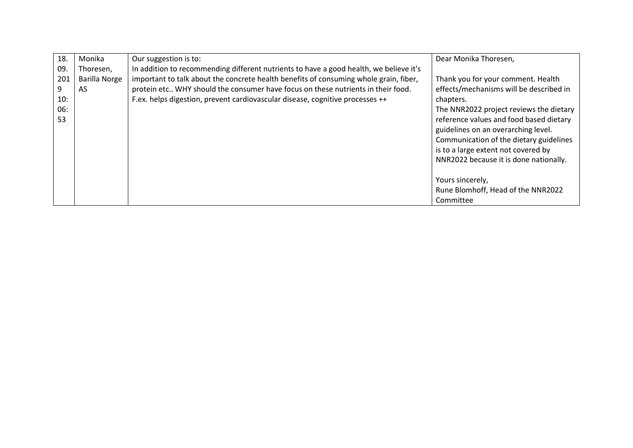| 18. | Monika               | Our suggestion is to:                                                                  | Dear Monika Thoresen,                   |
|-----|----------------------|----------------------------------------------------------------------------------------|-----------------------------------------|
| 09. | Thoresen,            | In addition to recommending different nutrients to have a good health, we believe it's |                                         |
| 201 | <b>Barilla Norge</b> | important to talk about the concrete health benefits of consuming whole grain, fiber,  | Thank you for your comment. Health      |
| 9   | AS                   | protein etc WHY should the consumer have focus on these nutrients in their food.       | effects/mechanisms will be described in |
| 10: |                      | F.ex. helps digestion, prevent cardiovascular disease, cognitive processes ++          | chapters.                               |
| 06: |                      |                                                                                        | The NNR2022 project reviews the dietary |
| 53  |                      |                                                                                        | reference values and food based dietary |
|     |                      |                                                                                        | guidelines on an overarching level.     |
|     |                      |                                                                                        | Communication of the dietary guidelines |
|     |                      |                                                                                        | is to a large extent not covered by     |
|     |                      |                                                                                        | NNR2022 because it is done nationally.  |
|     |                      |                                                                                        |                                         |
|     |                      |                                                                                        | Yours sincerely,                        |
|     |                      |                                                                                        | Rune Blomhoff, Head of the NNR2022      |
|     |                      |                                                                                        | Committee                               |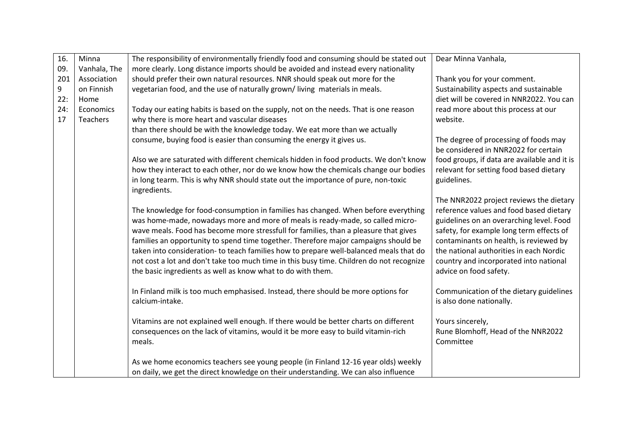| 16. | Minna        | The responsibility of environmentally friendly food and consuming should be stated out            | Dear Minna Vanhala,                                                           |
|-----|--------------|---------------------------------------------------------------------------------------------------|-------------------------------------------------------------------------------|
| 09. | Vanhala, The | more clearly. Long distance imports should be avoided and instead every nationality               |                                                                               |
| 201 | Association  | should prefer their own natural resources. NNR should speak out more for the                      | Thank you for your comment.                                                   |
| 9   | on Finnish   | vegetarian food, and the use of naturally grown/living materials in meals.                        | Sustainability aspects and sustainable                                        |
| 22: | Home         |                                                                                                   | diet will be covered in NNR2022. You can                                      |
| 24: | Economics    | Today our eating habits is based on the supply, not on the needs. That is one reason              | read more about this process at our                                           |
| 17  | Teachers     | why there is more heart and vascular diseases                                                     | website.                                                                      |
|     |              | than there should be with the knowledge today. We eat more than we actually                       |                                                                               |
|     |              | consume, buying food is easier than consuming the energy it gives us.                             | The degree of processing of foods may<br>be considered in NNR2022 for certain |
|     |              | Also we are saturated with different chemicals hidden in food products. We don't know             | food groups, if data are available and it is                                  |
|     |              | how they interact to each other, nor do we know how the chemicals change our bodies               | relevant for setting food based dietary                                       |
|     |              | in long tearm. This is why NNR should state out the importance of pure, non-toxic<br>ingredients. | guidelines.                                                                   |
|     |              |                                                                                                   | The NNR2022 project reviews the dietary                                       |
|     |              | The knowledge for food-consumption in families has changed. When before everything                | reference values and food based dietary                                       |
|     |              | was home-made, nowadays more and more of meals is ready-made, so called micro-                    | guidelines on an overarching level. Food                                      |
|     |              | wave meals. Food has become more stressfull for families, than a pleasure that gives              | safety, for example long term effects of                                      |
|     |              | families an opportunity to spend time together. Therefore major campaigns should be               | contaminants on health, is reviewed by                                        |
|     |              | taken into consideration- to teach families how to prepare well-balanced meals that do            | the national authorities in each Nordic                                       |
|     |              | not cost a lot and don't take too much time in this busy time. Children do not recognize          | country and incorporated into national                                        |
|     |              | the basic ingredients as well as know what to do with them.                                       | advice on food safety.                                                        |
|     |              | In Finland milk is too much emphasised. Instead, there should be more options for                 | Communication of the dietary guidelines                                       |
|     |              | calcium-intake.                                                                                   | is also done nationally.                                                      |
|     |              | Vitamins are not explained well enough. If there would be better charts on different              | Yours sincerely,                                                              |
|     |              | consequences on the lack of vitamins, would it be more easy to build vitamin-rich                 | Rune Blomhoff, Head of the NNR2022                                            |
|     |              | meals.                                                                                            | Committee                                                                     |
|     |              | As we home economics teachers see young people (in Finland 12-16 year olds) weekly                |                                                                               |
|     |              | on daily, we get the direct knowledge on their understanding. We can also influence               |                                                                               |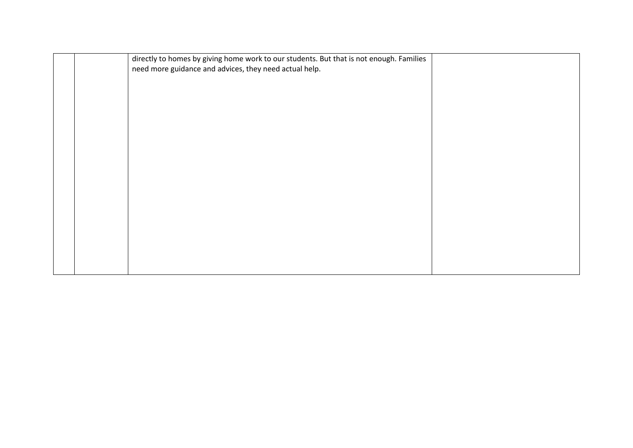|  | directly to homes by giving home work to our students. But that is not enough. Families<br>need more guidance and advices, they need actual help. |  |
|--|---------------------------------------------------------------------------------------------------------------------------------------------------|--|
|  |                                                                                                                                                   |  |
|  |                                                                                                                                                   |  |
|  |                                                                                                                                                   |  |
|  |                                                                                                                                                   |  |
|  |                                                                                                                                                   |  |
|  |                                                                                                                                                   |  |
|  |                                                                                                                                                   |  |
|  |                                                                                                                                                   |  |
|  |                                                                                                                                                   |  |
|  |                                                                                                                                                   |  |
|  |                                                                                                                                                   |  |
|  |                                                                                                                                                   |  |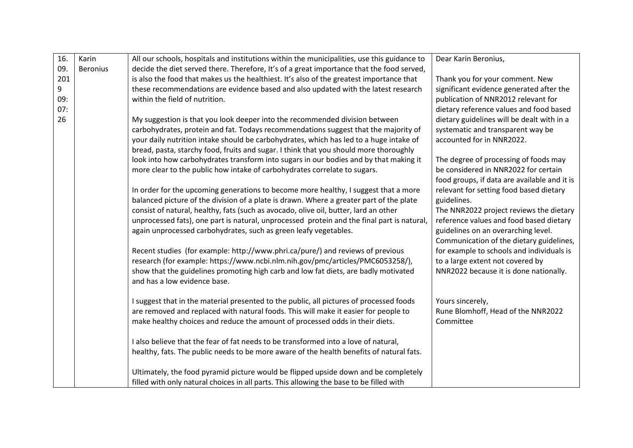| 16. | Karin           | All our schools, hospitals and institutions within the municipalities, use this guidance to | Dear Karin Beronius,                         |
|-----|-----------------|---------------------------------------------------------------------------------------------|----------------------------------------------|
| 09. | <b>Beronius</b> | decide the diet served there. Therefore, It's of a great importance that the food served,   |                                              |
| 201 |                 | is also the food that makes us the healthiest. It's also of the greatest importance that    | Thank you for your comment. New              |
| 9   |                 | these recommendations are evidence based and also updated with the latest research          | significant evidence generated after the     |
| 09: |                 | within the field of nutrition.                                                              | publication of NNR2012 relevant for          |
| 07: |                 |                                                                                             | dietary reference values and food based      |
| 26  |                 | My suggestion is that you look deeper into the recommended division between                 | dietary guidelines will be dealt with in a   |
|     |                 | carbohydrates, protein and fat. Todays recommendations suggest that the majority of         | systematic and transparent way be            |
|     |                 | your daily nutrition intake should be carbohydrates, which has led to a huge intake of      | accounted for in NNR2022.                    |
|     |                 | bread, pasta, starchy food, fruits and sugar. I think that you should more thoroughly       |                                              |
|     |                 | look into how carbohydrates transform into sugars in our bodies and by that making it       | The degree of processing of foods may        |
|     |                 | more clear to the public how intake of carbohydrates correlate to sugars.                   | be considered in NNR2022 for certain         |
|     |                 |                                                                                             | food groups, if data are available and it is |
|     |                 | In order for the upcoming generations to become more healthy, I suggest that a more         | relevant for setting food based dietary      |
|     |                 | balanced picture of the division of a plate is drawn. Where a greater part of the plate     | guidelines.                                  |
|     |                 | consist of natural, healthy, fats (such as avocado, olive oil, butter, lard an other        | The NNR2022 project reviews the dietary      |
|     |                 | unprocessed fats), one part is natural, unprocessed protein and the final part is natural,  | reference values and food based dietary      |
|     |                 | again unprocessed carbohydrates, such as green leafy vegetables.                            | guidelines on an overarching level.          |
|     |                 |                                                                                             | Communication of the dietary guidelines,     |
|     |                 | Recent studies (for example: http://www.phri.ca/pure/) and reviews of previous              | for example to schools and individuals is    |
|     |                 | research (for example: https://www.ncbi.nlm.nih.gov/pmc/articles/PMC6053258/),              | to a large extent not covered by             |
|     |                 | show that the guidelines promoting high carb and low fat diets, are badly motivated         | NNR2022 because it is done nationally.       |
|     |                 | and has a low evidence base.                                                                |                                              |
|     |                 | I suggest that in the material presented to the public, all pictures of processed foods     | Yours sincerely,                             |
|     |                 | are removed and replaced with natural foods. This will make it easier for people to         | Rune Blomhoff, Head of the NNR2022           |
|     |                 | make healthy choices and reduce the amount of processed odds in their diets.                | Committee                                    |
|     |                 | I also believe that the fear of fat needs to be transformed into a love of natural,         |                                              |
|     |                 | healthy, fats. The public needs to be more aware of the health benefits of natural fats.    |                                              |
|     |                 |                                                                                             |                                              |
|     |                 | Ultimately, the food pyramid picture would be flipped upside down and be completely         |                                              |
|     |                 | filled with only natural choices in all parts. This allowing the base to be filled with     |                                              |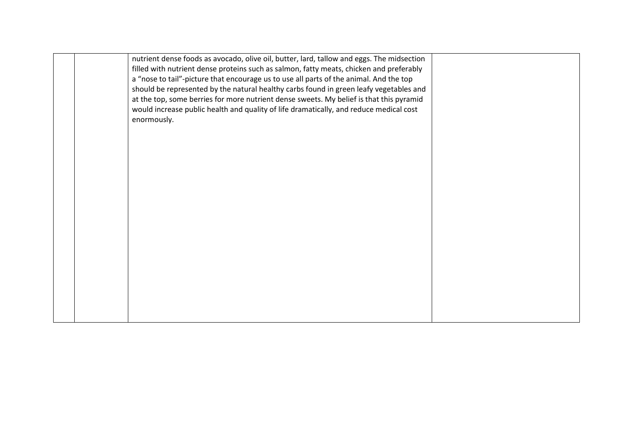| nutrient dense foods as avocado, olive oil, butter, lard, tallow and eggs. The midsection |  |
|-------------------------------------------------------------------------------------------|--|
| filled with nutrient dense proteins such as salmon, fatty meats, chicken and preferably   |  |
|                                                                                           |  |
| a "nose to tail"-picture that encourage us to use all parts of the animal. And the top    |  |
| should be represented by the natural healthy carbs found in green leafy vegetables and    |  |
| at the top, some berries for more nutrient dense sweets. My belief is that this pyramid   |  |
| would increase public health and quality of life dramatically, and reduce medical cost    |  |
|                                                                                           |  |
| enormously.                                                                               |  |
|                                                                                           |  |
|                                                                                           |  |
|                                                                                           |  |
|                                                                                           |  |
|                                                                                           |  |
|                                                                                           |  |
|                                                                                           |  |
|                                                                                           |  |
|                                                                                           |  |
|                                                                                           |  |
|                                                                                           |  |
|                                                                                           |  |
|                                                                                           |  |
|                                                                                           |  |
|                                                                                           |  |
|                                                                                           |  |
|                                                                                           |  |
|                                                                                           |  |
|                                                                                           |  |
|                                                                                           |  |
|                                                                                           |  |
|                                                                                           |  |
|                                                                                           |  |
|                                                                                           |  |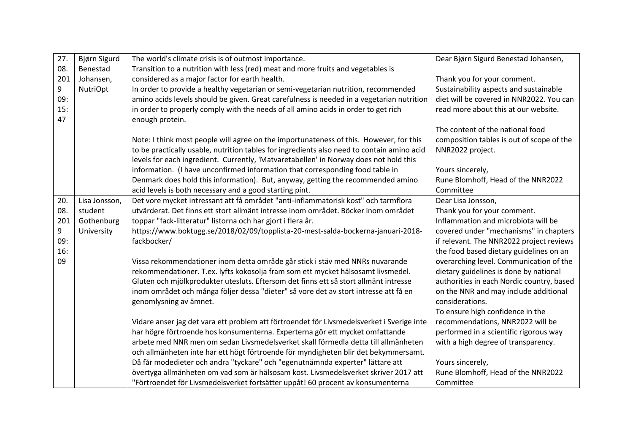| 27.       | Bjørn Sigurd    | The world's climate crisis is of outmost importance.                                                           | Dear Bjørn Sigurd Benestad Johansen,                     |
|-----------|-----------------|----------------------------------------------------------------------------------------------------------------|----------------------------------------------------------|
| 08.       | Benestad        | Transition to a nutrition with less (red) meat and more fruits and vegetables is                               |                                                          |
| 201       | Johansen,       | considered as a major factor for earth health.                                                                 | Thank you for your comment.                              |
| 9         | <b>NutriOpt</b> | In order to provide a healthy vegetarian or semi-vegetarian nutrition, recommended                             | Sustainability aspects and sustainable                   |
| 09:       |                 | amino acids levels should be given. Great carefulness is needed in a vegetarian nutrition                      | diet will be covered in NNR2022. You can                 |
| 15:<br>47 |                 | in order to properly comply with the needs of all amino acids in order to get rich<br>enough protein.          | read more about this at our website.                     |
|           |                 |                                                                                                                | The content of the national food                         |
|           |                 | Note: I think most people will agree on the importunateness of this. However, for this                         | composition tables is out of scope of the                |
|           |                 | to be practically usable, nutrition tables for ingredients also need to contain amino acid                     | NNR2022 project.                                         |
|           |                 | levels for each ingredient. Currently, 'Matvaretabellen' in Norway does not hold this                          |                                                          |
|           |                 | information. (I have unconfirmed information that corresponding food table in                                  | Yours sincerely,                                         |
|           |                 | Denmark does hold this information). But, anyway, getting the recommended amino                                | Rune Blomhoff, Head of the NNR2022                       |
|           |                 | acid levels is both necessary and a good starting pint.                                                        | Committee                                                |
| 20.       | Lisa Jonsson,   | Det vore mycket intressant att få området "anti-inflammatorisk kost" och tarmflora                             | Dear Lisa Jonsson,                                       |
| 08.       | student         | utvärderat. Det finns ett stort allmänt intresse inom området. Böcker inom området                             | Thank you for your comment.                              |
| 201       | Gothenburg      | toppar "fack-litteratur" listorna och har gjort i flera år.                                                    | Inflammation and microbiota will be                      |
| 9         | University      | https://www.boktugg.se/2018/02/09/topplista-20-mest-salda-bockerna-januari-2018-                               | covered under "mechanisms" in chapters                   |
| 09:       |                 | fackbocker/                                                                                                    | if relevant. The NNR2022 project reviews                 |
| 16:       |                 |                                                                                                                | the food based dietary guidelines on an                  |
| 09        |                 | Vissa rekommendationer inom detta område går stick i stäv med NNRs nuvarande                                   | overarching level. Communication of the                  |
|           |                 | rekommendationer. T.ex. lyfts kokosolja fram som ett mycket hälsosamt livsmedel.                               | dietary guidelines is done by national                   |
|           |                 | Gluten och mjölkprodukter utesluts. Eftersom det finns ett så stort allmänt intresse                           | authorities in each Nordic country, based                |
|           |                 | inom området och många följer dessa "dieter" så vore det av stort intresse att få en<br>genomlysning av ämnet. | on the NNR and may include additional<br>considerations. |
|           |                 |                                                                                                                | To ensure high confidence in the                         |
|           |                 | Vidare anser jag det vara ett problem att förtroendet för Livsmedelsverket i Sverige inte                      | recommendations, NNR2022 will be                         |
|           |                 | har högre förtroende hos konsumenterna. Experterna gör ett mycket omfattande                                   | performed in a scientific rigorous way                   |
|           |                 | arbete med NNR men om sedan Livsmedelsverket skall förmedla detta till allmänheten                             | with a high degree of transparency.                      |
|           |                 | och allmänheten inte har ett högt förtroende för myndigheten blir det bekymmersamt.                            |                                                          |
|           |                 | Då får modedieter och andra "tyckare" och "egenutnämnda experter" lättare att                                  | Yours sincerely,                                         |
|           |                 | övertyga allmänheten om vad som är hälsosam kost. Livsmedelsverket skriver 2017 att                            | Rune Blomhoff, Head of the NNR2022                       |
|           |                 | "Förtroendet för Livsmedelsverket fortsätter uppåt! 60 procent av konsumenterna                                | Committee                                                |